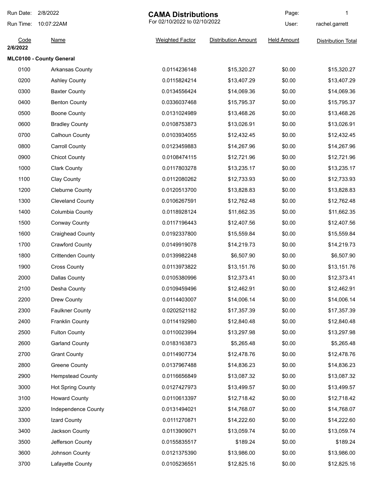| Run Date:        | 2/8/2022                 | <b>CAMA Distributions</b><br>For 02/10/2022 to 02/10/2022 |                            | Page:              | 1                         |
|------------------|--------------------------|-----------------------------------------------------------|----------------------------|--------------------|---------------------------|
| Run Time:        | 10:07:22AM               |                                                           |                            | User:              | rachel.garrett            |
| Code<br>2/6/2022 | <b>Name</b>              | <b>Weighted Factor</b>                                    | <b>Distribution Amount</b> | <b>Held Amount</b> | <b>Distribution Total</b> |
|                  | MLC0100 - County General |                                                           |                            |                    |                           |
| 0100             | Arkansas County          | 0.0114236148                                              | \$15,320.27                | \$0.00             | \$15,320.27               |
| 0200             | <b>Ashley County</b>     | 0.0115824214                                              | \$13,407.29                | \$0.00             | \$13,407.29               |
| 0300             | <b>Baxter County</b>     | 0.0134556424                                              | \$14,069.36                | \$0.00             | \$14,069.36               |
| 0400             | <b>Benton County</b>     | 0.0336037468                                              | \$15,795.37                | \$0.00             | \$15,795.37               |
| 0500             | <b>Boone County</b>      | 0.0131024989                                              | \$13,468.26                | \$0.00             | \$13,468.26               |
| 0600             | <b>Bradley County</b>    | 0.0108753873                                              | \$13,026.91                | \$0.00             | \$13,026.91               |
| 0700             | Calhoun County           | 0.0103934055                                              | \$12,432.45                | \$0.00             | \$12,432.45               |
| 0800             | <b>Carroll County</b>    | 0.0123459883                                              | \$14,267.96                | \$0.00             | \$14,267.96               |
| 0900             | <b>Chicot County</b>     | 0.0108474115                                              | \$12,721.96                | \$0.00             | \$12,721.96               |
| 1000             | <b>Clark County</b>      | 0.0117803278                                              | \$13,235.17                | \$0.00             | \$13,235.17               |
| 1100             | <b>Clay County</b>       | 0.0112080262                                              | \$12,733.93                | \$0.00             | \$12,733.93               |
| 1200             | <b>Cleburne County</b>   | 0.0120513700                                              | \$13,828.83                | \$0.00             | \$13,828.83               |
| 1300             | <b>Cleveland County</b>  | 0.0106267591                                              | \$12,762.48                | \$0.00             | \$12,762.48               |
| 1400             | Columbia County          | 0.0118928124                                              | \$11,662.35                | \$0.00             | \$11,662.35               |
| 1500             | <b>Conway County</b>     | 0.0117196443                                              | \$12,407.56                | \$0.00             | \$12,407.56               |
| 1600             | <b>Craighead County</b>  | 0.0192337800                                              | \$15,559.84                | \$0.00             | \$15,559.84               |
| 1700             | <b>Crawford County</b>   | 0.0149919078                                              | \$14,219.73                | \$0.00             | \$14,219.73               |
| 1800             | <b>Crittenden County</b> | 0.0139982248                                              | \$6,507.90                 | \$0.00             | \$6,507.90                |
| 1900             | <b>Cross County</b>      | 0.0113973822                                              | \$13,151.76                | \$0.00             | \$13,151.76               |
| 2000             | Dallas County            | 0.0105380996                                              | \$12,373.41                | \$0.00             | \$12,373.41               |
| 2100             | Desha County             | 0.0109459496                                              | \$12,462.91                | \$0.00             | \$12,462.91               |
| 2200             | Drew County              | 0.0114403007                                              | \$14,006.14                | \$0.00             | \$14,006.14               |
| 2300             | <b>Faulkner County</b>   | 0.0202521182                                              | \$17,357.39                | \$0.00             | \$17,357.39               |
| 2400             | Franklin County          | 0.0114192980                                              | \$12,840.48                | \$0.00             | \$12,840.48               |
| 2500             | <b>Fulton County</b>     | 0.0110023994                                              | \$13,297.98                | \$0.00             | \$13,297.98               |
| 2600             | <b>Garland County</b>    | 0.0183163873                                              | \$5,265.48                 | \$0.00             | \$5,265.48                |
| 2700             | <b>Grant County</b>      | 0.0114907734                                              | \$12,478.76                | \$0.00             | \$12,478.76               |
| 2800             | <b>Greene County</b>     | 0.0137967488                                              | \$14,836.23                | \$0.00             | \$14,836.23               |
| 2900             | <b>Hempstead County</b>  | 0.0116656849                                              | \$13,087.32                | \$0.00             | \$13,087.32               |
| 3000             | <b>Hot Spring County</b> | 0.0127427973                                              | \$13,499.57                | \$0.00             | \$13,499.57               |
| 3100             | <b>Howard County</b>     | 0.0110613397                                              | \$12,718.42                | \$0.00             | \$12,718.42               |
| 3200             | Independence County      | 0.0131494021                                              | \$14,768.07                | \$0.00             | \$14,768.07               |
| 3300             | Izard County             | 0.0111270871                                              | \$14,222.60                | \$0.00             | \$14,222.60               |
| 3400             | Jackson County           | 0.0113909071                                              | \$13,059.74                | \$0.00             | \$13,059.74               |
| 3500             | Jefferson County         | 0.0155835517                                              | \$189.24                   | \$0.00             | \$189.24                  |
| 3600             | Johnson County           | 0.0121375390                                              | \$13,986.00                | \$0.00             | \$13,986.00               |
| 3700             | Lafayette County         | 0.0105236551                                              | \$12,825.16                | \$0.00             | \$12,825.16               |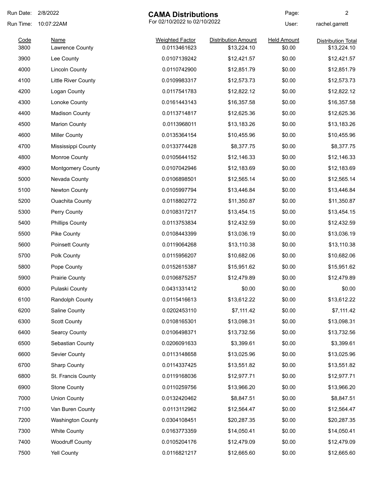| Run Date:    | 2/8/2022<br><b>CAMA Distributions</b>      |                                        | Page:                                     | $\overline{c}$               |                                          |
|--------------|--------------------------------------------|----------------------------------------|-------------------------------------------|------------------------------|------------------------------------------|
| Run Time:    | For 02/10/2022 to 02/10/2022<br>10:07:22AM |                                        |                                           | User:                        | rachel.garrett                           |
| Code<br>3800 | <b>Name</b><br>Lawrence County             | <b>Weighted Factor</b><br>0.0113461623 | <b>Distribution Amount</b><br>\$13,224.10 | <b>Held Amount</b><br>\$0.00 | <b>Distribution Total</b><br>\$13,224.10 |
| 3900         | Lee County                                 | 0.0107139242                           | \$12,421.57                               | \$0.00                       | \$12,421.57                              |
| 4000         | <b>Lincoln County</b>                      | 0.0110742900                           | \$12,851.79                               | \$0.00                       | \$12,851.79                              |
| 4100         | <b>Little River County</b>                 | 0.0109983317                           | \$12,573.73                               | \$0.00                       | \$12,573.73                              |
| 4200         | Logan County                               | 0.0117541783                           | \$12,822.12                               | \$0.00                       | \$12,822.12                              |
| 4300         | Lonoke County                              | 0.0161443143                           | \$16,357.58                               | \$0.00                       | \$16,357.58                              |
| 4400         | <b>Madison County</b>                      | 0.0113714817                           | \$12,625.36                               | \$0.00                       | \$12,625.36                              |
| 4500         | <b>Marion County</b>                       | 0.0113968011                           | \$13,183.26                               | \$0.00                       | \$13,183.26                              |
| 4600         | <b>Miller County</b>                       | 0.0135364154                           | \$10,455.96                               | \$0.00                       | \$10,455.96                              |
| 4700         | Mississippi County                         | 0.0133774428                           | \$8,377.75                                | \$0.00                       | \$8,377.75                               |
| 4800         | Monroe County                              | 0.0105644152                           | \$12,146.33                               | \$0.00                       | \$12,146.33                              |
| 4900         | <b>Montgomery County</b>                   | 0.0107042946                           | \$12,183.69                               | \$0.00                       | \$12,183.69                              |
| 5000         | Nevada County                              | 0.0106898501                           | \$12,565.14                               | \$0.00                       | \$12,565.14                              |
| 5100         | Newton County                              | 0.0105997794                           | \$13,446.84                               | \$0.00                       | \$13,446.84                              |
| 5200         | <b>Ouachita County</b>                     | 0.0118802772                           | \$11,350.87                               | \$0.00                       | \$11,350.87                              |
| 5300         | Perry County                               | 0.0108317217                           | \$13,454.15                               | \$0.00                       | \$13,454.15                              |
| 5400         | <b>Phillips County</b>                     | 0.0113753834                           | \$12,432.59                               | \$0.00                       | \$12,432.59                              |
| 5500         | Pike County                                | 0.0108443399                           | \$13,036.19                               | \$0.00                       | \$13,036.19                              |
| 5600         | <b>Poinsett County</b>                     | 0.0119064268                           | \$13,110.38                               | \$0.00                       | \$13,110.38                              |
| 5700         | Polk County                                | 0.0115956207                           | \$10,682.06                               | \$0.00                       | \$10,682.06                              |
| 5800         | Pope County                                | 0.0152615387                           | \$15,951.62                               | \$0.00                       | \$15,951.62                              |
| 5900         | <b>Prairie County</b>                      | 0.0106875257                           | \$12,479.89                               | \$0.00                       | \$12,479.89                              |
| 6000         | Pulaski County                             | 0.0431331412                           | \$0.00                                    | \$0.00                       | \$0.00                                   |
| 6100         | Randolph County                            | 0.0115416613                           | \$13,612.22                               | \$0.00                       | \$13,612.22                              |
| 6200         | Saline County                              | 0.0202453110                           | \$7,111.42                                | \$0.00                       | \$7,111.42                               |
| 6300         | <b>Scott County</b>                        | 0.0108165301                           | \$13,098.31                               | \$0.00                       | \$13,098.31                              |
| 6400         | <b>Searcy County</b>                       | 0.0106498371                           | \$13,732.56                               | \$0.00                       | \$13,732.56                              |
| 6500         | Sebastian County                           | 0.0206091633                           | \$3,399.61                                | \$0.00                       | \$3,399.61                               |
| 6600         | Sevier County                              | 0.0113148658                           | \$13,025.96                               | \$0.00                       | \$13,025.96                              |
| 6700         | <b>Sharp County</b>                        | 0.0114337425                           | \$13,551.82                               | \$0.00                       | \$13,551.82                              |
| 6800         | St. Francis County                         | 0.0119168036                           | \$12,977.71                               | \$0.00                       | \$12,977.71                              |
| 6900         | <b>Stone County</b>                        | 0.0110259756                           | \$13,966.20                               | \$0.00                       | \$13,966.20                              |
| 7000         | <b>Union County</b>                        | 0.0132420462                           | \$8,847.51                                | \$0.00                       | \$8,847.51                               |
| 7100         | Van Buren County                           | 0.0113112962                           | \$12,564.47                               | \$0.00                       | \$12,564.47                              |
| 7200         | <b>Washington County</b>                   | 0.0304108451                           | \$20,287.35                               | \$0.00                       | \$20,287.35                              |
| 7300         | <b>White County</b>                        | 0.0163773359                           | \$14,050.41                               | \$0.00                       | \$14,050.41                              |
| 7400         | <b>Woodruff County</b>                     | 0.0105204176                           | \$12,479.09                               | \$0.00                       | \$12,479.09                              |
| 7500         | <b>Yell County</b>                         | 0.0116821217                           | \$12,665.60                               | \$0.00                       | \$12,665.60                              |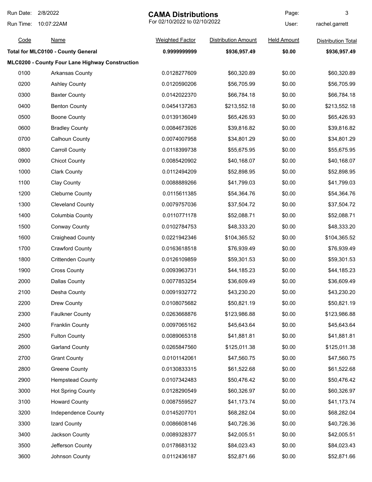| Run Date: | 2/8/2022                                        | <b>CAMA Distributions</b> |                              | Page:              | 3                         |
|-----------|-------------------------------------------------|---------------------------|------------------------------|--------------------|---------------------------|
| Run Time: | 10:07:22AM                                      |                           | For 02/10/2022 to 02/10/2022 |                    | rachel.garrett            |
| Code      | <b>Name</b>                                     | <b>Weighted Factor</b>    | <b>Distribution Amount</b>   | <b>Held Amount</b> | <b>Distribution Total</b> |
|           | <b>Total for MLC0100 - County General</b>       | 0.999999999               | \$936,957.49                 | \$0.00             | \$936,957.49              |
|           | MLC0200 - County Four Lane Highway Construction |                           |                              |                    |                           |
| 0100      | <b>Arkansas County</b>                          | 0.0128277609              | \$60,320.89                  | \$0.00             | \$60,320.89               |
| 0200      | <b>Ashley County</b>                            | 0.0120590206              | \$56,705.99                  | \$0.00             | \$56,705.99               |
| 0300      | <b>Baxter County</b>                            | 0.0142022370              | \$66,784.18                  | \$0.00             | \$66,784.18               |
| 0400      | <b>Benton County</b>                            | 0.0454137263              | \$213,552.18                 | \$0.00             | \$213,552.18              |
| 0500      | <b>Boone County</b>                             | 0.0139136049              | \$65,426.93                  | \$0.00             | \$65,426.93               |
| 0600      | <b>Bradley County</b>                           | 0.0084673926              | \$39,816.82                  | \$0.00             | \$39,816.82               |
| 0700      | <b>Calhoun County</b>                           | 0.0074007958              | \$34,801.29                  | \$0.00             | \$34,801.29               |
| 0800      | <b>Carroll County</b>                           | 0.0118399738              | \$55,675.95                  | \$0.00             | \$55,675.95               |
| 0900      | <b>Chicot County</b>                            | 0.0085420902              | \$40,168.07                  | \$0.00             | \$40,168.07               |
| 1000      | <b>Clark County</b>                             | 0.0112494209              | \$52,898.95                  | \$0.00             | \$52,898.95               |
| 1100      | <b>Clay County</b>                              | 0.0088889266              | \$41,799.03                  | \$0.00             | \$41,799.03               |
| 1200      | <b>Cleburne County</b>                          | 0.0115611385              | \$54,364.76                  | \$0.00             | \$54,364.76               |
| 1300      | <b>Cleveland County</b>                         | 0.0079757036              | \$37,504.72                  | \$0.00             | \$37,504.72               |
| 1400      | Columbia County                                 | 0.0110771178              | \$52,088.71                  | \$0.00             | \$52,088.71               |
| 1500      | <b>Conway County</b>                            | 0.0102784753              | \$48,333.20                  | \$0.00             | \$48,333.20               |
| 1600      | <b>Craighead County</b>                         | 0.0221942346              | \$104,365.52                 | \$0.00             | \$104,365.52              |
| 1700      | <b>Crawford County</b>                          | 0.0163618518              | \$76,939.49                  | \$0.00             | \$76,939.49               |
| 1800      | <b>Crittenden County</b>                        | 0.0126109859              | \$59,301.53                  | \$0.00             | \$59,301.53               |
| 1900      | <b>Cross County</b>                             | 0.0093963731              | \$44,185.23                  | \$0.00             | \$44,185.23               |
| 2000      | <b>Dallas County</b>                            | 0.0077853254              | \$36,609.49                  | \$0.00             | \$36,609.49               |
| 2100      | Desha County                                    | 0.0091932772              | \$43,230.20                  | \$0.00             | \$43,230.20               |
| 2200      | Drew County                                     | 0.0108075682              | \$50,821.19                  | \$0.00             | \$50,821.19               |
| 2300      | <b>Faulkner County</b>                          | 0.0263668876              | \$123,986.88                 | \$0.00             | \$123,986.88              |
| 2400      | <b>Franklin County</b>                          | 0.0097065162              | \$45,643.64                  | \$0.00             | \$45,643.64               |
| 2500      | <b>Fulton County</b>                            | 0.0089065318              | \$41,881.81                  | \$0.00             | \$41,881.81               |
| 2600      | <b>Garland County</b>                           | 0.0265847560              | \$125,011.38                 | \$0.00             | \$125,011.38              |
| 2700      | <b>Grant County</b>                             | 0.0101142061              | \$47,560.75                  | \$0.00             | \$47,560.75               |
| 2800      | <b>Greene County</b>                            | 0.0130833315              | \$61,522.68                  | \$0.00             | \$61,522.68               |
| 2900      | <b>Hempstead County</b>                         | 0.0107342483              | \$50,476.42                  | \$0.00             | \$50,476.42               |
| 3000      | <b>Hot Spring County</b>                        | 0.0128290549              | \$60,326.97                  | \$0.00             | \$60,326.97               |
| 3100      | <b>Howard County</b>                            | 0.0087559527              | \$41,173.74                  | \$0.00             | \$41,173.74               |
| 3200      | Independence County                             | 0.0145207701              | \$68,282.04                  | \$0.00             | \$68,282.04               |
| 3300      | Izard County                                    | 0.0086608146              | \$40,726.36                  | \$0.00             | \$40,726.36               |
| 3400      | Jackson County                                  | 0.0089328377              | \$42,005.51                  | \$0.00             | \$42,005.51               |
| 3500      | Jefferson County                                | 0.0178683132              | \$84,023.43                  | \$0.00             | \$84,023.43               |
| 3600      | Johnson County                                  | 0.0112436187              | \$52,871.66                  | \$0.00             | \$52,871.66               |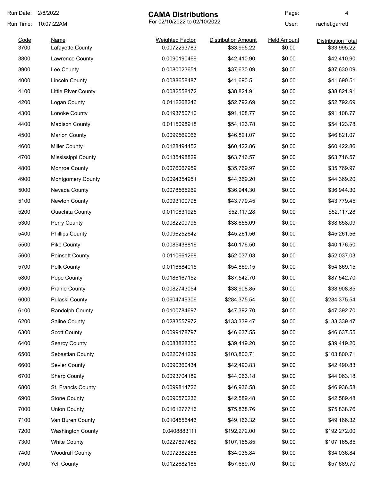| Run Date:    | 2/8/2022                        | <b>CAMA Distributions</b>              |                                           | Page:                        | 4                                 |
|--------------|---------------------------------|----------------------------------------|-------------------------------------------|------------------------------|-----------------------------------|
| Run Time:    | 10:07:22AM                      | For 02/10/2022 to 02/10/2022           |                                           | User:                        | rachel.garrett                    |
| Code<br>3700 | <b>Name</b><br>Lafayette County | <b>Weighted Factor</b><br>0.0072293783 | <b>Distribution Amount</b><br>\$33,995.22 | <b>Held Amount</b><br>\$0.00 | Distribution Total<br>\$33,995.22 |
| 3800         | Lawrence County                 | 0.0090190469                           | \$42,410.90                               | \$0.00                       | \$42,410.90                       |
| 3900         | Lee County                      | 0.0080023651                           | \$37,630.09                               | \$0.00                       | \$37,630.09                       |
| 4000         | <b>Lincoln County</b>           | 0.0088658487                           | \$41,690.51                               | \$0.00                       | \$41,690.51                       |
| 4100         | <b>Little River County</b>      | 0.0082558172                           | \$38,821.91                               | \$0.00                       | \$38,821.91                       |
| 4200         | Logan County                    | 0.0112268246                           | \$52,792.69                               | \$0.00                       | \$52,792.69                       |
| 4300         | Lonoke County                   | 0.0193750710                           | \$91,108.77                               | \$0.00                       | \$91,108.77                       |
| 4400         | <b>Madison County</b>           | 0.0115098918                           | \$54,123.78                               | \$0.00                       | \$54,123.78                       |
| 4500         | <b>Marion County</b>            | 0.0099569066                           | \$46,821.07                               | \$0.00                       | \$46,821.07                       |
| 4600         | <b>Miller County</b>            | 0.0128494452                           | \$60,422.86                               | \$0.00                       | \$60,422.86                       |
| 4700         | Mississippi County              | 0.0135498829                           | \$63,716.57                               | \$0.00                       | \$63,716.57                       |
| 4800         | Monroe County                   | 0.0076067959                           | \$35,769.97                               | \$0.00                       | \$35,769.97                       |
| 4900         | <b>Montgomery County</b>        | 0.0094354951                           | \$44,369.20                               | \$0.00                       | \$44,369.20                       |
| 5000         | Nevada County                   | 0.0078565269                           | \$36,944.30                               | \$0.00                       | \$36,944.30                       |
| 5100         | Newton County                   | 0.0093100798                           | \$43,779.45                               | \$0.00                       | \$43,779.45                       |
| 5200         | <b>Ouachita County</b>          | 0.0110831925                           | \$52,117.28                               | \$0.00                       | \$52,117.28                       |
| 5300         | Perry County                    | 0.0082209795                           | \$38,658.09                               | \$0.00                       | \$38,658.09                       |
| 5400         | <b>Phillips County</b>          | 0.0096252642                           | \$45,261.56                               | \$0.00                       | \$45,261.56                       |
| 5500         | Pike County                     | 0.0085438816                           | \$40,176.50                               | \$0.00                       | \$40,176.50                       |
| 5600         | <b>Poinsett County</b>          | 0.0110661268                           | \$52,037.03                               | \$0.00                       | \$52,037.03                       |
| 5700         | Polk County                     | 0.0116684015                           | \$54,869.15                               | \$0.00                       | \$54,869.15                       |
| 5800         | Pope County                     | 0.0186167152                           | \$87,542.70                               | \$0.00                       | \$87,542.70                       |
| 5900         | <b>Prairie County</b>           | 0.0082743054                           | \$38,908.85                               | \$0.00                       | \$38,908.85                       |
| 6000         | Pulaski County                  | 0.0604749306                           | \$284,375.54                              | \$0.00                       | \$284,375.54                      |
| 6100         | Randolph County                 | 0.0100784697                           | \$47,392.70                               | \$0.00                       | \$47,392.70                       |
| 6200         | Saline County                   | 0.0283557972                           | \$133,339.47                              | \$0.00                       | \$133,339.47                      |
| 6300         | <b>Scott County</b>             | 0.0099178797                           | \$46,637.55                               | \$0.00                       | \$46,637.55                       |
| 6400         | <b>Searcy County</b>            | 0.0083828350                           | \$39,419.20                               | \$0.00                       | \$39,419.20                       |
| 6500         | Sebastian County                | 0.0220741239                           | \$103,800.71                              | \$0.00                       | \$103,800.71                      |
| 6600         | Sevier County                   | 0.0090360434                           | \$42,490.83                               | \$0.00                       | \$42,490.83                       |
| 6700         | <b>Sharp County</b>             | 0.0093704189                           | \$44,063.18                               | \$0.00                       | \$44,063.18                       |
| 6800         | St. Francis County              | 0.0099814726                           | \$46,936.58                               | \$0.00                       | \$46,936.58                       |
| 6900         | <b>Stone County</b>             | 0.0090570236                           | \$42,589.48                               | \$0.00                       | \$42,589.48                       |
| 7000         | <b>Union County</b>             | 0.0161277716                           | \$75,838.76                               | \$0.00                       | \$75,838.76                       |
| 7100         | Van Buren County                | 0.0104556443                           | \$49,166.32                               | \$0.00                       | \$49,166.32                       |
| 7200         | <b>Washington County</b>        | 0.0408883111                           | \$192,272.00                              | \$0.00                       | \$192,272.00                      |
| 7300         | <b>White County</b>             | 0.0227897482                           | \$107,165.85                              | \$0.00                       | \$107,165.85                      |
| 7400         | <b>Woodruff County</b>          | 0.0072382288                           | \$34,036.84                               | \$0.00                       | \$34,036.84                       |
| 7500         | Yell County                     | 0.0122682186                           | \$57,689.70                               | \$0.00                       | \$57,689.70                       |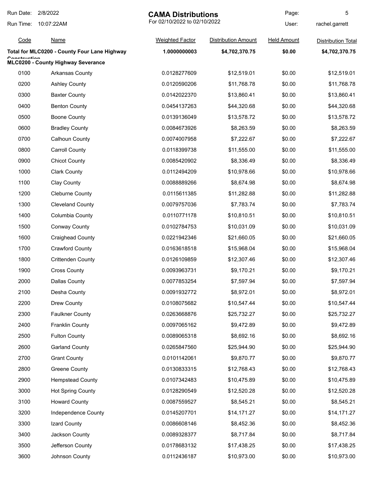| Run Date:    | 2/8/2022                                     | <b>CAMA Distributions</b>    |                            | Page:              | 5                         |
|--------------|----------------------------------------------|------------------------------|----------------------------|--------------------|---------------------------|
| Run Time:    | 10:07:22AM                                   | For 02/10/2022 to 02/10/2022 |                            | User:              | rachel.garrett            |
| Code         | <b>Name</b>                                  | <b>Weighted Factor</b>       | <b>Distribution Amount</b> | <b>Held Amount</b> | <b>Distribution Total</b> |
|              | Total for MLC0200 - County Four Lane Highway | 1.0000000003                 | \$4,702,370.75             | \$0.00             | \$4,702,370.75            |
| Canatruatian | MLC0200 - County Highway Severance           |                              |                            |                    |                           |
| 0100         | Arkansas County                              | 0.0128277609                 | \$12,519.01                | \$0.00             | \$12,519.01               |
| 0200         | <b>Ashley County</b>                         | 0.0120590206                 | \$11,768.78                | \$0.00             | \$11,768.78               |
| 0300         | <b>Baxter County</b>                         | 0.0142022370                 | \$13,860.41                | \$0.00             | \$13,860.41               |
| 0400         | <b>Benton County</b>                         | 0.0454137263                 | \$44,320.68                | \$0.00             | \$44,320.68               |
| 0500         | <b>Boone County</b>                          | 0.0139136049                 | \$13,578.72                | \$0.00             | \$13,578.72               |
| 0600         | <b>Bradley County</b>                        | 0.0084673926                 | \$8,263.59                 | \$0.00             | \$8,263.59                |
| 0700         | <b>Calhoun County</b>                        | 0.0074007958                 | \$7,222.67                 | \$0.00             | \$7,222.67                |
| 0800         | <b>Carroll County</b>                        | 0.0118399738                 | \$11,555.00                | \$0.00             | \$11,555.00               |
| 0900         | <b>Chicot County</b>                         | 0.0085420902                 | \$8,336.49                 | \$0.00             | \$8,336.49                |
| 1000         | <b>Clark County</b>                          | 0.0112494209                 | \$10,978.66                | \$0.00             | \$10,978.66               |
| 1100         | Clay County                                  | 0.0088889266                 | \$8,674.98                 | \$0.00             | \$8,674.98                |
| 1200         | <b>Cleburne County</b>                       | 0.0115611385                 | \$11,282.88                | \$0.00             | \$11,282.88               |
| 1300         | <b>Cleveland County</b>                      | 0.0079757036                 | \$7,783.74                 | \$0.00             | \$7,783.74                |
| 1400         | Columbia County                              | 0.0110771178                 | \$10,810.51                | \$0.00             | \$10,810.51               |
| 1500         | <b>Conway County</b>                         | 0.0102784753                 | \$10,031.09                | \$0.00             | \$10,031.09               |
| 1600         | <b>Craighead County</b>                      | 0.0221942346                 | \$21,660.05                | \$0.00             | \$21,660.05               |
| 1700         | <b>Crawford County</b>                       | 0.0163618518                 | \$15,968.04                | \$0.00             | \$15,968.04               |
| 1800         | <b>Crittenden County</b>                     | 0.0126109859                 | \$12,307.46                | \$0.00             | \$12,307.46               |
| 1900         | <b>Cross County</b>                          | 0.0093963731                 | \$9,170.21                 | \$0.00             | \$9,170.21                |
| 2000         | Dallas County                                | 0.0077853254                 | \$7,597.94                 | \$0.00             | \$7,597.94                |
| 2100         | Desha County                                 | 0.0091932772                 | \$8,972.01                 | \$0.00             | \$8,972.01                |
| 2200         | Drew County                                  | 0.0108075682                 | \$10,547.44                | \$0.00             | \$10,547.44               |
| 2300         | <b>Faulkner County</b>                       | 0.0263668876                 | \$25,732.27                | \$0.00             | \$25,732.27               |
| 2400         | <b>Franklin County</b>                       | 0.0097065162                 | \$9,472.89                 | \$0.00             | \$9,472.89                |
| 2500         | <b>Fulton County</b>                         | 0.0089065318                 | \$8,692.16                 | \$0.00             | \$8,692.16                |
| 2600         | <b>Garland County</b>                        | 0.0265847560                 | \$25,944.90                | \$0.00             | \$25,944.90               |
| 2700         | <b>Grant County</b>                          | 0.0101142061                 | \$9,870.77                 | \$0.00             | \$9,870.77                |
| 2800         | <b>Greene County</b>                         | 0.0130833315                 | \$12,768.43                | \$0.00             | \$12,768.43               |
| 2900         | <b>Hempstead County</b>                      | 0.0107342483                 | \$10,475.89                | \$0.00             | \$10,475.89               |
| 3000         | <b>Hot Spring County</b>                     | 0.0128290549                 | \$12,520.28                | \$0.00             | \$12,520.28               |
| 3100         | <b>Howard County</b>                         | 0.0087559527                 | \$8,545.21                 | \$0.00             | \$8,545.21                |
| 3200         | Independence County                          | 0.0145207701                 | \$14,171.27                | \$0.00             | \$14,171.27               |
| 3300         | Izard County                                 | 0.0086608146                 | \$8,452.36                 | \$0.00             | \$8,452.36                |
| 3400         | Jackson County                               | 0.0089328377                 | \$8,717.84                 | \$0.00             | \$8,717.84                |
| 3500         | Jefferson County                             | 0.0178683132                 | \$17,438.25                | \$0.00             | \$17,438.25               |
| 3600         | Johnson County                               | 0.0112436187                 | \$10,973.00                | \$0.00             | \$10,973.00               |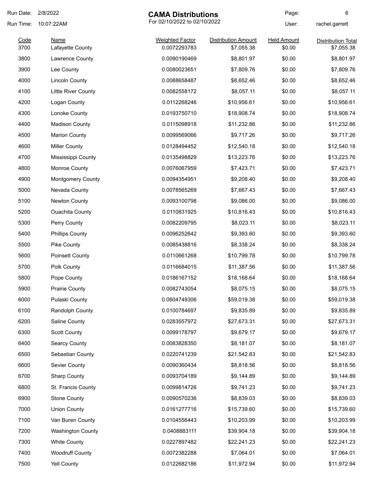| Run Date: | 2/8/2022                 | <b>CAMA Distributions</b>    |                            | Page:              | 6                  |
|-----------|--------------------------|------------------------------|----------------------------|--------------------|--------------------|
| Run Time: | 10:07:22AM               | For 02/10/2022 to 02/10/2022 |                            | User:              | rachel.garrett     |
| Code      | <b>Name</b>              | <b>Weighted Factor</b>       | <b>Distribution Amount</b> | <b>Held Amount</b> | Distribution Total |
| 3700      | Lafayette County         | 0.0072293783                 | \$7,055.38                 | \$0.00             | \$7,055.38         |
| 3800      | Lawrence County          | 0.0090190469                 | \$8,801.97                 | \$0.00             | \$8,801.97         |
| 3900      | Lee County               | 0.0080023651                 | \$7,809.76                 | \$0.00             | \$7,809.76         |
| 4000      | <b>Lincoln County</b>    | 0.0088658487                 | \$8,652.46                 | \$0.00             | \$8,652.46         |
| 4100      | Little River County      | 0.0082558172                 | \$8,057.11                 | \$0.00             | \$8,057.11         |
| 4200      | Logan County             | 0.0112268246                 | \$10,956.61                | \$0.00             | \$10,956.61        |
| 4300      | Lonoke County            | 0.0193750710                 | \$18,908.74                | \$0.00             | \$18,908.74        |
| 4400      | <b>Madison County</b>    | 0.0115098918                 | \$11,232.86                | \$0.00             | \$11,232.86        |
| 4500      | <b>Marion County</b>     | 0.0099569066                 | \$9,717.26                 | \$0.00             | \$9,717.26         |
| 4600      | <b>Miller County</b>     | 0.0128494452                 | \$12,540.18                | \$0.00             | \$12,540.18        |
| 4700      | Mississippi County       | 0.0135498829                 | \$13,223.76                | \$0.00             | \$13,223.76        |
| 4800      | Monroe County            | 0.0076067959                 | \$7,423.71                 | \$0.00             | \$7,423.71         |
| 4900      | <b>Montgomery County</b> | 0.0094354951                 | \$9,208.40                 | \$0.00             | \$9,208.40         |
| 5000      | Nevada County            | 0.0078565269                 | \$7,667.43                 | \$0.00             | \$7,667.43         |
| 5100      | Newton County            | 0.0093100798                 | \$9,086.00                 | \$0.00             | \$9,086.00         |
| 5200      | <b>Ouachita County</b>   | 0.0110831925                 | \$10,816.43                | \$0.00             | \$10,816.43        |
| 5300      | Perry County             | 0.0082209795                 | \$8,023.11                 | \$0.00             | \$8,023.11         |
| 5400      | <b>Phillips County</b>   | 0.0096252642                 | \$9,393.60                 | \$0.00             | \$9,393.60         |
| 5500      | Pike County              | 0.0085438816                 | \$8,338.24                 | \$0.00             | \$8,338.24         |
| 5600      | Poinsett County          | 0.0110661268                 | \$10,799.78                | \$0.00             | \$10,799.78        |
| 5700      | Polk County              | 0.0116684015                 | \$11,387.56                | \$0.00             | \$11,387.56        |
| 5800      | Pope County              | 0.0186167152                 | \$18,168.64                | \$0.00             | \$18,168.64        |
| 5900      | <b>Prairie County</b>    | 0.0082743054                 | \$8,075.15                 | \$0.00             | \$8,075.15         |
| 6000      | Pulaski County           | 0.0604749306                 | \$59,019.38                | \$0.00             | \$59,019.38        |
| 6100      | Randolph County          | 0.0100784697                 | \$9,835.89                 | \$0.00             | \$9,835.89         |
| 6200      | Saline County            | 0.0283557972                 | \$27,673.31                | \$0.00             | \$27,673.31        |
| 6300      | <b>Scott County</b>      | 0.0099178797                 | \$9,679.17                 | \$0.00             | \$9,679.17         |
| 6400      | <b>Searcy County</b>     | 0.0083828350                 | \$8,181.07                 | \$0.00             | \$8,181.07         |
| 6500      | Sebastian County         | 0.0220741239                 | \$21,542.83                | \$0.00             | \$21,542.83        |
| 6600      | Sevier County            | 0.0090360434                 | \$8,818.56                 | \$0.00             | \$8,818.56         |
| 6700      | <b>Sharp County</b>      | 0.0093704189                 | \$9,144.89                 | \$0.00             | \$9,144.89         |
| 6800      | St. Francis County       | 0.0099814726                 | \$9,741.23                 | \$0.00             | \$9,741.23         |
| 6900      | <b>Stone County</b>      | 0.0090570236                 | \$8,839.03                 | \$0.00             | \$8,839.03         |
| 7000      | <b>Union County</b>      | 0.0161277716                 | \$15,739.60                | \$0.00             | \$15,739.60        |
| 7100      | Van Buren County         | 0.0104556443                 | \$10,203.99                | \$0.00             | \$10,203.99        |
| 7200      | <b>Washington County</b> | 0.0408883111                 | \$39,904.18                | \$0.00             | \$39,904.18        |
| 7300      | <b>White County</b>      | 0.0227897482                 | \$22,241.23                | \$0.00             | \$22,241.23        |
| 7400      | <b>Woodruff County</b>   | 0.0072382288                 | \$7,064.01                 | \$0.00             | \$7,064.01         |
| 7500      | Yell County              | 0.0122682186                 | \$11,972.94                | \$0.00             | \$11,972.94        |
|           |                          |                              |                            |                    |                    |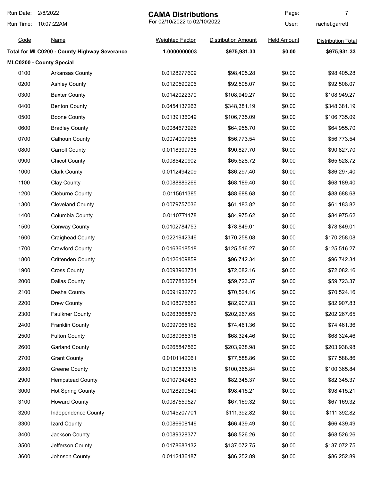| Run Date: | 2/8/2022<br><b>CAMA Distributions</b>        |                              | Page:                      | 7                  |                           |
|-----------|----------------------------------------------|------------------------------|----------------------------|--------------------|---------------------------|
| Run Time: | 10:07:22AM                                   | For 02/10/2022 to 02/10/2022 |                            | User:              | rachel.garrett            |
| Code      | <b>Name</b>                                  | <b>Weighted Factor</b>       | <b>Distribution Amount</b> | <b>Held Amount</b> | <b>Distribution Total</b> |
|           | Total for MLC0200 - County Highway Severance | 1.0000000003                 | \$975,931.33               | \$0.00             | \$975,931.33              |
|           | MLC0200 - County Special                     |                              |                            |                    |                           |
| 0100      | Arkansas County                              | 0.0128277609                 | \$98,405.28                | \$0.00             | \$98,405.28               |
| 0200      | <b>Ashley County</b>                         | 0.0120590206                 | \$92,508.07                | \$0.00             | \$92,508.07               |
| 0300      | <b>Baxter County</b>                         | 0.0142022370                 | \$108,949.27               | \$0.00             | \$108,949.27              |
| 0400      | <b>Benton County</b>                         | 0.0454137263                 | \$348,381.19               | \$0.00             | \$348,381.19              |
| 0500      | <b>Boone County</b>                          | 0.0139136049                 | \$106,735.09               | \$0.00             | \$106,735.09              |
| 0600      | <b>Bradley County</b>                        | 0.0084673926                 | \$64,955.70                | \$0.00             | \$64,955.70               |
| 0700      | Calhoun County                               | 0.0074007958                 | \$56,773.54                | \$0.00             | \$56,773.54               |
| 0800      | <b>Carroll County</b>                        | 0.0118399738                 | \$90,827.70                | \$0.00             | \$90,827.70               |
| 0900      | <b>Chicot County</b>                         | 0.0085420902                 | \$65,528.72                | \$0.00             | \$65,528.72               |
| 1000      | <b>Clark County</b>                          | 0.0112494209                 | \$86,297.40                | \$0.00             | \$86,297.40               |
| 1100      | Clay County                                  | 0.0088889266                 | \$68,189.40                | \$0.00             | \$68,189.40               |
| 1200      | <b>Cleburne County</b>                       | 0.0115611385                 | \$88,688.68                | \$0.00             | \$88,688.68               |
| 1300      | <b>Cleveland County</b>                      | 0.0079757036                 | \$61,183.82                | \$0.00             | \$61,183.82               |
| 1400      | Columbia County                              | 0.0110771178                 | \$84,975.62                | \$0.00             | \$84,975.62               |
| 1500      | <b>Conway County</b>                         | 0.0102784753                 | \$78,849.01                | \$0.00             | \$78,849.01               |
| 1600      | <b>Craighead County</b>                      | 0.0221942346                 | \$170,258.08               | \$0.00             | \$170,258.08              |
| 1700      | <b>Crawford County</b>                       | 0.0163618518                 | \$125,516.27               | \$0.00             | \$125,516.27              |
| 1800      | <b>Crittenden County</b>                     | 0.0126109859                 | \$96,742.34                | \$0.00             | \$96,742.34               |
| 1900      | <b>Cross County</b>                          | 0.0093963731                 | \$72,082.16                | \$0.00             | \$72,082.16               |
| 2000      | <b>Dallas County</b>                         | 0.0077853254                 | \$59,723.37                | \$0.00             | \$59,723.37               |
| 2100      | Desha County                                 | 0.0091932772                 | \$70,524.16                | \$0.00             | \$70,524.16               |
| 2200      | Drew County                                  | 0.0108075682                 | \$82,907.83                | \$0.00             | \$82,907.83               |
| 2300      | <b>Faulkner County</b>                       | 0.0263668876                 | \$202,267.65               | \$0.00             | \$202,267.65              |
| 2400      | <b>Franklin County</b>                       | 0.0097065162                 | \$74,461.36                | \$0.00             | \$74,461.36               |
| 2500      | <b>Fulton County</b>                         | 0.0089065318                 | \$68,324.46                | \$0.00             | \$68,324.46               |
| 2600      | <b>Garland County</b>                        | 0.0265847560                 | \$203,938.98               | \$0.00             | \$203,938.98              |
| 2700      | <b>Grant County</b>                          | 0.0101142061                 | \$77,588.86                | \$0.00             | \$77,588.86               |
| 2800      | <b>Greene County</b>                         | 0.0130833315                 | \$100,365.84               | \$0.00             | \$100,365.84              |
| 2900      | <b>Hempstead County</b>                      | 0.0107342483                 | \$82,345.37                | \$0.00             | \$82,345.37               |
| 3000      | <b>Hot Spring County</b>                     | 0.0128290549                 | \$98,415.21                | \$0.00             | \$98,415.21               |
| 3100      | <b>Howard County</b>                         | 0.0087559527                 | \$67,169.32                | \$0.00             | \$67,169.32               |
| 3200      | Independence County                          | 0.0145207701                 | \$111,392.82               | \$0.00             | \$111,392.82              |
| 3300      | Izard County                                 | 0.0086608146                 | \$66,439.49                | \$0.00             | \$66,439.49               |
| 3400      | Jackson County                               | 0.0089328377                 | \$68,526.26                | \$0.00             | \$68,526.26               |
| 3500      | Jefferson County                             | 0.0178683132                 | \$137,072.75               | \$0.00             | \$137,072.75              |
| 3600      | Johnson County                               | 0.0112436187                 | \$86,252.89                | \$0.00             | \$86,252.89               |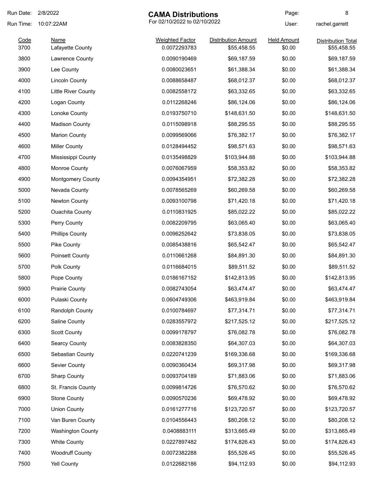| Run Date: | 2/8/2022                 | <b>CAMA Distributions</b>    |                            | Page:              | 8                         |
|-----------|--------------------------|------------------------------|----------------------------|--------------------|---------------------------|
| Run Time: | 10:07:22AM               | For 02/10/2022 to 02/10/2022 |                            | User:              | rachel.garrett            |
| Code      | <b>Name</b>              | <b>Weighted Factor</b>       | <b>Distribution Amount</b> | <b>Held Amount</b> | <b>Distribution Total</b> |
| 3700      | Lafayette County         | 0.0072293783                 | \$55,458.55                | \$0.00             | \$55,458.55               |
| 3800      | Lawrence County          | 0.0090190469                 | \$69,187.59                | \$0.00             | \$69,187.59               |
| 3900      | Lee County               | 0.0080023651                 | \$61,388.34                | \$0.00             | \$61,388.34               |
| 4000      | <b>Lincoln County</b>    | 0.0088658487                 | \$68,012.37                | \$0.00             | \$68,012.37               |
| 4100      | Little River County      | 0.0082558172                 | \$63,332.65                | \$0.00             | \$63,332.65               |
| 4200      | Logan County             | 0.0112268246                 | \$86,124.06                | \$0.00             | \$86,124.06               |
| 4300      | Lonoke County            | 0.0193750710                 | \$148,631.50               | \$0.00             | \$148,631.50              |
| 4400      | <b>Madison County</b>    | 0.0115098918                 | \$88,295.55                | \$0.00             | \$88,295.55               |
| 4500      | <b>Marion County</b>     | 0.0099569066                 | \$76,382.17                | \$0.00             | \$76,382.17               |
| 4600      | <b>Miller County</b>     | 0.0128494452                 | \$98,571.63                | \$0.00             | \$98,571.63               |
| 4700      | Mississippi County       | 0.0135498829                 | \$103,944.88               | \$0.00             | \$103,944.88              |
| 4800      | Monroe County            | 0.0076067959                 | \$58,353.82                | \$0.00             | \$58,353.82               |
| 4900      | <b>Montgomery County</b> | 0.0094354951                 | \$72,382.28                | \$0.00             | \$72,382.28               |
| 5000      | Nevada County            | 0.0078565269                 | \$60,269.58                | \$0.00             | \$60,269.58               |
| 5100      | Newton County            | 0.0093100798                 | \$71,420.18                | \$0.00             | \$71,420.18               |
| 5200      | <b>Ouachita County</b>   | 0.0110831925                 | \$85,022.22                | \$0.00             | \$85,022.22               |
| 5300      | Perry County             | 0.0082209795                 | \$63,065.40                | \$0.00             | \$63,065.40               |
| 5400      | <b>Phillips County</b>   | 0.0096252642                 | \$73,838.05                | \$0.00             | \$73,838.05               |
| 5500      | Pike County              | 0.0085438816                 | \$65,542.47                | \$0.00             | \$65,542.47               |
| 5600      | <b>Poinsett County</b>   | 0.0110661268                 | \$84,891.30                | \$0.00             | \$84,891.30               |
| 5700      | Polk County              | 0.0116684015                 | \$89,511.52                | \$0.00             | \$89,511.52               |
| 5800      | Pope County              | 0.0186167152                 | \$142,813.95               | \$0.00             | \$142,813.95              |
| 5900      | <b>Prairie County</b>    | 0.0082743054                 | \$63,474.47                | \$0.00             | \$63,474.47               |
| 6000      | Pulaski County           | 0.0604749306                 | \$463,919.84               | \$0.00             | \$463,919.84              |
| 6100      | Randolph County          | 0.0100784697                 | \$77,314.71                | \$0.00             | \$77,314.71               |
| 6200      | Saline County            | 0.0283557972                 | \$217,525.12               | \$0.00             | \$217,525.12              |
| 6300      | <b>Scott County</b>      | 0.0099178797                 | \$76,082.78                | \$0.00             | \$76,082.78               |
| 6400      | <b>Searcy County</b>     | 0.0083828350                 | \$64,307.03                | \$0.00             | \$64,307.03               |
| 6500      | Sebastian County         | 0.0220741239                 | \$169,336.68               | \$0.00             | \$169,336.68              |
| 6600      | Sevier County            | 0.0090360434                 | \$69,317.98                | \$0.00             | \$69,317.98               |
| 6700      | <b>Sharp County</b>      | 0.0093704189                 | \$71,883.06                | \$0.00             | \$71,883.06               |
| 6800      | St. Francis County       | 0.0099814726                 | \$76,570.62                | \$0.00             | \$76,570.62               |
| 6900      | <b>Stone County</b>      | 0.0090570236                 | \$69,478.92                | \$0.00             | \$69,478.92               |
| 7000      | <b>Union County</b>      | 0.0161277716                 | \$123,720.57               | \$0.00             | \$123,720.57              |
| 7100      | Van Buren County         | 0.0104556443                 | \$80,208.12                | \$0.00             | \$80,208.12               |
|           |                          |                              |                            |                    |                           |
| 7200      | <b>Washington County</b> | 0.0408883111                 | \$313,665.49               | \$0.00             | \$313,665.49              |
| 7300      | <b>White County</b>      | 0.0227897482                 | \$174,826.43               | \$0.00             | \$174,826.43              |
| 7400      | <b>Woodruff County</b>   | 0.0072382288                 | \$55,526.45                | \$0.00             | \$55,526.45               |
| 7500      | Yell County              | 0.0122682186                 | \$94,112.93                | \$0.00             | \$94,112.93               |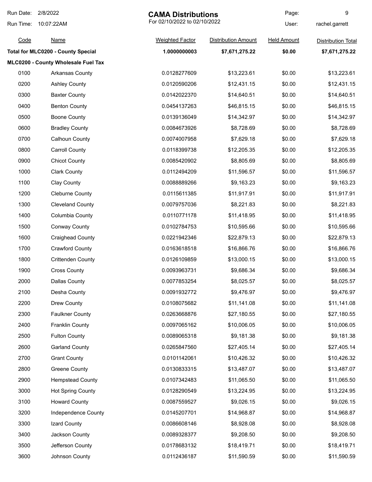| Run Date: | 2/8/2022<br><b>CAMA Distributions</b>     |                              |                            | Page:              | 9                         |
|-----------|-------------------------------------------|------------------------------|----------------------------|--------------------|---------------------------|
| Run Time: | 10:07:22AM                                | For 02/10/2022 to 02/10/2022 |                            | User:              | rachel.garrett            |
| Code      | <b>Name</b>                               | <b>Weighted Factor</b>       | <b>Distribution Amount</b> | <b>Held Amount</b> | <b>Distribution Total</b> |
|           | <b>Total for MLC0200 - County Special</b> | 1.0000000003                 | \$7,671,275.22             | \$0.00             | \$7,671,275.22            |
|           | MLC0200 - County Wholesale Fuel Tax       |                              |                            |                    |                           |
| 0100      | Arkansas County                           | 0.0128277609                 | \$13,223.61                | \$0.00             | \$13,223.61               |
| 0200      | <b>Ashley County</b>                      | 0.0120590206                 | \$12,431.15                | \$0.00             | \$12,431.15               |
| 0300      | <b>Baxter County</b>                      | 0.0142022370                 | \$14,640.51                | \$0.00             | \$14,640.51               |
| 0400      | <b>Benton County</b>                      | 0.0454137263                 | \$46,815.15                | \$0.00             | \$46,815.15               |
| 0500      | <b>Boone County</b>                       | 0.0139136049                 | \$14,342.97                | \$0.00             | \$14,342.97               |
| 0600      | <b>Bradley County</b>                     | 0.0084673926                 | \$8,728.69                 | \$0.00             | \$8,728.69                |
| 0700      | <b>Calhoun County</b>                     | 0.0074007958                 | \$7,629.18                 | \$0.00             | \$7,629.18                |
| 0800      | <b>Carroll County</b>                     | 0.0118399738                 | \$12,205.35                | \$0.00             | \$12,205.35               |
| 0900      | <b>Chicot County</b>                      | 0.0085420902                 | \$8,805.69                 | \$0.00             | \$8,805.69                |
| 1000      | <b>Clark County</b>                       | 0.0112494209                 | \$11,596.57                | \$0.00             | \$11,596.57               |
| 1100      | <b>Clay County</b>                        | 0.0088889266                 | \$9,163.23                 | \$0.00             | \$9,163.23                |
| 1200      | <b>Cleburne County</b>                    | 0.0115611385                 | \$11,917.91                | \$0.00             | \$11,917.91               |
| 1300      | <b>Cleveland County</b>                   | 0.0079757036                 | \$8,221.83                 | \$0.00             | \$8,221.83                |
| 1400      | Columbia County                           | 0.0110771178                 | \$11,418.95                | \$0.00             | \$11,418.95               |
| 1500      | <b>Conway County</b>                      | 0.0102784753                 | \$10,595.66                | \$0.00             | \$10,595.66               |
| 1600      | <b>Craighead County</b>                   | 0.0221942346                 | \$22,879.13                | \$0.00             | \$22,879.13               |
| 1700      | <b>Crawford County</b>                    | 0.0163618518                 | \$16,866.76                | \$0.00             | \$16,866.76               |
| 1800      | <b>Crittenden County</b>                  | 0.0126109859                 | \$13,000.15                | \$0.00             | \$13,000.15               |
| 1900      | <b>Cross County</b>                       | 0.0093963731                 | \$9,686.34                 | \$0.00             | \$9,686.34                |
| 2000      | Dallas County                             | 0.0077853254                 | \$8,025.57                 | \$0.00             | \$8,025.57                |
| 2100      | Desha County                              | 0.0091932772                 | \$9,476.97                 | \$0.00             | \$9,476.97                |
| 2200      | Drew County                               | 0.0108075682                 | \$11,141.08                | \$0.00             | \$11,141.08               |
| 2300      | <b>Faulkner County</b>                    | 0.0263668876                 | \$27,180.55                | \$0.00             | \$27,180.55               |
| 2400      | <b>Franklin County</b>                    | 0.0097065162                 | \$10,006.05                | \$0.00             | \$10,006.05               |
| 2500      | <b>Fulton County</b>                      | 0.0089065318                 | \$9,181.38                 | \$0.00             | \$9,181.38                |
| 2600      | <b>Garland County</b>                     | 0.0265847560                 | \$27,405.14                | \$0.00             | \$27,405.14               |
| 2700      | <b>Grant County</b>                       | 0.0101142061                 | \$10,426.32                | \$0.00             | \$10,426.32               |
| 2800      | <b>Greene County</b>                      | 0.0130833315                 | \$13,487.07                | \$0.00             | \$13,487.07               |
| 2900      | <b>Hempstead County</b>                   | 0.0107342483                 | \$11,065.50                | \$0.00             | \$11,065.50               |
| 3000      | <b>Hot Spring County</b>                  | 0.0128290549                 | \$13,224.95                | \$0.00             | \$13,224.95               |
| 3100      | <b>Howard County</b>                      | 0.0087559527                 | \$9,026.15                 | \$0.00             | \$9,026.15                |
| 3200      | Independence County                       | 0.0145207701                 | \$14,968.87                | \$0.00             | \$14,968.87               |
| 3300      | Izard County                              | 0.0086608146                 | \$8,928.08                 | \$0.00             | \$8,928.08                |
| 3400      | Jackson County                            | 0.0089328377                 | \$9,208.50                 | \$0.00             | \$9,208.50                |
| 3500      | Jefferson County                          | 0.0178683132                 | \$18,419.71                | \$0.00             | \$18,419.71               |
| 3600      | Johnson County                            | 0.0112436187                 | \$11,590.59                | \$0.00             | \$11,590.59               |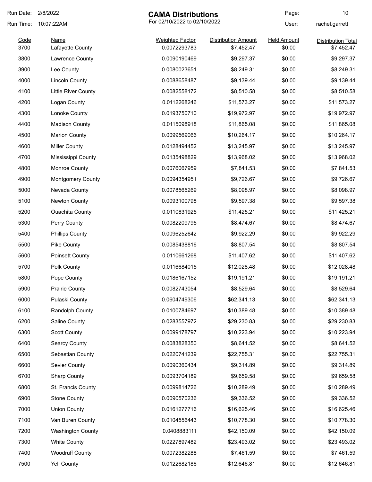| Run Date:    | 2/8/2022                        | <b>CAMA Distributions</b>              |                                          | Page:                        | 10                                      |
|--------------|---------------------------------|----------------------------------------|------------------------------------------|------------------------------|-----------------------------------------|
| Run Time:    | 10:07:22AM                      | For 02/10/2022 to 02/10/2022           |                                          | User:                        | rachel.garrett                          |
| Code<br>3700 | <b>Name</b><br>Lafayette County | <b>Weighted Factor</b><br>0.0072293783 | <b>Distribution Amount</b><br>\$7,452.47 | <b>Held Amount</b><br>\$0.00 | <b>Distribution Total</b><br>\$7,452.47 |
| 3800         | Lawrence County                 | 0.0090190469                           | \$9,297.37                               | \$0.00                       | \$9,297.37                              |
| 3900         | Lee County                      | 0.0080023651                           | \$8,249.31                               | \$0.00                       | \$8,249.31                              |
| 4000         | <b>Lincoln County</b>           | 0.0088658487                           | \$9,139.44                               | \$0.00                       | \$9,139.44                              |
| 4100         | Little River County             | 0.0082558172                           | \$8,510.58                               | \$0.00                       | \$8,510.58                              |
| 4200         | Logan County                    | 0.0112268246                           | \$11,573.27                              | \$0.00                       | \$11,573.27                             |
| 4300         | Lonoke County                   | 0.0193750710                           | \$19,972.97                              | \$0.00                       | \$19,972.97                             |
| 4400         | <b>Madison County</b>           | 0.0115098918                           | \$11,865.08                              | \$0.00                       | \$11,865.08                             |
| 4500         | <b>Marion County</b>            | 0.0099569066                           | \$10,264.17                              | \$0.00                       | \$10,264.17                             |
| 4600         | <b>Miller County</b>            | 0.0128494452                           | \$13,245.97                              | \$0.00                       | \$13,245.97                             |
| 4700         | Mississippi County              | 0.0135498829                           | \$13,968.02                              | \$0.00                       | \$13,968.02                             |
| 4800         | Monroe County                   | 0.0076067959                           | \$7,841.53                               | \$0.00                       | \$7,841.53                              |
| 4900         | <b>Montgomery County</b>        | 0.0094354951                           | \$9,726.67                               | \$0.00                       | \$9,726.67                              |
| 5000         | Nevada County                   | 0.0078565269                           | \$8,098.97                               | \$0.00                       | \$8,098.97                              |
| 5100         | Newton County                   | 0.0093100798                           | \$9,597.38                               | \$0.00                       | \$9,597.38                              |
| 5200         | <b>Ouachita County</b>          | 0.0110831925                           | \$11,425.21                              | \$0.00                       | \$11,425.21                             |
| 5300         | Perry County                    | 0.0082209795                           | \$8,474.67                               | \$0.00                       | \$8,474.67                              |
| 5400         | <b>Phillips County</b>          | 0.0096252642                           | \$9,922.29                               | \$0.00                       | \$9,922.29                              |
| 5500         | Pike County                     | 0.0085438816                           | \$8,807.54                               | \$0.00                       | \$8,807.54                              |
| 5600         | <b>Poinsett County</b>          | 0.0110661268                           | \$11,407.62                              | \$0.00                       | \$11,407.62                             |
| 5700         | Polk County                     | 0.0116684015                           | \$12,028.48                              | \$0.00                       | \$12,028.48                             |
| 5800         | Pope County                     | 0.0186167152                           | \$19,191.21                              | \$0.00                       | \$19,191.21                             |
| 5900         | <b>Prairie County</b>           | 0.0082743054                           | \$8,529.64                               | \$0.00                       | \$8,529.64                              |
| 6000         | Pulaski County                  | 0.0604749306                           | \$62,341.13                              | \$0.00                       | \$62,341.13                             |
| 6100         | Randolph County                 | 0.0100784697                           | \$10,389.48                              | \$0.00                       | \$10,389.48                             |
| 6200         | Saline County                   | 0.0283557972                           | \$29,230.83                              | \$0.00                       | \$29,230.83                             |
| 6300         | <b>Scott County</b>             | 0.0099178797                           | \$10,223.94                              | \$0.00                       | \$10,223.94                             |
| 6400         | <b>Searcy County</b>            | 0.0083828350                           | \$8,641.52                               | \$0.00                       | \$8,641.52                              |
| 6500         | Sebastian County                | 0.0220741239                           | \$22,755.31                              | \$0.00                       | \$22,755.31                             |
| 6600         | Sevier County                   | 0.0090360434                           | \$9,314.89                               | \$0.00                       | \$9,314.89                              |
| 6700         | <b>Sharp County</b>             | 0.0093704189                           | \$9,659.58                               | \$0.00                       | \$9,659.58                              |
| 6800         | St. Francis County              | 0.0099814726                           | \$10,289.49                              | \$0.00                       | \$10,289.49                             |
| 6900         | <b>Stone County</b>             | 0.0090570236                           | \$9,336.52                               | \$0.00                       | \$9,336.52                              |
| 7000         | <b>Union County</b>             | 0.0161277716                           | \$16,625.46                              | \$0.00                       | \$16,625.46                             |
| 7100         | Van Buren County                | 0.0104556443                           | \$10,778.30                              | \$0.00                       | \$10,778.30                             |
| 7200         | <b>Washington County</b>        | 0.0408883111                           | \$42,150.09                              | \$0.00                       | \$42,150.09                             |
| 7300         | <b>White County</b>             | 0.0227897482                           | \$23,493.02                              | \$0.00                       | \$23,493.02                             |
| 7400         | <b>Woodruff County</b>          | 0.0072382288                           | \$7,461.59                               | \$0.00                       | \$7,461.59                              |
| 7500         | Yell County                     | 0.0122682186                           | \$12,646.81                              | \$0.00                       | \$12,646.81                             |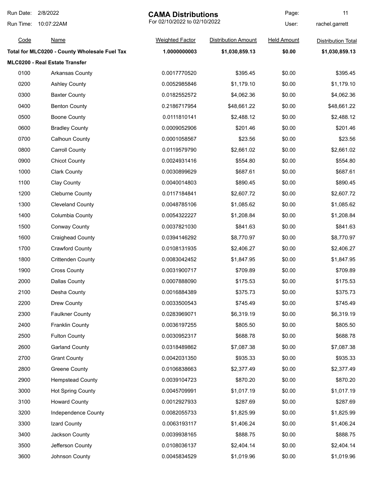| Run Date: | 2/8/2022                                      | <b>CAMA Distributions</b>    |                            | Page:              | 11                        |
|-----------|-----------------------------------------------|------------------------------|----------------------------|--------------------|---------------------------|
| Run Time: | 10:07:22AM                                    | For 02/10/2022 to 02/10/2022 |                            | User:              | rachel.garrett            |
| Code      | <b>Name</b>                                   | <b>Weighted Factor</b>       | <b>Distribution Amount</b> | <b>Held Amount</b> | <b>Distribution Total</b> |
|           | Total for MLC0200 - County Wholesale Fuel Tax | 1.0000000003                 | \$1,030,859.13             | \$0.00             | \$1,030,859.13            |
|           | MLC0200 - Real Estate Transfer                |                              |                            |                    |                           |
| 0100      | <b>Arkansas County</b>                        | 0.0017770520                 | \$395.45                   | \$0.00             | \$395.45                  |
| 0200      | <b>Ashley County</b>                          | 0.0052985846                 | \$1,179.10                 | \$0.00             | \$1,179.10                |
| 0300      | <b>Baxter County</b>                          | 0.0182552572                 | \$4,062.36                 | \$0.00             | \$4,062.36                |
| 0400      | <b>Benton County</b>                          | 0.2186717954                 | \$48,661.22                | \$0.00             | \$48,661.22               |
| 0500      | <b>Boone County</b>                           | 0.0111810141                 | \$2,488.12                 | \$0.00             | \$2,488.12                |
| 0600      | <b>Bradley County</b>                         | 0.0009052906                 | \$201.46                   | \$0.00             | \$201.46                  |
| 0700      | <b>Calhoun County</b>                         | 0.0001058567                 | \$23.56                    | \$0.00             | \$23.56                   |
| 0800      | <b>Carroll County</b>                         | 0.0119579790                 | \$2,661.02                 | \$0.00             | \$2,661.02                |
| 0900      | <b>Chicot County</b>                          | 0.0024931416                 | \$554.80                   | \$0.00             | \$554.80                  |
| 1000      | <b>Clark County</b>                           | 0.0030899629                 | \$687.61                   | \$0.00             | \$687.61                  |
| 1100      | Clay County                                   | 0.0040014803                 | \$890.45                   | \$0.00             | \$890.45                  |
| 1200      | <b>Cleburne County</b>                        | 0.0117184841                 | \$2,607.72                 | \$0.00             | \$2,607.72                |
| 1300      | <b>Cleveland County</b>                       | 0.0048785106                 | \$1,085.62                 | \$0.00             | \$1,085.62                |
| 1400      | Columbia County                               | 0.0054322227                 | \$1,208.84                 | \$0.00             | \$1,208.84                |
| 1500      | <b>Conway County</b>                          | 0.0037821030                 | \$841.63                   | \$0.00             | \$841.63                  |
| 1600      | <b>Craighead County</b>                       | 0.0394146292                 | \$8,770.97                 | \$0.00             | \$8,770.97                |
| 1700      | Crawford County                               | 0.0108131935                 | \$2,406.27                 | \$0.00             | \$2,406.27                |
| 1800      | <b>Crittenden County</b>                      | 0.0083042452                 | \$1,847.95                 | \$0.00             | \$1,847.95                |
| 1900      | <b>Cross County</b>                           | 0.0031900717                 | \$709.89                   | \$0.00             | \$709.89                  |
| 2000      | Dallas County                                 | 0.0007888090                 | \$175.53                   | \$0.00             | \$175.53                  |
| 2100      | Desha County                                  | 0.0016884389                 | \$375.73                   | \$0.00             | \$375.73                  |
| 2200      | Drew County                                   | 0.0033500543                 | \$745.49                   | \$0.00             | \$745.49                  |
| 2300      | <b>Faulkner County</b>                        | 0.0283969071                 | \$6,319.19                 | \$0.00             | \$6,319.19                |
| 2400      | <b>Franklin County</b>                        | 0.0036197255                 | \$805.50                   | \$0.00             | \$805.50                  |
| 2500      | <b>Fulton County</b>                          | 0.0030952317                 | \$688.78                   | \$0.00             | \$688.78                  |
| 2600      | <b>Garland County</b>                         | 0.0318489862                 | \$7,087.38                 | \$0.00             | \$7,087.38                |
| 2700      | <b>Grant County</b>                           | 0.0042031350                 | \$935.33                   | \$0.00             | \$935.33                  |
| 2800      | <b>Greene County</b>                          | 0.0106838663                 | \$2,377.49                 | \$0.00             | \$2,377.49                |
| 2900      | <b>Hempstead County</b>                       | 0.0039104723                 | \$870.20                   | \$0.00             | \$870.20                  |
| 3000      | <b>Hot Spring County</b>                      | 0.0045709991                 | \$1,017.19                 | \$0.00             | \$1,017.19                |
| 3100      | <b>Howard County</b>                          | 0.0012927933                 | \$287.69                   | \$0.00             | \$287.69                  |
| 3200      | Independence County                           | 0.0082055733                 | \$1,825.99                 | \$0.00             | \$1,825.99                |
| 3300      | Izard County                                  | 0.0063193117                 | \$1,406.24                 | \$0.00             | \$1,406.24                |
| 3400      | Jackson County                                | 0.0039938165                 | \$888.75                   | \$0.00             | \$888.75                  |
| 3500      | Jefferson County                              | 0.0108036137                 | \$2,404.14                 | \$0.00             | \$2,404.14                |
| 3600      | Johnson County                                | 0.0045834529                 | \$1,019.96                 | \$0.00             | \$1,019.96                |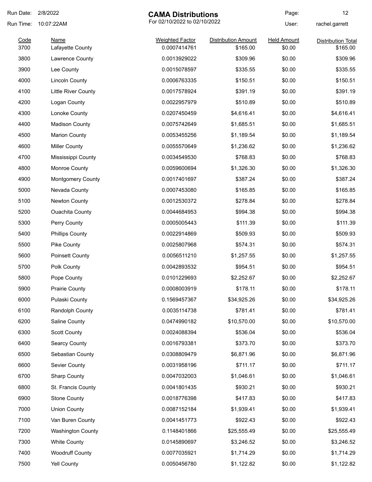| Run Date:    | 2/8/2022                 | <b>CAMA Distributions</b>              |                                        | Page:                        | 12                                    |
|--------------|--------------------------|----------------------------------------|----------------------------------------|------------------------------|---------------------------------------|
| Run Time:    | 10:07:22AM               | For 02/10/2022 to 02/10/2022           |                                        | User:                        | rachel.garrett                        |
| Code<br>3700 | Name<br>Lafayette County | <b>Weighted Factor</b><br>0.0007414761 | <b>Distribution Amount</b><br>\$165.00 | <b>Held Amount</b><br>\$0.00 | <b>Distribution Total</b><br>\$165.00 |
| 3800         | Lawrence County          | 0.0013929022                           | \$309.96                               | \$0.00                       | \$309.96                              |
| 3900         | Lee County               | 0.0015078597                           | \$335.55                               | \$0.00                       | \$335.55                              |
| 4000         | <b>Lincoln County</b>    | 0.0006763335                           | \$150.51                               | \$0.00                       | \$150.51                              |
| 4100         | Little River County      | 0.0017578924                           | \$391.19                               | \$0.00                       | \$391.19                              |
| 4200         | Logan County             | 0.0022957979                           | \$510.89                               | \$0.00                       | \$510.89                              |
| 4300         | Lonoke County            | 0.0207450459                           | \$4,616.41                             | \$0.00                       | \$4,616.41                            |
| 4400         | <b>Madison County</b>    | 0.0075742649                           | \$1,685.51                             | \$0.00                       | \$1,685.51                            |
| 4500         | <b>Marion County</b>     | 0.0053455256                           | \$1,189.54                             | \$0.00                       | \$1,189.54                            |
| 4600         | <b>Miller County</b>     | 0.0055570649                           | \$1,236.62                             | \$0.00                       | \$1,236.62                            |
| 4700         | Mississippi County       | 0.0034549530                           | \$768.83                               | \$0.00                       | \$768.83                              |
| 4800         | Monroe County            | 0.0059600694                           | \$1,326.30                             | \$0.00                       | \$1,326.30                            |
| 4900         | <b>Montgomery County</b> | 0.0017401697                           | \$387.24                               | \$0.00                       | \$387.24                              |
| 5000         | Nevada County            | 0.0007453080                           | \$165.85                               | \$0.00                       | \$165.85                              |
| 5100         | Newton County            | 0.0012530372                           | \$278.84                               | \$0.00                       | \$278.84                              |
| 5200         | <b>Ouachita County</b>   | 0.0044684953                           | \$994.38                               | \$0.00                       | \$994.38                              |
| 5300         | Perry County             | 0.0005005443                           | \$111.39                               | \$0.00                       | \$111.39                              |
| 5400         | <b>Phillips County</b>   | 0.0022914869                           | \$509.93                               | \$0.00                       | \$509.93                              |
| 5500         | Pike County              | 0.0025807968                           | \$574.31                               | \$0.00                       | \$574.31                              |
| 5600         | Poinsett County          | 0.0056511210                           | \$1,257.55                             | \$0.00                       | \$1,257.55                            |
| 5700         | Polk County              | 0.0042893532                           | \$954.51                               | \$0.00                       | \$954.51                              |
| 5800         | Pope County              | 0.0101229693                           | \$2,252.67                             | \$0.00                       | \$2,252.67                            |
| 5900         | Prairie County           | 0.0008003919                           | \$178.11                               | \$0.00                       | \$178.11                              |
| 6000         | Pulaski County           | 0.1569457367                           | \$34,925.26                            | \$0.00                       | \$34,925.26                           |
| 6100         | Randolph County          | 0.0035114738                           | \$781.41                               | \$0.00                       | \$781.41                              |
| 6200         | Saline County            | 0.0474990182                           | \$10,570.00                            | \$0.00                       | \$10,570.00                           |
| 6300         | <b>Scott County</b>      | 0.0024088394                           | \$536.04                               | \$0.00                       | \$536.04                              |
| 6400         | Searcy County            | 0.0016793381                           | \$373.70                               | \$0.00                       | \$373.70                              |
| 6500         | Sebastian County         | 0.0308809479                           | \$6,871.96                             | \$0.00                       | \$6,871.96                            |
| 6600         | Sevier County            | 0.0031958196                           | \$711.17                               | \$0.00                       | \$711.17                              |
| 6700         | <b>Sharp County</b>      | 0.0047032003                           | \$1,046.61                             | \$0.00                       | \$1,046.61                            |
| 6800         | St. Francis County       | 0.0041801435                           | \$930.21                               | \$0.00                       | \$930.21                              |
| 6900         | <b>Stone County</b>      | 0.0018776398                           | \$417.83                               | \$0.00                       | \$417.83                              |
| 7000         | <b>Union County</b>      | 0.0087152184                           | \$1,939.41                             | \$0.00                       | \$1,939.41                            |
| 7100         | Van Buren County         | 0.0041451773                           | \$922.43                               | \$0.00                       | \$922.43                              |
| 7200         | <b>Washington County</b> | 0.1148401866                           | \$25,555.49                            | \$0.00                       | \$25,555.49                           |
| 7300         | <b>White County</b>      | 0.0145890697                           | \$3,246.52                             | \$0.00                       | \$3,246.52                            |
| 7400         | <b>Woodruff County</b>   | 0.0077035921                           | \$1,714.29                             | \$0.00                       | \$1,714.29                            |
| 7500         | Yell County              | 0.0050456780                           | \$1,122.82                             | \$0.00                       | \$1,122.82                            |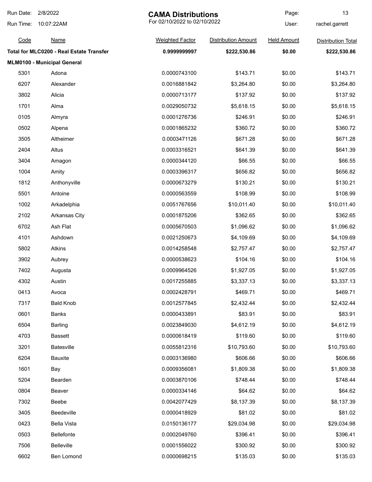| Run Date: | 2/8/2022                                 | <b>CAMA Distributions</b>    |                            | Page:              | 13                        |
|-----------|------------------------------------------|------------------------------|----------------------------|--------------------|---------------------------|
| Run Time: | 10:07:22AM                               | For 02/10/2022 to 02/10/2022 |                            | User:              | rachel.garrett            |
| Code      | <b>Name</b>                              | <b>Weighted Factor</b>       | <b>Distribution Amount</b> | <b>Held Amount</b> | <b>Distribution Total</b> |
|           | Total for MLC0200 - Real Estate Transfer | 0.9999999997                 | \$222,530.86               | \$0.00             | \$222,530.86              |
|           | MLM0100 - Municipal General              |                              |                            |                    |                           |
| 5301      | Adona                                    | 0.0000743100                 | \$143.71                   | \$0.00             | \$143.71                  |
| 6207      | Alexander                                | 0.0016881842                 | \$3,264.80                 | \$0.00             | \$3,264.80                |
| 3802      | Alicia                                   | 0.0000713177                 | \$137.92                   | \$0.00             | \$137.92                  |
| 1701      | Alma                                     | 0.0029050732                 | \$5,618.15                 | \$0.00             | \$5,618.15                |
| 0105      | Almyra                                   | 0.0001276736                 | \$246.91                   | \$0.00             | \$246.91                  |
| 0502      | Alpena                                   | 0.0001865232                 | \$360.72                   | \$0.00             | \$360.72                  |
| 3505      | Altheimer                                | 0.0003471126                 | \$671.28                   | \$0.00             | \$671.28                  |
| 2404      | Altus                                    | 0.0003316521                 | \$641.39                   | \$0.00             | \$641.39                  |
| 3404      | Amagon                                   | 0.0000344120                 | \$66.55                    | \$0.00             | \$66.55                   |
| 1004      | Amity                                    | 0.0003396317                 | \$656.82                   | \$0.00             | \$656.82                  |
| 1812      | Anthonyville                             | 0.0000673279                 | \$130.21                   | \$0.00             | \$130.21                  |
| 5501      | Antoine                                  | 0.0000563559                 | \$108.99                   | \$0.00             | \$108.99                  |
| 1002      | Arkadelphia                              | 0.0051767656                 | \$10,011.40                | \$0.00             | \$10,011.40               |
| 2102      | <b>Arkansas City</b>                     | 0.0001875206                 | \$362.65                   | \$0.00             | \$362.65                  |
| 6702      | Ash Flat                                 | 0.0005670503                 | \$1,096.62                 | \$0.00             | \$1,096.62                |
| 4101      | Ashdown                                  | 0.0021250673                 | \$4,109.69                 | \$0.00             | \$4,109.69                |
| 5802      | Atkins                                   | 0.0014258548                 | \$2,757.47                 | \$0.00             | \$2,757.47                |
| 3902      | Aubrey                                   | 0.0000538623                 | \$104.16                   | \$0.00             | \$104.16                  |
| 7402      | Augusta                                  | 0.0009964526                 | \$1,927.05                 | \$0.00             | \$1,927.05                |
| 4302      | Austin                                   | 0.0017255885                 | \$3,337.13                 | \$0.00             | \$3,337.13                |
| 0413      | Avoca                                    | 0.0002428791                 | \$469.71                   | \$0.00             | \$469.71                  |
| 7317      | <b>Bald Knob</b>                         | 0.0012577845                 | \$2,432.44                 | \$0.00             | \$2,432.44                |
| 0601      | Banks                                    | 0.0000433891                 | \$83.91                    | \$0.00             | \$83.91                   |
| 6504      | <b>Barling</b>                           | 0.0023849030                 | \$4,612.19                 | \$0.00             | \$4,612.19                |
| 4703      | <b>Bassett</b>                           | 0.0000618419                 | \$119.60                   | \$0.00             | \$119.60                  |
| 3201      | <b>Batesville</b>                        | 0.0055812316                 | \$10,793.60                | \$0.00             | \$10,793.60               |
| 6204      | <b>Bauxite</b>                           | 0.0003136980                 | \$606.66                   | \$0.00             | \$606.66                  |
| 1601      | Bay                                      | 0.0009356081                 | \$1,809.38                 | \$0.00             | \$1,809.38                |
| 5204      | Bearden                                  | 0.0003870106                 | \$748.44                   | \$0.00             | \$748.44                  |
| 0804      | Beaver                                   | 0.0000334146                 | \$64.62                    | \$0.00             | \$64.62                   |
| 7302      | Beebe                                    | 0.0042077429                 | \$8,137.39                 | \$0.00             | \$8,137.39                |
| 3405      | Beedeville                               | 0.0000418929                 | \$81.02                    | \$0.00             | \$81.02                   |
| 0423      | <b>Bella Vista</b>                       | 0.0150136177                 | \$29,034.98                | \$0.00             | \$29,034.98               |
| 0503      | Bellefonte                               | 0.0002049760                 | \$396.41                   | \$0.00             | \$396.41                  |
| 7506      | <b>Belleville</b>                        | 0.0001556022                 | \$300.92                   | \$0.00             | \$300.92                  |
| 6602      | Ben Lomond                               | 0.0000698215                 | \$135.03                   | \$0.00             | \$135.03                  |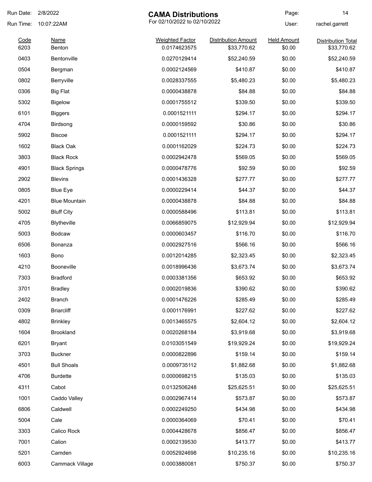| Run Date:    | 2/8/2022             | <b>CAMA Distributions</b>              |                                           | Page:                        | 14                                       |
|--------------|----------------------|----------------------------------------|-------------------------------------------|------------------------------|------------------------------------------|
| Run Time:    | 10:07:22AM           |                                        | For 02/10/2022 to 02/10/2022              |                              | rachel.garrett                           |
| Code<br>6203 | Name<br>Benton       | <b>Weighted Factor</b><br>0.0174623575 | <b>Distribution Amount</b><br>\$33,770.62 | <b>Held Amount</b><br>\$0.00 | <b>Distribution Total</b><br>\$33,770.62 |
| 0403         | Bentonville          | 0.0270129414                           |                                           | \$0.00                       |                                          |
|              |                      |                                        | \$52,240.59                               |                              | \$52,240.59                              |
| 0504         | Bergman              | 0.0002124569                           | \$410.87                                  | \$0.00                       | \$410.87                                 |
| 0802         | Berryville           | 0.0028337555                           | \$5,480.23                                | \$0.00                       | \$5,480.23                               |
| 0306         | <b>Big Flat</b>      | 0.0000438878                           | \$84.88                                   | \$0.00                       | \$84.88                                  |
| 5302         | <b>Bigelow</b>       | 0.0001755512                           | \$339.50                                  | \$0.00                       | \$339.50                                 |
| 6101         | <b>Biggers</b>       | 0.0001521111                           | \$294.17                                  | \$0.00                       | \$294.17                                 |
| 4704         | Birdsong             | 0.0000159592                           | \$30.86                                   | \$0.00                       | \$30.86                                  |
| 5902         | <b>Biscoe</b>        | 0.0001521111                           | \$294.17                                  | \$0.00                       | \$294.17                                 |
| 1602         | <b>Black Oak</b>     | 0.0001162029                           | \$224.73                                  | \$0.00                       | \$224.73                                 |
| 3803         | <b>Black Rock</b>    | 0.0002942478                           | \$569.05                                  | \$0.00                       | \$569.05                                 |
| 4901         | <b>Black Springs</b> | 0.0000478776                           | \$92.59                                   | \$0.00                       | \$92.59                                  |
| 2902         | <b>Blevins</b>       | 0.0001436328                           | \$277.77                                  | \$0.00                       | \$277.77                                 |
| 0805         | <b>Blue Eye</b>      | 0.0000229414                           | \$44.37                                   | \$0.00                       | \$44.37                                  |
| 4201         | <b>Blue Mountain</b> | 0.0000438878                           | \$84.88                                   | \$0.00                       | \$84.88                                  |
| 5002         | <b>Bluff City</b>    | 0.0000588496                           | \$113.81                                  | \$0.00                       | \$113.81                                 |
| 4705         | Blytheville          | 0.0066859075                           | \$12,929.94                               | \$0.00                       | \$12,929.94                              |
| 5003         | <b>Bodcaw</b>        | 0.0000603457                           | \$116.70                                  | \$0.00                       | \$116.70                                 |
| 6506         | Bonanza              | 0.0002927516                           | \$566.16                                  | \$0.00                       | \$566.16                                 |
| 1603         | Bono                 | 0.0012014285                           | \$2,323.45                                | \$0.00                       | \$2,323.45                               |
| 4210         | Booneville           | 0.0018996436                           | \$3,673.74                                | \$0.00                       | \$3,673.74                               |
| 7303         | <b>Bradford</b>      | 0.0003381356                           | \$653.92                                  | \$0.00                       | \$653.92                                 |
| 3701         | <b>Bradley</b>       | 0.0002019836                           | \$390.62                                  | \$0.00                       | \$390.62                                 |
| 2402         | <b>Branch</b>        | 0.0001476226                           | \$285.49                                  | \$0.00                       | \$285.49                                 |
| 0309         | <b>Briarcliff</b>    | 0.0001176991                           | \$227.62                                  | \$0.00                       | \$227.62                                 |
| 4802         | <b>Brinkley</b>      | 0.0013465575                           | \$2,604.12                                | \$0.00                       | \$2,604.12                               |
| 1604         | Brookland            | 0.0020268184                           | \$3,919.68                                | \$0.00                       | \$3,919.68                               |
| 6201         | <b>Bryant</b>        | 0.0103051549                           | \$19,929.24                               | \$0.00                       | \$19,929.24                              |
| 3703         | <b>Buckner</b>       | 0.0000822896                           | \$159.14                                  | \$0.00                       | \$159.14                                 |
| 4501         | <b>Bull Shoals</b>   | 0.0009735112                           | \$1,882.68                                | \$0.00                       | \$1,882.68                               |
| 4706         | <b>Burdette</b>      | 0.0000698215                           | \$135.03                                  | \$0.00                       | \$135.03                                 |
| 4311         | Cabot                | 0.0132506248                           | \$25,625.51                               | \$0.00                       | \$25,625.51                              |
| 1001         | Caddo Valley         | 0.0002967414                           | \$573.87                                  | \$0.00                       | \$573.87                                 |
| 6806         | Caldwell             | 0.0002249250                           | \$434.98                                  | \$0.00                       | \$434.98                                 |
| 5004         | Cale                 | 0.0000364069                           | \$70.41                                   | \$0.00                       | \$70.41                                  |
| 3303         | Calico Rock          |                                        | \$856.47                                  | \$0.00                       | \$856.47                                 |
| 7001         | Calion               | 0.0004428678<br>0.0002139530           |                                           | \$0.00                       |                                          |
|              |                      |                                        | \$413.77                                  |                              | \$413.77                                 |
| 5201         | Camden               | 0.0052924698                           | \$10,235.16                               | \$0.00                       | \$10,235.16                              |
| 6003         | Cammack Village      | 0.0003880081                           | \$750.37                                  | \$0.00                       | \$750.37                                 |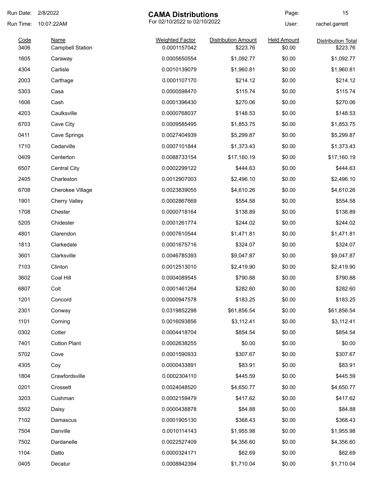| Run Date:    | 2/8/2022                               | <b>CAMA Distributions</b>              |                                        | Page:                        | 15                                    |
|--------------|----------------------------------------|----------------------------------------|----------------------------------------|------------------------------|---------------------------------------|
| Run Time:    | 10:07:22AM                             | For 02/10/2022 to 02/10/2022           |                                        | User:                        | rachel.garrett                        |
| Code<br>3406 | <b>Name</b><br><b>Campbell Station</b> | <b>Weighted Factor</b><br>0.0001157042 | <b>Distribution Amount</b><br>\$223.76 | <b>Held Amount</b><br>\$0.00 | <b>Distribution Total</b><br>\$223.76 |
| 1605         | Caraway                                | 0.0005650554                           | \$1,092.77                             | \$0.00                       | \$1,092.77                            |
| 4304         | Carlisle                               | 0.0010139079                           | \$1,960.81                             | \$0.00                       | \$1,960.81                            |
| 2003         | Carthage                               | 0.0001107170                           | \$214.12                               | \$0.00                       | \$214.12                              |
| 5303         | Casa                                   | 0.0000598470                           | \$115.74                               | \$0.00                       | \$115.74                              |
| 1606         | Cash                                   | 0.0001396430                           | \$270.06                               | \$0.00                       | \$270.06                              |
| 4203         | Caulksville                            | 0.0000768037                           | \$148.53                               | \$0.00                       | \$148.53                              |
| 6703         | Cave City                              | 0.0009585495                           | \$1,853.75                             | \$0.00                       | \$1,853.75                            |
| 0411         | Cave Springs                           | 0.0027404939                           | \$5,299.87                             | \$0.00                       | \$5,299.87                            |
| 1710         | Cedarville                             | 0.0007101844                           | \$1,373.43                             | \$0.00                       | \$1,373.43                            |
| 0409         | Centerton                              | 0.0088733154                           | \$17,160.19                            | \$0.00                       | \$17,160.19                           |
| 6507         | Central City                           | 0.0002299122                           | \$444.63                               | \$0.00                       | \$444.63                              |
| 2405         | Charleston                             | 0.0012907003                           | \$2,496.10                             | \$0.00                       | \$2,496.10                            |
| 6708         | Cherokee Village                       | 0.0023839055                           | \$4,610.26                             | \$0.00                       | \$4,610.26                            |
| 1901         | <b>Cherry Valley</b>                   | 0.0002867669                           | \$554.58                               | \$0.00                       | \$554.58                              |
| 1708         | Chester                                | 0.0000718164                           | \$138.89                               | \$0.00                       | \$138.89                              |
| 5205         | Chidester                              | 0.0001261774                           | \$244.02                               | \$0.00                       | \$244.02                              |
| 4801         | Clarendon                              | 0.0007610544                           | \$1,471.81                             | \$0.00                       | \$1,471.81                            |
| 1813         | Clarkedale                             | 0.0001675716                           | \$324.07                               | \$0.00                       | \$324.07                              |
| 3601         | Clarksville                            | 0.0046785393                           | \$9,047.87                             | \$0.00                       | \$9,047.87                            |
| 7103         | Clinton                                | 0.0012513010                           | \$2,419.90                             | \$0.00                       | \$2,419.90                            |
| 3602         | Coal Hill                              | 0.0004089545                           | \$790.88                               | \$0.00                       | \$790.88                              |
| 6807         | Colt                                   | 0.0001461264                           | \$282.60                               | \$0.00                       | \$282.60                              |
| 1201         | Concord                                | 0.0000947578                           | \$183.25                               | \$0.00                       | \$183.25                              |
| 2301         | Conway                                 | 0.0319852298                           | \$61,856.54                            | \$0.00                       | \$61,856.54                           |
| 1101         | Corning                                | 0.0016093856                           | \$3,112.41                             | \$0.00                       | \$3,112.41                            |
| 0302         | Cotter                                 | 0.0004418704                           | \$854.54                               | \$0.00                       | \$854.54                              |
| 7401         | <b>Cotton Plant</b>                    | 0.0002638255                           | \$0.00                                 | \$0.00                       | \$0.00                                |
| 5702         | Cove                                   | 0.0001590933                           | \$307.67                               | \$0.00                       | \$307.67                              |
| 4305         | Coy                                    | 0.0000433891                           | \$83.91                                | \$0.00                       | \$83.91                               |
| 1804         | Crawfordsville                         | 0.0002304110                           | \$445.59                               | \$0.00                       | \$445.59                              |
| 0201         | Crossett                               | 0.0024048520                           | \$4,650.77                             | \$0.00                       | \$4,650.77                            |
| 3203         | Cushman                                | 0.0002159479                           | \$417.62                               | \$0.00                       | \$417.62                              |
| 5502         | Daisy                                  | 0.0000438878                           | \$84.88                                | \$0.00                       | \$84.88                               |
| 7102         | Damascus                               | 0.0001905130                           | \$368.43                               | \$0.00                       | \$368.43                              |
| 7504         | Danville                               | 0.0010114143                           | \$1,955.98                             | \$0.00                       | \$1,955.98                            |
| 7502         | Dardanelle                             | 0.0022527409                           | \$4,356.60                             | \$0.00                       | \$4,356.60                            |
| 1104         | Datto                                  | 0.0000324171                           | \$62.69                                | \$0.00                       | \$62.69                               |
| 0405         | Decatur                                | 0.0008842394                           | \$1,710.04                             | \$0.00                       | \$1,710.04                            |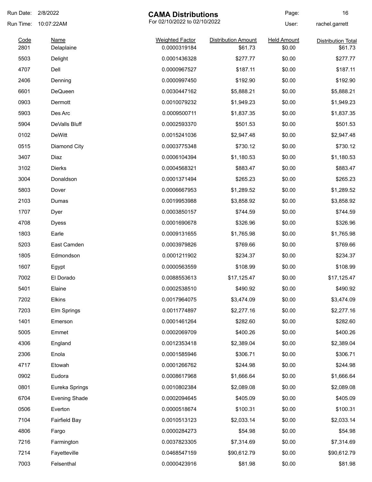| Run Date: | 2/8/2022             | <b>CAMA Distributions</b>    |                            | Page:              | 16                        |
|-----------|----------------------|------------------------------|----------------------------|--------------------|---------------------------|
| Run Time: | 10:07:22AM           | For 02/10/2022 to 02/10/2022 |                            | User:              | rachel.garrett            |
| Code      | <b>Name</b>          | <b>Weighted Factor</b>       | <b>Distribution Amount</b> | <b>Held Amount</b> | <b>Distribution Total</b> |
| 2801      | Delaplaine           | 0.0000319184                 | \$61.73                    | \$0.00             | \$61.73                   |
| 5503      | Delight              | 0.0001436328                 | \$277.77                   | \$0.00             | \$277.77                  |
| 4707      | Dell                 | 0.0000967527                 | \$187.11                   | \$0.00             | \$187.11                  |
| 2406      | Denning              | 0.0000997450                 | \$192.90                   | \$0.00             | \$192.90                  |
| 6601      | DeQueen              | 0.0030447162                 | \$5,888.21                 | \$0.00             | \$5,888.21                |
| 0903      | Dermott              | 0.0010079232                 | \$1,949.23                 | \$0.00             | \$1,949.23                |
| 5903      | Des Arc              | 0.0009500711                 | \$1,837.35                 | \$0.00             | \$1,837.35                |
| 5904      | DeValls Bluff        | 0.0002593370                 | \$501.53                   | \$0.00             | \$501.53                  |
| 0102      | <b>DeWitt</b>        | 0.0015241036                 | \$2,947.48                 | \$0.00             | \$2,947.48                |
| 0515      | Diamond City         | 0.0003775348                 | \$730.12                   | \$0.00             | \$730.12                  |
| 3407      | Diaz                 | 0.0006104394                 | \$1,180.53                 | \$0.00             | \$1,180.53                |
| 3102      | Dierks               | 0.0004568321                 | \$883.47                   | \$0.00             | \$883.47                  |
| 3004      | Donaldson            | 0.0001371494                 | \$265.23                   | \$0.00             | \$265.23                  |
| 5803      | Dover                | 0.0006667953                 | \$1,289.52                 | \$0.00             | \$1,289.52                |
| 2103      | Dumas                | 0.0019953988                 | \$3,858.92                 | \$0.00             | \$3,858.92                |
| 1707      | Dyer                 | 0.0003850157                 | \$744.59                   | \$0.00             | \$744.59                  |
| 4708      | <b>Dyess</b>         | 0.0001690678                 | \$326.96                   | \$0.00             | \$326.96                  |
| 1803      | Earle                | 0.0009131655                 | \$1,765.98                 | \$0.00             | \$1,765.98                |
| 5203      | East Camden          | 0.0003979826                 | \$769.66                   | \$0.00             | \$769.66                  |
| 1805      | Edmondson            | 0.0001211902                 | \$234.37                   | \$0.00             | \$234.37                  |
| 1607      | Egypt                | 0.0000563559                 | \$108.99                   | \$0.00             | \$108.99                  |
| 7002      | El Dorado            | 0.0088553613                 | \$17,125.47                | \$0.00             | \$17,125.47               |
| 5401      | Elaine               | 0.0002538510                 | \$490.92                   | \$0.00             | \$490.92                  |
| 7202      | Elkins               | 0.0017964075                 | \$3,474.09                 | \$0.00             | \$3,474.09                |
| 7203      | Elm Springs          | 0.0011774897                 | \$2,277.16                 | \$0.00             | \$2,277.16                |
| 1401      | Emerson              | 0.0001461264                 | \$282.60                   | \$0.00             | \$282.60                  |
| 5005      | Emmet                | 0.0002069709                 | \$400.26                   | \$0.00             | \$400.26                  |
| 4306      | England              | 0.0012353418                 | \$2,389.04                 | \$0.00             | \$2,389.04                |
| 2306      | Enola                | 0.0001585946                 | \$306.71                   | \$0.00             | \$306.71                  |
| 4717      | Etowah               | 0.0001266762                 | \$244.98                   | \$0.00             | \$244.98                  |
| 0902      | Eudora               | 0.0008617968                 | \$1,666.64                 | \$0.00             | \$1,666.64                |
| 0801      | Eureka Springs       | 0.0010802384                 | \$2,089.08                 | \$0.00             | \$2,089.08                |
| 6704      | <b>Evening Shade</b> | 0.0002094645                 | \$405.09                   | \$0.00             | \$405.09                  |
| 0506      | Everton              | 0.0000518674                 | \$100.31                   | \$0.00             | \$100.31                  |
| 7104      | <b>Fairfield Bay</b> | 0.0010513123                 | \$2,033.14                 | \$0.00             | \$2,033.14                |
| 4806      | Fargo                | 0.0000284273                 | \$54.98                    | \$0.00             | \$54.98                   |
| 7216      | Farmington           | 0.0037823305                 | \$7,314.69                 | \$0.00             | \$7,314.69                |
| 7214      | Fayetteville         | 0.0468547159                 | \$90,612.79                | \$0.00             | \$90,612.79               |
| 7003      | Felsenthal           | 0.0000423916                 | \$81.98                    | \$0.00             | \$81.98                   |
|           |                      |                              |                            |                    |                           |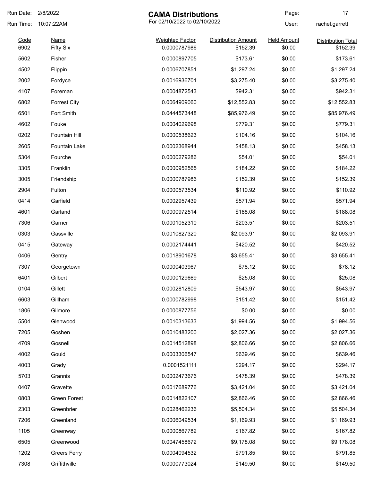| Run Date: 2/8/2022 |                      | <b>CAMA Distributions</b>    |                            | Page:              | 17                        |
|--------------------|----------------------|------------------------------|----------------------------|--------------------|---------------------------|
| Run Time:          | 10:07:22AM           | For 02/10/2022 to 02/10/2022 |                            | User:              | rachel.garrett            |
| Code               | <b>Name</b>          | <b>Weighted Factor</b>       | <b>Distribution Amount</b> | <b>Held Amount</b> | <b>Distribution Total</b> |
| 6902               | <b>Fifty Six</b>     | 0.0000787986                 | \$152.39                   | \$0.00             | \$152.39                  |
| 5602               | Fisher               | 0.0000897705                 | \$173.61                   | \$0.00             | \$173.61                  |
| 4502               | Flippin              | 0.0006707851                 | \$1,297.24                 | \$0.00             | \$1,297.24                |
| 2002               | Fordyce              | 0.0016936701                 | \$3,275.40                 | \$0.00             | \$3,275.40                |
| 4107               | Foreman              | 0.0004872543                 | \$942.31                   | \$0.00             | \$942.31                  |
| 6802               | <b>Forrest City</b>  | 0.0064909060                 | \$12,552.83                | \$0.00             | \$12,552.83               |
| 6501               | Fort Smith           | 0.0444573448                 | \$85,976.49                | \$0.00             | \$85,976.49               |
| 4602               | Fouke                | 0.0004029698                 | \$779.31                   | \$0.00             | \$779.31                  |
| 0202               | Fountain Hill        | 0.0000538623                 | \$104.16                   | \$0.00             | \$104.16                  |
| 2605               | <b>Fountain Lake</b> | 0.0002368944                 | \$458.13                   | \$0.00             | \$458.13                  |
| 5304               | Fourche              | 0.0000279286                 | \$54.01                    | \$0.00             | \$54.01                   |
| 3305               | Franklin             | 0.0000952565                 | \$184.22                   | \$0.00             | \$184.22                  |
| 3005               | Friendship           | 0.0000787986                 | \$152.39                   | \$0.00             | \$152.39                  |
| 2904               | Fulton               | 0.0000573534                 | \$110.92                   | \$0.00             | \$110.92                  |
| 0414               | Garfield             | 0.0002957439                 | \$571.94                   | \$0.00             | \$571.94                  |
| 4601               | Garland              | 0.0000972514                 | \$188.08                   | \$0.00             | \$188.08                  |
| 7306               | Garner               | 0.0001052310                 | \$203.51                   | \$0.00             | \$203.51                  |
| 0303               | Gassville            | 0.0010827320                 | \$2,093.91                 | \$0.00             | \$2,093.91                |
| 0415               | Gateway              | 0.0002174441                 | \$420.52                   | \$0.00             | \$420.52                  |
| 0406               | Gentry               | 0.0018901678                 | \$3,655.41                 | \$0.00             | \$3,655.41                |
| 7307               | Georgetown           | 0.0000403967                 | \$78.12                    | \$0.00             | \$78.12                   |
| 6401               | Gilbert              | 0.0000129669                 | \$25.08                    | \$0.00             | \$25.08                   |
| 0104               | Gillett              | 0.0002812809                 | \$543.97                   | \$0.00             | \$543.97                  |
| 6603               | Gillham              | 0.0000782998                 | \$151.42                   | \$0.00             | \$151.42                  |
| 1806               | Gilmore              | 0.0000877756                 | \$0.00                     | \$0.00             | \$0.00                    |
| 5504               | Glenwood             | 0.0010313633                 | \$1,994.56                 | \$0.00             | \$1,994.56                |
| 7205               | Goshen               | 0.0010483200                 | \$2,027.36                 | \$0.00             | \$2,027.36                |
| 4709               | Gosnell              | 0.0014512898                 | \$2,806.66                 | \$0.00             | \$2,806.66                |
| 4002               | Gould                | 0.0003306547                 | \$639.46                   | \$0.00             | \$639.46                  |
| 4003               | Grady                | 0.0001521111                 | \$294.17                   | \$0.00             | \$294.17                  |
|                    |                      |                              |                            |                    |                           |
| 5703               | Grannis              | 0.0002473676                 | \$478.39                   | \$0.00             | \$478.39                  |
| 0407               | Gravette             | 0.0017689776                 | \$3,421.04                 | \$0.00             | \$3,421.04                |
| 0803               | Green Forest         | 0.0014822107                 | \$2,866.46                 | \$0.00             | \$2,866.46                |
| 2303               | Greenbrier           | 0.0028462236                 | \$5,504.34                 | \$0.00             | \$5,504.34                |
| 7206               | Greenland            | 0.0006049534                 | \$1,169.93                 | \$0.00             | \$1,169.93                |
| 1105               | Greenway             | 0.0000867782                 | \$167.82                   | \$0.00             | \$167.82                  |
| 6505               | Greenwood            | 0.0047458672                 | \$9,178.08                 | \$0.00             | \$9,178.08                |
| 1202               | <b>Greers Ferry</b>  | 0.0004094532                 | \$791.85                   | \$0.00             | \$791.85                  |
| 7308               | Griffithville        | 0.0000773024                 | \$149.50                   | \$0.00             | \$149.50                  |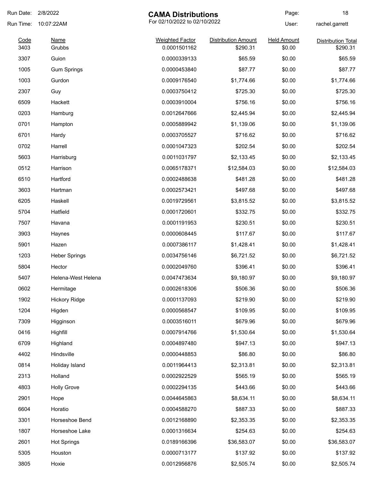| Run Date: 2/8/2022 |                       | <b>CAMA Distributions</b>              |                                        | Page:                        | 18                                    |
|--------------------|-----------------------|----------------------------------------|----------------------------------------|------------------------------|---------------------------------------|
| Run Time:          | 10:07:22AM            | For 02/10/2022 to 02/10/2022           |                                        | User:                        | rachel.garrett                        |
| Code<br>3403       | <b>Name</b><br>Grubbs | <b>Weighted Factor</b><br>0.0001501162 | <b>Distribution Amount</b><br>\$290.31 | <b>Held Amount</b><br>\$0.00 | <b>Distribution Total</b><br>\$290.31 |
| 3307               | Guion                 | 0.0000339133                           | \$65.59                                | \$0.00                       | \$65.59                               |
| 1005               | <b>Gum Springs</b>    | 0.0000453840                           | \$87.77                                | \$0.00                       | \$87.77                               |
| 1003               | Gurdon                | 0.0009176540                           | \$1,774.66                             | \$0.00                       | \$1,774.66                            |
| 2307               |                       | 0.0003750412                           | \$725.30                               | \$0.00                       | \$725.30                              |
| 6509               | Guy<br>Hackett        | 0.0003910004                           | \$756.16                               | \$0.00                       | \$756.16                              |
|                    |                       |                                        |                                        |                              |                                       |
| 0203               | Hamburg               | 0.0012647666                           | \$2,445.94                             | \$0.00                       | \$2,445.94                            |
| 0701               | Hampton               | 0.0005889942                           | \$1,139.06                             | \$0.00                       | \$1,139.06                            |
| 6701               | Hardy                 | 0.0003705527                           | \$716.62                               | \$0.00                       | \$716.62                              |
| 0702               | Harrell               | 0.0001047323                           | \$202.54                               | \$0.00                       | \$202.54                              |
| 5603               | Harrisburg            | 0.0011031797                           | \$2,133.45                             | \$0.00                       | \$2,133.45                            |
| 0512               | Harrison              | 0.0065178371                           | \$12,584.03                            | \$0.00                       | \$12,584.03                           |
| 6510               | Hartford              | 0.0002488638                           | \$481.28                               | \$0.00                       | \$481.28                              |
| 3603               | Hartman               | 0.0002573421                           | \$497.68                               | \$0.00                       | \$497.68                              |
| 6205               | Haskell               | 0.0019729561                           | \$3,815.52                             | \$0.00                       | \$3,815.52                            |
| 5704               | Hatfield              | 0.0001720601                           | \$332.75                               | \$0.00                       | \$332.75                              |
| 7507               | Havana                | 0.0001191953                           | \$230.51                               | \$0.00                       | \$230.51                              |
| 3903               | Haynes                | 0.0000608445                           | \$117.67                               | \$0.00                       | \$117.67                              |
| 5901               | Hazen                 | 0.0007386117                           | \$1,428.41                             | \$0.00                       | \$1,428.41                            |
| 1203               | <b>Heber Springs</b>  | 0.0034756146                           | \$6,721.52                             | \$0.00                       | \$6,721.52                            |
| 5804               | Hector                | 0.0002049760                           | \$396.41                               | \$0.00                       | \$396.41                              |
| 5407               | Helena-West Helena    | 0.0047473634                           | \$9,180.97                             | \$0.00                       | \$9,180.97                            |
| 0602               | Hermitage             | 0.0002618306                           | \$506.36                               | \$0.00                       | \$506.36                              |
| 1902               | <b>Hickory Ridge</b>  | 0.0001137093                           | \$219.90                               | \$0.00                       | \$219.90                              |
| 1204               | Higden                | 0.0000568547                           | \$109.95                               | \$0.00                       | \$109.95                              |
| 7309               | Higginson             | 0.0003516011                           | \$679.96                               | \$0.00                       | \$679.96                              |
| 0416               | Highfill              | 0.0007914766                           | \$1,530.64                             | \$0.00                       | \$1,530.64                            |
| 6709               | Highland              | 0.0004897480                           | \$947.13                               | \$0.00                       | \$947.13                              |
| 4402               | Hindsville            | 0.0000448853                           | \$86.80                                | \$0.00                       | \$86.80                               |
| 0814               | Holiday Island        | 0.0011964413                           | \$2,313.81                             | \$0.00                       | \$2,313.81                            |
| 2313               | Holland               | 0.0002922529                           | \$565.19                               | \$0.00                       | \$565.19                              |
| 4803               | <b>Holly Grove</b>    | 0.0002294135                           | \$443.66                               | \$0.00                       | \$443.66                              |
| 2901               | Hope                  | 0.0044645863                           | \$8,634.11                             | \$0.00                       | \$8,634.11                            |
| 6604               | Horatio               | 0.0004588270                           | \$887.33                               | \$0.00                       | \$887.33                              |
| 3301               | Horseshoe Bend        | 0.0012168890                           | \$2,353.35                             | \$0.00                       | \$2,353.35                            |
| 1807               | Horseshoe Lake        | 0.0001316634                           | \$254.63                               | \$0.00                       | \$254.63                              |
| 2601               | <b>Hot Springs</b>    | 0.0189166396                           | \$36,583.07                            | \$0.00                       | \$36,583.07                           |
| 5305               |                       | 0.0000713177                           | \$137.92                               | \$0.00                       | \$137.92                              |
|                    | Houston               |                                        |                                        |                              |                                       |
| 3805               | Hoxie                 | 0.0012956876                           | \$2,505.74                             | \$0.00                       | \$2,505.74                            |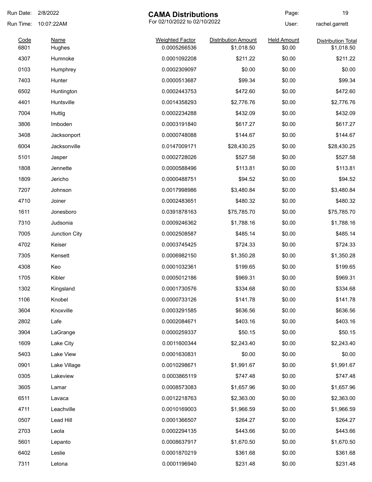| Run Date:    | 2/8/2022              | <b>CAMA Distributions</b>              |                                          | Page:                        | 19                                      |
|--------------|-----------------------|----------------------------------------|------------------------------------------|------------------------------|-----------------------------------------|
| Run Time:    | 10:07:22AM            | For 02/10/2022 to 02/10/2022           |                                          | User:                        | rachel.garrett                          |
| Code<br>6801 | <b>Name</b><br>Hughes | <b>Weighted Factor</b><br>0.0005266536 | <b>Distribution Amount</b><br>\$1,018.50 | <b>Held Amount</b><br>\$0.00 | <b>Distribution Total</b><br>\$1,018.50 |
| 4307         | Humnoke               | 0.0001092208                           | \$211.22                                 | \$0.00                       | \$211.22                                |
| 0103         | Humphrey              | 0.0002309097                           | \$0.00                                   | \$0.00                       | \$0.00                                  |
| 7403         | Hunter                | 0.0000513687                           | \$99.34                                  | \$0.00                       | \$99.34                                 |
| 6502         | Huntington            | 0.0002443753                           | \$472.60                                 | \$0.00                       | \$472.60                                |
| 4401         | Huntsville            | 0.0014358293                           | \$2,776.76                               | \$0.00                       | \$2,776.76                              |
| 7004         | Huttig                | 0.0002234288                           | \$432.09                                 | \$0.00                       | \$432.09                                |
| 3806         | Imboden               | 0.0003191840                           | \$617.27                                 | \$0.00                       | \$617.27                                |
| 3408         | Jacksonport           | 0.0000748088                           | \$144.67                                 | \$0.00                       | \$144.67                                |
| 6004         | Jacksonville          | 0.0147009171                           | \$28,430.25                              | \$0.00                       | \$28,430.25                             |
| 5101         | Jasper                | 0.0002728026                           | \$527.58                                 | \$0.00                       | \$527.58                                |
| 1808         | Jennette              | 0.0000588496                           | \$113.81                                 | \$0.00                       | \$113.81                                |
| 1809         | Jericho               | 0.0000488751                           | \$94.52                                  | \$0.00                       | \$94.52                                 |
| 7207         | Johnson               | 0.0017998986                           | \$3,480.84                               | \$0.00                       | \$3,480.84                              |
| 4710         | Joiner                | 0.0002483651                           | \$480.32                                 | \$0.00                       | \$480.32                                |
| 1611         | Jonesboro             | 0.0391878163                           | \$75,785.70                              | \$0.00                       | \$75,785.70                             |
| 7310         | Judsonia              | 0.0009246362                           | \$1,788.16                               | \$0.00                       | \$1,788.16                              |
| 7005         | Junction City         | 0.0002508587                           | \$485.14                                 | \$0.00                       | \$485.14                                |
| 4702         | Keiser                | 0.0003745425                           | \$724.33                                 | \$0.00                       | \$724.33                                |
| 7305         | Kensett               | 0.0006982150                           | \$1,350.28                               | \$0.00                       | \$1,350.28                              |
| 4308         | Keo                   | 0.0001032361                           | \$199.65                                 | \$0.00                       | \$199.65                                |
| 1705         | Kibler                | 0.0005012186                           | \$969.31                                 | \$0.00                       | \$969.31                                |
| 1302         | Kingsland             | 0.0001730576                           | \$334.68                                 | \$0.00                       | \$334.68                                |
| 1106         | Knobel                | 0.0000733126                           | \$141.78                                 | \$0.00                       | \$141.78                                |
| 3604         | Knoxville             | 0.0003291585                           | \$636.56                                 | \$0.00                       | \$636.56                                |
| 2802         | Lafe                  | 0.0002084671                           | \$403.16                                 | \$0.00                       | \$403.16                                |
| 3904         | LaGrange              | 0.0000259337                           | \$50.15                                  | \$0.00                       | \$50.15                                 |
| 1609         | Lake City             | 0.0011600344                           | \$2,243.40                               | \$0.00                       | \$2,243.40                              |
| 5403         | Lake View             | 0.0001630831                           | \$0.00                                   | \$0.00                       | \$0.00                                  |
| 0901         | Lake Village          | 0.0010298671                           | \$1,991.67                               | \$0.00                       | \$1,991.67                              |
| 0305         | Lakeview              | 0.0003865119                           | \$747.48                                 | \$0.00                       | \$747.48                                |
| 3605         | Lamar                 | 0.0008573083                           | \$1,657.96                               | \$0.00                       | \$1,657.96                              |
| 6511         | Lavaca                | 0.0012218763                           | \$2,363.00                               | \$0.00                       | \$2,363.00                              |
| 4711         | Leachville            | 0.0010169003                           | \$1,966.59                               | \$0.00                       | \$1,966.59                              |
| 0507         | Lead Hill             | 0.0001366507                           | \$264.27                                 | \$0.00                       | \$264.27                                |
| 2703         | Leola                 | 0.0002294135                           | \$443.66                                 | \$0.00                       | \$443.66                                |
| 5601         | Lepanto               | 0.0008637917                           | \$1,670.50                               | \$0.00                       | \$1,670.50                              |
| 6402         | Leslie                | 0.0001870219                           | \$361.68                                 | \$0.00                       | \$361.68                                |
| 7311         | Letona                | 0.0001196940                           | \$231.48                                 | \$0.00                       | \$231.48                                |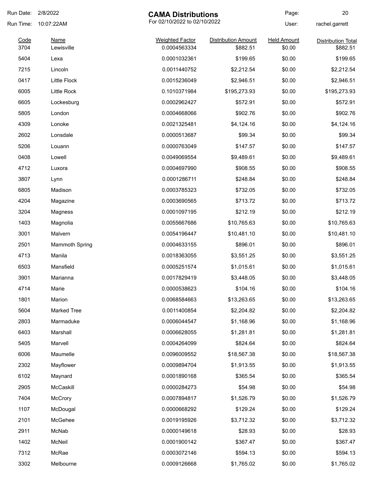| Run Date:    | 2/8/2022                  | <b>CAMA Distributions</b>              |                                        | Page:                        | 20                                    |
|--------------|---------------------------|----------------------------------------|----------------------------------------|------------------------------|---------------------------------------|
| Run Time:    | 10:07:22AM                | For 02/10/2022 to 02/10/2022           |                                        | User:                        | rachel.garrett                        |
| Code<br>3704 | <b>Name</b><br>Lewisville | <b>Weighted Factor</b><br>0.0004563334 | <b>Distribution Amount</b><br>\$882.51 | <b>Held Amount</b><br>\$0.00 | <b>Distribution Total</b><br>\$882.51 |
| 5404         | Lexa                      | 0.0001032361                           | \$199.65                               | \$0.00                       | \$199.65                              |
| 7215         | Lincoln                   | 0.0011440752                           | \$2,212.54                             | \$0.00                       | \$2,212.54                            |
| 0417         | <b>Little Flock</b>       | 0.0015236049                           | \$2,946.51                             | \$0.00                       | \$2,946.51                            |
| 6005         | Little Rock               | 0.1010371984                           | \$195,273.93                           | \$0.00                       | \$195,273.93                          |
| 6605         | Lockesburg                | 0.0002962427                           | \$572.91                               | \$0.00                       | \$572.91                              |
| 5805         | London                    | 0.0004668066                           | \$902.76                               | \$0.00                       | \$902.76                              |
| 4309         | Lonoke                    | 0.0021325481                           | \$4,124.16                             | \$0.00                       | \$4,124.16                            |
| 2602         | Lonsdale                  | 0.0000513687                           | \$99.34                                | \$0.00                       | \$99.34                               |
| 5206         | Louann                    | 0.0000763049                           | \$147.57                               | \$0.00                       | \$147.57                              |
| 0408         | Lowell                    | 0.0049069554                           | \$9,489.61                             | \$0.00                       | \$9,489.61                            |
| 4712         | Luxora                    | 0.0004697990                           | \$908.55                               | \$0.00                       | \$908.55                              |
| 3807         | Lynn                      | 0.0001286711                           | \$248.84                               | \$0.00                       | \$248.84                              |
| 6805         | Madison                   | 0.0003785323                           | \$732.05                               | \$0.00                       | \$732.05                              |
| 4204         | Magazine                  | 0.0003690565                           | \$713.72                               | \$0.00                       | \$713.72                              |
| 3204         | Magness                   | 0.0001097195                           | \$212.19                               | \$0.00                       | \$212.19                              |
| 1403         | Magnolia                  | 0.0055667686                           | \$10,765.63                            | \$0.00                       | \$10,765.63                           |
| 3001         | Malvern                   | 0.0054196447                           | \$10,481.10                            | \$0.00                       | \$10,481.10                           |
| 2501         | <b>Mammoth Spring</b>     | 0.0004633155                           | \$896.01                               | \$0.00                       | \$896.01                              |
| 4713         | Manila                    | 0.0018363055                           | \$3,551.25                             | \$0.00                       | \$3,551.25                            |
| 6503         | Mansfield                 | 0.0005251574                           | \$1,015.61                             | \$0.00                       | \$1,015.61                            |
| 3901         | Marianna                  | 0.0017829419                           | \$3,448.05                             | \$0.00                       | \$3,448.05                            |
| 4714         | Marie                     | 0.0000538623                           | \$104.16                               | \$0.00                       | \$104.16                              |
| 1801         | Marion                    | 0.0068584663                           | \$13,263.65                            | \$0.00                       | \$13,263.65                           |
| 5604         | <b>Marked Tree</b>        | 0.0011400854                           | \$2,204.82                             | \$0.00                       | \$2,204.82                            |
| 2803         | Marmaduke                 | 0.0006044547                           | \$1,168.96                             | \$0.00                       | \$1,168.96                            |
| 6403         | Marshall                  | 0.0006628055                           | \$1,281.81                             | \$0.00                       |                                       |
|              |                           |                                        |                                        |                              | \$1,281.81<br>\$824.64                |
| 5405         | Marvell                   | 0.0004264099                           | \$824.64                               | \$0.00                       |                                       |
| 6006         | Maumelle                  | 0.0096009552                           | \$18,567.38                            | \$0.00                       | \$18,567.38                           |
| 2302         | Mayflower                 | 0.0009894704                           | \$1,913.55                             | \$0.00                       | \$1,913.55                            |
| 6102         | Maynard                   | 0.0001890168                           | \$365.54                               | \$0.00                       | \$365.54                              |
| 2905         | McCaskill                 | 0.0000284273                           | \$54.98                                | \$0.00                       | \$54.98                               |
| 7404         | McCrory                   | 0.0007894817                           | \$1,526.79                             | \$0.00                       | \$1,526.79                            |
| 1107         | McDougal                  | 0.0000668292                           | \$129.24                               | \$0.00                       | \$129.24                              |
| 2101         | McGehee                   | 0.0019195926                           | \$3,712.32                             | \$0.00                       | \$3,712.32                            |
| 2911         | McNab                     | 0.0000149618                           | \$28.93                                | \$0.00                       | \$28.93                               |
| 1402         | McNeil                    | 0.0001900142                           | \$367.47                               | \$0.00                       | \$367.47                              |
| 7312         | McRae                     | 0.0003072146                           | \$594.13                               | \$0.00                       | \$594.13                              |
| 3302         | Melbourne                 | 0.0009126668                           | \$1,765.02                             | \$0.00                       | \$1,765.02                            |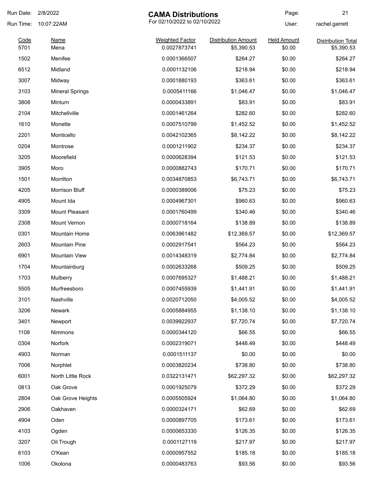| Run Date:    | 2/8/2022               | <b>CAMA Distributions</b>              |                                   | Page:                        | 21                                      |
|--------------|------------------------|----------------------------------------|-----------------------------------|------------------------------|-----------------------------------------|
| Run Time:    | 10:07:22AM             | For 02/10/2022 to 02/10/2022           |                                   | User:                        | rachel.garrett                          |
| Code<br>5701 | <b>Name</b><br>Mena    | <b>Weighted Factor</b><br>0.0027873741 | Distribution Amount<br>\$5,390.53 | <b>Held Amount</b><br>\$0.00 | <b>Distribution Total</b><br>\$5,390.53 |
| 1502         | Menifee                | 0.0001366507                           | \$264.27                          | \$0.00                       | \$264.27                                |
| 6512         | Midland                | 0.0001132106                           | \$218.94                          | \$0.00                       | \$218.94                                |
| 3007         | Midway                 | 0.0001880193                           | \$363.61                          | \$0.00                       | \$363.61                                |
| 3103         | <b>Mineral Springs</b> | 0.0005411166                           | \$1,046.47                        | \$0.00                       | \$1,046.47                              |
| 3808         | Minturn                | 0.0000433891                           | \$83.91                           | \$0.00                       | \$83.91                                 |
| 2104         | Mitchellville          | 0.0001461264                           | \$282.60                          | \$0.00                       | \$282.60                                |
| 1610         | Monette                | 0.0007510799                           | \$1,452.52                        | \$0.00                       | \$1,452.52                              |
| 2201         | Monticello             | 0.0042102365                           | \$8,142.22                        | \$0.00                       | \$8,142.22                              |
| 0204         | Montrose               | 0.0001211902                           | \$234.37                          | \$0.00                       | \$234.37                                |
| 3205         | Moorefield             | 0.0000628394                           | \$121.53                          | \$0.00                       | \$121.53                                |
| 3905         | Moro                   | 0.0000882743                           | \$170.71                          | \$0.00                       | \$170.71                                |
| 1501         | Morrilton              | 0.0034870853                           | \$6,743.71                        | \$0.00                       | \$6,743.71                              |
| 4205         | Morrison Bluff         | 0.0000389006                           | \$75.23                           | \$0.00                       | \$75.23                                 |
| 4905         | Mount Ida              | 0.0004967301                           | \$960.63                          | \$0.00                       | \$960.63                                |
| 3309         | Mount Pleasant         | 0.0001760499                           | \$340.46                          | \$0.00                       | \$340.46                                |
| 2308         | Mount Vernon           | 0.0000718164                           | \$138.89                          | \$0.00                       | \$138.89                                |
| 0301         | <b>Mountain Home</b>   | 0.0063961482                           | \$12,369.57                       | \$0.00                       | \$12,369.57                             |
| 2603         | <b>Mountain Pine</b>   | 0.0002917541                           | \$564.23                          | \$0.00                       | \$564.23                                |
| 6901         | <b>Mountain View</b>   | 0.0014348319                           | \$2,774.84                        | \$0.00                       | \$2,774.84                              |
| 1704         | Mountainburg           | 0.0002633268                           | \$509.25                          | \$0.00                       | \$509.25                                |
| 1703         | Mulberry               | 0.0007695327                           | \$1,488.21                        | \$0.00                       | \$1,488.21                              |
| 5505         | Murfreesboro           | 0.0007455939                           | \$1,441.91                        | \$0.00                       | \$1,441.91                              |
| 3101         | Nashville              | 0.0020712050                           | \$4,005.52                        | \$0.00                       | \$4,005.52                              |
| 3206         | Newark                 | 0.0005884955                           | \$1,138.10                        | \$0.00                       | \$1,138.10                              |
| 3401         | Newport                | 0.0039922937                           | \$7,720.74                        | \$0.00                       | \$7,720.74                              |
| 1108         | Nimmons                | 0.0000344120                           | \$66.55                           | \$0.00                       | \$66.55                                 |
| 0304         | Norfork                | 0.0002319071                           | \$448.49                          | \$0.00                       | \$448.49                                |
| 4903         | Norman                 | 0.0001511137                           | \$0.00                            | \$0.00                       | \$0.00                                  |
| 7006         | Norphlet               | 0.0003820234                           | \$738.80                          | \$0.00                       | \$738.80                                |
| 6001         | North Little Rock      | 0.0322131471                           | \$62,297.32                       | \$0.00                       | \$62,297.32                             |
| 0813         | Oak Grove              | 0.0001925079                           | \$372.29                          | \$0.00                       | \$372.29                                |
| 2804         | Oak Grove Heights      | 0.0005505924                           | \$1,064.80                        | \$0.00                       | \$1,064.80                              |
| 2906         | Oakhaven               | 0.0000324171                           | \$62.69                           | \$0.00                       | \$62.69                                 |
| 4904         | Oden                   | 0.0000897705                           | \$173.61                          | \$0.00                       | \$173.61                                |
| 4103         | Ogden                  | 0.0000653330                           | \$126.35                          | \$0.00                       | \$126.35                                |
| 3207         | Oil Trough             | 0.0001127119                           | \$217.97                          | \$0.00                       | \$217.97                                |
| 6103         | O'Kean                 | 0.0000957552                           | \$185.18                          | \$0.00                       | \$185.18                                |
| 1006         | Okolona                | 0.0000483763                           | \$93.56                           | \$0.00                       | \$93.56                                 |
|              |                        |                                        |                                   |                              |                                         |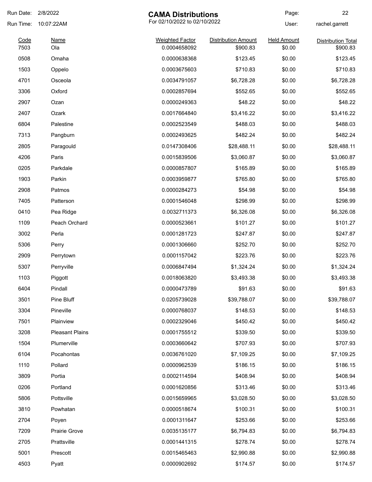| Run Date: | 2/8/2022               | <b>CAMA Distributions</b>    |                            | Page:              | 22                        |
|-----------|------------------------|------------------------------|----------------------------|--------------------|---------------------------|
| Run Time: | 10:07:22AM             | For 02/10/2022 to 02/10/2022 |                            | User:              | rachel.garrett            |
| Code      | <b>Name</b>            | <b>Weighted Factor</b>       | <b>Distribution Amount</b> | <b>Held Amount</b> | <b>Distribution Total</b> |
| 7503      | Ola                    | 0.0004658092                 | \$900.83                   | \$0.00             | \$900.83                  |
| 0508      | Omaha                  | 0.0000638368                 | \$123.45                   | \$0.00             | \$123.45                  |
| 1503      | Oppelo                 | 0.0003675603                 | \$710.83                   | \$0.00             | \$710.83                  |
| 4701      | Osceola                | 0.0034791057                 | \$6,728.28                 | \$0.00             | \$6,728.28                |
| 3306      | Oxford                 | 0.0002857694                 | \$552.65                   | \$0.00             | \$552.65                  |
| 2907      | Ozan                   | 0.0000249363                 | \$48.22                    | \$0.00             | \$48.22                   |
| 2407      | Ozark                  | 0.0017664840                 | \$3,416.22                 | \$0.00             | \$3,416.22                |
| 6804      | Palestine              | 0.0002523549                 | \$488.03                   | \$0.00             | \$488.03                  |
| 7313      | Pangburn               | 0.0002493625                 | \$482.24                   | \$0.00             | \$482.24                  |
| 2805      | Paragould              | 0.0147308406                 | \$28,488.11                | \$0.00             | \$28,488.11               |
| 4206      | Paris                  | 0.0015839506                 | \$3,060.87                 | \$0.00             | \$3,060.87                |
| 0205      | Parkdale               | 0.0000857807                 | \$165.89                   | \$0.00             | \$165.89                  |
| 1903      | Parkin                 | 0.0003959877                 | \$765.80                   | \$0.00             | \$765.80                  |
| 2908      | Patmos                 | 0.0000284273                 | \$54.98                    | \$0.00             | \$54.98                   |
| 7405      | Patterson              | 0.0001546048                 | \$298.99                   | \$0.00             | \$298.99                  |
| 0410      | Pea Ridge              | 0.0032711373                 | \$6,326.08                 | \$0.00             | \$6,326.08                |
| 1109      | Peach Orchard          | 0.0000523661                 | \$101.27                   | \$0.00             | \$101.27                  |
| 3002      | Perla                  | 0.0001281723                 | \$247.87                   | \$0.00             | \$247.87                  |
| 5306      | Perry                  | 0.0001306660                 | \$252.70                   | \$0.00             | \$252.70                  |
| 2909      | Perrytown              | 0.0001157042                 | \$223.76                   | \$0.00             | \$223.76                  |
| 5307      | Perryville             | 0.0006847494                 | \$1,324.24                 | \$0.00             | \$1,324.24                |
| 1103      | Piggott                | 0.0018063820                 | \$3,493.38                 | \$0.00             | \$3,493.38                |
| 6404      | Pindall                | 0.0000473789                 | \$91.63                    | \$0.00             | \$91.63                   |
| 3501      | Pine Bluff             | 0.0205739028                 | \$39,788.07                | \$0.00             | \$39,788.07               |
| 3304      | Pineville              | 0.0000768037                 | \$148.53                   | \$0.00             | \$148.53                  |
| 7501      | Plainview              | 0.0002329046                 | \$450.42                   | \$0.00             | \$450.42                  |
| 3208      | <b>Pleasant Plains</b> | 0.0001755512                 | \$339.50                   | \$0.00             | \$339.50                  |
| 1504      | Plumerville            | 0.0003660642                 | \$707.93                   | \$0.00             | \$707.93                  |
| 6104      | Pocahontas             | 0.0036761020                 | \$7,109.25                 | \$0.00             | \$7,109.25                |
| 1110      | Pollard                | 0.0000962539                 | \$186.15                   | \$0.00             | \$186.15                  |
| 3809      | Portia                 | 0.0002114594                 | \$408.94                   | \$0.00             | \$408.94                  |
| 0206      | Portland               | 0.0001620856                 | \$313.46                   | \$0.00             | \$313.46                  |
| 5806      | Pottsville             | 0.0015659965                 | \$3,028.50                 | \$0.00             | \$3,028.50                |
| 3810      | Powhatan               | 0.0000518674                 | \$100.31                   | \$0.00             | \$100.31                  |
| 2704      | Poyen                  | 0.0001311647                 | \$253.66                   | \$0.00             | \$253.66                  |
| 7209      | <b>Prairie Grove</b>   | 0.0035135177                 | \$6,794.83                 | \$0.00             | \$6,794.83                |
| 2705      |                        |                              |                            |                    | \$278.74                  |
|           | Prattsville            | 0.0001441315                 | \$278.74                   | \$0.00             |                           |
| 5001      | Prescott               | 0.0015465463                 | \$2,990.88                 | \$0.00             | \$2,990.88                |
| 4503      | Pyatt                  | 0.0000902692                 | \$174.57                   | \$0.00             | \$174.57                  |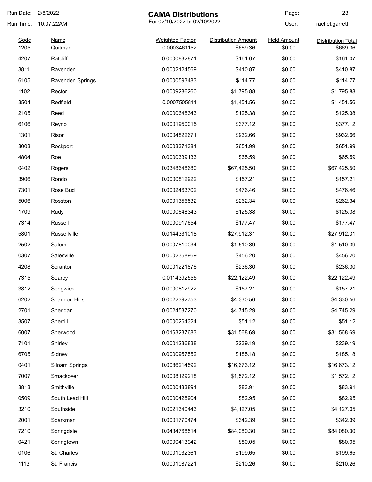| Run Date:    | 2/8/2022               | <b>CAMA Distributions</b>              |                                        | Page:                        | 23                                    |
|--------------|------------------------|----------------------------------------|----------------------------------------|------------------------------|---------------------------------------|
| Run Time:    | 10:07:22AM             | For 02/10/2022 to 02/10/2022           |                                        | User:                        | rachel.garrett                        |
| Code<br>1205 | <b>Name</b><br>Quitman | <b>Weighted Factor</b><br>0.0003461152 | <b>Distribution Amount</b><br>\$669.36 | <b>Held Amount</b><br>\$0.00 | <b>Distribution Total</b><br>\$669.36 |
|              |                        |                                        |                                        |                              |                                       |
| 4207         | Ratcliff               | 0.0000832871                           | \$161.07                               | \$0.00                       | \$161.07                              |
| 3811         | Ravenden               | 0.0002124569                           | \$410.87                               | \$0.00                       | \$410.87                              |
| 6105         | Ravenden Springs       | 0.0000593483                           | \$114.77                               | \$0.00                       | \$114.77                              |
| 1102         | Rector                 | 0.0009286260                           | \$1,795.88                             | \$0.00                       | \$1,795.88                            |
| 3504         | Redfield               | 0.0007505811                           | \$1,451.56                             | \$0.00                       | \$1,451.56                            |
| 2105         | Reed                   | 0.0000648343                           | \$125.38                               | \$0.00                       | \$125.38                              |
| 6106         | Reyno                  | 0.0001950015                           | \$377.12                               | \$0.00                       | \$377.12                              |
| 1301         | Rison                  | 0.0004822671                           | \$932.66                               | \$0.00                       | \$932.66                              |
| 3003         | Rockport               | 0.0003371381                           | \$651.99                               | \$0.00                       | \$651.99                              |
| 4804         | Roe                    | 0.0000339133                           | \$65.59                                | \$0.00                       | \$65.59                               |
| 0402         | Rogers                 | 0.0348648680                           | \$67,425.50                            | \$0.00                       | \$67,425.50                           |
| 3906         | Rondo                  | 0.0000812922                           | \$157.21                               | \$0.00                       | \$157.21                              |
| 7301         | Rose Bud               | 0.0002463702                           | \$476.46                               | \$0.00                       | \$476.46                              |
| 5006         | Rosston                | 0.0001356532                           | \$262.34                               | \$0.00                       | \$262.34                              |
| 1709         | Rudy                   | 0.0000648343                           | \$125.38                               | \$0.00                       | \$125.38                              |
| 7314         | Russell                | 0.0000917654                           | \$177.47                               | \$0.00                       | \$177.47                              |
| 5801         | Russellville           | 0.0144331018                           | \$27,912.31                            | \$0.00                       | \$27,912.31                           |
| 2502         | Salem                  | 0.0007810034                           | \$1,510.39                             | \$0.00                       | \$1,510.39                            |
| 0307         | Salesville             | 0.0002358969                           | \$456.20                               | \$0.00                       | \$456.20                              |
| 4208         | Scranton               | 0.0001221876                           | \$236.30                               | \$0.00                       | \$236.30                              |
| 7315         | Searcy                 | 0.0114392555                           | \$22,122.49                            | \$0.00                       | \$22,122.49                           |
| 3812         | Sedgwick               | 0.0000812922                           | \$157.21                               | \$0.00                       | \$157.21                              |
| 6202         | Shannon Hills          | 0.0022392753                           | \$4,330.56                             | \$0.00                       | \$4,330.56                            |
| 2701         | Sheridan               | 0.0024537270                           | \$4,745.29                             | \$0.00                       | \$4,745.29                            |
| 3507         | Sherrill               | 0.0000264324                           | \$51.12                                | \$0.00                       | \$51.12                               |
| 6007         | Sherwood               | 0.0163237683                           | \$31,568.69                            | \$0.00                       | \$31,568.69                           |
| 7101         | Shirley                | 0.0001236838                           | \$239.19                               | \$0.00                       | \$239.19                              |
| 6705         | Sidney                 | 0.0000957552                           | \$185.18                               | \$0.00                       | \$185.18                              |
| 0401         | Siloam Springs         | 0.0086214592                           | \$16,673.12                            | \$0.00                       | \$16,673.12                           |
| 7007         | Smackover              | 0.0008129218                           | \$1,572.12                             | \$0.00                       | \$1,572.12                            |
| 3813         | Smithville             | 0.0000433891                           | \$83.91                                | \$0.00                       | \$83.91                               |
| 0509         | South Lead Hill        | 0.0000428904                           | \$82.95                                | \$0.00                       | \$82.95                               |
| 3210         | Southside              | 0.0021340443                           | \$4,127.05                             | \$0.00                       | \$4,127.05                            |
| 2001         | Sparkman               | 0.0001770474                           | \$342.39                               | \$0.00                       | \$342.39                              |
| 7210         | Springdale             | 0.0434768514                           | \$84,080.30                            | \$0.00                       | \$84,080.30                           |
| 0421         | Springtown             | 0.0000413942                           | \$80.05                                | \$0.00                       | \$80.05                               |
| 0106         | St. Charles            | 0.0001032361                           | \$199.65                               | \$0.00                       | \$199.65                              |
| 1113         | St. Francis            | 0.0001087221                           | \$210.26                               | \$0.00                       | \$210.26                              |
|              |                        |                                        |                                        |                              |                                       |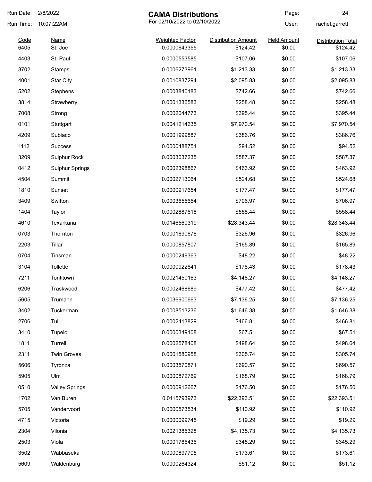| Run Date:                            | 2/8/2022                         | <b>CAMA Distributions</b>                                                                    |                                                                      | Page:                                                    | 24                                    |
|--------------------------------------|----------------------------------|----------------------------------------------------------------------------------------------|----------------------------------------------------------------------|----------------------------------------------------------|---------------------------------------|
| Run Time:                            | 10:07:22AM                       | For 02/10/2022 to 02/10/2022                                                                 |                                                                      | User:                                                    | rachel.garrett                        |
| Code<br>6405                         | <b>Name</b><br>St. Joe           | <b>Weighted Factor</b><br>0.0000643355                                                       | <b>Distribution Amount</b><br>\$124.42                               | <b>Held Amount</b><br>\$0.00                             | <b>Distribution Total</b><br>\$124.42 |
| 4403                                 | St. Paul                         | 0.0000553585                                                                                 | \$107.06                                                             | \$0.00                                                   | \$107.06                              |
| 3702                                 | Stamps                           | 0.0006273961                                                                                 | \$1,213.33                                                           | \$0.00                                                   | \$1,213.33                            |
| 4001                                 | <b>Star City</b>                 | 0.0010837294                                                                                 | \$2,095.83                                                           | \$0.00                                                   | \$2,095.83                            |
| 5202                                 | Stephens                         | 0.0003840183                                                                                 | \$742.66                                                             | \$0.00                                                   | \$742.66                              |
| 3814                                 | Strawberry                       | 0.0001336583                                                                                 | \$258.48                                                             | \$0.00                                                   | \$258.48                              |
| 7008                                 |                                  | 0.0002044773                                                                                 |                                                                      | \$0.00                                                   | \$395.44                              |
|                                      | Strong                           |                                                                                              | \$395.44                                                             |                                                          |                                       |
| 0101                                 | Stuttgart                        | 0.0041214635                                                                                 | \$7,970.54                                                           | \$0.00                                                   | \$7,970.54                            |
| 4209                                 | Subiaco                          | 0.0001999887                                                                                 | \$386.76                                                             | \$0.00                                                   | \$386.76                              |
| 1112                                 | <b>Success</b>                   | 0.0000488751                                                                                 | \$94.52                                                              | \$0.00                                                   | \$94.52                               |
| 3209                                 | Sulphur Rock                     | 0.0003037235                                                                                 | \$587.37                                                             | \$0.00                                                   | \$587.37                              |
| 0412                                 | <b>Sulphur Springs</b>           | 0.0002398867                                                                                 | \$463.92                                                             | \$0.00                                                   | \$463.92                              |
| 4504                                 | Summit                           | 0.0002713064                                                                                 | \$524.68                                                             | \$0.00                                                   | \$524.68                              |
| 1810                                 | Sunset                           | 0.0000917654                                                                                 | \$177.47                                                             | \$0.00                                                   | \$177.47                              |
| 3409                                 | Swifton                          | 0.0003655654                                                                                 | \$706.97                                                             | \$0.00                                                   | \$706.97                              |
| 1404                                 | Taylor                           | 0.0002887618                                                                                 | \$558.44                                                             | \$0.00                                                   | \$558.44                              |
| 4610                                 | Texarkana                        | 0.0146560319                                                                                 | \$28,343.44                                                          | \$0.00                                                   | \$28,343.44                           |
| 0703                                 | Thornton                         | 0.0001690678                                                                                 | \$326.96                                                             | \$0.00                                                   | \$326.96                              |
| 2203                                 | Tillar                           | 0.0000857807                                                                                 | \$165.89                                                             | \$0.00                                                   | \$165.89                              |
| 0704                                 | Tinsman                          | 0.0000249363                                                                                 | \$48.22                                                              | \$0.00                                                   | \$48.22                               |
| 3104                                 | Tollette                         | 0.0000922641                                                                                 | \$178.43                                                             | \$0.00                                                   | \$178.43                              |
| 7211                                 | Tontitown                        | 0.0021450163                                                                                 | \$4,148.27                                                           | \$0.00                                                   | \$4,148.27                            |
| 6206                                 | Traskwood                        | 0.0002468689                                                                                 | \$477.42                                                             | \$0.00                                                   | \$477.42                              |
| 5605                                 | Trumann                          | 0.0036900663                                                                                 | \$7,136.25                                                           | \$0.00                                                   | \$7,136.25                            |
| 3402                                 | Tuckerman                        | 0.0008513236                                                                                 | \$1,646.38                                                           | \$0.00                                                   | \$1,646.38                            |
| 2706                                 | Tull                             | 0.0002413829                                                                                 | \$466.81                                                             | \$0.00                                                   | \$466.81                              |
| 3410                                 | Tupelo                           | 0.0000349108                                                                                 | \$67.51                                                              | \$0.00                                                   | \$67.51                               |
| 1811                                 | Turrell                          | 0.0002578408                                                                                 | \$498.64                                                             | \$0.00                                                   | \$498.64                              |
| 2311                                 | <b>Twin Groves</b>               | 0.0001580958                                                                                 | \$305.74                                                             | \$0.00                                                   | \$305.74                              |
| 5606                                 | Tyronza                          | 0.0003570871                                                                                 | \$690.57                                                             | \$0.00                                                   | \$690.57                              |
| 5905                                 | Ulm                              | 0.0000872769                                                                                 | \$168.79                                                             | \$0.00                                                   | \$168.79                              |
| 0510                                 | <b>Valley Springs</b>            | 0.0000912667                                                                                 | \$176.50                                                             | \$0.00                                                   | \$176.50                              |
| 1702                                 | Van Buren                        | 0.0115793973                                                                                 | \$22,393.51                                                          | \$0.00                                                   | \$22,393.51                           |
|                                      | Vandervoort                      |                                                                                              |                                                                      |                                                          | \$110.92                              |
|                                      | Victoria                         |                                                                                              |                                                                      |                                                          | \$19.29                               |
|                                      | Vilonia                          |                                                                                              |                                                                      |                                                          | \$4,135.73                            |
|                                      |                                  |                                                                                              |                                                                      |                                                          | \$345.29                              |
|                                      |                                  |                                                                                              |                                                                      |                                                          | \$173.61                              |
| 5609                                 |                                  |                                                                                              |                                                                      |                                                          | \$51.12                               |
| 5705<br>4715<br>2304<br>2503<br>3502 | Viola<br>Wabbaseka<br>Waldenburg | 0.0000573534<br>0.0000099745<br>0.0021385328<br>0.0001785436<br>0.0000897705<br>0.0000264324 | \$110.92<br>\$19.29<br>\$4,135.73<br>\$345.29<br>\$173.61<br>\$51.12 | \$0.00<br>\$0.00<br>\$0.00<br>\$0.00<br>\$0.00<br>\$0.00 |                                       |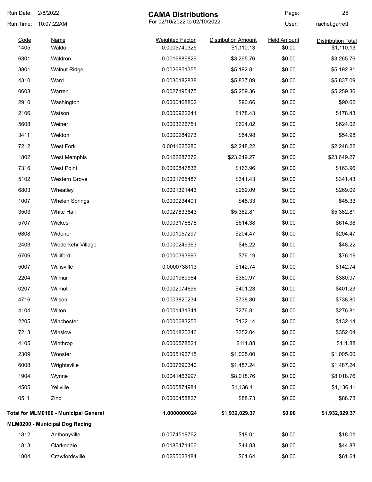| Run Date:    | 2/8/2022                              | <b>CAMA Distributions</b>              |                                          | Page:                        | 25                                      |
|--------------|---------------------------------------|----------------------------------------|------------------------------------------|------------------------------|-----------------------------------------|
| Run Time:    | 10:07:22AM                            | For 02/10/2022 to 02/10/2022           |                                          | User:                        | rachel.garrett                          |
| Code<br>1405 | <b>Name</b><br>Waldo                  | <b>Weighted Factor</b><br>0.0005740325 | <b>Distribution Amount</b><br>\$1,110.13 | <b>Held Amount</b><br>\$0.00 | <b>Distribution Total</b><br>\$1,110.13 |
| 6301         | Waldron                               | 0.0016886829                           | \$3,265.76                               | \$0.00                       | \$3,265.76                              |
| 3801         | <b>Walnut Ridge</b>                   | 0.0026851355                           | \$5,192.81                               | \$0.00                       | \$5,192.81                              |
| 4310         | Ward                                  | 0.0030182838                           | \$5,837.09                               | \$0.00                       | \$5,837.09                              |
| 0603         | Warren                                | 0.0027195475                           | \$5,259.36                               | \$0.00                       | \$5,259.36                              |
| 2910         | Washington                            | 0.0000468802                           | \$90.66                                  | \$0.00                       | \$90.66                                 |
| 2106         | Watson                                | 0.0000922641                           | \$178.43                                 | \$0.00                       | \$178.43                                |
| 5608         | Weiner                                | 0.0003226751                           | \$624.02                                 | \$0.00                       | \$624.02                                |
| 3411         | Weldon                                | 0.0000284273                           | \$54.98                                  | \$0.00                       | \$54.98                                 |
| 7212         | <b>West Fork</b>                      | 0.0011625280                           | \$2,248.22                               | \$0.00                       | \$2,248.22                              |
| 1802         | <b>West Memphis</b>                   | 0.0122287372                           | \$23,649.27                              | \$0.00                       | \$23,649.27                             |
| 7316         | West Point                            | 0.0000847833                           | \$163.96                                 | \$0.00                       | \$163.96                                |
| 5102         | <b>Western Grove</b>                  | 0.0001765487                           | \$341.43                                 | \$0.00                       | \$341.43                                |
| 6803         | Wheatley                              | 0.0001391443                           | \$269.09                                 | \$0.00                       | \$269.09                                |
| 1007         | <b>Whelen Springs</b>                 | 0.0000234401                           | \$45.33                                  | \$0.00                       | \$45.33                                 |
| 3503         | White Hall                            | 0.0027833843                           | \$5,382.81                               | \$0.00                       | \$5,382.81                              |
| 5707         | Wickes                                | 0.0003176878                           | \$614.38                                 | \$0.00                       | \$614.38                                |
| 6808         | Widener                               | 0.0001057297                           | \$204.47                                 | \$0.00                       | \$204.47                                |
| 2403         | Wiederkehr Village                    | 0.0000249363                           | \$48.22                                  | \$0.00                       | \$48.22                                 |
| 6706         | Williford                             | 0.0000393993                           | \$76.19                                  | \$0.00                       | \$76.19                                 |
| 5007         | Willisville                           | 0.0000738113                           | \$142.74                                 | \$0.00                       | \$142.74                                |
| 2204         | Wilmar                                | 0.0001969964                           | \$380.97                                 | \$0.00                       | \$380.97                                |
| 0207         | Wilmot                                | 0.0002074696                           | \$401.23                                 | \$0.00                       | \$401.23                                |
| 4716         | Wilson                                | 0.0003820234                           | \$738.80                                 | \$0.00                       | \$738.80                                |
| 4104         | Wilton                                | 0.0001431341                           | \$276.81                                 | \$0.00                       | \$276.81                                |
| 2205         | Winchester                            | 0.0000683253                           | \$132.14                                 | \$0.00                       | \$132.14                                |
| 7213         | Winslow                               | 0.0001820346                           | \$352.04                                 | \$0.00                       | \$352.04                                |
| 4105         | Winthrop                              | 0.0000578521                           | \$111.88                                 | \$0.00                       | \$111.88                                |
| 2309         | Wooster                               | 0.0005196715                           | \$1,005.00                               | \$0.00                       | \$1,005.00                              |
| 6008         | Wrightsville                          | 0.0007690340                           | \$1,487.24                               | \$0.00                       | \$1,487.24                              |
| 1904         | Wynne                                 | 0.0041463997                           | \$8,018.76                               | \$0.00                       | \$8,018.76                              |
| 4505         | Yellville                             | 0.0005874981                           | \$1,136.11                               | \$0.00                       | \$1,136.11                              |
| 0511         | Zinc                                  | 0.0000458827                           | \$88.73                                  | \$0.00                       | \$88.73                                 |
|              | Total for MLM0100 - Municipal General | 1.0000000024                           | \$1,932,029.37                           | \$0.00                       | \$1,932,029.37                          |
|              | <b>MLM0200 - Municipal Dog Racing</b> |                                        |                                          |                              |                                         |
| 1812         | Anthonyville                          | 0.0074519762                           | \$18.01                                  | \$0.00                       | \$18.01                                 |
| 1813         | Clarkedale                            | 0.0185471406                           | \$44.83                                  | \$0.00                       | \$44.83                                 |
| 1804         | Crawfordsville                        | 0.0255023184                           | \$61.64                                  | \$0.00                       | \$61.64                                 |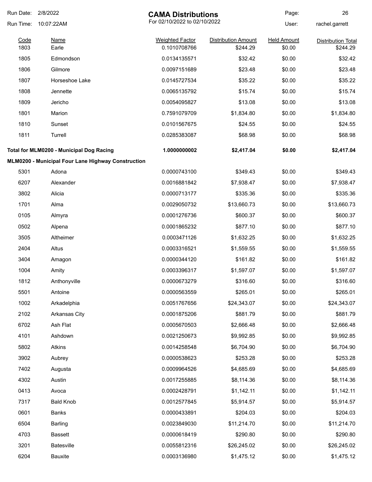| Run Date:    | 2/8/2022<br><b>CAMA Distributions</b>              |                                        | Page:                                  | 26                           |                                       |
|--------------|----------------------------------------------------|----------------------------------------|----------------------------------------|------------------------------|---------------------------------------|
| Run Time:    | 10:07:22AM                                         |                                        | For 02/10/2022 to 02/10/2022           |                              | rachel.garrett                        |
| Code<br>1803 | <b>Name</b><br>Earle                               | <b>Weighted Factor</b><br>0.1010708766 | <b>Distribution Amount</b><br>\$244.29 | <b>Held Amount</b><br>\$0.00 | <b>Distribution Total</b><br>\$244.29 |
| 1805         | Edmondson                                          | 0.0134135571                           | \$32.42                                | \$0.00                       | \$32.42                               |
| 1806         | Gilmore                                            | 0.0097151689                           | \$23.48                                | \$0.00                       | \$23.48                               |
| 1807         | Horseshoe Lake                                     | 0.0145727534                           | \$35.22                                | \$0.00                       | \$35.22                               |
| 1808         | Jennette                                           | 0.0065135792                           | \$15.74                                | \$0.00                       | \$15.74                               |
| 1809         | Jericho                                            | 0.0054095827                           | \$13.08                                | \$0.00                       | \$13.08                               |
| 1801         | Marion                                             | 0.7591079709                           | \$1,834.80                             | \$0.00                       | \$1,834.80                            |
| 1810         | Sunset                                             | 0.0101567675                           | \$24.55                                | \$0.00                       | \$24.55                               |
| 1811         | Turrell                                            | 0.0285383087                           | \$68.98                                | \$0.00                       | \$68.98                               |
|              | Total for MLM0200 - Municipal Dog Racing           | 1.0000000002                           | \$2,417.04                             | \$0.00                       | \$2,417.04                            |
|              | MLM0200 - Municipal Four Lane Highway Construction |                                        |                                        |                              |                                       |
| 5301         | Adona                                              | 0.0000743100                           | \$349.43                               | \$0.00                       | \$349.43                              |
| 6207         | Alexander                                          | 0.0016881842                           | \$7,938.47                             | \$0.00                       | \$7,938.47                            |
| 3802         | Alicia                                             | 0.0000713177                           | \$335.36                               | \$0.00                       | \$335.36                              |
| 1701         | Alma                                               | 0.0029050732                           | \$13,660.73                            | \$0.00                       | \$13,660.73                           |
| 0105         | Almyra                                             | 0.0001276736                           | \$600.37                               | \$0.00                       | \$600.37                              |
| 0502         | Alpena                                             | 0.0001865232                           | \$877.10                               | \$0.00                       | \$877.10                              |
| 3505         | Altheimer                                          | 0.0003471126                           | \$1,632.25                             | \$0.00                       | \$1,632.25                            |
| 2404         | Altus                                              | 0.0003316521                           | \$1,559.55                             | \$0.00                       | \$1,559.55                            |
| 3404         | Amagon                                             | 0.0000344120                           | \$161.82                               | \$0.00                       | \$161.82                              |
| 1004         | Amity                                              | 0.0003396317                           | \$1,597.07                             | \$0.00                       | \$1,597.07                            |
| 1812         | Anthonyville                                       | 0.0000673279                           | \$316.60                               | \$0.00                       | \$316.60                              |
| 5501         | Antoine                                            | 0.0000563559                           | \$265.01                               | \$0.00                       | \$265.01                              |
| 1002         | Arkadelphia                                        | 0.0051767656                           | \$24,343.07                            | \$0.00                       | \$24,343.07                           |
| 2102         | Arkansas City                                      | 0.0001875206                           | \$881.79                               | \$0.00                       | \$881.79                              |
| 6702         | Ash Flat                                           | 0.0005670503                           | \$2,666.48                             | \$0.00                       | \$2,666.48                            |
| 4101         | Ashdown                                            | 0.0021250673                           | \$9,992.85                             | \$0.00                       | \$9,992.85                            |
| 5802         | Atkins                                             | 0.0014258548                           | \$6,704.90                             | \$0.00                       | \$6,704.90                            |
| 3902         | Aubrey                                             | 0.0000538623                           | \$253.28                               | \$0.00                       | \$253.28                              |
| 7402         | Augusta                                            | 0.0009964526                           | \$4,685.69                             | \$0.00                       | \$4,685.69                            |
| 4302         | Austin                                             | 0.0017255885                           | \$8,114.36                             | \$0.00                       | \$8,114.36                            |
| 0413         | Avoca                                              | 0.0002428791                           | \$1,142.11                             | \$0.00                       | \$1,142.11                            |
| 7317         | <b>Bald Knob</b>                                   | 0.0012577845                           | \$5,914.57                             | \$0.00                       | \$5,914.57                            |
| 0601         | <b>Banks</b>                                       | 0.0000433891                           | \$204.03                               | \$0.00                       | \$204.03                              |
| 6504         | Barling                                            | 0.0023849030                           | \$11,214.70                            | \$0.00                       | \$11,214.70                           |
| 4703         | Bassett                                            | 0.0000618419                           | \$290.80                               | \$0.00                       | \$290.80                              |
| 3201         | <b>Batesville</b>                                  | 0.0055812316                           | \$26,245.02                            | \$0.00                       | \$26,245.02                           |
| 6204         | Bauxite                                            | 0.0003136980                           | \$1,475.12                             | \$0.00                       | \$1,475.12                            |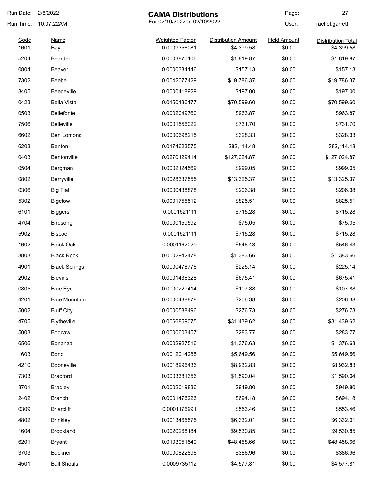| Run Date:    | 2/8/2022             | <b>CAMA Distributions</b>              |                                          | Page:                        | 27                                      |
|--------------|----------------------|----------------------------------------|------------------------------------------|------------------------------|-----------------------------------------|
| Run Time:    | 10:07:22AM           | For 02/10/2022 to 02/10/2022           |                                          | User:                        | rachel.garrett                          |
| Code<br>1601 | Name<br>Bay          | <b>Weighted Factor</b><br>0.0009356081 | <b>Distribution Amount</b><br>\$4,399.58 | <b>Held Amount</b><br>\$0.00 | <b>Distribution Total</b><br>\$4,399.58 |
| 5204         | Bearden              | 0.0003870106                           | \$1,819.87                               | \$0.00                       | \$1,819.87                              |
| 0804         | <b>Beaver</b>        | 0.0000334146                           | \$157.13                                 | \$0.00                       | \$157.13                                |
| 7302         | Beebe                | 0.0042077429                           | \$19,786.37                              | \$0.00                       | \$19,786.37                             |
| 3405         | <b>Beedeville</b>    | 0.0000418929                           | \$197.00                                 | \$0.00                       | \$197.00                                |
| 0423         | <b>Bella Vista</b>   | 0.0150136177                           | \$70,599.60                              | \$0.00                       | \$70,599.60                             |
| 0503         | <b>Bellefonte</b>    | 0.0002049760                           | \$963.87                                 | \$0.00                       | \$963.87                                |
| 7506         | <b>Belleville</b>    | 0.0001556022                           | \$731.70                                 | \$0.00                       | \$731.70                                |
| 6602         | Ben Lomond           | 0.0000698215                           | \$328.33                                 | \$0.00                       | \$328.33                                |
| 6203         | Benton               | 0.0174623575                           | \$82,114.48                              | \$0.00                       | \$82,114.48                             |
| 0403         | Bentonville          | 0.0270129414                           | \$127,024.87                             | \$0.00                       | \$127,024.87                            |
| 0504         | Bergman              | 0.0002124569                           | \$999.05                                 | \$0.00                       | \$999.05                                |
| 0802         | Berryville           | 0.0028337555                           | \$13,325.37                              | \$0.00                       | \$13,325.37                             |
| 0306         | <b>Big Flat</b>      | 0.0000438878                           | \$206.38                                 | \$0.00                       | \$206.38                                |
| 5302         | <b>Bigelow</b>       | 0.0001755512                           | \$825.51                                 | \$0.00                       | \$825.51                                |
| 6101         | <b>Biggers</b>       | 0.0001521111                           | \$715.28                                 | \$0.00                       | \$715.28                                |
| 4704         | Birdsong             | 0.0000159592                           | \$75.05                                  | \$0.00                       | \$75.05                                 |
| 5902         | <b>Biscoe</b>        | 0.0001521111                           | \$715.28                                 | \$0.00                       | \$715.28                                |
| 1602         | <b>Black Oak</b>     | 0.0001162029                           | \$546.43                                 | \$0.00                       | \$546.43                                |
| 3803         | <b>Black Rock</b>    | 0.0002942478                           | \$1,383.66                               | \$0.00                       | \$1,383.66                              |
| 4901         | <b>Black Springs</b> | 0.0000478776                           | \$225.14                                 | \$0.00                       | \$225.14                                |
| 2902         | Blevins              | 0.0001436328                           | \$675.41                                 | \$0.00                       | \$675.41                                |
| 0805         | <b>Blue Eye</b>      | 0.0000229414                           | \$107.88                                 | \$0.00                       | \$107.88                                |
| 4201         | <b>Blue Mountain</b> | 0.0000438878                           | \$206.38                                 | \$0.00                       | \$206.38                                |
| 5002         | <b>Bluff City</b>    | 0.0000588496                           | \$276.73                                 | \$0.00                       | \$276.73                                |
| 4705         | <b>Blytheville</b>   | 0.0066859075                           | \$31,439.62                              | \$0.00                       | \$31,439.62                             |
| 5003         | <b>Bodcaw</b>        | 0.0000603457                           | \$283.77                                 | \$0.00                       | \$283.77                                |
| 6506         | Bonanza              | 0.0002927516                           | \$1,376.63                               | \$0.00                       | \$1,376.63                              |
| 1603         | Bono                 | 0.0012014285                           | \$5,649.56                               | \$0.00                       | \$5,649.56                              |
| 4210         | Booneville           | 0.0018996436                           | \$8,932.83                               | \$0.00                       | \$8,932.83                              |
| 7303         | <b>Bradford</b>      | 0.0003381356                           | \$1,590.04                               | \$0.00                       | \$1,590.04                              |
| 3701         | <b>Bradley</b>       | 0.0002019836                           | \$949.80                                 | \$0.00                       | \$949.80                                |
| 2402         | Branch               | 0.0001476226                           | \$694.18                                 | \$0.00                       | \$694.18                                |
| 0309         | <b>Briarcliff</b>    | 0.0001176991                           | \$553.46                                 | \$0.00                       | \$553.46                                |
| 4802         | <b>Brinkley</b>      | 0.0013465575                           | \$6,332.01                               | \$0.00                       | \$6,332.01                              |
| 1604         | Brookland            | 0.0020268184                           | \$9,530.85                               | \$0.00                       | \$9,530.85                              |
| 6201         | <b>Bryant</b>        | 0.0103051549                           | \$48,458.66                              | \$0.00                       | \$48,458.66                             |
| 3703         | <b>Buckner</b>       | 0.0000822896                           | \$386.96                                 | \$0.00                       | \$386.96                                |
| 4501         | <b>Bull Shoals</b>   | 0.0009735112                           | \$4,577.81                               | \$0.00                       | \$4,577.81                              |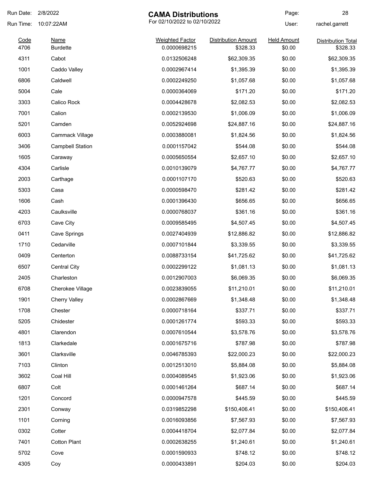| Run Date:    | 2/8/2022                | <b>CAMA Distributions</b>              |                                        | Page:                        | 28                                    |
|--------------|-------------------------|----------------------------------------|----------------------------------------|------------------------------|---------------------------------------|
| Run Time:    | 10:07:22AM              | For 02/10/2022 to 02/10/2022           |                                        | User:                        | rachel.garrett                        |
| Code<br>4706 | Name<br><b>Burdette</b> | <b>Weighted Factor</b><br>0.0000698215 | <b>Distribution Amount</b><br>\$328.33 | <b>Held Amount</b><br>\$0.00 | <b>Distribution Total</b><br>\$328.33 |
| 4311         | Cabot                   | 0.0132506248                           | \$62,309.35                            | \$0.00                       | \$62,309.35                           |
| 1001         | Caddo Valley            | 0.0002967414                           | \$1,395.39                             | \$0.00                       | \$1,395.39                            |
| 6806         | Caldwell                | 0.0002249250                           | \$1,057.68                             | \$0.00                       | \$1,057.68                            |
| 5004         | Cale                    | 0.0000364069                           | \$171.20                               | \$0.00                       | \$171.20                              |
| 3303         | Calico Rock             | 0.0004428678                           | \$2,082.53                             | \$0.00                       | \$2,082.53                            |
| 7001         | Calion                  | 0.0002139530                           | \$1,006.09                             | \$0.00                       | \$1,006.09                            |
| 5201         | Camden                  | 0.0052924698                           | \$24,887.16                            | \$0.00                       | \$24,887.16                           |
| 6003         | Cammack Village         | 0.0003880081                           | \$1,824.56                             | \$0.00                       | \$1,824.56                            |
| 3406         | <b>Campbell Station</b> | 0.0001157042                           | \$544.08                               | \$0.00                       | \$544.08                              |
| 1605         | Caraway                 | 0.0005650554                           | \$2,657.10                             | \$0.00                       | \$2,657.10                            |
| 4304         | Carlisle                | 0.0010139079                           | \$4,767.77                             | \$0.00                       | \$4,767.77                            |
| 2003         | Carthage                | 0.0001107170                           | \$520.63                               | \$0.00                       | \$520.63                              |
| 5303         | Casa                    | 0.0000598470                           | \$281.42                               | \$0.00                       | \$281.42                              |
| 1606         | Cash                    | 0.0001396430                           | \$656.65                               | \$0.00                       | \$656.65                              |
| 4203         | Caulksville             | 0.0000768037                           | \$361.16                               | \$0.00                       | \$361.16                              |
| 6703         | Cave City               | 0.0009585495                           | \$4,507.45                             | \$0.00                       | \$4,507.45                            |
| 0411         | Cave Springs            | 0.0027404939                           | \$12,886.82                            | \$0.00                       | \$12,886.82                           |
| 1710         | Cedarville              | 0.0007101844                           | \$3,339.55                             | \$0.00                       | \$3,339.55                            |
| 0409         | Centerton               | 0.0088733154                           | \$41,725.62                            | \$0.00                       | \$41,725.62                           |
| 6507         | <b>Central City</b>     | 0.0002299122                           | \$1,081.13                             | \$0.00                       | \$1,081.13                            |
| 2405         | Charleston              | 0.0012907003                           | \$6,069.35                             | \$0.00                       | \$6,069.35                            |
| 6708         | Cherokee Village        | 0.0023839055                           | \$11,210.01                            | \$0.00                       | \$11,210.01                           |
| 1901         | <b>Cherry Valley</b>    | 0.0002867669                           | \$1,348.48                             | \$0.00                       | \$1,348.48                            |
| 1708         | Chester                 | 0.0000718164                           | \$337.71                               | \$0.00                       | \$337.71                              |
| 5205         | Chidester               | 0.0001261774                           | \$593.33                               | \$0.00                       | \$593.33                              |
| 4801         | Clarendon               | 0.0007610544                           | \$3,578.76                             | \$0.00                       | \$3,578.76                            |
| 1813         | Clarkedale              | 0.0001675716                           | \$787.98                               | \$0.00                       | \$787.98                              |
| 3601         | Clarksville             | 0.0046785393                           | \$22,000.23                            | \$0.00                       | \$22,000.23                           |
| 7103         | Clinton                 | 0.0012513010                           | \$5,884.08                             | \$0.00                       | \$5,884.08                            |
| 3602         | Coal Hill               | 0.0004089545                           | \$1,923.06                             | \$0.00                       | \$1,923.06                            |
| 6807         | Colt                    | 0.0001461264                           | \$687.14                               | \$0.00                       | \$687.14                              |
| 1201         | Concord                 | 0.0000947578                           | \$445.59                               | \$0.00                       | \$445.59                              |
| 2301         | Conway                  | 0.0319852298                           | \$150,406.41                           | \$0.00                       | \$150,406.41                          |
| 1101         | Corning                 | 0.0016093856                           | \$7,567.93                             | \$0.00                       | \$7,567.93                            |
| 0302         | Cotter                  | 0.0004418704                           | \$2,077.84                             | \$0.00                       | \$2,077.84                            |
| 7401         | <b>Cotton Plant</b>     | 0.0002638255                           | \$1,240.61                             | \$0.00                       | \$1,240.61                            |
| 5702         | Cove                    | 0.0001590933                           | \$748.12                               | \$0.00                       | \$748.12                              |
| 4305         | Coy                     | 0.0000433891                           | \$204.03                               | \$0.00                       | \$204.03                              |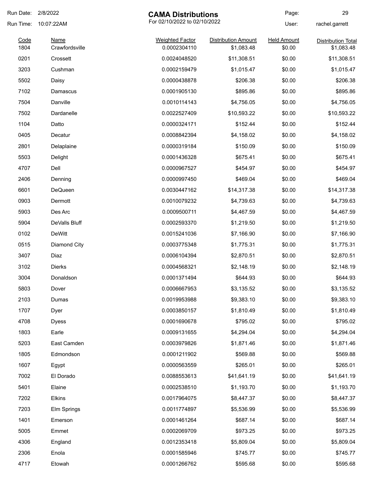| Run Date:    | 2/8/2022                      | <b>CAMA Distributions</b>              |                                          | Page:                        | 29                                      |
|--------------|-------------------------------|----------------------------------------|------------------------------------------|------------------------------|-----------------------------------------|
| Run Time:    | 10:07:22AM                    | For 02/10/2022 to 02/10/2022           |                                          | User:                        | rachel.garrett                          |
| Code<br>1804 | <b>Name</b><br>Crawfordsville | <b>Weighted Factor</b><br>0.0002304110 | <b>Distribution Amount</b><br>\$1,083.48 | <b>Held Amount</b><br>\$0.00 | <b>Distribution Total</b><br>\$1,083.48 |
| 0201         | Crossett                      | 0.0024048520                           | \$11,308.51                              | \$0.00                       | \$11,308.51                             |
| 3203         | Cushman                       | 0.0002159479                           | \$1,015.47                               | \$0.00                       | \$1,015.47                              |
| 5502         | Daisy                         | 0.0000438878                           | \$206.38                                 | \$0.00                       | \$206.38                                |
| 7102         | Damascus                      | 0.0001905130                           | \$895.86                                 | \$0.00                       | \$895.86                                |
| 7504         | Danville                      | 0.0010114143                           | \$4,756.05                               | \$0.00                       | \$4,756.05                              |
| 7502         | Dardanelle                    | 0.0022527409                           | \$10,593.22                              | \$0.00                       | \$10,593.22                             |
| 1104         | Datto                         | 0.0000324171                           | \$152.44                                 | \$0.00                       | \$152.44                                |
| 0405         | Decatur                       | 0.0008842394                           | \$4,158.02                               | \$0.00                       | \$4,158.02                              |
| 2801         | Delaplaine                    | 0.0000319184                           | \$150.09                                 | \$0.00                       | \$150.09                                |
| 5503         | Delight                       | 0.0001436328                           | \$675.41                                 | \$0.00                       | \$675.41                                |
| 4707         | Dell                          | 0.0000967527                           | \$454.97                                 | \$0.00                       | \$454.97                                |
| 2406         | Denning                       | 0.0000997450                           | \$469.04                                 | \$0.00                       | \$469.04                                |
| 6601         | DeQueen                       | 0.0030447162                           | \$14,317.38                              | \$0.00                       | \$14,317.38                             |
| 0903         | Dermott                       | 0.0010079232                           | \$4,739.63                               | \$0.00                       | \$4,739.63                              |
| 5903         | Des Arc                       | 0.0009500711                           | \$4,467.59                               | \$0.00                       | \$4,467.59                              |
| 5904         | DeValls Bluff                 | 0.0002593370                           | \$1,219.50                               | \$0.00                       | \$1,219.50                              |
| 0102         | <b>DeWitt</b>                 | 0.0015241036                           | \$7,166.90                               | \$0.00                       | \$7,166.90                              |
| 0515         | Diamond City                  | 0.0003775348                           | \$1,775.31                               | \$0.00                       | \$1,775.31                              |
| 3407         | Diaz                          | 0.0006104394                           | \$2,870.51                               | \$0.00                       | \$2,870.51                              |
| 3102         | <b>Dierks</b>                 | 0.0004568321                           | \$2,148.19                               | \$0.00                       | \$2,148.19                              |
| 3004         | Donaldson                     | 0.0001371494                           | \$644.93                                 | \$0.00                       | \$644.93                                |
| 5803         | Dover                         | 0.0006667953                           | \$3,135.52                               | \$0.00                       | \$3,135.52                              |
| 2103         | Dumas                         | 0.0019953988                           | \$9,383.10                               | \$0.00                       | \$9,383.10                              |
| 1707         | Dyer                          | 0.0003850157                           | \$1,810.49                               | \$0.00                       | \$1,810.49                              |
| 4708         | <b>Dyess</b>                  | 0.0001690678                           | \$795.02                                 | \$0.00                       | \$795.02                                |
| 1803         | Earle                         | 0.0009131655                           | \$4,294.04                               | \$0.00                       | \$4,294.04                              |
| 5203         | East Camden                   | 0.0003979826                           | \$1,871.46                               | \$0.00                       | \$1,871.46                              |
| 1805         | Edmondson                     | 0.0001211902                           | \$569.88                                 | \$0.00                       | \$569.88                                |
| 1607         | Egypt                         | 0.0000563559                           | \$265.01                                 | \$0.00                       | \$265.01                                |
| 7002         | El Dorado                     | 0.0088553613                           | \$41,641.19                              | \$0.00                       | \$41,641.19                             |
| 5401         | Elaine                        | 0.0002538510                           | \$1,193.70                               | \$0.00                       | \$1,193.70                              |
| 7202         | Elkins                        | 0.0017964075                           | \$8,447.37                               | \$0.00                       | \$8,447.37                              |
| 7203         | Elm Springs                   | 0.0011774897                           | \$5,536.99                               | \$0.00                       | \$5,536.99                              |
| 1401         | Emerson                       | 0.0001461264                           | \$687.14                                 | \$0.00                       | \$687.14                                |
| 5005         | Emmet                         | 0.0002069709                           | \$973.25                                 | \$0.00                       | \$973.25                                |
| 4306         | England                       | 0.0012353418                           | \$5,809.04                               | \$0.00                       | \$5,809.04                              |
| 2306         | Enola                         | 0.0001585946                           | \$745.77                                 | \$0.00                       | \$745.77                                |
| 4717         | Etowah                        | 0.0001266762                           | \$595.68                                 | \$0.00                       | \$595.68                                |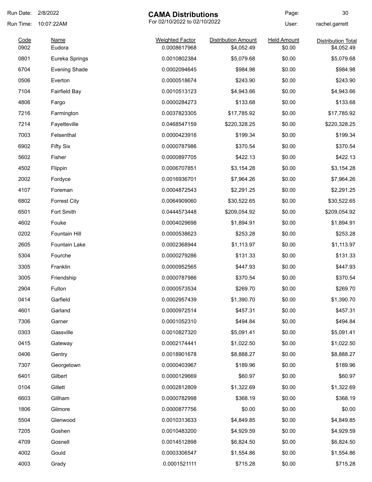| Run Date: | 2/8/2022<br><b>CAMA Distributions</b> |                              | Page:                      | 30                 |                           |
|-----------|---------------------------------------|------------------------------|----------------------------|--------------------|---------------------------|
| Run Time: | 10:07:22AM                            | For 02/10/2022 to 02/10/2022 |                            | User:              | rachel.garrett            |
| Code      | <b>Name</b>                           | <b>Weighted Factor</b>       | <b>Distribution Amount</b> | <b>Held Amount</b> | <b>Distribution Total</b> |
| 0902      | Eudora                                | 0.0008617968                 | \$4,052.49                 | \$0.00             | \$4,052.49                |
| 0801      | Eureka Springs                        | 0.0010802384                 | \$5,079.68                 | \$0.00             | \$5,079.68                |
| 6704      | <b>Evening Shade</b>                  | 0.0002094645                 | \$984.98                   | \$0.00             | \$984.98                  |
| 0506      | Everton                               | 0.0000518674                 | \$243.90                   | \$0.00             | \$243.90                  |
| 7104      | <b>Fairfield Bay</b>                  | 0.0010513123                 | \$4,943.66                 | \$0.00             | \$4,943.66                |
| 4806      | Fargo                                 | 0.0000284273                 | \$133.68                   | \$0.00             | \$133.68                  |
| 7216      | Farmington                            | 0.0037823305                 | \$17,785.92                | \$0.00             | \$17,785.92               |
| 7214      | Fayetteville                          | 0.0468547159                 | \$220,328.25               | \$0.00             | \$220,328.25              |
| 7003      | Felsenthal                            | 0.0000423916                 | \$199.34                   | \$0.00             | \$199.34                  |
| 6902      | <b>Fifty Six</b>                      | 0.0000787986                 | \$370.54                   | \$0.00             | \$370.54                  |
| 5602      | Fisher                                | 0.0000897705                 | \$422.13                   | \$0.00             | \$422.13                  |
| 4502      | Flippin                               | 0.0006707851                 | \$3,154.28                 | \$0.00             | \$3,154.28                |
| 2002      | Fordyce                               | 0.0016936701                 | \$7,964.26                 | \$0.00             | \$7,964.26                |
| 4107      | Foreman                               | 0.0004872543                 | \$2,291.25                 | \$0.00             | \$2,291.25                |
| 6802      | <b>Forrest City</b>                   | 0.0064909060                 | \$30,522.65                | \$0.00             | \$30,522.65               |
| 6501      | Fort Smith                            | 0.0444573448                 | \$209,054.92               | \$0.00             | \$209,054.92              |
| 4602      | Fouke                                 | 0.0004029698                 | \$1,894.91                 | \$0.00             | \$1,894.91                |
| 0202      | Fountain Hill                         | 0.0000538623                 | \$253.28                   | \$0.00             | \$253.28                  |
| 2605      | <b>Fountain Lake</b>                  | 0.0002368944                 | \$1,113.97                 | \$0.00             | \$1,113.97                |
| 5304      | Fourche                               | 0.0000279286                 | \$131.33                   | \$0.00             | \$131.33                  |
| 3305      | Franklin                              | 0.0000952565                 | \$447.93                   | \$0.00             | \$447.93                  |
| 3005      | Friendship                            | 0.0000787986                 | \$370.54                   | \$0.00             | \$370.54                  |
| 2904      | Fulton                                | 0.0000573534                 | \$269.70                   | \$0.00             | \$269.70                  |
| 0414      | Garfield                              | 0.0002957439                 | \$1,390.70                 | \$0.00             | \$1,390.70                |
| 4601      | Garland                               | 0.0000972514                 | \$457.31                   | \$0.00             | \$457.31                  |
| 7306      | Garner                                | 0.0001052310                 | \$494.84                   | \$0.00             | \$494.84                  |
| 0303      | Gassville                             | 0.0010827320                 | \$5,091.41                 | \$0.00             | \$5,091.41                |
| 0415      | Gateway                               | 0.0002174441                 | \$1,022.50                 | \$0.00             | \$1,022.50                |
| 0406      | Gentry                                | 0.0018901678                 | \$8,888.27                 | \$0.00             | \$8,888.27                |
| 7307      | Georgetown                            | 0.0000403967                 | \$189.96                   | \$0.00             | \$189.96                  |
| 6401      | Gilbert                               | 0.0000129669                 | \$60.97                    | \$0.00             | \$60.97                   |
| 0104      | Gillett                               | 0.0002812809                 | \$1,322.69                 | \$0.00             | \$1,322.69                |
| 6603      | Gillham                               | 0.0000782998                 | \$368.19                   | \$0.00             | \$368.19                  |
| 1806      | Gilmore                               | 0.0000877756                 | \$0.00                     | \$0.00             | \$0.00                    |
| 5504      | Glenwood                              | 0.0010313633                 | \$4,849.85                 | \$0.00             | \$4,849.85                |
| 7205      | Goshen                                | 0.0010483200                 | \$4,929.59                 | \$0.00             | \$4,929.59                |
| 4709      | Gosnell                               | 0.0014512898                 | \$6,824.50                 | \$0.00             | \$6,824.50                |
|           |                                       |                              |                            |                    |                           |
| 4002      | Gould                                 | 0.0003306547                 | \$1,554.86                 | \$0.00             | \$1,554.86                |
| 4003      | Grady                                 | 0.0001521111                 | \$715.28                   | \$0.00             | \$715.28                  |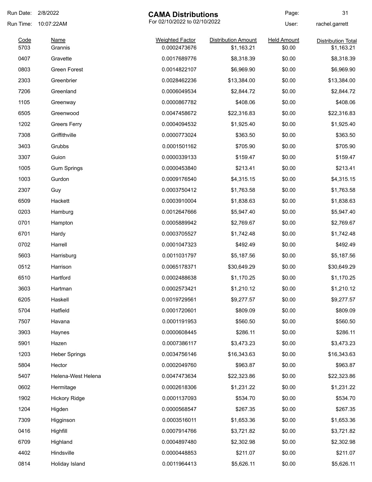| Run Date: 2/8/2022 |                      | <b>CAMA Distributions</b>    |                            | Page:              | 31                        |
|--------------------|----------------------|------------------------------|----------------------------|--------------------|---------------------------|
| Run Time:          | 10:07:22AM           | For 02/10/2022 to 02/10/2022 |                            | User:              | rachel.garrett            |
| Code               | <b>Name</b>          | <b>Weighted Factor</b>       | <b>Distribution Amount</b> | <b>Held Amount</b> | <b>Distribution Total</b> |
| 5703               | Grannis              | 0.0002473676                 | \$1,163.21                 | \$0.00             | \$1,163.21                |
| 0407               | Gravette             | 0.0017689776                 | \$8,318.39                 | \$0.00             | \$8,318.39                |
| 0803               | <b>Green Forest</b>  | 0.0014822107                 | \$6,969.90                 | \$0.00             | \$6,969.90                |
| 2303               | Greenbrier           | 0.0028462236                 | \$13,384.00                | \$0.00             | \$13,384.00               |
| 7206               | Greenland            | 0.0006049534                 | \$2,844.72                 | \$0.00             | \$2,844.72                |
| 1105               | Greenway             | 0.0000867782                 | \$408.06                   | \$0.00             | \$408.06                  |
| 6505               | Greenwood            | 0.0047458672                 | \$22,316.83                | \$0.00             | \$22,316.83               |
| 1202               | <b>Greers Ferry</b>  | 0.0004094532                 | \$1,925.40                 | \$0.00             | \$1,925.40                |
| 7308               | Griffithville        | 0.0000773024                 | \$363.50                   | \$0.00             | \$363.50                  |
| 3403               | Grubbs               | 0.0001501162                 | \$705.90                   | \$0.00             | \$705.90                  |
| 3307               | Guion                | 0.0000339133                 | \$159.47                   | \$0.00             | \$159.47                  |
| 1005               | <b>Gum Springs</b>   | 0.0000453840                 | \$213.41                   | \$0.00             | \$213.41                  |
| 1003               | Gurdon               | 0.0009176540                 | \$4,315.15                 | \$0.00             | \$4,315.15                |
| 2307               | Guy                  | 0.0003750412                 | \$1,763.58                 | \$0.00             | \$1,763.58                |
| 6509               | Hackett              | 0.0003910004                 | \$1,838.63                 | \$0.00             | \$1,838.63                |
| 0203               | Hamburg              | 0.0012647666                 | \$5,947.40                 | \$0.00             | \$5,947.40                |
| 0701               | Hampton              | 0.0005889942                 | \$2,769.67                 | \$0.00             | \$2,769.67                |
| 6701               | Hardy                | 0.0003705527                 | \$1,742.48                 | \$0.00             | \$1,742.48                |
| 0702               | Harrell              | 0.0001047323                 | \$492.49                   | \$0.00             | \$492.49                  |
| 5603               | Harrisburg           | 0.0011031797                 | \$5,187.56                 | \$0.00             | \$5,187.56                |
| 0512               | Harrison             | 0.0065178371                 | \$30,649.29                | \$0.00             | \$30,649.29               |
| 6510               | Hartford             | 0.0002488638                 | \$1,170.25                 | \$0.00             | \$1,170.25                |
| 3603               | Hartman              | 0.0002573421                 | \$1,210.12                 | \$0.00             | \$1,210.12                |
| 6205               | Haskell              | 0.0019729561                 | \$9,277.57                 | \$0.00             | \$9,277.57                |
| 5704               | Hatfield             | 0.0001720601                 | \$809.09                   | \$0.00             | \$809.09                  |
| 7507               | Havana               | 0.0001191953                 | \$560.50                   | \$0.00             | \$560.50                  |
| 3903               | Haynes               | 0.0000608445                 | \$286.11                   | \$0.00             | \$286.11                  |
| 5901               | Hazen                | 0.0007386117                 | \$3,473.23                 | \$0.00             | \$3,473.23                |
| 1203               | <b>Heber Springs</b> | 0.0034756146                 | \$16,343.63                | \$0.00             | \$16,343.63               |
| 5804               | Hector               | 0.0002049760                 | \$963.87                   | \$0.00             | \$963.87                  |
| 5407               | Helena-West Helena   | 0.0047473634                 | \$22,323.86                | \$0.00             | \$22,323.86               |
| 0602               | Hermitage            | 0.0002618306                 | \$1,231.22                 | \$0.00             | \$1,231.22                |
| 1902               | <b>Hickory Ridge</b> | 0.0001137093                 | \$534.70                   | \$0.00             | \$534.70                  |
| 1204               | Higden               | 0.0000568547                 | \$267.35                   | \$0.00             | \$267.35                  |
| 7309               | Higginson            | 0.0003516011                 | \$1,653.36                 | \$0.00             | \$1,653.36                |
| 0416               | Highfill             | 0.0007914766                 | \$3,721.82                 | \$0.00             | \$3,721.82                |
| 6709               | Highland             | 0.0004897480                 | \$2,302.98                 | \$0.00             | \$2,302.98                |
| 4402               | Hindsville           | 0.0000448853                 | \$211.07                   | \$0.00             | \$211.07                  |
| 0814               | Holiday Island       | 0.0011964413                 | \$5,626.11                 | \$0.00             | \$5,626.11                |
|                    |                      |                              |                            |                    |                           |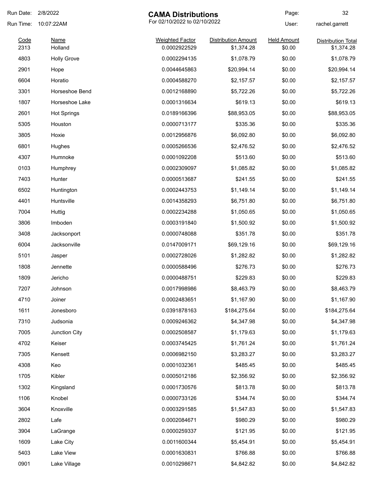| Run Date: | 2/8/2022                                   | <b>CAMA Distributions</b> |                            | Page:              | 32                        |
|-----------|--------------------------------------------|---------------------------|----------------------------|--------------------|---------------------------|
| Run Time: | For 02/10/2022 to 02/10/2022<br>10:07:22AM |                           |                            | User:              | rachel.garrett            |
| Code      | <b>Name</b>                                | <b>Weighted Factor</b>    | <b>Distribution Amount</b> | <b>Held Amount</b> | <b>Distribution Total</b> |
| 2313      | Holland                                    | 0.0002922529              | \$1,374.28                 | \$0.00             | \$1,374.28                |
| 4803      | <b>Holly Grove</b>                         | 0.0002294135              | \$1,078.79                 | \$0.00             | \$1,078.79                |
| 2901      | Hope                                       | 0.0044645863              | \$20,994.14                | \$0.00             | \$20,994.14               |
| 6604      | Horatio                                    | 0.0004588270              | \$2,157.57                 | \$0.00             | \$2,157.57                |
| 3301      | Horseshoe Bend                             | 0.0012168890              | \$5,722.26                 | \$0.00             | \$5,722.26                |
| 1807      | Horseshoe Lake                             | 0.0001316634              | \$619.13                   | \$0.00             | \$619.13                  |
| 2601      | <b>Hot Springs</b>                         | 0.0189166396              | \$88,953.05                | \$0.00             | \$88,953.05               |
| 5305      | Houston                                    | 0.0000713177              | \$335.36                   | \$0.00             | \$335.36                  |
| 3805      | Hoxie                                      | 0.0012956876              | \$6,092.80                 | \$0.00             | \$6,092.80                |
| 6801      | Hughes                                     | 0.0005266536              | \$2,476.52                 | \$0.00             | \$2,476.52                |
| 4307      | Humnoke                                    | 0.0001092208              | \$513.60                   | \$0.00             | \$513.60                  |
| 0103      | Humphrey                                   | 0.0002309097              | \$1,085.82                 | \$0.00             | \$1,085.82                |
| 7403      | Hunter                                     | 0.0000513687              | \$241.55                   | \$0.00             | \$241.55                  |
| 6502      | Huntington                                 | 0.0002443753              | \$1,149.14                 | \$0.00             | \$1,149.14                |
| 4401      | Huntsville                                 | 0.0014358293              | \$6,751.80                 | \$0.00             | \$6,751.80                |
| 7004      | Huttig                                     | 0.0002234288              | \$1,050.65                 | \$0.00             | \$1,050.65                |
| 3806      | Imboden                                    | 0.0003191840              | \$1,500.92                 | \$0.00             | \$1,500.92                |
| 3408      | Jacksonport                                | 0.0000748088              | \$351.78                   | \$0.00             | \$351.78                  |
| 6004      | Jacksonville                               | 0.0147009171              | \$69,129.16                | \$0.00             | \$69,129.16               |
| 5101      | Jasper                                     | 0.0002728026              | \$1,282.82                 | \$0.00             | \$1,282.82                |
| 1808      | Jennette                                   | 0.0000588496              | \$276.73                   | \$0.00             | \$276.73                  |
| 1809      | Jericho                                    | 0.0000488751              | \$229.83                   | \$0.00             | \$229.83                  |
| 7207      | Johnson                                    | 0.0017998986              | \$8,463.79                 | \$0.00             | \$8,463.79                |
| 4710      | Joiner                                     | 0.0002483651              | \$1,167.90                 | \$0.00             | \$1,167.90                |
| 1611      | Jonesboro                                  | 0.0391878163              | \$184,275.64               | \$0.00             | \$184,275.64              |
| 7310      | Judsonia                                   | 0.0009246362              | \$4,347.98                 | \$0.00             | \$4,347.98                |
| 7005      | Junction City                              | 0.0002508587              | \$1,179.63                 | \$0.00             | \$1,179.63                |
| 4702      | Keiser                                     | 0.0003745425              | \$1,761.24                 | \$0.00             | \$1,761.24                |
| 7305      | Kensett                                    | 0.0006982150              | \$3,283.27                 | \$0.00             | \$3,283.27                |
| 4308      | Keo                                        | 0.0001032361              | \$485.45                   | \$0.00             | \$485.45                  |
| 1705      | Kibler                                     | 0.0005012186              | \$2,356.92                 | \$0.00             | \$2,356.92                |
| 1302      | Kingsland                                  | 0.0001730576              | \$813.78                   | \$0.00             | \$813.78                  |
| 1106      | Knobel                                     | 0.0000733126              | \$344.74                   | \$0.00             | \$344.74                  |
| 3604      | Knoxville                                  | 0.0003291585              | \$1,547.83                 | \$0.00             | \$1,547.83                |
| 2802      | Lafe                                       | 0.0002084671              | \$980.29                   | \$0.00             | \$980.29                  |
| 3904      | LaGrange                                   | 0.0000259337              | \$121.95                   | \$0.00             | \$121.95                  |
| 1609      | Lake City                                  | 0.0011600344              | \$5,454.91                 | \$0.00             | \$5,454.91                |
| 5403      | Lake View                                  | 0.0001630831              | \$766.88                   | \$0.00             | \$766.88                  |
|           |                                            |                           |                            |                    | \$4,842.82                |
| 0901      | Lake Village                               | 0.0010298671              | \$4,842.82                 | \$0.00             |                           |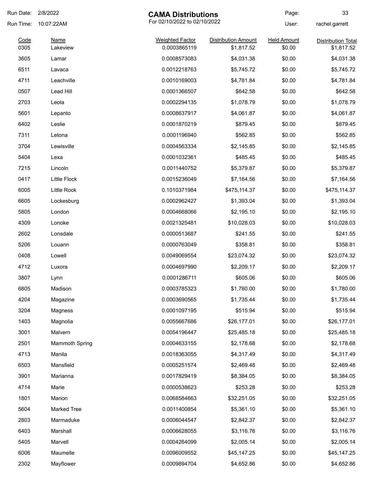| Run Date:    | 2/8/2022                | <b>CAMA Distributions</b>              |                                          | Page:                        | 33                                      |
|--------------|-------------------------|----------------------------------------|------------------------------------------|------------------------------|-----------------------------------------|
| Run Time:    | 10:07:22AM              | For 02/10/2022 to 02/10/2022           |                                          | User:                        | rachel.garrett                          |
| Code<br>0305 | <b>Name</b><br>Lakeview | <b>Weighted Factor</b><br>0.0003865119 | <b>Distribution Amount</b><br>\$1,817.52 | <b>Held Amount</b><br>\$0.00 | <b>Distribution Total</b><br>\$1,817.52 |
| 3605         | Lamar                   | 0.0008573083                           | \$4,031.38                               | \$0.00                       | \$4,031.38                              |
| 6511         | Lavaca                  | 0.0012218763                           | \$5,745.72                               | \$0.00                       | \$5,745.72                              |
| 4711         | Leachville              | 0.0010169003                           | \$4,781.84                               | \$0.00                       | \$4,781.84                              |
| 0507         | Lead Hill               | 0.0001366507                           | \$642.58                                 | \$0.00                       | \$642.58                                |
| 2703         | Leola                   | 0.0002294135                           | \$1,078.79                               | \$0.00                       | \$1,078.79                              |
| 5601         | Lepanto                 | 0.0008637917                           | \$4,061.87                               | \$0.00                       | \$4,061.87                              |
| 6402         | Leslie                  | 0.0001870219                           | \$879.45                                 | \$0.00                       | \$879.45                                |
| 7311         | Letona                  | 0.0001196940                           | \$562.85                                 | \$0.00                       | \$562.85                                |
| 3704         | Lewisville              | 0.0004563334                           | \$2,145.85                               | \$0.00                       | \$2,145.85                              |
| 5404         | Lexa                    | 0.0001032361                           | \$485.45                                 | \$0.00                       | \$485.45                                |
| 7215         | Lincoln                 | 0.0011440752                           | \$5,379.87                               | \$0.00                       | \$5,379.87                              |
| 0417         | <b>Little Flock</b>     | 0.0015236049                           | \$7,164.56                               | \$0.00                       | \$7,164.56                              |
| 6005         | Little Rock             | 0.1010371984                           | \$475,114.37                             | \$0.00                       | \$475,114.37                            |
| 6605         | Lockesburg              | 0.0002962427                           | \$1,393.04                               | \$0.00                       | \$1,393.04                              |
| 5805         | London                  | 0.0004668066                           | \$2,195.10                               | \$0.00                       | \$2,195.10                              |
| 4309         | Lonoke                  | 0.0021325481                           | \$10,028.03                              | \$0.00                       | \$10,028.03                             |
| 2602         | Lonsdale                | 0.0000513687                           | \$241.55                                 | \$0.00                       | \$241.55                                |
| 5206         | Louann                  | 0.0000763049                           | \$358.81                                 | \$0.00                       | \$358.81                                |
| 0408         | Lowell                  | 0.0049069554                           | \$23,074.32                              | \$0.00                       | \$23,074.32                             |
| 4712         | Luxora                  | 0.0004697990                           | \$2,209.17                               | \$0.00                       | \$2,209.17                              |
| 3807         | Lynn                    | 0.0001286711                           | \$605.06                                 | \$0.00                       | \$605.06                                |
| 6805         | Madison                 | 0.0003785323                           | \$1,780.00                               | \$0.00                       | \$1,780.00                              |
| 4204         | Magazine                | 0.0003690565                           | \$1,735.44                               | \$0.00                       | \$1,735.44                              |
| 3204         | Magness                 | 0.0001097195                           | \$515.94                                 | \$0.00                       | \$515.94                                |
| 1403         | Magnolia                | 0.0055667686                           | \$26,177.01                              | \$0.00                       | \$26,177.01                             |
| 3001         | Malvern                 | 0.0054196447                           | \$25,485.18                              | \$0.00                       | \$25,485.18                             |
| 2501         | <b>Mammoth Spring</b>   | 0.0004633155                           | \$2,178.68                               | \$0.00                       | \$2,178.68                              |
| 4713         | Manila                  | 0.0018363055                           | \$4,317.49                               | \$0.00                       | \$4,317.49                              |
| 6503         | Mansfield               | 0.0005251574                           | \$2,469.48                               | \$0.00                       | \$2,469.48                              |
| 3901         | Marianna                | 0.0017829419                           | \$8,384.05                               | \$0.00                       | \$8,384.05                              |
| 4714         | Marie                   | 0.0000538623                           | \$253.28                                 | \$0.00                       | \$253.28                                |
| 1801         | Marion                  | 0.0068584663                           | \$32,251.05                              | \$0.00                       | \$32,251.05                             |
| 5604         | <b>Marked Tree</b>      | 0.0011400854                           | \$5,361.10                               | \$0.00                       | \$5,361.10                              |
| 2803         | Marmaduke               | 0.0006044547                           | \$2,842.37                               | \$0.00                       | \$2,842.37                              |
| 6403         | Marshall                | 0.0006628055                           | \$3,116.76                               | \$0.00                       | \$3,116.76                              |
| 5405         | Marvell                 | 0.0004264099                           | \$2,005.14                               | \$0.00                       | \$2,005.14                              |
| 6006         | Maumelle                | 0.0096009552                           | \$45,147.25                              | \$0.00                       | \$45,147.25                             |
| 2302         | Mayflower               | 0.0009894704                           | \$4,652.86                               | \$0.00                       | \$4,652.86                              |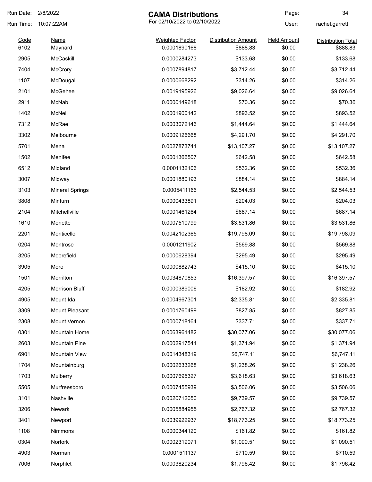| Run Date:    | 2/8/2022               | <b>CAMA Distributions</b>              |                                        | Page:                        | 34                                    |
|--------------|------------------------|----------------------------------------|----------------------------------------|------------------------------|---------------------------------------|
| Run Time:    | 10:07:22AM             | For 02/10/2022 to 02/10/2022           |                                        | User:                        | rachel.garrett                        |
| Code<br>6102 | <b>Name</b><br>Maynard | <b>Weighted Factor</b><br>0.0001890168 | <b>Distribution Amount</b><br>\$888.83 | <b>Held Amount</b><br>\$0.00 | <b>Distribution Total</b><br>\$888.83 |
| 2905         | McCaskill              | 0.0000284273                           | \$133.68                               | \$0.00                       | \$133.68                              |
| 7404         | <b>McCrory</b>         | 0.0007894817                           | \$3,712.44                             | \$0.00                       | \$3,712.44                            |
| 1107         | McDougal               | 0.0000668292                           | \$314.26                               | \$0.00                       | \$314.26                              |
| 2101         | McGehee                | 0.0019195926                           | \$9,026.64                             | \$0.00                       | \$9,026.64                            |
| 2911         | McNab                  | 0.0000149618                           | \$70.36                                | \$0.00                       | \$70.36                               |
| 1402         | McNeil                 | 0.0001900142                           | \$893.52                               | \$0.00                       | \$893.52                              |
| 7312         | McRae                  | 0.0003072146                           | \$1,444.64                             | \$0.00                       | \$1,444.64                            |
| 3302         | Melbourne              | 0.0009126668                           | \$4,291.70                             | \$0.00                       | \$4,291.70                            |
| 5701         | Mena                   | 0.0027873741                           | \$13,107.27                            | \$0.00                       | \$13,107.27                           |
| 1502         | Menifee                | 0.0001366507                           | \$642.58                               | \$0.00                       | \$642.58                              |
| 6512         | Midland                | 0.0001132106                           | \$532.36                               | \$0.00                       | \$532.36                              |
| 3007         | Midway                 | 0.0001880193                           | \$884.14                               | \$0.00                       | \$884.14                              |
| 3103         | <b>Mineral Springs</b> | 0.0005411166                           | \$2,544.53                             | \$0.00                       | \$2,544.53                            |
| 3808         | Minturn                | 0.0000433891                           | \$204.03                               | \$0.00                       | \$204.03                              |
| 2104         | Mitchellville          | 0.0001461264                           | \$687.14                               | \$0.00                       | \$687.14                              |
| 1610         | Monette                | 0.0007510799                           | \$3,531.86                             | \$0.00                       | \$3,531.86                            |
| 2201         | Monticello             | 0.0042102365                           | \$19,798.09                            | \$0.00                       | \$19,798.09                           |
| 0204         | Montrose               | 0.0001211902                           | \$569.88                               | \$0.00                       | \$569.88                              |
| 3205         | Moorefield             | 0.0000628394                           | \$295.49                               | \$0.00                       | \$295.49                              |
| 3905         | Moro                   | 0.0000882743                           | \$415.10                               | \$0.00                       | \$415.10                              |
| 1501         | Morrilton              | 0.0034870853                           | \$16,397.57                            | \$0.00                       | \$16,397.57                           |
| 4205         | Morrison Bluff         | 0.0000389006                           | \$182.92                               | \$0.00                       | \$182.92                              |
| 4905         | Mount Ida              | 0.0004967301                           | \$2,335.81                             | \$0.00                       | \$2,335.81                            |
| 3309         | Mount Pleasant         | 0.0001760499                           | \$827.85                               | \$0.00                       | \$827.85                              |
| 2308         | Mount Vernon           | 0.0000718164                           | \$337.71                               | \$0.00                       | \$337.71                              |
| 0301         | Mountain Home          | 0.0063961482                           | \$30,077.06                            | \$0.00                       | \$30,077.06                           |
| 2603         | <b>Mountain Pine</b>   | 0.0002917541                           | \$1,371.94                             | \$0.00                       | \$1,371.94                            |
| 6901         | Mountain View          | 0.0014348319                           | \$6,747.11                             | \$0.00                       | \$6,747.11                            |
| 1704         | Mountainburg           | 0.0002633268                           | \$1,238.26                             | \$0.00                       | \$1,238.26                            |
| 1703         | Mulberry               | 0.0007695327                           | \$3,618.63                             | \$0.00                       | \$3,618.63                            |
| 5505         | Murfreesboro           | 0.0007455939                           | \$3,506.06                             | \$0.00                       | \$3,506.06                            |
| 3101         | Nashville              | 0.0020712050                           | \$9,739.57                             | \$0.00                       | \$9,739.57                            |
| 3206         | <b>Newark</b>          | 0.0005884955                           | \$2,767.32                             | \$0.00                       | \$2,767.32                            |
| 3401         | Newport                | 0.0039922937                           | \$18,773.25                            | \$0.00                       | \$18,773.25                           |
| 1108         | <b>Nimmons</b>         | 0.0000344120                           | \$161.82                               | \$0.00                       | \$161.82                              |
| 0304         | Norfork                | 0.0002319071                           | \$1,090.51                             | \$0.00                       | \$1,090.51                            |
| 4903         | Norman                 | 0.0001511137                           | \$710.59                               | \$0.00                       | \$710.59                              |
| 7006         | Norphlet               | 0.0003820234                           | \$1,796.42                             | \$0.00                       | \$1,796.42                            |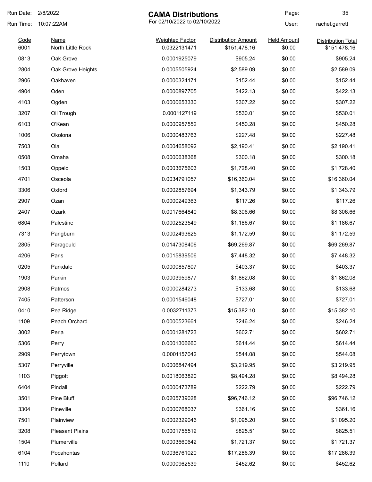| Run Date:    | 2/8/2022                         | <b>CAMA Distributions</b>              |                                            | Page:                        | 35                                        |
|--------------|----------------------------------|----------------------------------------|--------------------------------------------|------------------------------|-------------------------------------------|
| Run Time:    | 10:07:22AM                       | For 02/10/2022 to 02/10/2022           |                                            | User:                        | rachel.garrett                            |
| Code<br>6001 | <b>Name</b><br>North Little Rock | <b>Weighted Factor</b><br>0.0322131471 | <b>Distribution Amount</b><br>\$151,478.16 | <b>Held Amount</b><br>\$0.00 | <b>Distribution Total</b><br>\$151,478.16 |
| 0813         | Oak Grove                        | 0.0001925079                           | \$905.24                                   | \$0.00                       | \$905.24                                  |
| 2804         | Oak Grove Heights                | 0.0005505924                           | \$2,589.09                                 | \$0.00                       | \$2,589.09                                |
| 2906         | Oakhaven                         | 0.0000324171                           | \$152.44                                   | \$0.00                       | \$152.44                                  |
| 4904         | Oden                             | 0.0000897705                           | \$422.13                                   | \$0.00                       | \$422.13                                  |
| 4103         | Ogden                            | 0.0000653330                           | \$307.22                                   | \$0.00                       | \$307.22                                  |
| 3207         | Oil Trough                       | 0.0001127119                           | \$530.01                                   | \$0.00                       | \$530.01                                  |
| 6103         | O'Kean                           | 0.0000957552                           | \$450.28                                   | \$0.00                       | \$450.28                                  |
| 1006         | Okolona                          | 0.0000483763                           | \$227.48                                   | \$0.00                       | \$227.48                                  |
| 7503         | Ola                              | 0.0004658092                           | \$2,190.41                                 | \$0.00                       | \$2,190.41                                |
| 0508         | Omaha                            | 0.0000638368                           | \$300.18                                   | \$0.00                       | \$300.18                                  |
| 1503         | Oppelo                           | 0.0003675603                           | \$1,728.40                                 | \$0.00                       | \$1,728.40                                |
| 4701         | Osceola                          | 0.0034791057                           | \$16,360.04                                | \$0.00                       | \$16,360.04                               |
| 3306         | Oxford                           | 0.0002857694                           | \$1,343.79                                 | \$0.00                       | \$1,343.79                                |
| 2907         | Ozan                             | 0.0000249363                           | \$117.26                                   | \$0.00                       | \$117.26                                  |
| 2407         | Ozark                            | 0.0017664840                           | \$8,306.66                                 | \$0.00                       | \$8,306.66                                |
| 6804         | Palestine                        | 0.0002523549                           | \$1,186.67                                 | \$0.00                       | \$1,186.67                                |
| 7313         | Pangburn                         | 0.0002493625                           | \$1,172.59                                 | \$0.00                       | \$1,172.59                                |
| 2805         | Paragould                        | 0.0147308406                           | \$69,269.87                                | \$0.00                       | \$69,269.87                               |
| 4206         | Paris                            | 0.0015839506                           | \$7,448.32                                 | \$0.00                       | \$7,448.32                                |
| 0205         | Parkdale                         | 0.0000857807                           | \$403.37                                   | \$0.00                       | \$403.37                                  |
| 1903         | Parkin                           | 0.0003959877                           | \$1,862.08                                 | \$0.00                       | \$1,862.08                                |
| 2908         | Patmos                           | 0.0000284273                           | \$133.68                                   | \$0.00                       | \$133.68                                  |
| 7405         | Patterson                        | 0.0001546048                           | \$727.01                                   | \$0.00                       | \$727.01                                  |
| 0410         | Pea Ridge                        | 0.0032711373                           | \$15,382.10                                | \$0.00                       | \$15,382.10                               |
| 1109         | Peach Orchard                    | 0.0000523661                           | \$246.24                                   | \$0.00                       | \$246.24                                  |
| 3002         | Perla                            | 0.0001281723                           | \$602.71                                   | \$0.00                       | \$602.71                                  |
| 5306         | Perry                            | 0.0001306660                           | \$614.44                                   | \$0.00                       | \$614.44                                  |
| 2909         | Perrytown                        | 0.0001157042                           | \$544.08                                   | \$0.00                       | \$544.08                                  |
| 5307         | Perryville                       | 0.0006847494                           | \$3,219.95                                 | \$0.00                       | \$3,219.95                                |
| 1103         | Piggott                          | 0.0018063820                           | \$8,494.28                                 | \$0.00                       | \$8,494.28                                |
| 6404         | Pindall                          | 0.0000473789                           | \$222.79                                   | \$0.00                       | \$222.79                                  |
| 3501         | Pine Bluff                       | 0.0205739028                           | \$96,746.12                                | \$0.00                       | \$96,746.12                               |
| 3304         | Pineville                        | 0.0000768037                           | \$361.16                                   | \$0.00                       | \$361.16                                  |
| 7501         | Plainview                        | 0.0002329046                           | \$1,095.20                                 | \$0.00                       | \$1,095.20                                |
| 3208         | <b>Pleasant Plains</b>           | 0.0001755512                           | \$825.51                                   | \$0.00                       | \$825.51                                  |
| 1504         | Plumerville                      | 0.0003660642                           | \$1,721.37                                 | \$0.00                       | \$1,721.37                                |
| 6104         | Pocahontas                       | 0.0036761020                           | \$17,286.39                                | \$0.00                       | \$17,286.39                               |
| 1110         | Pollard                          | 0.0000962539                           | \$452.62                                   | \$0.00                       | \$452.62                                  |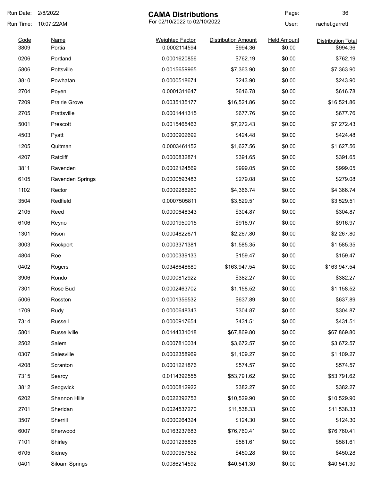| Run Date: | 2/8/2022             | <b>CAMA Distributions</b>    |                            | Page:              | 36                        |
|-----------|----------------------|------------------------------|----------------------------|--------------------|---------------------------|
| Run Time: | 10:07:22AM           | For 02/10/2022 to 02/10/2022 |                            | User:              | rachel.garrett            |
| Code      | Name                 | <b>Weighted Factor</b>       | <b>Distribution Amount</b> | <b>Held Amount</b> | <b>Distribution Total</b> |
| 3809      | Portia               | 0.0002114594                 | \$994.36                   | \$0.00             | \$994.36                  |
| 0206      | Portland             | 0.0001620856                 | \$762.19                   | \$0.00             | \$762.19                  |
| 5806      | Pottsville           | 0.0015659965                 | \$7,363.90                 | \$0.00             | \$7,363.90                |
| 3810      | Powhatan             | 0.0000518674                 | \$243.90                   | \$0.00             | \$243.90                  |
| 2704      | Poyen                | 0.0001311647                 | \$616.78                   | \$0.00             | \$616.78                  |
| 7209      | <b>Prairie Grove</b> | 0.0035135177                 | \$16,521.86                | \$0.00             | \$16,521.86               |
| 2705      | Prattsville          | 0.0001441315                 | \$677.76                   | \$0.00             | \$677.76                  |
| 5001      | Prescott             | 0.0015465463                 | \$7,272.43                 | \$0.00             | \$7,272.43                |
| 4503      | Pyatt                | 0.0000902692                 | \$424.48                   | \$0.00             | \$424.48                  |
| 1205      | Quitman              | 0.0003461152                 | \$1,627.56                 | \$0.00             | \$1,627.56                |
| 4207      | Ratcliff             | 0.0000832871                 | \$391.65                   | \$0.00             | \$391.65                  |
| 3811      | Ravenden             | 0.0002124569                 | \$999.05                   | \$0.00             | \$999.05                  |
| 6105      | Ravenden Springs     | 0.0000593483                 | \$279.08                   | \$0.00             | \$279.08                  |
| 1102      | Rector               | 0.0009286260                 | \$4,366.74                 | \$0.00             | \$4,366.74                |
| 3504      | Redfield             | 0.0007505811                 | \$3,529.51                 | \$0.00             | \$3,529.51                |
| 2105      | Reed                 | 0.0000648343                 | \$304.87                   | \$0.00             | \$304.87                  |
| 6106      | Reyno                | 0.0001950015                 | \$916.97                   | \$0.00             | \$916.97                  |
| 1301      | Rison                | 0.0004822671                 | \$2,267.80                 | \$0.00             | \$2,267.80                |
| 3003      | Rockport             | 0.0003371381                 | \$1,585.35                 | \$0.00             | \$1,585.35                |
| 4804      | Roe                  | 0.0000339133                 | \$159.47                   | \$0.00             | \$159.47                  |
| 0402      | Rogers               | 0.0348648680                 | \$163,947.54               | \$0.00             | \$163,947.54              |
| 3906      | Rondo                | 0.0000812922                 | \$382.27                   | \$0.00             | \$382.27                  |
| 7301      | Rose Bud             | 0.0002463702                 | \$1,158.52                 | \$0.00             | \$1,158.52                |
| 5006      | Rosston              | 0.0001356532                 | \$637.89                   | \$0.00             | \$637.89                  |
| 1709      | Rudy                 | 0.0000648343                 | \$304.87                   | \$0.00             | \$304.87                  |
| 7314      | Russell              | 0.0000917654                 | \$431.51                   | \$0.00             | \$431.51                  |
| 5801      | Russellville         | 0.0144331018                 | \$67,869.80                | \$0.00             | \$67,869.80               |
| 2502      | Salem                | 0.0007810034                 | \$3,672.57                 | \$0.00             | \$3,672.57                |
| 0307      | Salesville           | 0.0002358969                 | \$1,109.27                 | \$0.00             | \$1,109.27                |
| 4208      | Scranton             | 0.0001221876                 | \$574.57                   | \$0.00             | \$574.57                  |
| 7315      | Searcy               | 0.0114392555                 | \$53,791.62                | \$0.00             | \$53,791.62               |
| 3812      | Sedgwick             | 0.0000812922                 | \$382.27                   | \$0.00             | \$382.27                  |
| 6202      | Shannon Hills        | 0.0022392753                 | \$10,529.90                | \$0.00             | \$10,529.90               |
| 2701      | Sheridan             | 0.0024537270                 | \$11,538.33                | \$0.00             | \$11,538.33               |
|           |                      |                              |                            |                    |                           |
| 3507      | Sherrill             | 0.0000264324                 | \$124.30                   | \$0.00             | \$124.30                  |
| 6007      | Sherwood             | 0.0163237683                 | \$76,760.41                | \$0.00             | \$76,760.41               |
| 7101      | Shirley              | 0.0001236838                 | \$581.61                   | \$0.00             | \$581.61                  |
| 6705      | Sidney               | 0.0000957552                 | \$450.28                   | \$0.00             | \$450.28                  |
| 0401      | Siloam Springs       | 0.0086214592                 | \$40,541.30                | \$0.00             | \$40,541.30               |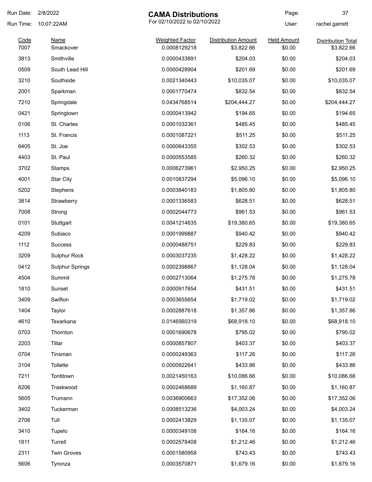| Run Date:    | 2/8/2022               | <b>CAMA Distributions</b>              |                                          | Page:                        | 37                                      |
|--------------|------------------------|----------------------------------------|------------------------------------------|------------------------------|-----------------------------------------|
| Run Time:    | 10:07:22AM             | For 02/10/2022 to 02/10/2022           |                                          | User:                        | rachel.garrett                          |
| Code<br>7007 | Name<br>Smackover      | <b>Weighted Factor</b><br>0.0008129218 | <b>Distribution Amount</b><br>\$3,822.66 | <b>Held Amount</b><br>\$0.00 | <b>Distribution Total</b><br>\$3,822.66 |
| 3813         | Smithville             | 0.0000433891                           | \$204.03                                 | \$0.00                       | \$204.03                                |
|              | South Lead Hill        |                                        |                                          |                              |                                         |
| 0509         |                        | 0.0000428904                           | \$201.69                                 | \$0.00                       | \$201.69                                |
| 3210         | Southside              | 0.0021340443                           | \$10,035.07                              | \$0.00                       | \$10,035.07                             |
| 2001         | Sparkman               | 0.0001770474                           | \$832.54                                 | \$0.00                       | \$832.54                                |
| 7210         | Springdale             | 0.0434768514                           | \$204,444.27                             | \$0.00                       | \$204,444.27                            |
| 0421         | Springtown             | 0.0000413942                           | \$194.65                                 | \$0.00                       | \$194.65                                |
| 0106         | St. Charles            | 0.0001032361                           | \$485.45                                 | \$0.00                       | \$485.45                                |
| 1113         | St. Francis            | 0.0001087221                           | \$511.25                                 | \$0.00                       | \$511.25                                |
| 6405         | St. Joe                | 0.0000643355                           | \$302.53                                 | \$0.00                       | \$302.53                                |
| 4403         | St. Paul               | 0.0000553585                           | \$260.32                                 | \$0.00                       | \$260.32                                |
| 3702         | Stamps                 | 0.0006273961                           | \$2,950.25                               | \$0.00                       | \$2,950.25                              |
| 4001         | <b>Star City</b>       | 0.0010837294                           | \$5,096.10                               | \$0.00                       | \$5,096.10                              |
| 5202         | Stephens               | 0.0003840183                           | \$1,805.80                               | \$0.00                       | \$1,805.80                              |
| 3814         | Strawberry             | 0.0001336583                           | \$628.51                                 | \$0.00                       | \$628.51                                |
| 7008         | Strong                 | 0.0002044773                           | \$961.53                                 | \$0.00                       | \$961.53                                |
| 0101         | Stuttgart              | 0.0041214635                           | \$19,380.65                              | \$0.00                       | \$19,380.65                             |
| 4209         | Subiaco                | 0.0001999887                           | \$940.42                                 | \$0.00                       | \$940.42                                |
| 1112         | <b>Success</b>         | 0.0000488751                           | \$229.83                                 | \$0.00                       | \$229.83                                |
| 3209         | Sulphur Rock           | 0.0003037235                           | \$1,428.22                               | \$0.00                       | \$1,428.22                              |
| 0412         | <b>Sulphur Springs</b> | 0.0002398867                           | \$1,128.04                               | \$0.00                       | \$1,128.04                              |
| 4504         | Summit                 | 0.0002713064                           | \$1,275.78                               | \$0.00                       | \$1,275.78                              |
| 1810         | Sunset                 | 0.0000917654                           | \$431.51                                 | \$0.00                       | \$431.51                                |
| 3409         | Swifton                | 0.0003655654                           | \$1,719.02                               | \$0.00                       | \$1,719.02                              |
| 1404         | Taylor                 | 0.0002887618                           | \$1,357.86                               | \$0.00                       | \$1,357.86                              |
| 4610         | Texarkana              | 0.0146560319                           | \$68,918.10                              | \$0.00                       | \$68,918.10                             |
| 0703         | Thornton               | 0.0001690678                           | \$795.02                                 | \$0.00                       | \$795.02                                |
| 2203         | Tillar                 | 0.0000857807                           | \$403.37                                 | \$0.00                       | \$403.37                                |
| 0704         | Tinsman                | 0.0000249363                           | \$117.26                                 | \$0.00                       | \$117.26                                |
| 3104         | Tollette               | 0.0000922641                           | \$433.86                                 | \$0.00                       | \$433.86                                |
| 7211         | Tontitown              | 0.0021450163                           | \$10,086.66                              | \$0.00                       | \$10,086.66                             |
| 6206         | Traskwood              | 0.0002468689                           | \$1,160.87                               | \$0.00                       | \$1,160.87                              |
| 5605         | Trumann                | 0.0036900663                           | \$17,352.06                              | \$0.00                       | \$17,352.06                             |
| 3402         | Tuckerman              | 0.0008513236                           | \$4,003.24                               | \$0.00                       | \$4,003.24                              |
| 2706         | Tull                   | 0.0002413829                           | \$1,135.07                               | \$0.00                       | \$1,135.07                              |
| 3410         | Tupelo                 | 0.0000349108                           | \$164.16                                 | \$0.00                       | \$164.16                                |
| 1811         | Turrell                | 0.0002578408                           | \$1,212.46                               | \$0.00                       | \$1,212.46                              |
| 2311         | <b>Twin Groves</b>     | 0.0001580958                           | \$743.43                                 | \$0.00                       | \$743.43                                |
| 5606         | Tyronza                | 0.0003570871                           | \$1,679.16                               | \$0.00                       | \$1,679.16                              |
|              |                        |                                        |                                          |                              |                                         |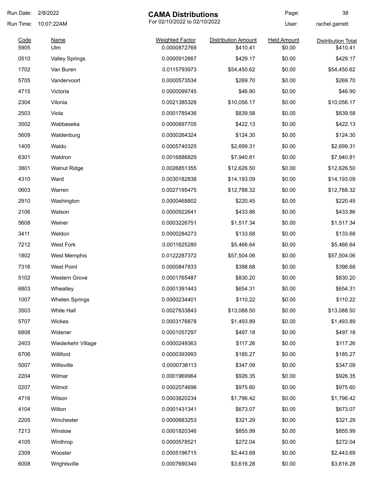| Run Date:    | 2/8/2022              | <b>CAMA Distributions</b>              |                                        | Page:                        | 38                                    |
|--------------|-----------------------|----------------------------------------|----------------------------------------|------------------------------|---------------------------------------|
| Run Time:    | 10:07:22AM            | For 02/10/2022 to 02/10/2022           |                                        | User:                        | rachel.garrett                        |
| Code<br>5905 | <b>Name</b><br>Ulm    | <b>Weighted Factor</b><br>0.0000872769 | <b>Distribution Amount</b><br>\$410.41 | <b>Held Amount</b><br>\$0.00 | <b>Distribution Total</b><br>\$410.41 |
| 0510         | <b>Valley Springs</b> | 0.0000912667                           | \$429.17                               | \$0.00                       | \$429.17                              |
| 1702         | Van Buren             | 0.0115793973                           | \$54,450.62                            | \$0.00                       | \$54,450.62                           |
| 5705         | Vandervoort           | 0.0000573534                           | \$269.70                               | \$0.00                       | \$269.70                              |
| 4715         | Victoria              | 0.0000099745                           | \$46.90                                | \$0.00                       | \$46.90                               |
| 2304         | Vilonia               | 0.0021385328                           | \$10,056.17                            | \$0.00                       | \$10,056.17                           |
| 2503         | Viola                 | 0.0001785436                           | \$839.58                               | \$0.00                       | \$839.58                              |
| 3502         | Wabbaseka             | 0.0000897705                           | \$422.13                               | \$0.00                       | \$422.13                              |
| 5609         | Waldenburg            | 0.0000264324                           | \$124.30                               | \$0.00                       | \$124.30                              |
| 1405         | Waldo                 | 0.0005740325                           | \$2,699.31                             | \$0.00                       | \$2,699.31                            |
| 6301         | Waldron               | 0.0016886829                           | \$7,940.81                             | \$0.00                       | \$7,940.81                            |
| 3801         | <b>Walnut Ridge</b>   | 0.0026851355                           | \$12,626.50                            | \$0.00                       | \$12,626.50                           |
| 4310         | Ward                  | 0.0030182838                           | \$14,193.09                            | \$0.00                       | \$14,193.09                           |
| 0603         | Warren                | 0.0027195475                           | \$12,788.32                            | \$0.00                       | \$12,788.32                           |
| 2910         | Washington            | 0.0000468802                           | \$220.45                               | \$0.00                       | \$220.45                              |
| 2106         | Watson                | 0.0000922641                           | \$433.86                               | \$0.00                       | \$433.86                              |
| 5608         | Weiner                | 0.0003226751                           | \$1,517.34                             | \$0.00                       | \$1,517.34                            |
| 3411         | Weldon                | 0.0000284273                           | \$133.68                               | \$0.00                       | \$133.68                              |
| 7212         | <b>West Fork</b>      | 0.0011625280                           | \$5,466.64                             | \$0.00                       | \$5,466.64                            |
| 1802         | West Memphis          | 0.0122287372                           | \$57,504.06                            | \$0.00                       | \$57,504.06                           |
| 7316         | <b>West Point</b>     | 0.0000847833                           | \$398.68                               | \$0.00                       | \$398.68                              |
| 5102         | <b>Western Grove</b>  | 0.0001765487                           | \$830.20                               | \$0.00                       | \$830.20                              |
| 6803         | Wheatley              | 0.0001391443                           | \$654.31                               | \$0.00                       | \$654.31                              |
| 1007         | <b>Whelen Springs</b> | 0.0000234401                           | \$110.22                               | \$0.00                       | \$110.22                              |
| 3503         | White Hall            | 0.0027833843                           | \$13,088.50                            | \$0.00                       | \$13,088.50                           |
| 5707         | Wickes                | 0.0003176878                           | \$1,493.89                             | \$0.00                       | \$1,493.89                            |
| 6808         | Widener               | 0.0001057297                           | \$497.18                               | \$0.00                       | \$497.18                              |
| 2403         | Wiederkehr Village    | 0.0000249363                           | \$117.26                               | \$0.00                       | \$117.26                              |
| 6706         | Williford             | 0.0000393993                           | \$185.27                               | \$0.00                       | \$185.27                              |
| 5007         | Willisville           | 0.0000738113                           | \$347.09                               | \$0.00                       | \$347.09                              |
| 2204         | Wilmar                | 0.0001969964                           | \$926.35                               | \$0.00                       | \$926.35                              |
| 0207         | Wilmot                | 0.0002074696                           | \$975.60                               | \$0.00                       | \$975.60                              |
| 4716         | Wilson                | 0.0003820234                           | \$1,796.42                             | \$0.00                       | \$1,796.42                            |
| 4104         | Wilton                | 0.0001431341                           | \$673.07                               | \$0.00                       | \$673.07                              |
| 2205         | Winchester            | 0.0000683253                           | \$321.29                               | \$0.00                       | \$321.29                              |
| 7213         | Winslow               | 0.0001820346                           | \$855.99                               | \$0.00                       | \$855.99                              |
| 4105         | Winthrop              | 0.0000578521                           | \$272.04                               | \$0.00                       | \$272.04                              |
| 2309         | Wooster               | 0.0005196715                           | \$2,443.69                             | \$0.00                       | \$2,443.69                            |
| 6008         | Wrightsville          | 0.0007690340                           | \$3,616.28                             | \$0.00                       | \$3,616.28                            |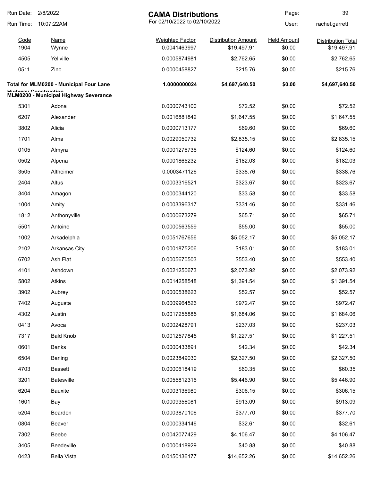| Run Date:    | 2/8/2022                                                       | <b>CAMA Distributions</b>              |                                           | Page:                        | 39                                       |
|--------------|----------------------------------------------------------------|----------------------------------------|-------------------------------------------|------------------------------|------------------------------------------|
| Run Time:    | 10:07:22AM                                                     | For 02/10/2022 to 02/10/2022           |                                           | User:                        | rachel.garrett                           |
| Code<br>1904 | Name<br>Wynne                                                  | <b>Weighted Factor</b><br>0.0041463997 | <b>Distribution Amount</b><br>\$19,497.91 | <b>Held Amount</b><br>\$0.00 | <b>Distribution Total</b><br>\$19,497.91 |
| 4505         | Yellville                                                      | 0.0005874981                           | \$2,762.65                                | \$0.00                       | \$2,762.65                               |
| 0511         | Zinc                                                           | 0.0000458827                           | \$215.76                                  | \$0.00                       | \$215.76                                 |
|              | Total for MLM0200 - Municipal Four Lane                        | 1.0000000024                           | \$4,697,640.50                            | \$0.00                       | \$4,697,640.50                           |
|              | Llinhway Canatruatian<br>MLM0200 - Municipal Highway Severance |                                        |                                           |                              |                                          |
| 5301         | Adona                                                          | 0.0000743100                           | \$72.52                                   | \$0.00                       | \$72.52                                  |
| 6207         | Alexander                                                      | 0.0016881842                           | \$1,647.55                                | \$0.00                       | \$1,647.55                               |
| 3802         | Alicia                                                         | 0.0000713177                           | \$69.60                                   | \$0.00                       | \$69.60                                  |
| 1701         | Alma                                                           | 0.0029050732                           | \$2,835.15                                | \$0.00                       | \$2,835.15                               |
| 0105         | Almyra                                                         | 0.0001276736                           | \$124.60                                  | \$0.00                       | \$124.60                                 |
| 0502         | Alpena                                                         | 0.0001865232                           | \$182.03                                  | \$0.00                       | \$182.03                                 |
| 3505         | Altheimer                                                      | 0.0003471126                           | \$338.76                                  | \$0.00                       | \$338.76                                 |
| 2404         | Altus                                                          | 0.0003316521                           | \$323.67                                  | \$0.00                       | \$323.67                                 |
| 3404         | Amagon                                                         | 0.0000344120                           | \$33.58                                   | \$0.00                       | \$33.58                                  |
| 1004         | Amity                                                          | 0.0003396317                           | \$331.46                                  | \$0.00                       | \$331.46                                 |
| 1812         | Anthonyville                                                   | 0.0000673279                           | \$65.71                                   | \$0.00                       | \$65.71                                  |
| 5501         | Antoine                                                        | 0.0000563559                           | \$55.00                                   | \$0.00                       | \$55.00                                  |
| 1002         | Arkadelphia                                                    | 0.0051767656                           | \$5,052.17                                | \$0.00                       | \$5,052.17                               |
| 2102         | <b>Arkansas City</b>                                           | 0.0001875206                           | \$183.01                                  | \$0.00                       | \$183.01                                 |
| 6702         | Ash Flat                                                       | 0.0005670503                           | \$553.40                                  | \$0.00                       | \$553.40                                 |
| 4101         | Ashdown                                                        | 0.0021250673                           | \$2,073.92                                | \$0.00                       | \$2,073.92                               |
| 5802         | Atkins                                                         | 0.0014258548                           | \$1,391.54                                | \$0.00                       | \$1,391.54                               |
| 3902         | Aubrey                                                         | 0.0000538623                           | \$52.57                                   | \$0.00                       | \$52.57                                  |
| 7402         | Augusta                                                        | 0.0009964526                           | \$972.47                                  | \$0.00                       | \$972.47                                 |
| 4302         | Austin                                                         | 0.0017255885                           | \$1,684.06                                | \$0.00                       | \$1,684.06                               |
| 0413         | Avoca                                                          | 0.0002428791                           | \$237.03                                  | \$0.00                       | \$237.03                                 |
| 7317         | <b>Bald Knob</b>                                               | 0.0012577845                           | \$1,227.51                                | \$0.00                       | \$1,227.51                               |
| 0601         | <b>Banks</b>                                                   | 0.0000433891                           | \$42.34                                   | \$0.00                       | \$42.34                                  |
| 6504         | <b>Barling</b>                                                 | 0.0023849030                           | \$2,327.50                                | \$0.00                       | \$2,327.50                               |
| 4703         | <b>Bassett</b>                                                 | 0.0000618419                           | \$60.35                                   | \$0.00                       | \$60.35                                  |
| 3201         | <b>Batesville</b>                                              | 0.0055812316                           | \$5,446.90                                | \$0.00                       | \$5,446.90                               |
| 6204         | <b>Bauxite</b>                                                 | 0.0003136980                           | \$306.15                                  | \$0.00                       | \$306.15                                 |
| 1601         | Bay                                                            | 0.0009356081                           | \$913.09                                  | \$0.00                       | \$913.09                                 |
| 5204         | Bearden                                                        | 0.0003870106                           | \$377.70                                  | \$0.00                       | \$377.70                                 |
| 0804         | Beaver                                                         | 0.0000334146                           | \$32.61                                   | \$0.00                       | \$32.61                                  |
| 7302         | Beebe                                                          | 0.0042077429                           | \$4,106.47                                | \$0.00                       | \$4,106.47                               |
| 3405         | Beedeville                                                     | 0.0000418929                           | \$40.88                                   | \$0.00                       | \$40.88                                  |
| 0423         | <b>Bella Vista</b>                                             | 0.0150136177                           | \$14,652.26                               | \$0.00                       | \$14,652.26                              |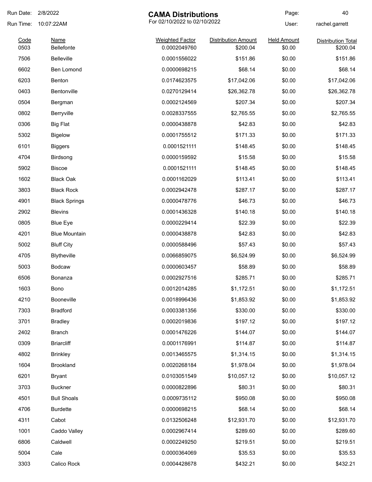| Run Date:    | 2/8/2022                  | <b>CAMA Distributions</b>              |                                        | Page:                        | 40                                    |
|--------------|---------------------------|----------------------------------------|----------------------------------------|------------------------------|---------------------------------------|
| Run Time:    | 10:07:22AM                |                                        | For 02/10/2022 to 02/10/2022           |                              | rachel.garrett                        |
| Code<br>0503 | <b>Name</b><br>Bellefonte | <b>Weighted Factor</b><br>0.0002049760 | <b>Distribution Amount</b><br>\$200.04 | <b>Held Amount</b><br>\$0.00 | <b>Distribution Total</b><br>\$200.04 |
| 7506         | <b>Belleville</b>         | 0.0001556022                           | \$151.86                               | \$0.00                       | \$151.86                              |
| 6602         | <b>Ben Lomond</b>         | 0.0000698215                           | \$68.14                                | \$0.00                       | \$68.14                               |
| 6203         | Benton                    | 0.0174623575                           | \$17,042.06                            | \$0.00                       | \$17,042.06                           |
| 0403         | Bentonville               | 0.0270129414                           | \$26,362.78                            | \$0.00                       | \$26,362.78                           |
| 0504         |                           | 0.0002124569                           | \$207.34                               | \$0.00                       | \$207.34                              |
|              | Bergman                   | 0.0028337555                           |                                        | \$0.00                       | \$2,765.55                            |
| 0802         | Berryville                |                                        | \$2,765.55                             |                              |                                       |
| 0306         | <b>Big Flat</b>           | 0.0000438878                           | \$42.83                                | \$0.00                       | \$42.83                               |
| 5302         | <b>Bigelow</b>            | 0.0001755512                           | \$171.33                               | \$0.00                       | \$171.33                              |
| 6101         | <b>Biggers</b>            | 0.0001521111                           | \$148.45                               | \$0.00                       | \$148.45                              |
| 4704         | Birdsong                  | 0.0000159592                           | \$15.58                                | \$0.00                       | \$15.58                               |
| 5902         | <b>Biscoe</b>             | 0.0001521111                           | \$148.45                               | \$0.00                       | \$148.45                              |
| 1602         | <b>Black Oak</b>          | 0.0001162029                           | \$113.41                               | \$0.00                       | \$113.41                              |
| 3803         | <b>Black Rock</b>         | 0.0002942478                           | \$287.17                               | \$0.00                       | \$287.17                              |
| 4901         | <b>Black Springs</b>      | 0.0000478776                           | \$46.73                                | \$0.00                       | \$46.73                               |
| 2902         | <b>Blevins</b>            | 0.0001436328                           | \$140.18                               | \$0.00                       | \$140.18                              |
| 0805         | <b>Blue Eye</b>           | 0.0000229414                           | \$22.39                                | \$0.00                       | \$22.39                               |
| 4201         | <b>Blue Mountain</b>      | 0.0000438878                           | \$42.83                                | \$0.00                       | \$42.83                               |
| 5002         | <b>Bluff City</b>         | 0.0000588496                           | \$57.43                                | \$0.00                       | \$57.43                               |
| 4705         | Blytheville               | 0.0066859075                           | \$6,524.99                             | \$0.00                       | \$6,524.99                            |
| 5003         | <b>Bodcaw</b>             | 0.0000603457                           | \$58.89                                | \$0.00                       | \$58.89                               |
| 6506         | Bonanza                   | 0.0002927516                           | \$285.71                               | \$0.00                       | \$285.71                              |
| 1603         | Bono                      | 0.0012014285                           | \$1,172.51                             | \$0.00                       | \$1,172.51                            |
| 4210         | Booneville                | 0.0018996436                           | \$1,853.92                             | \$0.00                       | \$1,853.92                            |
| 7303         | <b>Bradford</b>           | 0.0003381356                           | \$330.00                               | \$0.00                       | \$330.00                              |
| 3701         | <b>Bradley</b>            | 0.0002019836                           | \$197.12                               | \$0.00                       | \$197.12                              |
| 2402         | <b>Branch</b>             | 0.0001476226                           | \$144.07                               | \$0.00                       | \$144.07                              |
| 0309         | <b>Briarcliff</b>         | 0.0001176991                           | \$114.87                               | \$0.00                       | \$114.87                              |
| 4802         | <b>Brinkley</b>           | 0.0013465575                           | \$1,314.15                             | \$0.00                       | \$1,314.15                            |
| 1604         | <b>Brookland</b>          | 0.0020268184                           | \$1,978.04                             | \$0.00                       | \$1,978.04                            |
| 6201         | <b>Bryant</b>             | 0.0103051549                           | \$10,057.12                            | \$0.00                       | \$10,057.12                           |
| 3703         | <b>Buckner</b>            | 0.0000822896                           | \$80.31                                | \$0.00                       | \$80.31                               |
| 4501         | <b>Bull Shoals</b>        | 0.0009735112                           | \$950.08                               | \$0.00                       | \$950.08                              |
| 4706         | <b>Burdette</b>           | 0.0000698215                           | \$68.14                                | \$0.00                       | \$68.14                               |
| 4311         | Cabot                     | 0.0132506248                           | \$12,931.70                            | \$0.00                       | \$12,931.70                           |
| 1001         | Caddo Valley              | 0.0002967414                           | \$289.60                               | \$0.00                       | \$289.60                              |
| 6806         | Caldwell                  | 0.0002249250                           | \$219.51                               | \$0.00                       | \$219.51                              |
| 5004         | Cale                      | 0.0000364069                           | \$35.53                                | \$0.00                       | \$35.53                               |
|              |                           |                                        |                                        |                              |                                       |
| 3303         | Calico Rock               | 0.0004428678                           | \$432.21                               | \$0.00                       | \$432.21                              |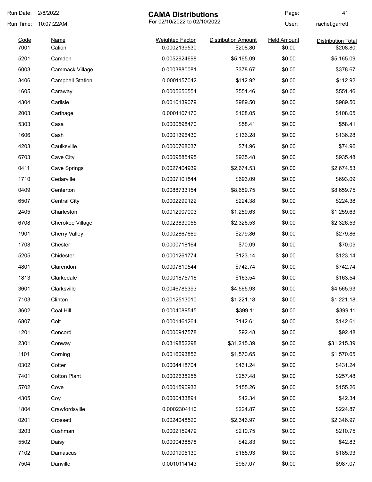| Run Date:    | 2/8/2022                | <b>CAMA Distributions</b>              |                                        | Page:                        | 41                                    |
|--------------|-------------------------|----------------------------------------|----------------------------------------|------------------------------|---------------------------------------|
| Run Time:    | 10:07:22AM              | For 02/10/2022 to 02/10/2022           |                                        | User:                        | rachel.garrett                        |
| Code<br>7001 | <b>Name</b><br>Calion   | <b>Weighted Factor</b><br>0.0002139530 | <b>Distribution Amount</b><br>\$208.80 | <b>Held Amount</b><br>\$0.00 | <b>Distribution Total</b><br>\$208.80 |
| 5201         | Camden                  | 0.0052924698                           | \$5,165.09                             | \$0.00                       | \$5,165.09                            |
| 6003         | Cammack Village         | 0.0003880081                           | \$378.67                               | \$0.00                       | \$378.67                              |
| 3406         | <b>Campbell Station</b> | 0.0001157042                           | \$112.92                               | \$0.00                       | \$112.92                              |
| 1605         | Caraway                 | 0.0005650554                           | \$551.46                               | \$0.00                       | \$551.46                              |
| 4304         | Carlisle                | 0.0010139079                           | \$989.50                               | \$0.00                       | \$989.50                              |
| 2003         | Carthage                | 0.0001107170                           | \$108.05                               | \$0.00                       | \$108.05                              |
| 5303         | Casa                    | 0.0000598470                           | \$58.41                                | \$0.00                       | \$58.41                               |
| 1606         | Cash                    | 0.0001396430                           | \$136.28                               | \$0.00                       | \$136.28                              |
| 4203         | Caulksville             | 0.0000768037                           | \$74.96                                | \$0.00                       | \$74.96                               |
| 6703         | Cave City               | 0.0009585495                           | \$935.48                               | \$0.00                       | \$935.48                              |
| 0411         | <b>Cave Springs</b>     | 0.0027404939                           | \$2,674.53                             | \$0.00                       | \$2,674.53                            |
| 1710         | Cedarville              | 0.0007101844                           | \$693.09                               | \$0.00                       | \$693.09                              |
| 0409         | Centerton               | 0.0088733154                           | \$8,659.75                             | \$0.00                       | \$8,659.75                            |
| 6507         | <b>Central City</b>     | 0.0002299122                           | \$224.38                               | \$0.00                       | \$224.38                              |
| 2405         | Charleston              | 0.0012907003                           | \$1,259.63                             | \$0.00                       | \$1,259.63                            |
| 6708         | <b>Cherokee Village</b> | 0.0023839055                           | \$2,326.53                             | \$0.00                       | \$2,326.53                            |
| 1901         | <b>Cherry Valley</b>    | 0.0002867669                           | \$279.86                               | \$0.00                       | \$279.86                              |
| 1708         | Chester                 | 0.0000718164                           | \$70.09                                | \$0.00                       | \$70.09                               |
| 5205         | Chidester               | 0.0001261774                           | \$123.14                               | \$0.00                       | \$123.14                              |
| 4801         | Clarendon               | 0.0007610544                           | \$742.74                               | \$0.00                       | \$742.74                              |
| 1813         | Clarkedale              | 0.0001675716                           | \$163.54                               | \$0.00                       | \$163.54                              |
| 3601         | Clarksville             | 0.0046785393                           | \$4,565.93                             | \$0.00                       | \$4,565.93                            |
| 7103         | Clinton                 | 0.0012513010                           | \$1,221.18                             | \$0.00                       | \$1,221.18                            |
| 3602         | Coal Hill               | 0.0004089545                           | \$399.11                               | \$0.00                       | \$399.11                              |
| 6807         | Colt                    | 0.0001461264                           | \$142.61                               | \$0.00                       | \$142.61                              |
| 1201         | Concord                 | 0.0000947578                           | \$92.48                                | \$0.00                       | \$92.48                               |
| 2301         | Conway                  | 0.0319852298                           | \$31,215.39                            | \$0.00                       | \$31,215.39                           |
| 1101         | Corning                 | 0.0016093856                           | \$1,570.65                             | \$0.00                       | \$1,570.65                            |
| 0302         | Cotter                  | 0.0004418704                           | \$431.24                               | \$0.00                       | \$431.24                              |
| 7401         | <b>Cotton Plant</b>     | 0.0002638255                           | \$257.48                               | \$0.00                       | \$257.48                              |
| 5702         | Cove                    | 0.0001590933                           | \$155.26                               | \$0.00                       | \$155.26                              |
| 4305         | Coy                     | 0.0000433891                           | \$42.34                                | \$0.00                       | \$42.34                               |
| 1804         | Crawfordsville          | 0.0002304110                           | \$224.87                               | \$0.00                       | \$224.87                              |
| 0201         | Crossett                | 0.0024048520                           | \$2,346.97                             | \$0.00                       | \$2,346.97                            |
| 3203         | Cushman                 | 0.0002159479                           | \$210.75                               | \$0.00                       | \$210.75                              |
| 5502         | Daisy                   | 0.0000438878                           | \$42.83                                | \$0.00                       | \$42.83                               |
| 7102         | Damascus                | 0.0001905130                           | \$185.93                               | \$0.00                       | \$185.93                              |
| 7504         | Danville                | 0.0010114143                           | \$987.07                               | \$0.00                       | \$987.07                              |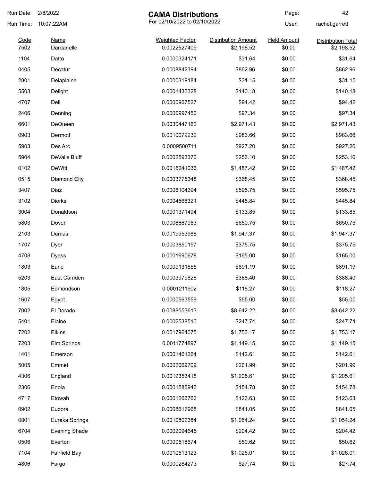| Run Date:    | 2/8/2022             | <b>CAMA Distributions</b>              |                                          | Page:                        | 42                                      |
|--------------|----------------------|----------------------------------------|------------------------------------------|------------------------------|-----------------------------------------|
| Run Time:    | 10:07:22AM           | For 02/10/2022 to 02/10/2022           |                                          | User:                        | rachel.garrett                          |
| Code<br>7502 | Name<br>Dardanelle   | <b>Weighted Factor</b><br>0.0022527409 | <b>Distribution Amount</b><br>\$2,198.52 | <b>Held Amount</b><br>\$0.00 | <b>Distribution Total</b><br>\$2,198.52 |
| 1104         | Datto                | 0.0000324171                           | \$31.64                                  | \$0.00                       | \$31.64                                 |
| 0405         | Decatur              | 0.0008842394                           | \$862.96                                 | \$0.00                       | \$862.96                                |
| 2801         | Delaplaine           | 0.0000319184                           | \$31.15                                  | \$0.00                       | \$31.15                                 |
| 5503         | Delight              | 0.0001436328                           | \$140.18                                 | \$0.00                       | \$140.18                                |
| 4707         | Dell                 | 0.0000967527                           | \$94.42                                  | \$0.00                       | \$94.42                                 |
| 2406         | Denning              | 0.0000997450                           | \$97.34                                  | \$0.00                       | \$97.34                                 |
| 6601         | DeQueen              | 0.0030447162                           | \$2,971.43                               | \$0.00                       | \$2,971.43                              |
| 0903         | Dermott              | 0.0010079232                           | \$983.66                                 | \$0.00                       | \$983.66                                |
| 5903         | Des Arc              | 0.0009500711                           | \$927.20                                 | \$0.00                       | \$927.20                                |
| 5904         | DeValls Bluff        | 0.0002593370                           | \$253.10                                 | \$0.00                       | \$253.10                                |
| 0102         | <b>DeWitt</b>        | 0.0015241036                           | \$1,487.42                               | \$0.00                       | \$1,487.42                              |
| 0515         | Diamond City         | 0.0003775348                           | \$368.45                                 | \$0.00                       | \$368.45                                |
| 3407         | Diaz                 | 0.0006104394                           | \$595.75                                 | \$0.00                       | \$595.75                                |
| 3102         | <b>Dierks</b>        | 0.0004568321                           | \$445.84                                 | \$0.00                       | \$445.84                                |
| 3004         | Donaldson            | 0.0001371494                           | \$133.85                                 | \$0.00                       | \$133.85                                |
| 5803         | Dover                | 0.0006667953                           | \$650.75                                 | \$0.00                       | \$650.75                                |
| 2103         | Dumas                | 0.0019953988                           | \$1,947.37                               | \$0.00                       | \$1,947.37                              |
| 1707         | Dyer                 | 0.0003850157                           | \$375.75                                 | \$0.00                       | \$375.75                                |
| 4708         | <b>Dyess</b>         | 0.0001690678                           | \$165.00                                 | \$0.00                       | \$165.00                                |
| 1803         | Earle                | 0.0009131655                           | \$891.19                                 | \$0.00                       | \$891.19                                |
| 5203         | East Camden          | 0.0003979826                           | \$388.40                                 | \$0.00                       | \$388.40                                |
| 1805         | Edmondson            | 0.0001211902                           | \$118.27                                 | \$0.00                       | \$118.27                                |
| 1607         | Egypt                | 0.0000563559                           | \$55.00                                  | \$0.00                       | \$55.00                                 |
| 7002         | El Dorado            | 0.0088553613                           | \$8,642.22                               | \$0.00                       | \$8,642.22                              |
| 5401         | Elaine               | 0.0002538510                           | \$247.74                                 | \$0.00                       | \$247.74                                |
| 7202         | <b>Elkins</b>        | 0.0017964075                           | \$1,753.17                               | \$0.00                       | \$1,753.17                              |
| 7203         | Elm Springs          | 0.0011774897                           | \$1,149.15                               | \$0.00                       | \$1,149.15                              |
| 1401         | Emerson              | 0.0001461264                           | \$142.61                                 | \$0.00                       | \$142.61                                |
| 5005         | Emmet                | 0.0002069709                           | \$201.99                                 | \$0.00                       | \$201.99                                |
| 4306         | England              | 0.0012353418                           | \$1,205.61                               | \$0.00                       | \$1,205.61                              |
| 2306         | Enola                | 0.0001585946                           | \$154.78                                 | \$0.00                       | \$154.78                                |
| 4717         | Etowah               | 0.0001266762                           | \$123.63                                 | \$0.00                       | \$123.63                                |
| 0902         | Eudora               | 0.0008617968                           | \$841.05                                 | \$0.00                       | \$841.05                                |
| 0801         | Eureka Springs       | 0.0010802384                           | \$1,054.24                               | \$0.00                       | \$1,054.24                              |
| 6704         | <b>Evening Shade</b> | 0.0002094645                           | \$204.42                                 | \$0.00                       | \$204.42                                |
| 0506         | Everton              | 0.0000518674                           | \$50.62                                  | \$0.00                       | \$50.62                                 |
| 7104         | <b>Fairfield Bay</b> | 0.0010513123                           | \$1,026.01                               | \$0.00                       | \$1,026.01                              |
| 4806         | Fargo                | 0.0000284273                           | \$27.74                                  | \$0.00                       | \$27.74                                 |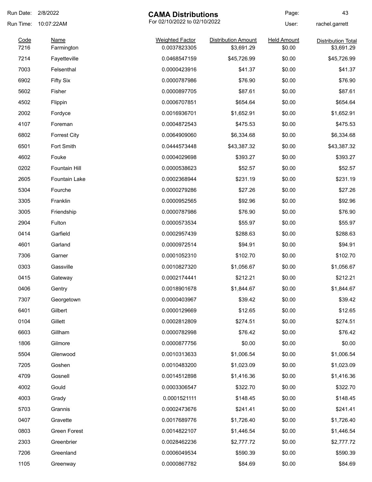| Run Date:    | 2/8/2022                  | <b>CAMA Distributions</b>              |                                          | Page:                        | 43                                      |
|--------------|---------------------------|----------------------------------------|------------------------------------------|------------------------------|-----------------------------------------|
| Run Time:    | 10:07:22AM                | For 02/10/2022 to 02/10/2022           |                                          | User:                        | rachel.garrett                          |
| Code<br>7216 | <b>Name</b><br>Farmington | <b>Weighted Factor</b><br>0.0037823305 | <b>Distribution Amount</b><br>\$3,691.29 | <b>Held Amount</b><br>\$0.00 | <b>Distribution Total</b><br>\$3,691.29 |
| 7214         | Fayetteville              | 0.0468547159                           | \$45,726.99                              | \$0.00                       | \$45,726.99                             |
| 7003         | Felsenthal                | 0.0000423916                           | \$41.37                                  | \$0.00                       | \$41.37                                 |
| 6902         | <b>Fifty Six</b>          | 0.0000787986                           | \$76.90                                  | \$0.00                       | \$76.90                                 |
| 5602         | Fisher                    | 0.0000897705                           | \$87.61                                  | \$0.00                       | \$87.61                                 |
| 4502         | Flippin                   | 0.0006707851                           | \$654.64                                 | \$0.00                       | \$654.64                                |
| 2002         | Fordyce                   | 0.0016936701                           | \$1,652.91                               | \$0.00                       | \$1,652.91                              |
| 4107         | Foreman                   | 0.0004872543                           | \$475.53                                 | \$0.00                       | \$475.53                                |
| 6802         | <b>Forrest City</b>       | 0.0064909060                           | \$6,334.68                               | \$0.00                       | \$6,334.68                              |
| 6501         | Fort Smith                | 0.0444573448                           | \$43,387.32                              | \$0.00                       | \$43,387.32                             |
| 4602         | Fouke                     | 0.0004029698                           | \$393.27                                 | \$0.00                       | \$393.27                                |
| 0202         | Fountain Hill             | 0.0000538623                           | \$52.57                                  | \$0.00                       | \$52.57                                 |
| 2605         | <b>Fountain Lake</b>      | 0.0002368944                           | \$231.19                                 | \$0.00                       | \$231.19                                |
| 5304         | Fourche                   | 0.0000279286                           | \$27.26                                  | \$0.00                       | \$27.26                                 |
| 3305         | Franklin                  | 0.0000952565                           | \$92.96                                  | \$0.00                       | \$92.96                                 |
| 3005         | Friendship                | 0.0000787986                           | \$76.90                                  | \$0.00                       | \$76.90                                 |
| 2904         | Fulton                    | 0.0000573534                           | \$55.97                                  | \$0.00                       | \$55.97                                 |
| 0414         | Garfield                  | 0.0002957439                           | \$288.63                                 | \$0.00                       | \$288.63                                |
| 4601         | Garland                   | 0.0000972514                           | \$94.91                                  | \$0.00                       | \$94.91                                 |
| 7306         | Garner                    | 0.0001052310                           | \$102.70                                 | \$0.00                       | \$102.70                                |
| 0303         | Gassville                 | 0.0010827320                           | \$1,056.67                               | \$0.00                       | \$1,056.67                              |
| 0415         | Gateway                   | 0.0002174441                           | \$212.21                                 | \$0.00                       | \$212.21                                |
| 0406         | Gentry                    | 0.0018901678                           | \$1,844.67                               | \$0.00                       | \$1,844.67                              |
| 7307         | Georgetown                | 0.0000403967                           | \$39.42                                  | \$0.00                       | \$39.42                                 |
| 6401         | Gilbert                   | 0.0000129669                           | \$12.65                                  | \$0.00                       | \$12.65                                 |
| 0104         | Gillett                   | 0.0002812809                           | \$274.51                                 | \$0.00                       | \$274.51                                |
| 6603         | Gillham                   | 0.0000782998                           | \$76.42                                  | \$0.00                       | \$76.42                                 |
| 1806         | Gilmore                   | 0.0000877756                           | \$0.00                                   | \$0.00                       | \$0.00                                  |
| 5504         | Glenwood                  | 0.0010313633                           | \$1,006.54                               | \$0.00                       | \$1,006.54                              |
| 7205         | Goshen                    | 0.0010483200                           | \$1,023.09                               | \$0.00                       | \$1,023.09                              |
| 4709         | Gosnell                   | 0.0014512898                           | \$1,416.36                               | \$0.00                       | \$1,416.36                              |
| 4002         | Gould                     | 0.0003306547                           | \$322.70                                 | \$0.00                       | \$322.70                                |
| 4003         | Grady                     | 0.0001521111                           | \$148.45                                 | \$0.00                       | \$148.45                                |
| 5703         | Grannis                   | 0.0002473676                           | \$241.41                                 | \$0.00                       | \$241.41                                |
| 0407         | Gravette                  | 0.0017689776                           | \$1,726.40                               | \$0.00                       | \$1,726.40                              |
| 0803         | Green Forest              | 0.0014822107                           | \$1,446.54                               | \$0.00                       | \$1,446.54                              |
| 2303         | Greenbrier                | 0.0028462236                           | \$2,777.72                               | \$0.00                       | \$2,777.72                              |
| 7206         | Greenland                 | 0.0006049534                           | \$590.39                                 | \$0.00                       | \$590.39                                |
| 1105         | Greenway                  | 0.0000867782                           | \$84.69                                  | \$0.00                       | \$84.69                                 |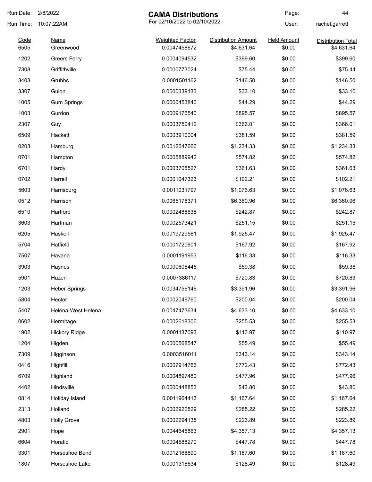| Run Date:    | 2/8/2022             | <b>CAMA Distributions</b>              |                                          | Page:                        | 44                                      |
|--------------|----------------------|----------------------------------------|------------------------------------------|------------------------------|-----------------------------------------|
| Run Time:    | 10:07:22AM           | For 02/10/2022 to 02/10/2022           |                                          | User:                        | rachel.garrett                          |
| Code<br>6505 | Name<br>Greenwood    | <b>Weighted Factor</b><br>0.0047458672 | <b>Distribution Amount</b><br>\$4,631.64 | <b>Held Amount</b><br>\$0.00 | <b>Distribution Total</b><br>\$4,631.64 |
| 1202         | <b>Greers Ferry</b>  | 0.0004094532                           | \$399.60                                 | \$0.00                       | \$399.60                                |
| 7308         | Griffithville        | 0.0000773024                           | \$75.44                                  | \$0.00                       | \$75.44                                 |
| 3403         | Grubbs               | 0.0001501162                           | \$146.50                                 | \$0.00                       | \$146.50                                |
| 3307         | Guion                | 0.0000339133                           | \$33.10                                  | \$0.00                       | \$33.10                                 |
| 1005         | <b>Gum Springs</b>   | 0.0000453840                           | \$44.29                                  | \$0.00                       | \$44.29                                 |
| 1003         | Gurdon               | 0.0009176540                           | \$895.57                                 | \$0.00                       | \$895.57                                |
| 2307         | Guy                  | 0.0003750412                           | \$366.01                                 | \$0.00                       | \$366.01                                |
| 6509         | Hackett              | 0.0003910004                           | \$381.59                                 | \$0.00                       | \$381.59                                |
| 0203         | Hamburg              | 0.0012647666                           | \$1,234.33                               | \$0.00                       | \$1,234.33                              |
| 0701         | Hampton              | 0.0005889942                           | \$574.82                                 | \$0.00                       | \$574.82                                |
| 6701         | Hardy                | 0.0003705527                           | \$361.63                                 | \$0.00                       | \$361.63                                |
| 0702         | Harrell              | 0.0001047323                           | \$102.21                                 | \$0.00                       | \$102.21                                |
| 5603         | Harrisburg           | 0.0011031797                           | \$1,076.63                               | \$0.00                       | \$1,076.63                              |
| 0512         | Harrison             | 0.0065178371                           | \$6,360.96                               | \$0.00                       | \$6,360.96                              |
| 6510         | Hartford             | 0.0002488638                           | \$242.87                                 | \$0.00                       | \$242.87                                |
| 3603         | Hartman              | 0.0002573421                           | \$251.15                                 | \$0.00                       | \$251.15                                |
| 6205         | Haskell              | 0.0019729561                           | \$1,925.47                               | \$0.00                       | \$1,925.47                              |
| 5704         | Hatfield             | 0.0001720601                           | \$167.92                                 | \$0.00                       | \$167.92                                |
| 7507         | Havana               | 0.0001191953                           | \$116.33                                 | \$0.00                       | \$116.33                                |
| 3903         | Haynes               | 0.0000608445                           | \$59.38                                  | \$0.00                       | \$59.38                                 |
| 5901         | Hazen                | 0.0007386117                           | \$720.83                                 | \$0.00                       | \$720.83                                |
| 1203         | <b>Heber Springs</b> | 0.0034756146                           | \$3,391.96                               | \$0.00                       | \$3,391.96                              |
| 5804         | Hector               | 0.0002049760                           | \$200.04                                 | \$0.00                       | \$200.04                                |
| 5407         | Helena-West Helena   | 0.0047473634                           | \$4,633.10                               | \$0.00                       | \$4,633.10                              |
| 0602         | Hermitage            | 0.0002618306                           | \$255.53                                 | \$0.00                       | \$255.53                                |
| 1902         | <b>Hickory Ridge</b> | 0.0001137093                           | \$110.97                                 | \$0.00                       | \$110.97                                |
| 1204         | Higden               | 0.0000568547                           | \$55.49                                  | \$0.00                       | \$55.49                                 |
| 7309         | Higginson            | 0.0003516011                           | \$343.14                                 | \$0.00                       | \$343.14                                |
| 0416         | Highfill             | 0.0007914766                           | \$772.43                                 | \$0.00                       | \$772.43                                |
| 6709         | Highland             | 0.0004897480                           | \$477.96                                 | \$0.00                       | \$477.96                                |
| 4402         | Hindsville           | 0.0000448853                           | \$43.80                                  | \$0.00                       | \$43.80                                 |
| 0814         | Holiday Island       | 0.0011964413                           | \$1,167.64                               | \$0.00                       | \$1,167.64                              |
| 2313         | Holland              | 0.0002922529                           | \$285.22                                 | \$0.00                       | \$285.22                                |
| 4803         | <b>Holly Grove</b>   | 0.0002294135                           | \$223.89                                 | \$0.00                       | \$223.89                                |
| 2901         | Hope                 | 0.0044645863                           | \$4,357.13                               | \$0.00                       | \$4,357.13                              |
| 6604         | Horatio              | 0.0004588270                           | \$447.78                                 | \$0.00                       | \$447.78                                |
| 3301         | Horseshoe Bend       | 0.0012168890                           | \$1,187.60                               | \$0.00                       | \$1,187.60                              |
| 1807         | Horseshoe Lake       | 0.0001316634                           | \$128.49                                 | \$0.00                       | \$128.49                                |
|              |                      |                                        |                                          |                              |                                         |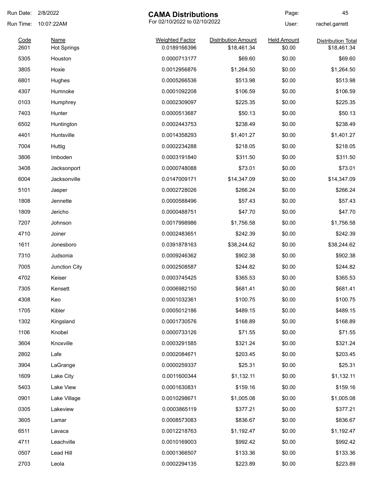| Run Date:    | 2/8/2022                          | <b>CAMA Distributions</b>              |                                           | Page:                        | 45                                       |
|--------------|-----------------------------------|----------------------------------------|-------------------------------------------|------------------------------|------------------------------------------|
| Run Time:    | 10:07:22AM                        |                                        | For 02/10/2022 to 02/10/2022              |                              | rachel.garrett                           |
| Code<br>2601 | <b>Name</b><br><b>Hot Springs</b> | <b>Weighted Factor</b><br>0.0189166396 | <b>Distribution Amount</b><br>\$18,461.34 | <b>Held Amount</b><br>\$0.00 | <b>Distribution Total</b><br>\$18,461.34 |
| 5305         | Houston                           | 0.0000713177                           | \$69.60                                   | \$0.00                       | \$69.60                                  |
| 3805         | Hoxie                             | 0.0012956876                           | \$1,264.50                                | \$0.00                       | \$1,264.50                               |
| 6801         | Hughes                            | 0.0005266536                           | \$513.98                                  | \$0.00                       | \$513.98                                 |
| 4307         | Humnoke                           | 0.0001092208                           | \$106.59                                  | \$0.00                       | \$106.59                                 |
| 0103         | Humphrey                          | 0.0002309097                           | \$225.35                                  | \$0.00                       | \$225.35                                 |
| 7403         | Hunter                            | 0.0000513687                           | \$50.13                                   | \$0.00                       | \$50.13                                  |
| 6502         | Huntington                        | 0.0002443753                           | \$238.49                                  | \$0.00                       | \$238.49                                 |
| 4401         | Huntsville                        | 0.0014358293                           | \$1,401.27                                | \$0.00                       | \$1,401.27                               |
| 7004         | Huttig                            | 0.0002234288                           | \$218.05                                  | \$0.00                       | \$218.05                                 |
| 3806         | Imboden                           | 0.0003191840                           | \$311.50                                  | \$0.00                       | \$311.50                                 |
| 3408         | Jacksonport                       | 0.0000748088                           | \$73.01                                   | \$0.00                       | \$73.01                                  |
| 6004         | Jacksonville                      | 0.0147009171                           | \$14,347.09                               | \$0.00                       | \$14,347.09                              |
| 5101         | Jasper                            | 0.0002728026                           | \$266.24                                  | \$0.00                       | \$266.24                                 |
| 1808         | Jennette                          | 0.0000588496                           | \$57.43                                   | \$0.00                       | \$57.43                                  |
| 1809         | Jericho                           | 0.0000488751                           | \$47.70                                   | \$0.00                       | \$47.70                                  |
| 7207         | Johnson                           | 0.0017998986                           | \$1,756.58                                | \$0.00                       | \$1,756.58                               |
| 4710         | Joiner                            | 0.0002483651                           | \$242.39                                  | \$0.00                       | \$242.39                                 |
| 1611         | Jonesboro                         | 0.0391878163                           | \$38,244.62                               | \$0.00                       | \$38,244.62                              |
| 7310         | Judsonia                          | 0.0009246362                           | \$902.38                                  | \$0.00                       | \$902.38                                 |
| 7005         | Junction City                     | 0.0002508587                           | \$244.82                                  | \$0.00                       | \$244.82                                 |
| 4702         | Keiser                            | 0.0003745425                           | \$365.53                                  | \$0.00                       | \$365.53                                 |
| 7305         | Kensett                           | 0.0006982150                           | \$681.41                                  | \$0.00                       | \$681.41                                 |
| 4308         | Keo                               | 0.0001032361                           | \$100.75                                  | \$0.00                       | \$100.75                                 |
| 1705         | Kibler                            | 0.0005012186                           | \$489.15                                  | \$0.00                       | \$489.15                                 |
| 1302         | Kingsland                         | 0.0001730576                           | \$168.89                                  | \$0.00                       | \$168.89                                 |
| 1106         | Knobel                            | 0.0000733126                           | \$71.55                                   | \$0.00                       | \$71.55                                  |
| 3604         | Knoxville                         | 0.0003291585                           | \$321.24                                  | \$0.00                       | \$321.24                                 |
| 2802         | Lafe                              | 0.0002084671                           | \$203.45                                  | \$0.00                       | \$203.45                                 |
| 3904         | LaGrange                          | 0.0000259337                           | \$25.31                                   | \$0.00                       | \$25.31                                  |
| 1609         | Lake City                         | 0.0011600344                           | \$1,132.11                                | \$0.00                       | \$1,132.11                               |
| 5403         | Lake View                         | 0.0001630831                           | \$159.16                                  | \$0.00                       | \$159.16                                 |
| 0901         | Lake Village                      | 0.0010298671                           | \$1,005.08                                | \$0.00                       | \$1,005.08                               |
| 0305         | Lakeview                          | 0.0003865119                           | \$377.21                                  | \$0.00                       | \$377.21                                 |
| 3605         | Lamar                             | 0.0008573083                           | \$836.67                                  | \$0.00                       | \$836.67                                 |
| 6511         | Lavaca                            | 0.0012218763                           | \$1,192.47                                | \$0.00                       | \$1,192.47                               |
| 4711         | Leachville                        | 0.0010169003                           | \$992.42                                  | \$0.00                       | \$992.42                                 |
| 0507         | Lead Hill                         | 0.0001366507                           | \$133.36                                  | \$0.00                       | \$133.36                                 |
| 2703         | Leola                             | 0.0002294135                           | \$223.89                                  | \$0.00                       | \$223.89                                 |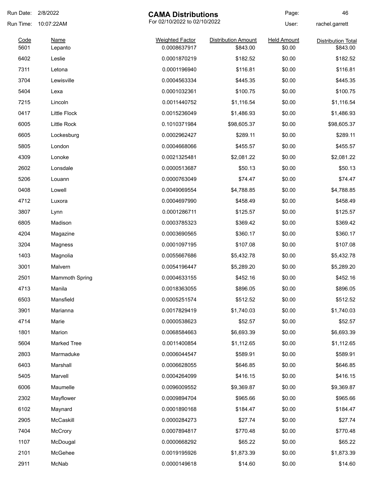| Run Date:    | 2/8/2022              | <b>CAMA Distributions</b>              |                                        | Page:                        | 46                                    |
|--------------|-----------------------|----------------------------------------|----------------------------------------|------------------------------|---------------------------------------|
| Run Time:    | 10:07:22AM            | For 02/10/2022 to 02/10/2022           |                                        | User:                        | rachel.garrett                        |
| Code<br>5601 | <u>Name</u>           | <b>Weighted Factor</b><br>0.0008637917 | <b>Distribution Amount</b><br>\$843.00 | <b>Held Amount</b><br>\$0.00 | <b>Distribution Total</b><br>\$843.00 |
| 6402         | Lepanto<br>Leslie     | 0.0001870219                           | \$182.52                               | \$0.00                       | \$182.52                              |
| 7311         | Letona                | 0.0001196940                           | \$116.81                               | \$0.00                       | \$116.81                              |
| 3704         | Lewisville            | 0.0004563334                           |                                        | \$0.00                       | \$445.35                              |
|              |                       |                                        | \$445.35                               |                              |                                       |
| 5404         | Lexa                  | 0.0001032361                           | \$100.75                               | \$0.00                       | \$100.75                              |
| 7215         | Lincoln               | 0.0011440752                           | \$1,116.54                             | \$0.00                       | \$1,116.54                            |
| 0417         | Little Flock          | 0.0015236049                           | \$1,486.93                             | \$0.00                       | \$1,486.93                            |
| 6005         | Little Rock           | 0.1010371984                           | \$98,605.37                            | \$0.00                       | \$98,605.37                           |
| 6605         | Lockesburg            | 0.0002962427                           | \$289.11                               | \$0.00                       | \$289.11                              |
| 5805         | London                | 0.0004668066                           | \$455.57                               | \$0.00                       | \$455.57                              |
| 4309         | Lonoke                | 0.0021325481                           | \$2,081.22                             | \$0.00                       | \$2,081.22                            |
| 2602         | Lonsdale              | 0.0000513687                           | \$50.13                                | \$0.00                       | \$50.13                               |
| 5206         | Louann                | 0.0000763049                           | \$74.47                                | \$0.00                       | \$74.47                               |
| 0408         | Lowell                | 0.0049069554                           | \$4,788.85                             | \$0.00                       | \$4,788.85                            |
| 4712         | Luxora                | 0.0004697990                           | \$458.49                               | \$0.00                       | \$458.49                              |
| 3807         | Lynn                  | 0.0001286711                           | \$125.57                               | \$0.00                       | \$125.57                              |
| 6805         | Madison               | 0.0003785323                           | \$369.42                               | \$0.00                       | \$369.42                              |
| 4204         | Magazine              | 0.0003690565                           | \$360.17                               | \$0.00                       | \$360.17                              |
| 3204         | Magness               | 0.0001097195                           | \$107.08                               | \$0.00                       | \$107.08                              |
| 1403         | Magnolia              | 0.0055667686                           | \$5,432.78                             | \$0.00                       | \$5,432.78                            |
| 3001         | Malvern               | 0.0054196447                           | \$5,289.20                             | \$0.00                       | \$5,289.20                            |
| 2501         | <b>Mammoth Spring</b> | 0.0004633155                           | \$452.16                               | \$0.00                       | \$452.16                              |
| 4713         | Manila                | 0.0018363055                           | \$896.05                               | \$0.00                       | \$896.05                              |
| 6503         | Mansfield             | 0.0005251574                           | \$512.52                               | \$0.00                       | \$512.52                              |
| 3901         | Marianna              | 0.0017829419                           | \$1,740.03                             | \$0.00                       | \$1,740.03                            |
| 4714         | Marie                 | 0.0000538623                           | \$52.57                                | \$0.00                       | \$52.57                               |
| 1801         | Marion                | 0.0068584663                           | \$6,693.39                             | \$0.00                       | \$6,693.39                            |
| 5604         | <b>Marked Tree</b>    | 0.0011400854                           | \$1,112.65                             | \$0.00                       | \$1,112.65                            |
| 2803         | Marmaduke             | 0.0006044547                           | \$589.91                               | \$0.00                       | \$589.91                              |
| 6403         | Marshall              | 0.0006628055                           | \$646.85                               | \$0.00                       | \$646.85                              |
| 5405         | Marvell               | 0.0004264099                           | \$416.15                               | \$0.00                       | \$416.15                              |
| 6006         | Maumelle              | 0.0096009552                           | \$9,369.87                             | \$0.00                       | \$9,369.87                            |
| 2302         | Mayflower             | 0.0009894704                           | \$965.66                               | \$0.00                       | \$965.66                              |
| 6102         | Maynard               | 0.0001890168                           | \$184.47                               | \$0.00                       | \$184.47                              |
| 2905         | McCaskill             | 0.0000284273                           | \$27.74                                | \$0.00                       | \$27.74                               |
|              |                       |                                        |                                        |                              |                                       |
| 7404         | McCrory               | 0.0007894817                           | \$770.48                               | \$0.00                       | \$770.48                              |
| 1107         | McDougal              | 0.0000668292                           | \$65.22                                | \$0.00                       | \$65.22                               |
| 2101         | McGehee               | 0.0019195926                           | \$1,873.39                             | \$0.00                       | \$1,873.39                            |
| 2911         | McNab                 | 0.0000149618                           | \$14.60                                | \$0.00                       | \$14.60                               |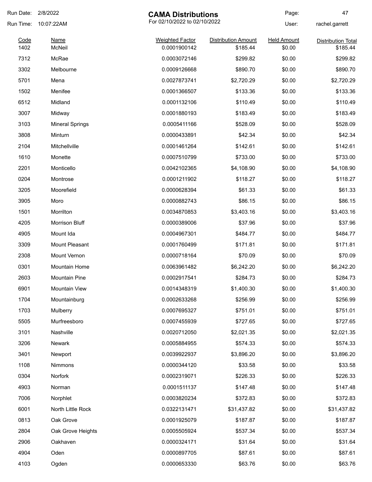| Run Date: 2/8/2022 |                        | <b>CAMA Distributions</b>              |                                        | Page:                        | 47                                    |
|--------------------|------------------------|----------------------------------------|----------------------------------------|------------------------------|---------------------------------------|
| Run Time:          | 10:07:22AM             | For 02/10/2022 to 02/10/2022           |                                        | User:                        | rachel.garrett                        |
| Code<br>1402       | <b>Name</b><br>McNeil  | <b>Weighted Factor</b><br>0.0001900142 | <b>Distribution Amount</b><br>\$185.44 | <b>Held Amount</b><br>\$0.00 | <b>Distribution Total</b><br>\$185.44 |
| 7312               | McRae                  | 0.0003072146                           | \$299.82                               | \$0.00                       | \$299.82                              |
| 3302               | Melbourne              | 0.0009126668                           | \$890.70                               | \$0.00                       | \$890.70                              |
| 5701               | Mena                   | 0.0027873741                           | \$2,720.29                             | \$0.00                       | \$2,720.29                            |
| 1502               | Menifee                | 0.0001366507                           | \$133.36                               | \$0.00                       | \$133.36                              |
| 6512               | Midland                | 0.0001132106                           | \$110.49                               | \$0.00                       | \$110.49                              |
|                    |                        | 0.0001880193                           | \$183.49                               | \$0.00                       | \$183.49                              |
| 3007               | Midway                 |                                        |                                        |                              |                                       |
| 3103               | <b>Mineral Springs</b> | 0.0005411166                           | \$528.09                               | \$0.00                       | \$528.09                              |
| 3808               | Minturn                | 0.0000433891                           | \$42.34                                | \$0.00                       | \$42.34                               |
| 2104               | Mitchellville          | 0.0001461264                           | \$142.61                               | \$0.00                       | \$142.61                              |
| 1610               | Monette                | 0.0007510799                           | \$733.00                               | \$0.00                       | \$733.00                              |
| 2201               | Monticello             | 0.0042102365                           | \$4,108.90                             | \$0.00                       | \$4,108.90                            |
| 0204               | Montrose               | 0.0001211902                           | \$118.27                               | \$0.00                       | \$118.27                              |
| 3205               | Moorefield             | 0.0000628394                           | \$61.33                                | \$0.00                       | \$61.33                               |
| 3905               | Moro                   | 0.0000882743                           | \$86.15                                | \$0.00                       | \$86.15                               |
| 1501               | Morrilton              | 0.0034870853                           | \$3,403.16                             | \$0.00                       | \$3,403.16                            |
| 4205               | <b>Morrison Bluff</b>  | 0.0000389006                           | \$37.96                                | \$0.00                       | \$37.96                               |
| 4905               | Mount Ida              | 0.0004967301                           | \$484.77                               | \$0.00                       | \$484.77                              |
| 3309               | Mount Pleasant         | 0.0001760499                           | \$171.81                               | \$0.00                       | \$171.81                              |
| 2308               | Mount Vernon           | 0.0000718164                           | \$70.09                                | \$0.00                       | \$70.09                               |
| 0301               | <b>Mountain Home</b>   | 0.0063961482                           | \$6,242.20                             | \$0.00                       | \$6,242.20                            |
| 2603               | <b>Mountain Pine</b>   | 0.0002917541                           | \$284.73                               | \$0.00                       | \$284.73                              |
| 6901               | Mountain View          | 0.0014348319                           | \$1,400.30                             | \$0.00                       | \$1,400.30                            |
| 1704               | Mountainburg           | 0.0002633268                           | \$256.99                               | \$0.00                       | \$256.99                              |
| 1703               | Mulberry               | 0.0007695327                           | \$751.01                               | \$0.00                       | \$751.01                              |
| 5505               | Murfreesboro           | 0.0007455939                           | \$727.65                               | \$0.00                       | \$727.65                              |
| 3101               | Nashville              | 0.0020712050                           | \$2,021.35                             | \$0.00                       | \$2,021.35                            |
| 3206               | <b>Newark</b>          | 0.0005884955                           | \$574.33                               | \$0.00                       | \$574.33                              |
| 3401               | Newport                | 0.0039922937                           | \$3,896.20                             | \$0.00                       | \$3,896.20                            |
| 1108               | <b>Nimmons</b>         | 0.0000344120                           | \$33.58                                | \$0.00                       | \$33.58                               |
| 0304               | Norfork                | 0.0002319071                           | \$226.33                               | \$0.00                       | \$226.33                              |
| 4903               | Norman                 | 0.0001511137                           | \$147.48                               | \$0.00                       | \$147.48                              |
| 7006               | Norphlet               | 0.0003820234                           | \$372.83                               | \$0.00                       | \$372.83                              |
| 6001               | North Little Rock      | 0.0322131471                           | \$31,437.82                            | \$0.00                       | \$31,437.82                           |
| 0813               | Oak Grove              | 0.0001925079                           | \$187.87                               | \$0.00                       | \$187.87                              |
| 2804               | Oak Grove Heights      | 0.0005505924                           | \$537.34                               | \$0.00                       | \$537.34                              |
| 2906               | Oakhaven               | 0.0000324171                           | \$31.64                                | \$0.00                       | \$31.64                               |
| 4904               | Oden                   | 0.0000897705                           | \$87.61                                | \$0.00                       | \$87.61                               |
|                    |                        |                                        |                                        |                              |                                       |
| 4103               | Ogden                  | 0.0000653330                           | \$63.76                                | \$0.00                       | \$63.76                               |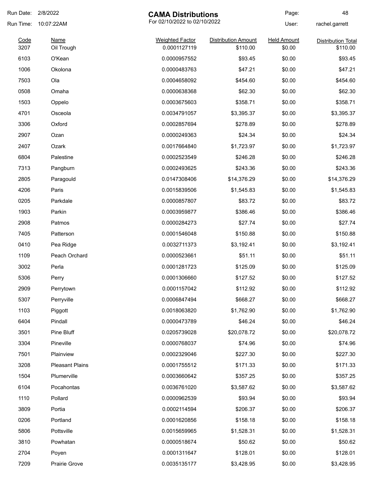| Run Date: 2/8/2022 |                        | <b>CAMA Distributions</b>    |                            | Page:              | 48                        |
|--------------------|------------------------|------------------------------|----------------------------|--------------------|---------------------------|
| Run Time:          | 10:07:22AM             | For 02/10/2022 to 02/10/2022 |                            | User:              | rachel.garrett            |
| Code               | <b>Name</b>            | <b>Weighted Factor</b>       | <b>Distribution Amount</b> | <b>Held Amount</b> | <b>Distribution Total</b> |
| 3207               | Oil Trough             | 0.0001127119                 | \$110.00                   | \$0.00             | \$110.00                  |
| 6103               | O'Kean                 | 0.0000957552                 | \$93.45                    | \$0.00             | \$93.45                   |
| 1006               | Okolona                | 0.0000483763                 | \$47.21                    | \$0.00             | \$47.21                   |
| 7503               | Ola                    | 0.0004658092                 | \$454.60                   | \$0.00             | \$454.60                  |
| 0508               | Omaha                  | 0.0000638368                 | \$62.30                    | \$0.00             | \$62.30                   |
| 1503               | Oppelo                 | 0.0003675603                 | \$358.71                   | \$0.00             | \$358.71                  |
| 4701               | Osceola                | 0.0034791057                 | \$3,395.37                 | \$0.00             | \$3,395.37                |
| 3306               | Oxford                 | 0.0002857694                 | \$278.89                   | \$0.00             | \$278.89                  |
| 2907               | Ozan                   | 0.0000249363                 | \$24.34                    | \$0.00             | \$24.34                   |
| 2407               | Ozark                  | 0.0017664840                 | \$1,723.97                 | \$0.00             | \$1,723.97                |
| 6804               | Palestine              | 0.0002523549                 | \$246.28                   | \$0.00             | \$246.28                  |
| 7313               | Pangburn               | 0.0002493625                 | \$243.36                   | \$0.00             | \$243.36                  |
| 2805               | Paragould              | 0.0147308406                 | \$14,376.29                | \$0.00             | \$14,376.29               |
| 4206               | Paris                  | 0.0015839506                 | \$1,545.83                 | \$0.00             | \$1,545.83                |
| 0205               | Parkdale               | 0.0000857807                 | \$83.72                    | \$0.00             | \$83.72                   |
| 1903               | Parkin                 | 0.0003959877                 | \$386.46                   | \$0.00             | \$386.46                  |
| 2908               | Patmos                 | 0.0000284273                 | \$27.74                    | \$0.00             | \$27.74                   |
| 7405               | Patterson              | 0.0001546048                 | \$150.88                   | \$0.00             | \$150.88                  |
| 0410               | Pea Ridge              | 0.0032711373                 | \$3,192.41                 | \$0.00             | \$3,192.41                |
| 1109               | Peach Orchard          | 0.0000523661                 | \$51.11                    | \$0.00             | \$51.11                   |
| 3002               | Perla                  | 0.0001281723                 | \$125.09                   | \$0.00             | \$125.09                  |
| 5306               | Perry                  | 0.0001306660                 | \$127.52                   | \$0.00             | \$127.52                  |
| 2909               | Perrytown              | 0.0001157042                 | \$112.92                   | \$0.00             | \$112.92                  |
| 5307               | Perryville             | 0.0006847494                 | \$668.27                   | \$0.00             | \$668.27                  |
| 1103               | Piggott                | 0.0018063820                 | \$1,762.90                 | \$0.00             | \$1,762.90                |
| 6404               | Pindall                | 0.0000473789                 | \$46.24                    | \$0.00             | \$46.24                   |
| 3501               | Pine Bluff             | 0.0205739028                 | \$20,078.72                | \$0.00             | \$20,078.72               |
| 3304               | Pineville              | 0.0000768037                 | \$74.96                    | \$0.00             | \$74.96                   |
| 7501               | Plainview              | 0.0002329046                 | \$227.30                   | \$0.00             | \$227.30                  |
| 3208               | <b>Pleasant Plains</b> | 0.0001755512                 | \$171.33                   | \$0.00             | \$171.33                  |
| 1504               | Plumerville            | 0.0003660642                 | \$357.25                   | \$0.00             | \$357.25                  |
| 6104               | Pocahontas             | 0.0036761020                 | \$3,587.62                 | \$0.00             | \$3,587.62                |
| 1110               | Pollard                | 0.0000962539                 | \$93.94                    | \$0.00             | \$93.94                   |
| 3809               | Portia                 | 0.0002114594                 | \$206.37                   | \$0.00             | \$206.37                  |
| 0206               | Portland               | 0.0001620856                 | \$158.18                   | \$0.00             | \$158.18                  |
| 5806               | Pottsville             | 0.0015659965                 | \$1,528.31                 | \$0.00             | \$1,528.31                |
| 3810               | Powhatan               | 0.0000518674                 | \$50.62                    | \$0.00             | \$50.62                   |
|                    |                        |                              |                            |                    |                           |
| 2704               | Poyen                  | 0.0001311647                 | \$128.01                   | \$0.00             | \$128.01                  |
| 7209               | Prairie Grove          | 0.0035135177                 | \$3,428.95                 | \$0.00             | \$3,428.95                |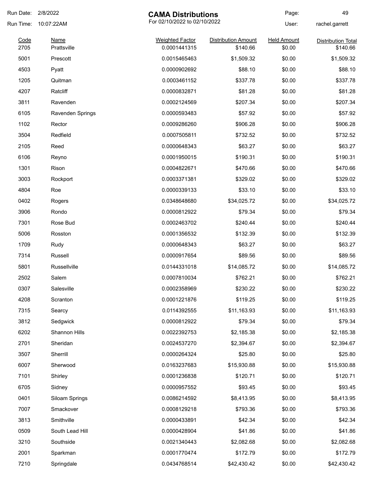| Run Date:    | 2/8/2022                   | <b>CAMA Distributions</b>              |                                        | Page:                        | 49                                    |
|--------------|----------------------------|----------------------------------------|----------------------------------------|------------------------------|---------------------------------------|
| Run Time:    | 10:07:22AM                 | For 02/10/2022 to 02/10/2022           |                                        | User:                        | rachel.garrett                        |
| Code<br>2705 | <b>Name</b><br>Prattsville | <b>Weighted Factor</b><br>0.0001441315 | <b>Distribution Amount</b><br>\$140.66 | <b>Held Amount</b><br>\$0.00 | <b>Distribution Total</b><br>\$140.66 |
| 5001         | Prescott                   | 0.0015465463                           | \$1,509.32                             | \$0.00                       | \$1,509.32                            |
| 4503         | Pyatt                      | 0.0000902692                           | \$88.10                                | \$0.00                       | \$88.10                               |
| 1205         | Quitman                    | 0.0003461152                           | \$337.78                               | \$0.00                       | \$337.78                              |
| 4207         | Ratcliff                   | 0.0000832871                           | \$81.28                                | \$0.00                       | \$81.28                               |
| 3811         | Ravenden                   | 0.0002124569                           | \$207.34                               | \$0.00                       | \$207.34                              |
| 6105         | <b>Ravenden Springs</b>    | 0.0000593483                           | \$57.92                                | \$0.00                       | \$57.92                               |
| 1102         | Rector                     | 0.0009286260                           | \$906.28                               | \$0.00                       | \$906.28                              |
| 3504         | Redfield                   | 0.0007505811                           | \$732.52                               | \$0.00                       | \$732.52                              |
| 2105         | Reed                       | 0.0000648343                           | \$63.27                                | \$0.00                       | \$63.27                               |
| 6106         | Reyno                      | 0.0001950015                           | \$190.31                               | \$0.00                       | \$190.31                              |
| 1301         | Rison                      | 0.0004822671                           | \$470.66                               | \$0.00                       | \$470.66                              |
| 3003         | Rockport                   | 0.0003371381                           | \$329.02                               | \$0.00                       | \$329.02                              |
| 4804         | Roe                        | 0.0000339133                           | \$33.10                                | \$0.00                       | \$33.10                               |
| 0402         | Rogers                     | 0.0348648680                           | \$34,025.72                            | \$0.00                       | \$34,025.72                           |
| 3906         | Rondo                      | 0.0000812922                           | \$79.34                                | \$0.00                       | \$79.34                               |
| 7301         | Rose Bud                   | 0.0002463702                           | \$240.44                               | \$0.00                       | \$240.44                              |
| 5006         | Rosston                    | 0.0001356532                           | \$132.39                               | \$0.00                       | \$132.39                              |
| 1709         | Rudy                       | 0.0000648343                           | \$63.27                                | \$0.00                       | \$63.27                               |
| 7314         | Russell                    | 0.0000917654                           | \$89.56                                | \$0.00                       | \$89.56                               |
| 5801         | Russellville               | 0.0144331018                           | \$14,085.72                            | \$0.00                       | \$14,085.72                           |
| 2502         | Salem                      | 0.0007810034                           | \$762.21                               | \$0.00                       | \$762.21                              |
| 0307         | Salesville                 | 0.0002358969                           | \$230.22                               | \$0.00                       | \$230.22                              |
| 4208         | Scranton                   | 0.0001221876                           | \$119.25                               | \$0.00                       | \$119.25                              |
| 7315         | Searcy                     | 0.0114392555                           | \$11,163.93                            | \$0.00                       | \$11,163.93                           |
| 3812         | Sedgwick                   | 0.0000812922                           | \$79.34                                | \$0.00                       | \$79.34                               |
| 6202         | Shannon Hills              | 0.0022392753                           | \$2,185.38                             | \$0.00                       | \$2,185.38                            |
| 2701         | Sheridan                   | 0.0024537270                           | \$2,394.67                             | \$0.00                       | \$2,394.67                            |
| 3507         | Sherrill                   | 0.0000264324                           | \$25.80                                | \$0.00                       | \$25.80                               |
| 6007         | Sherwood                   | 0.0163237683                           | \$15,930.88                            | \$0.00                       | \$15,930.88                           |
| 7101         | Shirley                    | 0.0001236838                           | \$120.71                               | \$0.00                       | \$120.71                              |
| 6705         | Sidney                     | 0.0000957552                           | \$93.45                                | \$0.00                       | \$93.45                               |
| 0401         | Siloam Springs             | 0.0086214592                           | \$8,413.95                             | \$0.00                       | \$8,413.95                            |
| 7007         | Smackover                  | 0.0008129218                           | \$793.36                               | \$0.00                       | \$793.36                              |
| 3813         | Smithville                 | 0.0000433891                           | \$42.34                                | \$0.00                       | \$42.34                               |
| 0509         | South Lead Hill            | 0.0000428904                           | \$41.86                                | \$0.00                       | \$41.86                               |
| 3210         | Southside                  | 0.0021340443                           | \$2,082.68                             | \$0.00                       | \$2,082.68                            |
| 2001         | Sparkman                   | 0.0001770474                           | \$172.79                               | \$0.00                       | \$172.79                              |
| 7210         | Springdale                 | 0.0434768514                           | \$42,430.42                            | \$0.00                       | \$42,430.42                           |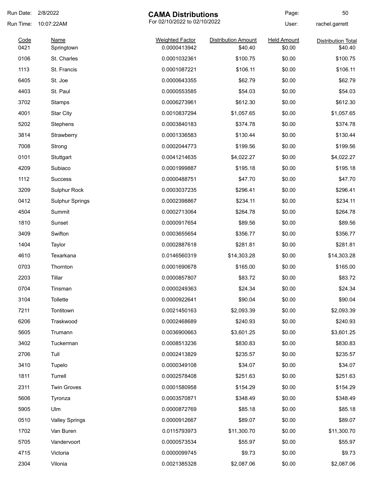| Run Date:    | 2/8/2022<br><b>CAMA Distributions</b> |                                        | Page:                                 | 50                           |                                      |
|--------------|---------------------------------------|----------------------------------------|---------------------------------------|------------------------------|--------------------------------------|
| Run Time:    | 10:07:22AM                            | For 02/10/2022 to 02/10/2022           |                                       | User:                        | rachel.garrett                       |
| Code<br>0421 | <b>Name</b><br>Springtown             | <b>Weighted Factor</b><br>0.0000413942 | <b>Distribution Amount</b><br>\$40.40 | <b>Held Amount</b><br>\$0.00 | <b>Distribution Total</b><br>\$40.40 |
| 0106         | St. Charles                           | 0.0001032361                           | \$100.75                              | \$0.00                       | \$100.75                             |
| 1113         | St. Francis                           | 0.0001087221                           | \$106.11                              | \$0.00                       | \$106.11                             |
| 6405         | St. Joe                               | 0.0000643355                           | \$62.79                               | \$0.00                       | \$62.79                              |
| 4403         | St. Paul                              | 0.0000553585                           | \$54.03                               | \$0.00                       | \$54.03                              |
| 3702         | Stamps                                | 0.0006273961                           | \$612.30                              | \$0.00                       | \$612.30                             |
| 4001         | <b>Star City</b>                      | 0.0010837294                           | \$1,057.65                            | \$0.00                       | \$1,057.65                           |
| 5202         | Stephens                              | 0.0003840183                           | \$374.78                              | \$0.00                       | \$374.78                             |
| 3814         | Strawberry                            | 0.0001336583                           | \$130.44                              | \$0.00                       | \$130.44                             |
| 7008         | Strong                                | 0.0002044773                           | \$199.56                              | \$0.00                       | \$199.56                             |
| 0101         | Stuttgart                             | 0.0041214635                           | \$4,022.27                            | \$0.00                       | \$4,022.27                           |
| 4209         | Subiaco                               | 0.0001999887                           | \$195.18                              | \$0.00                       | \$195.18                             |
| 1112         | <b>Success</b>                        | 0.0000488751                           | \$47.70                               | \$0.00                       | \$47.70                              |
| 3209         | Sulphur Rock                          | 0.0003037235                           | \$296.41                              | \$0.00                       | \$296.41                             |
| 0412         | <b>Sulphur Springs</b>                | 0.0002398867                           | \$234.11                              | \$0.00                       | \$234.11                             |
| 4504         | Summit                                | 0.0002713064                           | \$264.78                              | \$0.00                       | \$264.78                             |
| 1810         | Sunset                                | 0.0000917654                           | \$89.56                               | \$0.00                       | \$89.56                              |
| 3409         | Swifton                               | 0.0003655654                           | \$356.77                              | \$0.00                       | \$356.77                             |
| 1404         | Taylor                                | 0.0002887618                           | \$281.81                              | \$0.00                       | \$281.81                             |
| 4610         | Texarkana                             | 0.0146560319                           | \$14,303.28                           | \$0.00                       | \$14,303.28                          |
| 0703         | Thornton                              | 0.0001690678                           | \$165.00                              | \$0.00                       | \$165.00                             |
| 2203         | Tillar                                | 0.0000857807                           | \$83.72                               | \$0.00                       | \$83.72                              |
| 0704         | Tinsman                               | 0.0000249363                           | \$24.34                               | \$0.00                       | \$24.34                              |
| 3104         | Tollette                              | 0.0000922641                           | \$90.04                               | \$0.00                       | \$90.04                              |
| 7211         | Tontitown                             | 0.0021450163                           | \$2,093.39                            | \$0.00                       | \$2,093.39                           |
| 6206         | Traskwood                             | 0.0002468689                           | \$240.93                              | \$0.00                       | \$240.93                             |
| 5605         | Trumann                               | 0.0036900663                           | \$3,601.25                            | \$0.00                       | \$3,601.25                           |
| 3402         | Tuckerman                             | 0.0008513236                           | \$830.83                              | \$0.00                       | \$830.83                             |
| 2706         | Tull                                  | 0.0002413829                           | \$235.57                              | \$0.00                       | \$235.57                             |
| 3410         | Tupelo                                | 0.0000349108                           | \$34.07                               | \$0.00                       | \$34.07                              |
| 1811         | Turrell                               | 0.0002578408                           | \$251.63                              | \$0.00                       | \$251.63                             |
| 2311         | <b>Twin Groves</b>                    | 0.0001580958                           | \$154.29                              | \$0.00                       | \$154.29                             |
| 5606         | Tyronza                               | 0.0003570871                           | \$348.49                              | \$0.00                       | \$348.49                             |
| 5905         | Ulm                                   | 0.0000872769                           | \$85.18                               | \$0.00                       | \$85.18                              |
| 0510         | <b>Valley Springs</b>                 | 0.0000912667                           | \$89.07                               | \$0.00                       | \$89.07                              |
| 1702         | Van Buren                             | 0.0115793973                           | \$11,300.70                           | \$0.00                       | \$11,300.70                          |
| 5705         | Vandervoort                           | 0.0000573534                           | \$55.97                               | \$0.00                       | \$55.97                              |
| 4715         | Victoria                              | 0.0000099745                           | \$9.73                                | \$0.00                       | \$9.73                               |
| 2304         | Vilonia                               | 0.0021385328                           | \$2,087.06                            | \$0.00                       | \$2,087.06                           |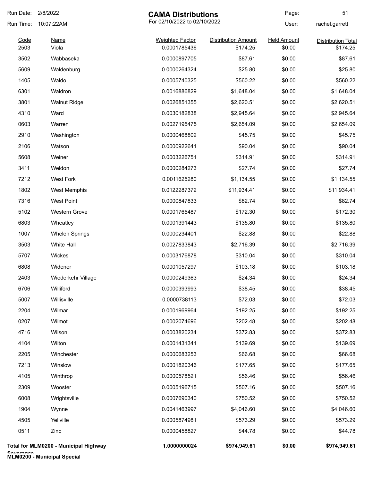| Run Date: | 2/8/2022                                   | <b>CAMA Distributions</b> |                            | Page:              | 51                        |
|-----------|--------------------------------------------|---------------------------|----------------------------|--------------------|---------------------------|
| Run Time: | For 02/10/2022 to 02/10/2022<br>10:07:22AM |                           |                            | User:              | rachel.garrett            |
| Code      | <u>Name</u>                                | <b>Weighted Factor</b>    | <b>Distribution Amount</b> | <b>Held Amount</b> | <b>Distribution Total</b> |
| 2503      | Viola                                      | 0.0001785436              | \$174.25                   | \$0.00             | \$174.25                  |
| 3502      | Wabbaseka                                  | 0.0000897705              | \$87.61                    | \$0.00             | \$87.61                   |
| 5609      | Waldenburg                                 | 0.0000264324              | \$25.80                    | \$0.00             | \$25.80                   |
| 1405      | Waldo                                      | 0.0005740325              | \$560.22                   | \$0.00             | \$560.22                  |
| 6301      | Waldron                                    | 0.0016886829              | \$1,648.04                 | \$0.00             | \$1,648.04                |
| 3801      | <b>Walnut Ridge</b>                        | 0.0026851355              | \$2,620.51                 | \$0.00             | \$2,620.51                |
| 4310      | Ward                                       | 0.0030182838              | \$2,945.64                 | \$0.00             | \$2,945.64                |
| 0603      | Warren                                     | 0.0027195475              | \$2,654.09                 | \$0.00             | \$2,654.09                |
| 2910      | Washington                                 | 0.0000468802              | \$45.75                    | \$0.00             | \$45.75                   |
| 2106      | Watson                                     | 0.0000922641              | \$90.04                    | \$0.00             | \$90.04                   |
| 5608      | Weiner                                     | 0.0003226751              | \$314.91                   | \$0.00             | \$314.91                  |
| 3411      | Weldon                                     | 0.0000284273              | \$27.74                    | \$0.00             | \$27.74                   |
| 7212      | <b>West Fork</b>                           | 0.0011625280              | \$1,134.55                 | \$0.00             | \$1,134.55                |
| 1802      | West Memphis                               | 0.0122287372              | \$11,934.41                | \$0.00             | \$11,934.41               |
| 7316      | <b>West Point</b>                          | 0.0000847833              | \$82.74                    | \$0.00             | \$82.74                   |
| 5102      | <b>Western Grove</b>                       | 0.0001765487              | \$172.30                   | \$0.00             | \$172.30                  |
| 6803      | Wheatley                                   | 0.0001391443              | \$135.80                   | \$0.00             | \$135.80                  |
| 1007      | <b>Whelen Springs</b>                      | 0.0000234401              | \$22.88                    | \$0.00             | \$22.88                   |
| 3503      | White Hall                                 | 0.0027833843              | \$2,716.39                 | \$0.00             | \$2,716.39                |
| 5707      | Wickes                                     | 0.0003176878              | \$310.04                   | \$0.00             | \$310.04                  |
| 6808      | Widener                                    | 0.0001057297              | \$103.18                   | \$0.00             | \$103.18                  |
| 2403      | Wiederkehr Village                         | 0.0000249363              | \$24.34                    | \$0.00             | \$24.34                   |
| 6706      | Williford                                  | 0.0000393993              | \$38.45                    | \$0.00             | \$38.45                   |
| 5007      | Willisville                                | 0.0000738113              | \$72.03                    | \$0.00             | \$72.03                   |
| 2204      | Wilmar                                     | 0.0001969964              | \$192.25                   | \$0.00             | \$192.25                  |
| 0207      | Wilmot                                     | 0.0002074696              | \$202.48                   | \$0.00             | \$202.48                  |
| 4716      | Wilson                                     | 0.0003820234              | \$372.83                   | \$0.00             | \$372.83                  |
| 4104      | Wilton                                     | 0.0001431341              | \$139.69                   | \$0.00             | \$139.69                  |
| 2205      | Winchester                                 | 0.0000683253              | \$66.68                    | \$0.00             | \$66.68                   |
| 7213      | Winslow                                    | 0.0001820346              | \$177.65                   | \$0.00             | \$177.65                  |
| 4105      | Winthrop                                   | 0.0000578521              | \$56.46                    | \$0.00             | \$56.46                   |
| 2309      | Wooster                                    | 0.0005196715              | \$507.16                   | \$0.00             | \$507.16                  |
| 6008      | Wrightsville                               | 0.0007690340              | \$750.52                   | \$0.00             | \$750.52                  |
| 1904      | Wynne                                      | 0.0041463997              | \$4,046.60                 | \$0.00             | \$4,046.60                |
| 4505      | Yellville                                  | 0.0005874981              | \$573.29                   | \$0.00             | \$573.29                  |
| 0511      | Zinc                                       | 0.0000458827              | \$44.78                    | \$0.00             | \$44.78                   |
|           | Total for MLM0200 - Municipal Highway      | 1.0000000024              | \$974,949.61               | \$0.00             | \$974,949.61              |

**Severance MLM0200 - Municipal Special**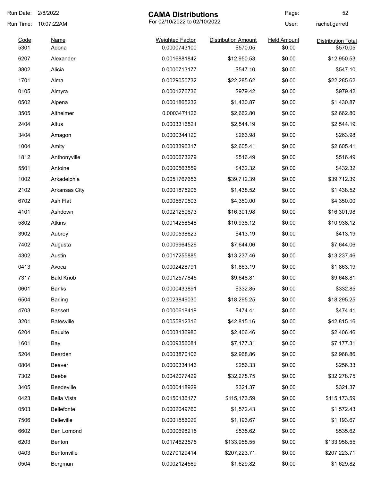| Run Date:    | 2/8/2022<br><b>CAMA Distributions</b> |                                        | Page:                                  | 52                           |                                       |
|--------------|---------------------------------------|----------------------------------------|----------------------------------------|------------------------------|---------------------------------------|
| Run Time:    | 10:07:22AM                            | For 02/10/2022 to 02/10/2022           |                                        | User:                        | rachel.garrett                        |
| Code<br>5301 | Name<br>Adona                         | <b>Weighted Factor</b><br>0.0000743100 | <b>Distribution Amount</b><br>\$570.05 | <b>Held Amount</b><br>\$0.00 | <b>Distribution Total</b><br>\$570.05 |
| 6207         | Alexander                             | 0.0016881842                           | \$12,950.53                            | \$0.00                       | \$12,950.53                           |
| 3802         | Alicia                                | 0.0000713177                           | \$547.10                               | \$0.00                       | \$547.10                              |
| 1701         | Alma                                  | 0.0029050732                           | \$22,285.62                            | \$0.00                       | \$22,285.62                           |
| 0105         | Almyra                                | 0.0001276736                           | \$979.42                               | \$0.00                       | \$979.42                              |
| 0502         | Alpena                                | 0.0001865232                           | \$1,430.87                             | \$0.00                       | \$1,430.87                            |
| 3505         | Altheimer                             | 0.0003471126                           | \$2,662.80                             | \$0.00                       | \$2,662.80                            |
| 2404         | Altus                                 | 0.0003316521                           | \$2,544.19                             | \$0.00                       | \$2,544.19                            |
| 3404         | Amagon                                | 0.0000344120                           | \$263.98                               | \$0.00                       | \$263.98                              |
| 1004         | Amity                                 | 0.0003396317                           | \$2,605.41                             | \$0.00                       | \$2,605.41                            |
| 1812         | Anthonyville                          | 0.0000673279                           | \$516.49                               | \$0.00                       | \$516.49                              |
| 5501         | Antoine                               | 0.0000563559                           | \$432.32                               | \$0.00                       | \$432.32                              |
| 1002         | Arkadelphia                           | 0.0051767656                           | \$39,712.39                            | \$0.00                       | \$39,712.39                           |
| 2102         | Arkansas City                         | 0.0001875206                           | \$1,438.52                             | \$0.00                       | \$1,438.52                            |
| 6702         | Ash Flat                              | 0.0005670503                           | \$4,350.00                             | \$0.00                       | \$4,350.00                            |
| 4101         | Ashdown                               | 0.0021250673                           | \$16,301.98                            | \$0.00                       | \$16,301.98                           |
| 5802         | <b>Atkins</b>                         | 0.0014258548                           | \$10,938.12                            | \$0.00                       | \$10,938.12                           |
| 3902         | Aubrey                                | 0.0000538623                           | \$413.19                               | \$0.00                       | \$413.19                              |
| 7402         | Augusta                               | 0.0009964526                           | \$7,644.06                             | \$0.00                       | \$7,644.06                            |
| 4302         | Austin                                | 0.0017255885                           | \$13,237.46                            | \$0.00                       | \$13,237.46                           |
| 0413         | Avoca                                 | 0.0002428791                           | \$1,863.19                             | \$0.00                       | \$1,863.19                            |
| 7317         | <b>Bald Knob</b>                      | 0.0012577845                           | \$9,648.81                             | \$0.00                       | \$9,648.81                            |
| 0601         | <b>Banks</b>                          | 0.0000433891                           | \$332.85                               | \$0.00                       | \$332.85                              |
| 6504         | Barling                               | 0.0023849030                           | \$18,295.25                            | \$0.00                       | \$18,295.25                           |
| 4703         | <b>Bassett</b>                        | 0.0000618419                           | \$474.41                               | \$0.00                       | \$474.41                              |
| 3201         | <b>Batesville</b>                     | 0.0055812316                           | \$42,815.16                            | \$0.00                       | \$42,815.16                           |
| 6204         | Bauxite                               | 0.0003136980                           | \$2,406.46                             | \$0.00                       | \$2,406.46                            |
| 1601         | Bay                                   | 0.0009356081                           | \$7,177.31                             | \$0.00                       | \$7,177.31                            |
| 5204         | Bearden                               | 0.0003870106                           | \$2,968.86                             | \$0.00                       | \$2,968.86                            |
| 0804         | Beaver                                | 0.0000334146                           | \$256.33                               | \$0.00                       | \$256.33                              |
| 7302         | Beebe                                 | 0.0042077429                           | \$32,278.75                            | \$0.00                       | \$32,278.75                           |
| 3405         | Beedeville                            | 0.0000418929                           | \$321.37                               | \$0.00                       | \$321.37                              |
| 0423         | Bella Vista                           | 0.0150136177                           | \$115,173.59                           | \$0.00                       | \$115,173.59                          |
| 0503         | Bellefonte                            | 0.0002049760                           | \$1,572.43                             | \$0.00                       | \$1,572.43                            |
| 7506         | Belleville                            | 0.0001556022                           | \$1,193.67                             | \$0.00                       | \$1,193.67                            |
| 6602         | Ben Lomond                            | 0.0000698215                           | \$535.62                               | \$0.00                       | \$535.62                              |
| 6203         | Benton                                | 0.0174623575                           | \$133,958.55                           | \$0.00                       | \$133,958.55                          |
| 0403         | Bentonville                           | 0.0270129414                           | \$207,223.71                           | \$0.00                       | \$207,223.71                          |
| 0504         | Bergman                               | 0.0002124569                           | \$1,629.82                             | \$0.00                       | \$1,629.82                            |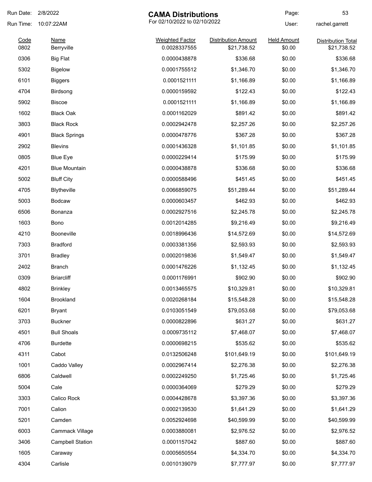| Run Date: 2/8/2022 |                                            | <b>CAMA Distributions</b> |                            | Page:              | 53                        |
|--------------------|--------------------------------------------|---------------------------|----------------------------|--------------------|---------------------------|
| Run Time:          | For 02/10/2022 to 02/10/2022<br>10:07:22AM |                           | User:                      | rachel.garrett     |                           |
| Code               | <b>Name</b>                                | <b>Weighted Factor</b>    | <b>Distribution Amount</b> | <b>Held Amount</b> | <b>Distribution Total</b> |
| 0802               | Berryville                                 | 0.0028337555              | \$21,738.52                | \$0.00             | \$21,738.52               |
| 0306               | <b>Big Flat</b>                            | 0.0000438878              | \$336.68                   | \$0.00             | \$336.68                  |
| 5302               | <b>Bigelow</b>                             | 0.0001755512              | \$1,346.70                 | \$0.00             | \$1,346.70                |
| 6101               | <b>Biggers</b>                             | 0.0001521111              | \$1,166.89                 | \$0.00             | \$1,166.89                |
| 4704               | Birdsong                                   | 0.0000159592              | \$122.43                   | \$0.00             | \$122.43                  |
| 5902               | <b>Biscoe</b>                              | 0.0001521111              | \$1,166.89                 | \$0.00             | \$1,166.89                |
| 1602               | <b>Black Oak</b>                           | 0.0001162029              | \$891.42                   | \$0.00             | \$891.42                  |
| 3803               | <b>Black Rock</b>                          | 0.0002942478              | \$2,257.26                 | \$0.00             | \$2,257.26                |
| 4901               | <b>Black Springs</b>                       | 0.0000478776              | \$367.28                   | \$0.00             | \$367.28                  |
| 2902               | <b>Blevins</b>                             | 0.0001436328              | \$1,101.85                 | \$0.00             | \$1,101.85                |
| 0805               | <b>Blue Eye</b>                            | 0.0000229414              | \$175.99                   | \$0.00             | \$175.99                  |
| 4201               | <b>Blue Mountain</b>                       | 0.0000438878              | \$336.68                   | \$0.00             | \$336.68                  |
| 5002               | <b>Bluff City</b>                          | 0.0000588496              | \$451.45                   | \$0.00             | \$451.45                  |
| 4705               | Blytheville                                | 0.0066859075              | \$51,289.44                | \$0.00             | \$51,289.44               |
| 5003               | <b>Bodcaw</b>                              | 0.0000603457              | \$462.93                   | \$0.00             | \$462.93                  |
| 6506               | Bonanza                                    | 0.0002927516              | \$2,245.78                 | \$0.00             | \$2,245.78                |
| 1603               | Bono                                       | 0.0012014285              | \$9,216.49                 | \$0.00             | \$9,216.49                |
| 4210               | Booneville                                 | 0.0018996436              | \$14,572.69                | \$0.00             | \$14,572.69               |
| 7303               | <b>Bradford</b>                            | 0.0003381356              | \$2,593.93                 | \$0.00             | \$2,593.93                |
| 3701               | <b>Bradley</b>                             | 0.0002019836              | \$1,549.47                 | \$0.00             | \$1,549.47                |
| 2402               | <b>Branch</b>                              | 0.0001476226              | \$1,132.45                 | \$0.00             | \$1,132.45                |
| 0309               | <b>Briarcliff</b>                          | 0.0001176991              | \$902.90                   | \$0.00             | \$902.90                  |
| 4802               | <b>Brinkley</b>                            | 0.0013465575              | \$10,329.81                | \$0.00             | \$10,329.81               |
| 1604               | <b>Brookland</b>                           | 0.0020268184              | \$15,548.28                | \$0.00             | \$15,548.28               |
| 6201               | <b>Bryant</b>                              | 0.0103051549              | \$79,053.68                | \$0.00             | \$79,053.68               |
| 3703               | <b>Buckner</b>                             | 0.0000822896              | \$631.27                   | \$0.00             | \$631.27                  |
| 4501               | <b>Bull Shoals</b>                         | 0.0009735112              | \$7,468.07                 | \$0.00             | \$7,468.07                |
| 4706               | <b>Burdette</b>                            | 0.0000698215              | \$535.62                   | \$0.00             | \$535.62                  |
| 4311               | Cabot                                      | 0.0132506248              | \$101,649.19               | \$0.00             | \$101,649.19              |
| 1001               | Caddo Valley                               | 0.0002967414              | \$2,276.38                 | \$0.00             | \$2,276.38                |
| 6806               | Caldwell                                   | 0.0002249250              | \$1,725.46                 | \$0.00             | \$1,725.46                |
| 5004               | Cale                                       | 0.0000364069              | \$279.29                   | \$0.00             | \$279.29                  |
| 3303               | Calico Rock                                | 0.0004428678              | \$3,397.36                 | \$0.00             | \$3,397.36                |
|                    |                                            |                           |                            |                    |                           |
| 7001               | Calion                                     | 0.0002139530              | \$1,641.29                 | \$0.00             | \$1,641.29                |
| 5201               | Camden                                     | 0.0052924698              | \$40,599.99                | \$0.00             | \$40,599.99               |
| 6003               | Cammack Village                            | 0.0003880081              | \$2,976.52                 | \$0.00             | \$2,976.52                |
| 3406               | <b>Campbell Station</b>                    | 0.0001157042              | \$887.60                   | \$0.00             | \$887.60                  |
| 1605               | Caraway                                    | 0.0005650554              | \$4,334.70                 | \$0.00             | \$4,334.70                |
| 4304               | Carlisle                                   | 0.0010139079              | \$7,777.97                 | \$0.00             | \$7,777.97                |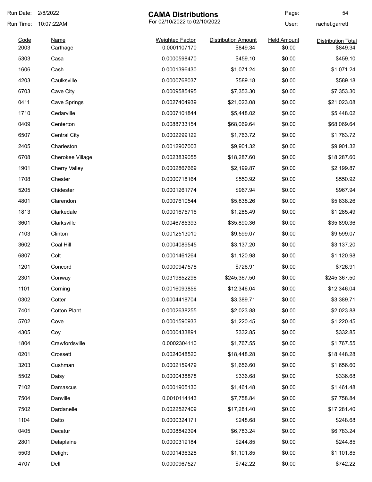| Run Date: | 2/8/2022<br><b>CAMA Distributions</b>      |                        | Page:                      | 54                 |                           |
|-----------|--------------------------------------------|------------------------|----------------------------|--------------------|---------------------------|
| Run Time: | For 02/10/2022 to 02/10/2022<br>10:07:22AM |                        |                            | User:              | rachel.garrett            |
| Code      | <b>Name</b>                                | <b>Weighted Factor</b> | <b>Distribution Amount</b> | <b>Held Amount</b> | <b>Distribution Total</b> |
| 2003      | Carthage                                   | 0.0001107170           | \$849.34                   | \$0.00             | \$849.34                  |
| 5303      | Casa                                       | 0.0000598470           | \$459.10                   | \$0.00             | \$459.10                  |
| 1606      | Cash                                       | 0.0001396430           | \$1,071.24                 | \$0.00             | \$1,071.24                |
| 4203      | Caulksville                                | 0.0000768037           | \$589.18                   | \$0.00             | \$589.18                  |
| 6703      | Cave City                                  | 0.0009585495           | \$7,353.30                 | \$0.00             | \$7,353.30                |
| 0411      | Cave Springs                               | 0.0027404939           | \$21,023.08                | \$0.00             | \$21,023.08               |
| 1710      | Cedarville                                 | 0.0007101844           | \$5,448.02                 | \$0.00             | \$5,448.02                |
| 0409      | Centerton                                  | 0.0088733154           | \$68,069.64                | \$0.00             | \$68,069.64               |
| 6507      | <b>Central City</b>                        | 0.0002299122           | \$1,763.72                 | \$0.00             | \$1,763.72                |
| 2405      | Charleston                                 | 0.0012907003           | \$9,901.32                 | \$0.00             | \$9,901.32                |
| 6708      | <b>Cherokee Village</b>                    | 0.0023839055           | \$18,287.60                | \$0.00             | \$18,287.60               |
| 1901      | <b>Cherry Valley</b>                       | 0.0002867669           | \$2,199.87                 | \$0.00             | \$2,199.87                |
| 1708      | Chester                                    | 0.0000718164           | \$550.92                   | \$0.00             | \$550.92                  |
| 5205      | Chidester                                  | 0.0001261774           | \$967.94                   | \$0.00             | \$967.94                  |
| 4801      | Clarendon                                  | 0.0007610544           | \$5,838.26                 | \$0.00             | \$5,838.26                |
| 1813      | Clarkedale                                 | 0.0001675716           | \$1,285.49                 | \$0.00             | \$1,285.49                |
| 3601      | Clarksville                                | 0.0046785393           | \$35,890.36                | \$0.00             | \$35,890.36               |
| 7103      | Clinton                                    | 0.0012513010           | \$9,599.07                 | \$0.00             | \$9,599.07                |
| 3602      | Coal Hill                                  | 0.0004089545           | \$3,137.20                 | \$0.00             | \$3,137.20                |
| 6807      | Colt                                       | 0.0001461264           | \$1,120.98                 | \$0.00             | \$1,120.98                |
| 1201      | Concord                                    | 0.0000947578           | \$726.91                   | \$0.00             | \$726.91                  |
| 2301      | Conway                                     | 0.0319852298           | \$245,367.50               | \$0.00             | \$245,367.50              |
| 1101      | Corning                                    | 0.0016093856           | \$12,346.04                | \$0.00             | \$12,346.04               |
| 0302      | Cotter                                     | 0.0004418704           | \$3,389.71                 | \$0.00             | \$3,389.71                |
| 7401      | <b>Cotton Plant</b>                        | 0.0002638255           | \$2,023.88                 | \$0.00             | \$2,023.88                |
| 5702      | Cove                                       | 0.0001590933           | \$1,220.45                 | \$0.00             | \$1,220.45                |
| 4305      | Coy                                        | 0.0000433891           | \$332.85                   | \$0.00             | \$332.85                  |
| 1804      | Crawfordsville                             | 0.0002304110           | \$1,767.55                 | \$0.00             | \$1,767.55                |
| 0201      | Crossett                                   | 0.0024048520           | \$18,448.28                | \$0.00             | \$18,448.28               |
| 3203      | Cushman                                    | 0.0002159479           | \$1,656.60                 | \$0.00             | \$1,656.60                |
| 5502      | Daisy                                      | 0.0000438878           | \$336.68                   | \$0.00             | \$336.68                  |
| 7102      | Damascus                                   | 0.0001905130           | \$1,461.48                 | \$0.00             | \$1,461.48                |
| 7504      | Danville                                   | 0.0010114143           | \$7,758.84                 | \$0.00             | \$7,758.84                |
| 7502      | Dardanelle                                 | 0.0022527409           | \$17,281.40                | \$0.00             | \$17,281.40               |
| 1104      | Datto                                      | 0.0000324171           | \$248.68                   | \$0.00             | \$248.68                  |
| 0405      | Decatur                                    | 0.0008842394           | \$6,783.24                 | \$0.00             | \$6,783.24                |
| 2801      | Delaplaine                                 | 0.0000319184           | \$244.85                   | \$0.00             | \$244.85                  |
| 5503      | Delight                                    | 0.0001436328           | \$1,101.85                 | \$0.00             | \$1,101.85                |
|           |                                            |                        |                            |                    |                           |
| 4707      | Dell                                       | 0.0000967527           | \$742.22                   | \$0.00             | \$742.22                  |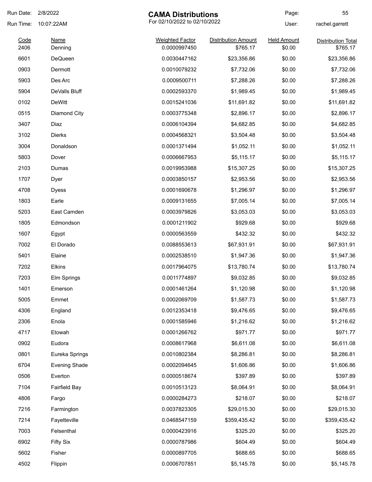| Run Date:    | 2/8/2022               | <b>CAMA Distributions</b>              |                                        | Page:                        | 55                                    |
|--------------|------------------------|----------------------------------------|----------------------------------------|------------------------------|---------------------------------------|
| Run Time:    | 10:07:22AM             | For 02/10/2022 to 02/10/2022           |                                        | User:                        | rachel.garrett                        |
| Code<br>2406 | <b>Name</b><br>Denning | <b>Weighted Factor</b><br>0.0000997450 | <b>Distribution Amount</b><br>\$765.17 | <b>Held Amount</b><br>\$0.00 | <b>Distribution Total</b><br>\$765.17 |
| 6601         | <b>DeQueen</b>         | 0.0030447162                           | \$23,356.86                            | \$0.00                       | \$23,356.86                           |
| 0903         | Dermott                | 0.0010079232                           | \$7,732.06                             | \$0.00                       | \$7,732.06                            |
| 5903         | Des Arc                | 0.0009500711                           | \$7,288.26                             | \$0.00                       | \$7,288.26                            |
| 5904         | DeValls Bluff          | 0.0002593370                           | \$1,989.45                             | \$0.00                       | \$1,989.45                            |
| 0102         | <b>DeWitt</b>          | 0.0015241036                           | \$11,691.82                            | \$0.00                       | \$11,691.82                           |
| 0515         | Diamond City           | 0.0003775348                           | \$2,896.17                             | \$0.00                       | \$2,896.17                            |
| 3407         | Diaz                   | 0.0006104394                           | \$4,682.85                             | \$0.00                       | \$4,682.85                            |
| 3102         | <b>Dierks</b>          | 0.0004568321                           | \$3,504.48                             | \$0.00                       | \$3,504.48                            |
| 3004         | Donaldson              | 0.0001371494                           | \$1,052.11                             | \$0.00                       | \$1,052.11                            |
| 5803         | Dover                  | 0.0006667953                           | \$5,115.17                             | \$0.00                       | \$5,115.17                            |
| 2103         | Dumas                  | 0.0019953988                           | \$15,307.25                            | \$0.00                       | \$15,307.25                           |
| 1707         | Dyer                   | 0.0003850157                           | \$2,953.56                             | \$0.00                       | \$2,953.56                            |
| 4708         | Dyess                  | 0.0001690678                           | \$1,296.97                             | \$0.00                       | \$1,296.97                            |
| 1803         | Earle                  | 0.0009131655                           | \$7,005.14                             | \$0.00                       | \$7,005.14                            |
| 5203         | East Camden            | 0.0003979826                           | \$3,053.03                             | \$0.00                       | \$3,053.03                            |
| 1805         | Edmondson              | 0.0001211902                           | \$929.68                               | \$0.00                       | \$929.68                              |
| 1607         | Egypt                  | 0.0000563559                           | \$432.32                               | \$0.00                       | \$432.32                              |
| 7002         | El Dorado              | 0.0088553613                           | \$67,931.91                            | \$0.00                       | \$67,931.91                           |
| 5401         | Elaine                 | 0.0002538510                           | \$1,947.36                             | \$0.00                       | \$1,947.36                            |
| 7202         | <b>Elkins</b>          | 0.0017964075                           | \$13,780.74                            | \$0.00                       | \$13,780.74                           |
| 7203         | Elm Springs            | 0.0011774897                           | \$9,032.85                             | \$0.00                       | \$9,032.85                            |
| 1401         | Emerson                | 0.0001461264                           | \$1,120.98                             | \$0.00                       | \$1,120.98                            |
| 5005         | Emmet                  | 0.0002069709                           | \$1,587.73                             | \$0.00                       | \$1,587.73                            |
| 4306         | England                | 0.0012353418                           | \$9,476.65                             | \$0.00                       | \$9,476.65                            |
| 2306         | Enola                  | 0.0001585946                           | \$1,216.62                             | \$0.00                       | \$1,216.62                            |
| 4717         | Etowah                 | 0.0001266762                           | \$971.77                               | \$0.00                       | \$971.77                              |
| 0902         | Eudora                 | 0.0008617968                           | \$6,611.08                             | \$0.00                       | \$6,611.08                            |
| 0801         | Eureka Springs         | 0.0010802384                           | \$8,286.81                             | \$0.00                       | \$8,286.81                            |
| 6704         | <b>Evening Shade</b>   | 0.0002094645                           | \$1,606.86                             | \$0.00                       | \$1,606.86                            |
| 0506         | Everton                | 0.0000518674                           | \$397.89                               | \$0.00                       | \$397.89                              |
| 7104         | <b>Fairfield Bay</b>   | 0.0010513123                           | \$8,064.91                             | \$0.00                       | \$8,064.91                            |
| 4806         | Fargo                  | 0.0000284273                           | \$218.07                               | \$0.00                       | \$218.07                              |
| 7216         | Farmington             | 0.0037823305                           | \$29,015.30                            | \$0.00                       | \$29,015.30                           |
| 7214         | Fayetteville           | 0.0468547159                           | \$359,435.42                           | \$0.00                       | \$359,435.42                          |
| 7003         | Felsenthal             | 0.0000423916                           | \$325.20                               | \$0.00                       | \$325.20                              |
| 6902         | <b>Fifty Six</b>       | 0.0000787986                           | \$604.49                               | \$0.00                       | \$604.49                              |
| 5602         | Fisher                 | 0.0000897705                           | \$688.65                               | \$0.00                       | \$688.65                              |
| 4502         | Flippin                | 0.0006707851                           | \$5,145.78                             | \$0.00                       | \$5,145.78                            |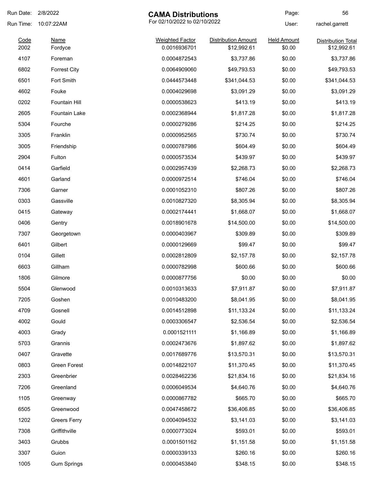| Run Date: 2/8/2022 |                      | <b>CAMA Distributions</b>    |                            | Page:              | 56                        |
|--------------------|----------------------|------------------------------|----------------------------|--------------------|---------------------------|
| Run Time:          | 10:07:22AM           | For 02/10/2022 to 02/10/2022 |                            | User:              | rachel.garrett            |
| Code               | <b>Name</b>          | <b>Weighted Factor</b>       | <b>Distribution Amount</b> | <b>Held Amount</b> | <b>Distribution Total</b> |
| 2002               | Fordyce              | 0.0016936701                 | \$12,992.61                | \$0.00             | \$12,992.61               |
| 4107               | Foreman              | 0.0004872543                 | \$3,737.86                 | \$0.00             | \$3,737.86                |
| 6802               | <b>Forrest City</b>  | 0.0064909060                 | \$49,793.53                | \$0.00             | \$49,793.53               |
| 6501               | Fort Smith           | 0.0444573448                 | \$341,044.53               | \$0.00             | \$341,044.53              |
| 4602               | Fouke                | 0.0004029698                 | \$3,091.29                 | \$0.00             | \$3,091.29                |
| 0202               | Fountain Hill        | 0.0000538623                 | \$413.19                   | \$0.00             | \$413.19                  |
| 2605               | <b>Fountain Lake</b> | 0.0002368944                 | \$1,817.28                 | \$0.00             | \$1,817.28                |
| 5304               | Fourche              | 0.0000279286                 | \$214.25                   | \$0.00             | \$214.25                  |
| 3305               | Franklin             | 0.0000952565                 | \$730.74                   | \$0.00             | \$730.74                  |
| 3005               | Friendship           | 0.0000787986                 | \$604.49                   | \$0.00             | \$604.49                  |
| 2904               | Fulton               | 0.0000573534                 | \$439.97                   | \$0.00             | \$439.97                  |
| 0414               | Garfield             | 0.0002957439                 | \$2,268.73                 | \$0.00             | \$2,268.73                |
| 4601               | Garland              | 0.0000972514                 | \$746.04                   | \$0.00             | \$746.04                  |
| 7306               | Garner               | 0.0001052310                 | \$807.26                   | \$0.00             | \$807.26                  |
| 0303               | Gassville            | 0.0010827320                 | \$8,305.94                 | \$0.00             | \$8,305.94                |
| 0415               | Gateway              | 0.0002174441                 | \$1,668.07                 | \$0.00             | \$1,668.07                |
| 0406               | Gentry               | 0.0018901678                 | \$14,500.00                | \$0.00             | \$14,500.00               |
| 7307               | Georgetown           | 0.0000403967                 | \$309.89                   | \$0.00             | \$309.89                  |
| 6401               | Gilbert              | 0.0000129669                 | \$99.47                    | \$0.00             | \$99.47                   |
| 0104               | Gillett              | 0.0002812809                 | \$2,157.78                 | \$0.00             | \$2,157.78                |
| 6603               | Gillham              | 0.0000782998                 | \$600.66                   | \$0.00             | \$600.66                  |
| 1806               | Gilmore              | 0.0000877756                 | \$0.00                     | \$0.00             | \$0.00                    |
| 5504               | Glenwood             | 0.0010313633                 | \$7,911.87                 | \$0.00             | \$7,911.87                |
| 7205               | Goshen               | 0.0010483200                 | \$8,041.95                 | \$0.00             | \$8,041.95                |
| 4709               | Gosnell              | 0.0014512898                 | \$11,133.24                | \$0.00             | \$11,133.24               |
| 4002               | Gould                | 0.0003306547                 | \$2,536.54                 | \$0.00             | \$2,536.54                |
| 4003               | Grady                | 0.0001521111                 | \$1,166.89                 | \$0.00             | \$1,166.89                |
| 5703               | Grannis              | 0.0002473676                 | \$1,897.62                 | \$0.00             | \$1,897.62                |
| 0407               | Gravette             | 0.0017689776                 | \$13,570.31                | \$0.00             | \$13,570.31               |
| 0803               | Green Forest         | 0.0014822107                 | \$11,370.45                | \$0.00             | \$11,370.45               |
| 2303               | Greenbrier           | 0.0028462236                 | \$21,834.16                | \$0.00             | \$21,834.16               |
| 7206               | Greenland            | 0.0006049534                 | \$4,640.76                 | \$0.00             | \$4,640.76                |
| 1105               | Greenway             | 0.0000867782                 | \$665.70                   | \$0.00             | \$665.70                  |
| 6505               | Greenwood            | 0.0047458672                 | \$36,406.85                | \$0.00             | \$36,406.85               |
| 1202               | <b>Greers Ferry</b>  | 0.0004094532                 | \$3,141.03                 | \$0.00             | \$3,141.03                |
| 7308               | Griffithville        | 0.0000773024                 | \$593.01                   | \$0.00             | \$593.01                  |
| 3403               | Grubbs               | 0.0001501162                 | \$1,151.58                 | \$0.00             | \$1,151.58                |
| 3307               | Guion                | 0.0000339133                 | \$260.16                   | \$0.00             | \$260.16                  |
| 1005               | <b>Gum Springs</b>   | 0.0000453840                 | \$348.15                   | \$0.00             | \$348.15                  |
|                    |                      |                              |                            |                    |                           |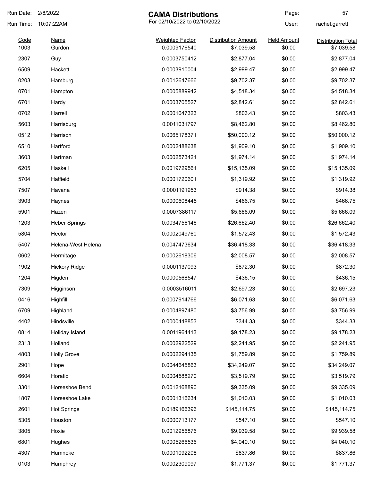| Run Date:    | 2/8/2022             | <b>CAMA Distributions</b>              |                                          | Page:                        | 57                                      |
|--------------|----------------------|----------------------------------------|------------------------------------------|------------------------------|-----------------------------------------|
| Run Time:    | 10:07:22AM           | For 02/10/2022 to 02/10/2022           |                                          | User:                        | rachel.garrett                          |
| Code<br>1003 | Name<br>Gurdon       | <b>Weighted Factor</b><br>0.0009176540 | <b>Distribution Amount</b><br>\$7,039.58 | <b>Held Amount</b><br>\$0.00 | <b>Distribution Total</b><br>\$7,039.58 |
| 2307         | Guy                  | 0.0003750412                           | \$2,877.04                               | \$0.00                       | \$2,877.04                              |
| 6509         | Hackett              | 0.0003910004                           | \$2,999.47                               | \$0.00                       | \$2,999.47                              |
| 0203         | Hamburg              | 0.0012647666                           | \$9,702.37                               | \$0.00                       | \$9,702.37                              |
| 0701         | Hampton              | 0.0005889942                           | \$4,518.34                               | \$0.00                       | \$4,518.34                              |
| 6701         | Hardy                | 0.0003705527                           | \$2,842.61                               | \$0.00                       | \$2,842.61                              |
| 0702         | Harrell              | 0.0001047323                           | \$803.43                                 | \$0.00                       | \$803.43                                |
| 5603         | Harrisburg           | 0.0011031797                           | \$8,462.80                               | \$0.00                       | \$8,462.80                              |
| 0512         | Harrison             | 0.0065178371                           | \$50,000.12                              | \$0.00                       | \$50,000.12                             |
| 6510         | Hartford             | 0.0002488638                           | \$1,909.10                               | \$0.00                       | \$1,909.10                              |
| 3603         | Hartman              | 0.0002573421                           | \$1,974.14                               | \$0.00                       | \$1,974.14                              |
| 6205         | Haskell              | 0.0019729561                           | \$15,135.09                              | \$0.00                       | \$15,135.09                             |
| 5704         | Hatfield             | 0.0001720601                           | \$1,319.92                               | \$0.00                       | \$1,319.92                              |
| 7507         | Havana               | 0.0001191953                           | \$914.38                                 | \$0.00                       | \$914.38                                |
| 3903         | Haynes               | 0.0000608445                           | \$466.75                                 | \$0.00                       | \$466.75                                |
| 5901         | Hazen                | 0.0007386117                           | \$5,666.09                               | \$0.00                       | \$5,666.09                              |
| 1203         | <b>Heber Springs</b> | 0.0034756146                           | \$26,662.40                              | \$0.00                       | \$26,662.40                             |
| 5804         | Hector               | 0.0002049760                           | \$1,572.43                               | \$0.00                       | \$1,572.43                              |
| 5407         | Helena-West Helena   | 0.0047473634                           | \$36,418.33                              | \$0.00                       | \$36,418.33                             |
| 0602         | Hermitage            | 0.0002618306                           | \$2,008.57                               | \$0.00                       | \$2,008.57                              |
| 1902         | <b>Hickory Ridge</b> | 0.0001137093                           | \$872.30                                 | \$0.00                       | \$872.30                                |
| 1204         | Higden               | 0.0000568547                           | \$436.15                                 | \$0.00                       | \$436.15                                |
| 7309         | Higginson            | 0.0003516011                           | \$2,697.23                               | \$0.00                       | \$2,697.23                              |
| 0416         | Highfill             | 0.0007914766                           | \$6,071.63                               | \$0.00                       | \$6,071.63                              |
| 6709         | Highland             | 0.0004897480                           | \$3,756.99                               | \$0.00                       | \$3,756.99                              |
| 4402         | Hindsville           | 0.0000448853                           | \$344.33                                 | \$0.00                       | \$344.33                                |
| 0814         | Holiday Island       | 0.0011964413                           | \$9,178.23                               | \$0.00                       | \$9,178.23                              |
| 2313         | Holland              | 0.0002922529                           | \$2,241.95                               | \$0.00                       | \$2,241.95                              |
| 4803         | <b>Holly Grove</b>   | 0.0002294135                           | \$1,759.89                               | \$0.00                       | \$1,759.89                              |
| 2901         | Hope                 | 0.0044645863                           | \$34,249.07                              | \$0.00                       | \$34,249.07                             |
| 6604         | Horatio              | 0.0004588270                           | \$3,519.79                               | \$0.00                       | \$3,519.79                              |
| 3301         | Horseshoe Bend       | 0.0012168890                           | \$9,335.09                               | \$0.00                       | \$9,335.09                              |
| 1807         | Horseshoe Lake       | 0.0001316634                           | \$1,010.03                               | \$0.00                       | \$1,010.03                              |
| 2601         | <b>Hot Springs</b>   | 0.0189166396                           | \$145,114.75                             | \$0.00                       | \$145,114.75                            |
| 5305         | Houston              | 0.0000713177                           | \$547.10                                 | \$0.00                       | \$547.10                                |
| 3805         | Hoxie                | 0.0012956876                           | \$9,939.58                               | \$0.00                       | \$9,939.58                              |
| 6801         | Hughes               | 0.0005266536                           | \$4,040.10                               | \$0.00                       | \$4,040.10                              |
| 4307         | Humnoke              | 0.0001092208                           | \$837.86                                 | \$0.00                       | \$837.86                                |
| 0103         | Humphrey             | 0.0002309097                           | \$1,771.37                               | \$0.00                       | \$1,771.37                              |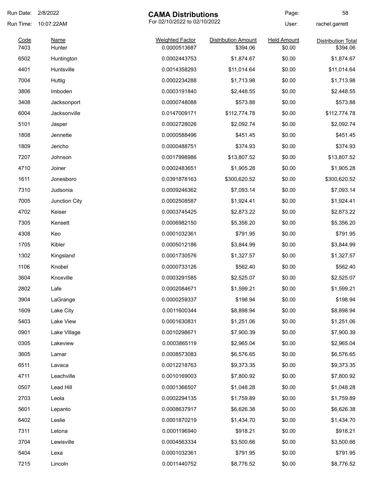| Run Date:    | 2/8/2022<br><b>CAMA Distributions</b> |                                        | Page:                                  | 58                           |                                       |
|--------------|---------------------------------------|----------------------------------------|----------------------------------------|------------------------------|---------------------------------------|
| Run Time:    | 10:07:22AM                            |                                        | For 02/10/2022 to 02/10/2022           |                              | rachel.garrett                        |
| Code<br>7403 | Name<br>Hunter                        | <b>Weighted Factor</b><br>0.0000513687 | <b>Distribution Amount</b><br>\$394.06 | <b>Held Amount</b><br>\$0.00 | <b>Distribution Total</b><br>\$394.06 |
| 6502         | Huntington                            | 0.0002443753                           | \$1,874.67                             | \$0.00                       | \$1,874.67                            |
| 4401         | Huntsville                            | 0.0014358293                           | \$11,014.64                            | \$0.00                       | \$11,014.64                           |
| 7004         | Huttig                                | 0.0002234288                           | \$1,713.98                             | \$0.00                       | \$1,713.98                            |
| 3806         | Imboden                               | 0.0003191840                           | \$2,448.55                             | \$0.00                       | \$2,448.55                            |
| 3408         | Jacksonport                           | 0.0000748088                           | \$573.88                               | \$0.00                       | \$573.88                              |
| 6004         | Jacksonville                          | 0.0147009171                           | \$112,774.78                           | \$0.00                       | \$112,774.78                          |
| 5101         | Jasper                                | 0.0002728026                           | \$2,092.74                             | \$0.00                       | \$2,092.74                            |
| 1808         | Jennette                              | 0.0000588496                           | \$451.45                               | \$0.00                       | \$451.45                              |
| 1809         | Jericho                               | 0.0000488751                           | \$374.93                               | \$0.00                       | \$374.93                              |
| 7207         | Johnson                               | 0.0017998986                           | \$13,807.52                            | \$0.00                       | \$13,807.52                           |
| 4710         | Joiner                                | 0.0002483651                           | \$1,905.28                             | \$0.00                       | \$1,905.28                            |
| 1611         | Jonesboro                             | 0.0391878163                           | \$300,620.52                           | \$0.00                       | \$300,620.52                          |
| 7310         | Judsonia                              | 0.0009246362                           | \$7,093.14                             | \$0.00                       | \$7,093.14                            |
| 7005         | Junction City                         | 0.0002508587                           | \$1,924.41                             | \$0.00                       | \$1,924.41                            |
| 4702         | Keiser                                | 0.0003745425                           | \$2,873.22                             | \$0.00                       | \$2,873.22                            |
| 7305         | Kensett                               | 0.0006982150                           | \$5,356.20                             | \$0.00                       | \$5,356.20                            |
| 4308         | Keo                                   | 0.0001032361                           | \$791.95                               | \$0.00                       | \$791.95                              |
| 1705         | Kibler                                | 0.0005012186                           | \$3,844.99                             | \$0.00                       | \$3,844.99                            |
| 1302         | Kingsland                             | 0.0001730576                           | \$1,327.57                             | \$0.00                       | \$1,327.57                            |
| 1106         | Knobel                                | 0.0000733126                           | \$562.40                               | \$0.00                       | \$562.40                              |
| 3604         | Knoxville                             | 0.0003291585                           | \$2,525.07                             | \$0.00                       | \$2,525.07                            |
| 2802         | Lafe                                  | 0.0002084671                           | \$1,599.21                             | \$0.00                       | \$1,599.21                            |
| 3904         | LaGrange                              | 0.0000259337                           | \$198.94                               | \$0.00                       | \$198.94                              |
| 1609         | Lake City                             | 0.0011600344                           | \$8,898.94                             | \$0.00                       | \$8,898.94                            |
| 5403         | Lake View                             | 0.0001630831                           | \$1,251.06                             | \$0.00                       | \$1,251.06                            |
| 0901         | Lake Village                          | 0.0010298671                           | \$7,900.39                             | \$0.00                       | \$7,900.39                            |
| 0305         | Lakeview                              | 0.0003865119                           | \$2,965.04                             | \$0.00                       | \$2,965.04                            |
| 3605         | Lamar                                 | 0.0008573083                           | \$6,576.65                             | \$0.00                       | \$6,576.65                            |
| 6511         | Lavaca                                | 0.0012218763                           | \$9,373.35                             | \$0.00                       | \$9,373.35                            |
| 4711         | Leachville                            | 0.0010169003                           | \$7,800.92                             | \$0.00                       | \$7,800.92                            |
| 0507         | Lead Hill                             | 0.0001366507                           | \$1,048.28                             | \$0.00                       | \$1,048.28                            |
| 2703         | Leola                                 | 0.0002294135                           | \$1,759.89                             | \$0.00                       | \$1,759.89                            |
| 5601         | Lepanto                               | 0.0008637917                           | \$6,626.38                             | \$0.00                       | \$6,626.38                            |
| 6402         | Leslie                                | 0.0001870219                           | \$1,434.70                             | \$0.00                       | \$1,434.70                            |
| 7311         | Letona                                | 0.0001196940                           | \$918.21                               | \$0.00                       | \$918.21                              |
| 3704         | Lewisville                            | 0.0004563334                           | \$3,500.66                             | \$0.00                       | \$3,500.66                            |
| 5404         | Lexa                                  | 0.0001032361                           | \$791.95                               | \$0.00                       | \$791.95                              |
| 7215         | Lincoln                               | 0.0011440752                           | \$8,776.52                             | \$0.00                       | \$8,776.52                            |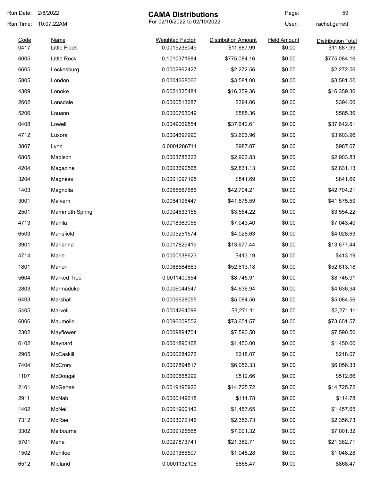| Run Date: | 2/8/2022<br><b>CAMA Distributions</b> |                              | Page:                      | 59                 |                           |
|-----------|---------------------------------------|------------------------------|----------------------------|--------------------|---------------------------|
| Run Time: | 10:07:22AM                            | For 02/10/2022 to 02/10/2022 |                            | User:              | rachel.garrett            |
| Code      | <b>Name</b>                           | <b>Weighted Factor</b>       | <b>Distribution Amount</b> | <b>Held Amount</b> | <b>Distribution Total</b> |
| 0417      | <b>Little Flock</b>                   | 0.0015236049                 | \$11,687.99                | \$0.00             | \$11,687.99               |
| 6005      | Little Rock                           | 0.1010371984                 | \$775,084.16               | \$0.00             | \$775,084.16              |
| 6605      | Lockesburg                            | 0.0002962427                 | \$2,272.56                 | \$0.00             | \$2,272.56                |
| 5805      | London                                | 0.0004668066                 | \$3,581.00                 | \$0.00             | \$3,581.00                |
| 4309      | Lonoke                                | 0.0021325481                 | \$16,359.36                | \$0.00             | \$16,359.36               |
| 2602      | Lonsdale                              | 0.0000513687                 | \$394.06                   | \$0.00             | \$394.06                  |
| 5206      | Louann                                | 0.0000763049                 | \$585.36                   | \$0.00             | \$585.36                  |
| 0408      | Lowell                                | 0.0049069554                 | \$37,642.61                | \$0.00             | \$37,642.61               |
| 4712      | Luxora                                | 0.0004697990                 | \$3,603.96                 | \$0.00             | \$3,603.96                |
| 3807      | Lynn                                  | 0.0001286711                 | \$987.07                   | \$0.00             | \$987.07                  |
| 6805      | Madison                               | 0.0003785323                 | \$2,903.83                 | \$0.00             | \$2,903.83                |
| 4204      | Magazine                              | 0.0003690565                 | \$2,831.13                 | \$0.00             | \$2,831.13                |
| 3204      | Magness                               | 0.0001097195                 | \$841.69                   | \$0.00             | \$841.69                  |
| 1403      | Magnolia                              | 0.0055667686                 | \$42,704.21                | \$0.00             | \$42,704.21               |
| 3001      | Malvern                               | 0.0054196447                 | \$41,575.59                | \$0.00             | \$41,575.59               |
| 2501      | <b>Mammoth Spring</b>                 | 0.0004633155                 | \$3,554.22                 | \$0.00             | \$3,554.22                |
| 4713      | Manila                                | 0.0018363055                 | \$7,043.40                 | \$0.00             | \$7,043.40                |
| 6503      | Mansfield                             | 0.0005251574                 | \$4,028.63                 | \$0.00             | \$4,028.63                |
| 3901      | Marianna                              | 0.0017829419                 | \$13,677.44                | \$0.00             | \$13,677.44               |
| 4714      | Marie                                 | 0.0000538623                 | \$413.19                   | \$0.00             | \$413.19                  |
| 1801      | Marion                                | 0.0068584663                 | \$52,613.18                | \$0.00             | \$52,613.18               |
| 5604      | <b>Marked Tree</b>                    | 0.0011400854                 | \$8,745.91                 | \$0.00             | \$8,745.91                |
| 2803      | Marmaduke                             | 0.0006044547                 | \$4,636.94                 | \$0.00             | \$4,636.94                |
| 6403      | Marshall                              | 0.0006628055                 | \$5,084.56                 | \$0.00             | \$5,084.56                |
| 5405      | Marvell                               | 0.0004264099                 | \$3,271.11                 | \$0.00             | \$3,271.11                |
| 6006      | Maumelle                              | 0.0096009552                 | \$73,651.57                | \$0.00             | \$73,651.57               |
| 2302      | Mayflower                             | 0.0009894704                 | \$7,590.50                 | \$0.00             | \$7,590.50                |
| 6102      | Maynard                               | 0.0001890168                 | \$1,450.00                 | \$0.00             | \$1,450.00                |
| 2905      | McCaskill                             | 0.0000284273                 | \$218.07                   | \$0.00             | \$218.07                  |
| 7404      | McCrory                               | 0.0007894817                 | \$6,056.33                 | \$0.00             | \$6,056.33                |
| 1107      | McDougal                              | 0.0000668292                 | \$512.66                   | \$0.00             | \$512.66                  |
| 2101      | McGehee                               | 0.0019195926                 | \$14,725.72                | \$0.00             | \$14,725.72               |
| 2911      | McNab                                 | 0.0000149618                 | \$114.78                   | \$0.00             | \$114.78                  |
| 1402      | McNeil                                | 0.0001900142                 | \$1,457.65                 | \$0.00             | \$1,457.65                |
| 7312      | McRae                                 | 0.0003072146                 | \$2,356.73                 | \$0.00             | \$2,356.73                |
| 3302      | Melbourne                             | 0.0009126668                 | \$7,001.32                 | \$0.00             | \$7,001.32                |
| 5701      | Mena                                  | 0.0027873741                 | \$21,382.71                | \$0.00             | \$21,382.71               |
| 1502      | Menifee                               | 0.0001366507                 | \$1,048.28                 | \$0.00             | \$1,048.28                |
| 6512      | Midland                               | 0.0001132106                 | \$868.47                   | \$0.00             | \$868.47                  |
|           |                                       |                              |                            |                    |                           |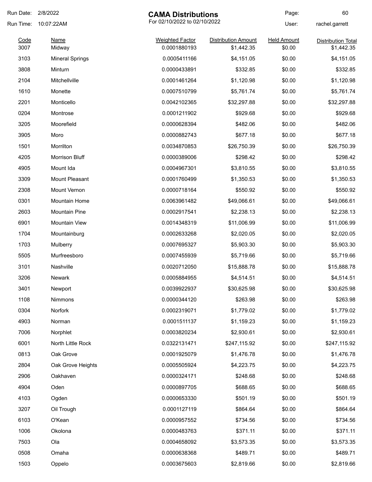| Run Date:    | 2/8/2022               | <b>CAMA Distributions</b>              |                                          | Page:                        | 60                                      |
|--------------|------------------------|----------------------------------------|------------------------------------------|------------------------------|-----------------------------------------|
| Run Time:    | 10:07:22AM             | For 02/10/2022 to 02/10/2022           |                                          | User:                        | rachel.garrett                          |
| Code<br>3007 | <b>Name</b><br>Midway  | <b>Weighted Factor</b><br>0.0001880193 | <b>Distribution Amount</b><br>\$1,442.35 | <b>Held Amount</b><br>\$0.00 | <b>Distribution Total</b><br>\$1,442.35 |
| 3103         | <b>Mineral Springs</b> | 0.0005411166                           | \$4,151.05                               | \$0.00                       | \$4,151.05                              |
| 3808         | Minturn                | 0.0000433891                           | \$332.85                                 | \$0.00                       | \$332.85                                |
| 2104         | Mitchellville          | 0.0001461264                           | \$1,120.98                               | \$0.00                       | \$1,120.98                              |
| 1610         | Monette                | 0.0007510799                           | \$5,761.74                               | \$0.00                       | \$5,761.74                              |
| 2201         | Monticello             | 0.0042102365                           | \$32,297.88                              | \$0.00                       | \$32,297.88                             |
| 0204         | Montrose               | 0.0001211902                           | \$929.68                                 | \$0.00                       | \$929.68                                |
| 3205         | Moorefield             | 0.0000628394                           | \$482.06                                 | \$0.00                       | \$482.06                                |
| 3905         | Moro                   | 0.0000882743                           | \$677.18                                 | \$0.00                       | \$677.18                                |
| 1501         | Morrilton              | 0.0034870853                           | \$26,750.39                              | \$0.00                       | \$26,750.39                             |
| 4205         | Morrison Bluff         | 0.0000389006                           | \$298.42                                 | \$0.00                       | \$298.42                                |
| 4905         | Mount Ida              | 0.0004967301                           | \$3,810.55                               | \$0.00                       | \$3,810.55                              |
| 3309         | <b>Mount Pleasant</b>  | 0.0001760499                           | \$1,350.53                               | \$0.00                       | \$1,350.53                              |
| 2308         | Mount Vernon           | 0.0000718164                           | \$550.92                                 | \$0.00                       | \$550.92                                |
| 0301         | <b>Mountain Home</b>   | 0.0063961482                           | \$49,066.61                              | \$0.00                       | \$49,066.61                             |
| 2603         | <b>Mountain Pine</b>   | 0.0002917541                           | \$2,238.13                               | \$0.00                       | \$2,238.13                              |
| 6901         | <b>Mountain View</b>   | 0.0014348319                           | \$11,006.99                              | \$0.00                       | \$11,006.99                             |
| 1704         | Mountainburg           | 0.0002633268                           | \$2,020.05                               | \$0.00                       | \$2,020.05                              |
| 1703         | Mulberry               | 0.0007695327                           | \$5,903.30                               | \$0.00                       | \$5,903.30                              |
| 5505         | Murfreesboro           | 0.0007455939                           | \$5,719.66                               | \$0.00                       | \$5,719.66                              |
| 3101         | Nashville              | 0.0020712050                           | \$15,888.78                              | \$0.00                       | \$15,888.78                             |
| 3206         | <b>Newark</b>          | 0.0005884955                           | \$4,514.51                               | \$0.00                       | \$4,514.51                              |
| 3401         | Newport                | 0.0039922937                           | \$30,625.98                              | \$0.00                       | \$30,625.98                             |
| 1108         | Nimmons                | 0.0000344120                           | \$263.98                                 | \$0.00                       | \$263.98                                |
| 0304         | Norfork                | 0.0002319071                           | \$1,779.02                               | \$0.00                       | \$1,779.02                              |
| 4903         | Norman                 | 0.0001511137                           | \$1,159.23                               | \$0.00                       | \$1,159.23                              |
| 7006         | Norphlet               | 0.0003820234                           | \$2,930.61                               | \$0.00                       | \$2,930.61                              |
| 6001         | North Little Rock      | 0.0322131471                           | \$247,115.92                             | \$0.00                       | \$247,115.92                            |
| 0813         | Oak Grove              | 0.0001925079                           | \$1,476.78                               | \$0.00                       | \$1,476.78                              |
| 2804         | Oak Grove Heights      | 0.0005505924                           | \$4,223.75                               | \$0.00                       | \$4,223.75                              |
| 2906         | Oakhaven               | 0.0000324171                           | \$248.68                                 | \$0.00                       | \$248.68                                |
| 4904         | Oden                   | 0.0000897705                           | \$688.65                                 | \$0.00                       | \$688.65                                |
| 4103         | Ogden                  | 0.0000653330                           | \$501.19                                 | \$0.00                       | \$501.19                                |
| 3207         | Oil Trough             | 0.0001127119                           | \$864.64                                 | \$0.00                       | \$864.64                                |
| 6103         | O'Kean                 | 0.0000957552                           | \$734.56                                 | \$0.00                       | \$734.56                                |
| 1006         | Okolona                | 0.0000483763                           | \$371.11                                 | \$0.00                       | \$371.11                                |
| 7503         | Ola                    | 0.0004658092                           | \$3,573.35                               | \$0.00                       | \$3,573.35                              |
| 0508         | Omaha                  | 0.0000638368                           | \$489.71                                 | \$0.00                       | \$489.71                                |
| 1503         | Oppelo                 | 0.0003675603                           | \$2,819.66                               | \$0.00                       | \$2,819.66                              |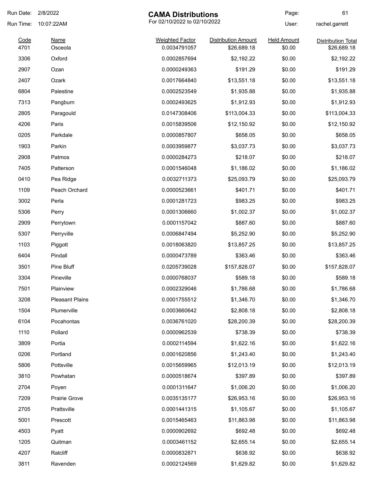| Run Date:    | 2/8/2022               | <b>CAMA Distributions</b>              |                                           | Page:                        | 61                                       |
|--------------|------------------------|----------------------------------------|-------------------------------------------|------------------------------|------------------------------------------|
| Run Time:    | 10:07:22AM             | For 02/10/2022 to 02/10/2022           |                                           | User:                        | rachel.garrett                           |
| Code<br>4701 | Name<br>Osceola        | <b>Weighted Factor</b><br>0.0034791057 | <b>Distribution Amount</b><br>\$26,689.18 | <b>Held Amount</b><br>\$0.00 | <b>Distribution Total</b><br>\$26,689.18 |
| 3306         | Oxford                 | 0.0002857694                           | \$2,192.22                                | \$0.00                       | \$2,192.22                               |
| 2907         | Ozan                   | 0.0000249363                           | \$191.29                                  | \$0.00                       | \$191.29                                 |
| 2407         | Ozark                  | 0.0017664840                           | \$13,551.18                               | \$0.00                       | \$13,551.18                              |
| 6804         | Palestine              | 0.0002523549                           | \$1,935.88                                | \$0.00                       | \$1,935.88                               |
| 7313         | Pangburn               | 0.0002493625                           | \$1,912.93                                | \$0.00                       | \$1,912.93                               |
| 2805         | Paragould              | 0.0147308406                           | \$113,004.33                              | \$0.00                       | \$113,004.33                             |
| 4206         | Paris                  | 0.0015839506                           | \$12,150.92                               | \$0.00                       | \$12,150.92                              |
| 0205         | Parkdale               | 0.0000857807                           | \$658.05                                  | \$0.00                       | \$658.05                                 |
| 1903         | Parkin                 | 0.0003959877                           | \$3,037.73                                | \$0.00                       | \$3,037.73                               |
| 2908         | Patmos                 | 0.0000284273                           | \$218.07                                  | \$0.00                       | \$218.07                                 |
| 7405         | Patterson              | 0.0001546048                           | \$1,186.02                                | \$0.00                       | \$1,186.02                               |
| 0410         | Pea Ridge              | 0.0032711373                           | \$25,093.79                               | \$0.00                       | \$25,093.79                              |
| 1109         | Peach Orchard          | 0.0000523661                           | \$401.71                                  | \$0.00                       | \$401.71                                 |
| 3002         | Perla                  | 0.0001281723                           | \$983.25                                  | \$0.00                       | \$983.25                                 |
| 5306         | Perry                  | 0.0001306660                           | \$1,002.37                                | \$0.00                       | \$1,002.37                               |
| 2909         | Perrytown              | 0.0001157042                           | \$887.60                                  | \$0.00                       | \$887.60                                 |
| 5307         | Perryville             | 0.0006847494                           | \$5,252.90                                | \$0.00                       | \$5,252.90                               |
| 1103         | Piggott                | 0.0018063820                           | \$13,857.25                               | \$0.00                       | \$13,857.25                              |
| 6404         | Pindall                | 0.0000473789                           | \$363.46                                  | \$0.00                       | \$363.46                                 |
| 3501         | Pine Bluff             | 0.0205739028                           | \$157,828.07                              | \$0.00                       | \$157,828.07                             |
| 3304         | Pineville              | 0.0000768037                           | \$589.18                                  | \$0.00                       | \$589.18                                 |
| 7501         | Plainview              | 0.0002329046                           | \$1,786.68                                | \$0.00                       | \$1,786.68                               |
| 3208         | <b>Pleasant Plains</b> | 0.0001755512                           | \$1,346.70                                | \$0.00                       | \$1,346.70                               |
| 1504         | Plumerville            | 0.0003660642                           | \$2,808.18                                | \$0.00                       | \$2,808.18                               |
| 6104         | Pocahontas             | 0.0036761020                           | \$28,200.39                               | \$0.00                       | \$28,200.39                              |
| 1110         | Pollard                | 0.0000962539                           | \$738.39                                  | \$0.00                       | \$738.39                                 |
| 3809         | Portia                 | 0.0002114594                           | \$1,622.16                                | \$0.00                       | \$1,622.16                               |
| 0206         | Portland               | 0.0001620856                           | \$1,243.40                                | \$0.00                       | \$1,243.40                               |
| 5806         | Pottsville             | 0.0015659965                           | \$12,013.19                               | \$0.00                       | \$12,013.19                              |
| 3810         | Powhatan               | 0.0000518674                           | \$397.89                                  | \$0.00                       | \$397.89                                 |
| 2704         | Poyen                  | 0.0001311647                           | \$1,006.20                                | \$0.00                       | \$1,006.20                               |
| 7209         | Prairie Grove          | 0.0035135177                           | \$26,953.16                               | \$0.00                       | \$26,953.16                              |
| 2705         | Prattsville            | 0.0001441315                           | \$1,105.67                                | \$0.00                       | \$1,105.67                               |
| 5001         | Prescott               | 0.0015465463                           | \$11,863.98                               | \$0.00                       | \$11,863.98                              |
| 4503         | Pyatt                  | 0.0000902692                           | \$692.48                                  | \$0.00                       | \$692.48                                 |
| 1205         | Quitman                | 0.0003461152                           | \$2,655.14                                | \$0.00                       | \$2,655.14                               |
| 4207         | Ratcliff               | 0.0000832871                           | \$638.92                                  | \$0.00                       | \$638.92                                 |
| 3811         | Ravenden               | 0.0002124569                           | \$1,629.82                                | \$0.00                       | \$1,629.82                               |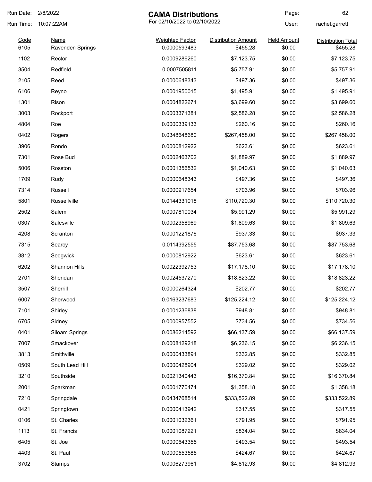| Run Date: | 2/8/2022                | <b>CAMA Distributions</b>    |                            | Page:              | 62                        |
|-----------|-------------------------|------------------------------|----------------------------|--------------------|---------------------------|
| Run Time: | 10:07:22AM              | For 02/10/2022 to 02/10/2022 |                            | User:              | rachel.garrett            |
| Code      | <b>Name</b>             | <b>Weighted Factor</b>       | <b>Distribution Amount</b> | <b>Held Amount</b> | <b>Distribution Total</b> |
| 6105      | <b>Ravenden Springs</b> | 0.0000593483                 | \$455.28                   | \$0.00             | \$455.28                  |
| 1102      | Rector                  | 0.0009286260                 | \$7,123.75                 | \$0.00             | \$7,123.75                |
| 3504      | Redfield                | 0.0007505811                 | \$5,757.91                 | \$0.00             | \$5,757.91                |
| 2105      | Reed                    | 0.0000648343                 | \$497.36                   | \$0.00             | \$497.36                  |
| 6106      | Reyno                   | 0.0001950015                 | \$1,495.91                 | \$0.00             | \$1,495.91                |
| 1301      | Rison                   | 0.0004822671                 | \$3,699.60                 | \$0.00             | \$3,699.60                |
| 3003      | Rockport                | 0.0003371381                 | \$2,586.28                 | \$0.00             | \$2,586.28                |
| 4804      | Roe                     | 0.0000339133                 | \$260.16                   | \$0.00             | \$260.16                  |
| 0402      | Rogers                  | 0.0348648680                 | \$267,458.00               | \$0.00             | \$267,458.00              |
| 3906      | Rondo                   | 0.0000812922                 | \$623.61                   | \$0.00             | \$623.61                  |
| 7301      | Rose Bud                | 0.0002463702                 | \$1,889.97                 | \$0.00             | \$1,889.97                |
| 5006      | Rosston                 | 0.0001356532                 | \$1,040.63                 | \$0.00             | \$1,040.63                |
| 1709      | Rudy                    | 0.0000648343                 | \$497.36                   | \$0.00             | \$497.36                  |
| 7314      | Russell                 | 0.0000917654                 | \$703.96                   | \$0.00             | \$703.96                  |
| 5801      | Russellville            | 0.0144331018                 | \$110,720.30               | \$0.00             | \$110,720.30              |
| 2502      | Salem                   | 0.0007810034                 | \$5,991.29                 | \$0.00             | \$5,991.29                |
| 0307      | Salesville              | 0.0002358969                 | \$1,809.63                 | \$0.00             | \$1,809.63                |
| 4208      | Scranton                | 0.0001221876                 | \$937.33                   | \$0.00             | \$937.33                  |
| 7315      | Searcy                  | 0.0114392555                 | \$87,753.68                | \$0.00             | \$87,753.68               |
| 3812      | Sedgwick                | 0.0000812922                 | \$623.61                   | \$0.00             | \$623.61                  |
| 6202      | Shannon Hills           | 0.0022392753                 | \$17,178.10                | \$0.00             | \$17,178.10               |
| 2701      | Sheridan                | 0.0024537270                 | \$18,823.22                | \$0.00             | \$18,823.22               |
| 3507      | Sherrill                | 0.0000264324                 | \$202.77                   | \$0.00             | \$202.77                  |
| 6007      | Sherwood                | 0.0163237683                 | \$125,224.12               | \$0.00             | \$125,224.12              |
| 7101      | Shirley                 | 0.0001236838                 | \$948.81                   | \$0.00             | \$948.81                  |
| 6705      | Sidney                  | 0.0000957552                 | \$734.56                   | \$0.00             | \$734.56                  |
| 0401      | Siloam Springs          | 0.0086214592                 | \$66,137.59                | \$0.00             | \$66,137.59               |
| 7007      | Smackover               | 0.0008129218                 | \$6,236.15                 | \$0.00             | \$6,236.15                |
| 3813      | Smithville              | 0.0000433891                 | \$332.85                   | \$0.00             | \$332.85                  |
| 0509      | South Lead Hill         | 0.0000428904                 | \$329.02                   | \$0.00             | \$329.02                  |
| 3210      | Southside               | 0.0021340443                 | \$16,370.84                | \$0.00             | \$16,370.84               |
| 2001      | Sparkman                | 0.0001770474                 | \$1,358.18                 | \$0.00             | \$1,358.18                |
| 7210      | Springdale              | 0.0434768514                 | \$333,522.89               | \$0.00             | \$333,522.89              |
| 0421      | Springtown              | 0.0000413942                 | \$317.55                   | \$0.00             | \$317.55                  |
| 0106      | St. Charles             | 0.0001032361                 | \$791.95                   | \$0.00             | \$791.95                  |
| 1113      | St. Francis             | 0.0001087221                 | \$834.04                   | \$0.00             | \$834.04                  |
| 6405      | St. Joe                 | 0.0000643355                 | \$493.54                   | \$0.00             | \$493.54                  |
| 4403      | St. Paul                | 0.0000553585                 | \$424.67                   | \$0.00             | \$424.67                  |
| 3702      | Stamps                  | 0.0006273961                 | \$4,812.93                 | \$0.00             | \$4,812.93                |
|           |                         |                              |                            |                    |                           |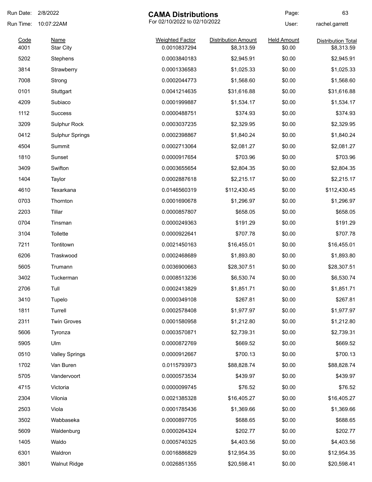| Run Date:    | 2/8/2022                        | <b>CAMA Distributions</b>              |                                          | Page:                        | 63                                      |
|--------------|---------------------------------|----------------------------------------|------------------------------------------|------------------------------|-----------------------------------------|
| Run Time:    | 10:07:22AM                      | For 02/10/2022 to 02/10/2022           |                                          | User:                        | rachel.garrett                          |
| Code<br>4001 | <b>Name</b><br><b>Star City</b> | <b>Weighted Factor</b><br>0.0010837294 | <b>Distribution Amount</b><br>\$8,313.59 | <b>Held Amount</b><br>\$0.00 | <b>Distribution Total</b><br>\$8,313.59 |
| 5202         | Stephens                        | 0.0003840183                           | \$2,945.91                               | \$0.00                       | \$2,945.91                              |
| 3814         | Strawberry                      | 0.0001336583                           | \$1,025.33                               | \$0.00                       | \$1,025.33                              |
| 7008         | Strong                          | 0.0002044773                           | \$1,568.60                               | \$0.00                       | \$1,568.60                              |
| 0101         | Stuttgart                       | 0.0041214635                           | \$31,616.88                              | \$0.00                       | \$31,616.88                             |
| 4209         | Subiaco                         | 0.0001999887                           | \$1,534.17                               | \$0.00                       | \$1,534.17                              |
| 1112         | <b>Success</b>                  | 0.0000488751                           | \$374.93                                 | \$0.00                       | \$374.93                                |
| 3209         | Sulphur Rock                    | 0.0003037235                           | \$2,329.95                               | \$0.00                       | \$2,329.95                              |
| 0412         | <b>Sulphur Springs</b>          | 0.0002398867                           | \$1,840.24                               | \$0.00                       | \$1,840.24                              |
| 4504         | Summit                          | 0.0002713064                           | \$2,081.27                               | \$0.00                       | \$2,081.27                              |
| 1810         | Sunset                          | 0.0000917654                           | \$703.96                                 | \$0.00                       | \$703.96                                |
| 3409         | Swifton                         | 0.0003655654                           | \$2,804.35                               | \$0.00                       | \$2,804.35                              |
| 1404         | Taylor                          | 0.0002887618                           | \$2,215.17                               | \$0.00                       | \$2,215.17                              |
| 4610         | Texarkana                       | 0.0146560319                           | \$112,430.45                             | \$0.00                       | \$112,430.45                            |
| 0703         | Thornton                        | 0.0001690678                           | \$1,296.97                               | \$0.00                       | \$1,296.97                              |
| 2203         | Tillar                          | 0.0000857807                           | \$658.05                                 | \$0.00                       | \$658.05                                |
| 0704         | Tinsman                         | 0.0000249363                           | \$191.29                                 | \$0.00                       | \$191.29                                |
| 3104         | Tollette                        | 0.0000922641                           | \$707.78                                 | \$0.00                       | \$707.78                                |
| 7211         | Tontitown                       | 0.0021450163                           | \$16,455.01                              | \$0.00                       | \$16,455.01                             |
| 6206         | Traskwood                       | 0.0002468689                           | \$1,893.80                               | \$0.00                       | \$1,893.80                              |
| 5605         | Trumann                         | 0.0036900663                           | \$28,307.51                              | \$0.00                       | \$28,307.51                             |
| 3402         | Tuckerman                       | 0.0008513236                           | \$6,530.74                               | \$0.00                       | \$6,530.74                              |
| 2706         | Tull                            | 0.0002413829                           | \$1,851.71                               | \$0.00                       | \$1,851.71                              |
| 3410         | Tupelo                          | 0.0000349108                           | \$267.81                                 | \$0.00                       | \$267.81                                |
| 1811         | Turrell                         | 0.0002578408                           | \$1,977.97                               | \$0.00                       | \$1,977.97                              |
| 2311         | <b>Twin Groves</b>              | 0.0001580958                           | \$1,212.80                               | \$0.00                       | \$1,212.80                              |
| 5606         | Tyronza                         | 0.0003570871                           | \$2,739.31                               | \$0.00                       | \$2,739.31                              |
| 5905         | Ulm                             | 0.0000872769                           | \$669.52                                 | \$0.00                       | \$669.52                                |
| 0510         | <b>Valley Springs</b>           | 0.0000912667                           | \$700.13                                 | \$0.00                       | \$700.13                                |
| 1702         | Van Buren                       | 0.0115793973                           | \$88,828.74                              | \$0.00                       | \$88,828.74                             |
| 5705         | Vandervoort                     | 0.0000573534                           | \$439.97                                 | \$0.00                       | \$439.97                                |
| 4715         | Victoria                        | 0.0000099745                           | \$76.52                                  | \$0.00                       | \$76.52                                 |
| 2304         | Vilonia                         | 0.0021385328                           | \$16,405.27                              | \$0.00                       | \$16,405.27                             |
| 2503         | Viola                           | 0.0001785436                           | \$1,369.66                               | \$0.00                       | \$1,369.66                              |
| 3502         | Wabbaseka                       | 0.0000897705                           | \$688.65                                 | \$0.00                       | \$688.65                                |
| 5609         | Waldenburg                      | 0.0000264324                           | \$202.77                                 | \$0.00                       | \$202.77                                |
| 1405         | Waldo                           | 0.0005740325                           | \$4,403.56                               | \$0.00                       | \$4,403.56                              |
| 6301         | Waldron                         | 0.0016886829                           | \$12,954.35                              | \$0.00                       | \$12,954.35                             |
| 3801         | <b>Walnut Ridge</b>             | 0.0026851355                           | \$20,598.41                              | \$0.00                       | \$20,598.41                             |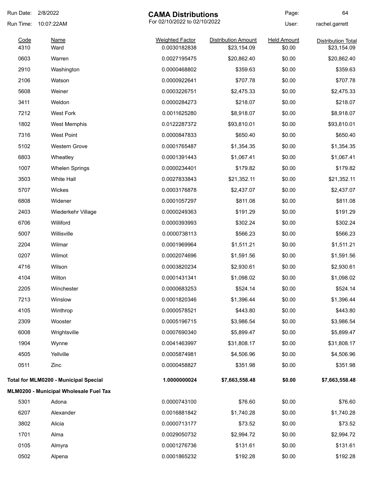| Run Date: | 2/8/2022                                     | <b>CAMA Distributions</b> |                              | Page:              | 64                        |
|-----------|----------------------------------------------|---------------------------|------------------------------|--------------------|---------------------------|
| Run Time: | 10:07:22AM                                   |                           | For 02/10/2022 to 02/10/2022 |                    | rachel.garrett            |
| Code      | <b>Name</b>                                  | <b>Weighted Factor</b>    | <b>Distribution Amount</b>   | <b>Held Amount</b> | <b>Distribution Total</b> |
| 4310      | Ward                                         | 0.0030182838              | \$23,154.09                  | \$0.00             | \$23,154.09               |
| 0603      | Warren                                       | 0.0027195475              | \$20,862.40                  | \$0.00             | \$20,862.40               |
| 2910      | Washington                                   | 0.0000468802              | \$359.63                     | \$0.00             | \$359.63                  |
| 2106      | Watson                                       | 0.0000922641              | \$707.78                     | \$0.00             | \$707.78                  |
| 5608      | Weiner                                       | 0.0003226751              | \$2,475.33                   | \$0.00             | \$2,475.33                |
| 3411      | Weldon                                       | 0.0000284273              | \$218.07                     | \$0.00             | \$218.07                  |
| 7212      | <b>West Fork</b>                             | 0.0011625280              | \$8,918.07                   | \$0.00             | \$8,918.07                |
| 1802      | <b>West Memphis</b>                          | 0.0122287372              | \$93,810.01                  | \$0.00             | \$93,810.01               |
| 7316      | <b>West Point</b>                            | 0.0000847833              | \$650.40                     | \$0.00             | \$650.40                  |
| 5102      | <b>Western Grove</b>                         | 0.0001765487              | \$1,354.35                   | \$0.00             | \$1,354.35                |
| 6803      | Wheatley                                     | 0.0001391443              | \$1,067.41                   | \$0.00             | \$1,067.41                |
| 1007      | <b>Whelen Springs</b>                        | 0.0000234401              | \$179.82                     | \$0.00             | \$179.82                  |
| 3503      | White Hall                                   | 0.0027833843              | \$21,352.11                  | \$0.00             | \$21,352.11               |
| 5707      | Wickes                                       | 0.0003176878              | \$2,437.07                   | \$0.00             | \$2,437.07                |
| 6808      | Widener                                      | 0.0001057297              | \$811.08                     | \$0.00             | \$811.08                  |
| 2403      | Wiederkehr Village                           | 0.0000249363              | \$191.29                     | \$0.00             | \$191.29                  |
| 6706      | Williford                                    | 0.0000393993              | \$302.24                     | \$0.00             | \$302.24                  |
| 5007      | Willisville                                  | 0.0000738113              | \$566.23                     | \$0.00             | \$566.23                  |
| 2204      | Wilmar                                       | 0.0001969964              | \$1,511.21                   | \$0.00             | \$1,511.21                |
| 0207      | Wilmot                                       | 0.0002074696              | \$1,591.56                   | \$0.00             | \$1,591.56                |
| 4716      | Wilson                                       | 0.0003820234              | \$2,930.61                   | \$0.00             | \$2,930.61                |
| 4104      | Wilton                                       | 0.0001431341              | \$1,098.02                   | \$0.00             | \$1,098.02                |
| 2205      | Winchester                                   | 0.0000683253              | \$524.14                     | \$0.00             | \$524.14                  |
| 7213      | Winslow                                      | 0.0001820346              | \$1,396.44                   | \$0.00             | \$1,396.44                |
| 4105      | Winthrop                                     | 0.0000578521              | \$443.80                     | \$0.00             | \$443.80                  |
| 2309      | Wooster                                      | 0.0005196715              | \$3,986.54                   | \$0.00             | \$3,986.54                |
| 6008      | Wrightsville                                 | 0.0007690340              | \$5,899.47                   | \$0.00             | \$5,899.47                |
| 1904      | Wynne                                        | 0.0041463997              | \$31,808.17                  | \$0.00             | \$31,808.17               |
| 4505      | Yellville                                    | 0.0005874981              | \$4,506.96                   | \$0.00             | \$4,506.96                |
| 0511      | Zinc                                         | 0.0000458827              | \$351.98                     | \$0.00             | \$351.98                  |
|           | <b>Total for MLM0200 - Municipal Special</b> | 1.0000000024              | \$7,663,558.48               | \$0.00             | \$7,663,558.48            |
|           | MLM0200 - Municipal Wholesale Fuel Tax       |                           |                              |                    |                           |
| 5301      | Adona                                        | 0.0000743100              | \$76.60                      | \$0.00             | \$76.60                   |
| 6207      | Alexander                                    | 0.0016881842              | \$1,740.28                   | \$0.00             | \$1,740.28                |
| 3802      | Alicia                                       | 0.0000713177              | \$73.52                      | \$0.00             | \$73.52                   |
| 1701      | Alma                                         | 0.0029050732              | \$2,994.72                   | \$0.00             | \$2,994.72                |
| 0105      | Almyra                                       | 0.0001276736              | \$131.61                     | \$0.00             | \$131.61                  |
| 0502      | Alpena                                       | 0.0001865232              | \$192.28                     | \$0.00             | \$192.28                  |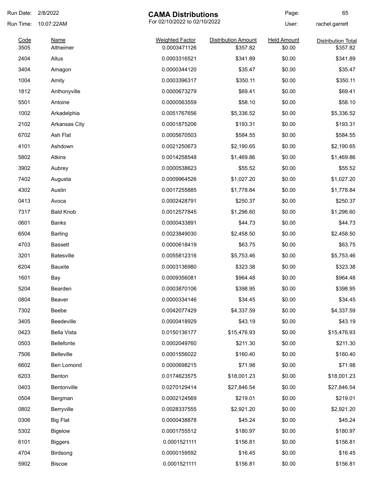| Run Date:    | 2/8/2022                                   | <b>CAMA Distributions</b>              |                                        | Page:                        | 65                                    |
|--------------|--------------------------------------------|----------------------------------------|----------------------------------------|------------------------------|---------------------------------------|
| Run Time:    | For 02/10/2022 to 02/10/2022<br>10:07:22AM |                                        |                                        | User:                        | rachel.garrett                        |
| Code<br>3505 | <b>Name</b><br>Altheimer                   | <b>Weighted Factor</b><br>0.0003471126 | <b>Distribution Amount</b><br>\$357.82 | <b>Held Amount</b><br>\$0.00 | <b>Distribution Total</b><br>\$357.82 |
| 2404         | Altus                                      | 0.0003316521                           | \$341.89                               | \$0.00                       | \$341.89                              |
| 3404         | Amagon                                     | 0.0000344120                           | \$35.47                                | \$0.00                       | \$35.47                               |
| 1004         | Amity                                      | 0.0003396317                           | \$350.11                               | \$0.00                       | \$350.11                              |
| 1812         | Anthonyville                               | 0.0000673279                           | \$69.41                                | \$0.00                       | \$69.41                               |
| 5501         | Antoine                                    | 0.0000563559                           | \$58.10                                | \$0.00                       | \$58.10                               |
| 1002         | Arkadelphia                                | 0.0051767656                           | \$5,336.52                             | \$0.00                       | \$5,336.52                            |
| 2102         | <b>Arkansas City</b>                       | 0.0001875206                           | \$193.31                               | \$0.00                       | \$193.31                              |
| 6702         | Ash Flat                                   | 0.0005670503                           | \$584.55                               | \$0.00                       | \$584.55                              |
| 4101         | Ashdown                                    | 0.0021250673                           | \$2,190.65                             | \$0.00                       | \$2,190.65                            |
| 5802         | <b>Atkins</b>                              | 0.0014258548                           | \$1,469.86                             | \$0.00                       | \$1,469.86                            |
| 3902         | Aubrey                                     | 0.0000538623                           | \$55.52                                | \$0.00                       | \$55.52                               |
| 7402         | Augusta                                    | 0.0009964526                           | \$1,027.20                             | \$0.00                       | \$1,027.20                            |
| 4302         | Austin                                     | 0.0017255885                           | \$1,778.84                             | \$0.00                       | \$1,778.84                            |
| 0413         | Avoca                                      | 0.0002428791                           | \$250.37                               | \$0.00                       | \$250.37                              |
| 7317         | <b>Bald Knob</b>                           | 0.0012577845                           | \$1,296.60                             | \$0.00                       | \$1,296.60                            |
| 0601         | <b>Banks</b>                               | 0.0000433891                           | \$44.73                                | \$0.00                       | \$44.73                               |
| 6504         | Barling                                    | 0.0023849030                           | \$2,458.50                             | \$0.00                       | \$2,458.50                            |
| 4703         | <b>Bassett</b>                             | 0.0000618419                           | \$63.75                                | \$0.00                       | \$63.75                               |
| 3201         | <b>Batesville</b>                          | 0.0055812316                           | \$5,753.46                             | \$0.00                       | \$5,753.46                            |
| 6204         | <b>Bauxite</b>                             | 0.0003136980                           | \$323.38                               | \$0.00                       | \$323.38                              |
| 1601         | Bay                                        | 0.0009356081                           | \$964.48                               | \$0.00                       | \$964.48                              |
| 5204         | Bearden                                    | 0.0003870106                           | \$398.95                               | \$0.00                       | \$398.95                              |
| 0804         | Beaver                                     | 0.0000334146                           | \$34.45                                | \$0.00                       | \$34.45                               |
| 7302         | Beebe                                      | 0.0042077429                           | \$4,337.59                             | \$0.00                       | \$4,337.59                            |
| 3405         | Beedeville                                 | 0.0000418929                           | \$43.19                                | \$0.00                       | \$43.19                               |
| 0423         | <b>Bella Vista</b>                         | 0.0150136177                           | \$15,476.93                            | \$0.00                       | \$15,476.93                           |
| 0503         | Bellefonte                                 | 0.0002049760                           | \$211.30                               | \$0.00                       | \$211.30                              |
| 7506         | <b>Belleville</b>                          | 0.0001556022                           | \$160.40                               | \$0.00                       | \$160.40                              |
| 6602         | Ben Lomond                                 | 0.0000698215                           | \$71.98                                | \$0.00                       | \$71.98                               |
| 6203         | Benton                                     | 0.0174623575                           | \$18,001.23                            | \$0.00                       | \$18,001.23                           |
| 0403         | Bentonville                                | 0.0270129414                           | \$27,846.54                            | \$0.00                       | \$27,846.54                           |
| 0504         | Bergman                                    | 0.0002124569                           | \$219.01                               | \$0.00                       | \$219.01                              |
| 0802         | Berryville                                 | 0.0028337555                           | \$2,921.20                             | \$0.00                       | \$2,921.20                            |
| 0306         | <b>Big Flat</b>                            | 0.0000438878                           | \$45.24                                | \$0.00                       | \$45.24                               |
| 5302         | <b>Bigelow</b>                             | 0.0001755512                           | \$180.97                               | \$0.00                       | \$180.97                              |
| 6101         | <b>Biggers</b>                             | 0.0001521111                           | \$156.81                               | \$0.00                       | \$156.81                              |
| 4704         | Birdsong                                   | 0.0000159592                           | \$16.45                                | \$0.00                       | \$16.45                               |
| 5902         | Biscoe                                     | 0.0001521111                           | \$156.81                               | \$0.00                       | \$156.81                              |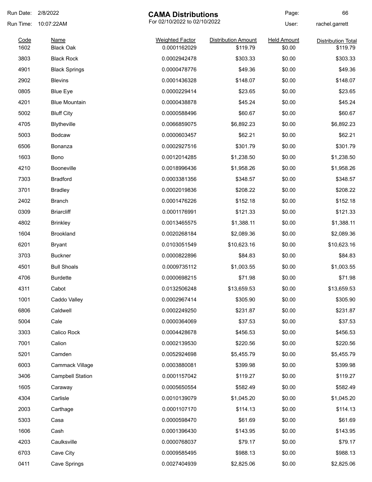| Run Date:    | 2/8/2022                        | <b>CAMA Distributions</b>              |                                        | Page:                        | 66                                    |
|--------------|---------------------------------|----------------------------------------|----------------------------------------|------------------------------|---------------------------------------|
| Run Time:    | 10:07:22AM                      | For 02/10/2022 to 02/10/2022           |                                        | User:                        | rachel.garrett                        |
| Code<br>1602 | <b>Name</b><br><b>Black Oak</b> | <b>Weighted Factor</b><br>0.0001162029 | <b>Distribution Amount</b><br>\$119.79 | <b>Held Amount</b><br>\$0.00 | <b>Distribution Total</b><br>\$119.79 |
| 3803         | <b>Black Rock</b>               | 0.0002942478                           | \$303.33                               | \$0.00                       | \$303.33                              |
| 4901         | <b>Black Springs</b>            | 0.0000478776                           | \$49.36                                | \$0.00                       | \$49.36                               |
| 2902         | <b>Blevins</b>                  | 0.0001436328                           | \$148.07                               | \$0.00                       | \$148.07                              |
| 0805         | <b>Blue Eye</b>                 | 0.0000229414                           | \$23.65                                | \$0.00                       | \$23.65                               |
| 4201         | <b>Blue Mountain</b>            | 0.0000438878                           | \$45.24                                | \$0.00                       | \$45.24                               |
| 5002         | <b>Bluff City</b>               | 0.0000588496                           | \$60.67                                | \$0.00                       | \$60.67                               |
| 4705         | Blytheville                     | 0.0066859075                           | \$6,892.23                             | \$0.00                       | \$6,892.23                            |
| 5003         | <b>Bodcaw</b>                   | 0.0000603457                           | \$62.21                                | \$0.00                       | \$62.21                               |
| 6506         | Bonanza                         | 0.0002927516                           | \$301.79                               | \$0.00                       | \$301.79                              |
| 1603         | Bono                            | 0.0012014285                           | \$1,238.50                             | \$0.00                       | \$1,238.50                            |
| 4210         | Booneville                      | 0.0018996436                           | \$1,958.26                             | \$0.00                       | \$1,958.26                            |
| 7303         | <b>Bradford</b>                 | 0.0003381356                           | \$348.57                               | \$0.00                       | \$348.57                              |
| 3701         | <b>Bradley</b>                  | 0.0002019836                           | \$208.22                               | \$0.00                       | \$208.22                              |
| 2402         | <b>Branch</b>                   | 0.0001476226                           | \$152.18                               | \$0.00                       | \$152.18                              |
| 0309         | <b>Briarcliff</b>               | 0.0001176991                           | \$121.33                               | \$0.00                       | \$121.33                              |
| 4802         | <b>Brinkley</b>                 | 0.0013465575                           | \$1,388.11                             | \$0.00                       | \$1,388.11                            |
| 1604         | <b>Brookland</b>                | 0.0020268184                           | \$2,089.36                             | \$0.00                       | \$2,089.36                            |
| 6201         | Bryant                          | 0.0103051549                           | \$10,623.16                            | \$0.00                       | \$10,623.16                           |
| 3703         | <b>Buckner</b>                  | 0.0000822896                           | \$84.83                                | \$0.00                       | \$84.83                               |
| 4501         | <b>Bull Shoals</b>              | 0.0009735112                           | \$1,003.55                             | \$0.00                       | \$1,003.55                            |
| 4706         | <b>Burdette</b>                 | 0.0000698215                           | \$71.98                                | \$0.00                       | \$71.98                               |
| 4311         | Cabot                           | 0.0132506248                           | \$13,659.53                            | \$0.00                       | \$13,659.53                           |
| 1001         | Caddo Valley                    | 0.0002967414                           | \$305.90                               | \$0.00                       | \$305.90                              |
| 6806         | Caldwell                        | 0.0002249250                           | \$231.87                               | \$0.00                       | \$231.87                              |
| 5004         | Cale                            | 0.0000364069                           | \$37.53                                | \$0.00                       | \$37.53                               |
| 3303         | Calico Rock                     | 0.0004428678                           | \$456.53                               | \$0.00                       | \$456.53                              |
| 7001         | Calion                          | 0.0002139530                           | \$220.56                               | \$0.00                       | \$220.56                              |
| 5201         | Camden                          | 0.0052924698                           | \$5,455.79                             | \$0.00                       | \$5,455.79                            |
| 6003         | Cammack Village                 | 0.0003880081                           | \$399.98                               | \$0.00                       | \$399.98                              |
| 3406         | <b>Campbell Station</b>         | 0.0001157042                           | \$119.27                               | \$0.00                       | \$119.27                              |
| 1605         | Caraway                         | 0.0005650554                           | \$582.49                               | \$0.00                       | \$582.49                              |
| 4304         | Carlisle                        | 0.0010139079                           | \$1,045.20                             | \$0.00                       | \$1,045.20                            |
| 2003         | Carthage                        | 0.0001107170                           | \$114.13                               | \$0.00                       | \$114.13                              |
| 5303         | Casa                            | 0.0000598470                           | \$61.69                                | \$0.00                       | \$61.69                               |
| 1606         | Cash                            | 0.0001396430                           | \$143.95                               | \$0.00                       | \$143.95                              |
| 4203         | Caulksville                     | 0.0000768037                           | \$79.17                                | \$0.00                       | \$79.17                               |
| 6703         | Cave City                       | 0.0009585495                           | \$988.13                               | \$0.00                       | \$988.13                              |
| 0411         | Cave Springs                    | 0.0027404939                           | \$2,825.06                             | \$0.00                       | \$2,825.06                            |
|              |                                 |                                        |                                        |                              |                                       |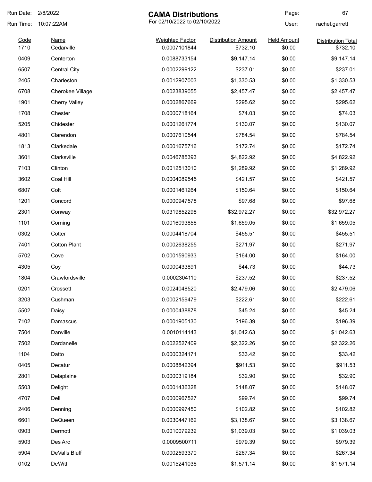| Run Date:    | 2/8/2022                  | <b>CAMA Distributions</b>              |                                        | Page:                        | 67                                    |
|--------------|---------------------------|----------------------------------------|----------------------------------------|------------------------------|---------------------------------------|
| Run Time:    | 10:07:22AM                | For 02/10/2022 to 02/10/2022           |                                        | User:                        | rachel.garrett                        |
| Code<br>1710 | <b>Name</b><br>Cedarville | <b>Weighted Factor</b><br>0.0007101844 | <b>Distribution Amount</b><br>\$732.10 | <b>Held Amount</b><br>\$0.00 | <b>Distribution Total</b><br>\$732.10 |
| 0409         | Centerton                 | 0.0088733154                           | \$9,147.14                             | \$0.00                       | \$9,147.14                            |
| 6507         | <b>Central City</b>       | 0.0002299122                           | \$237.01                               | \$0.00                       | \$237.01                              |
| 2405         | Charleston                | 0.0012907003                           | \$1,330.53                             | \$0.00                       | \$1,330.53                            |
| 6708         | <b>Cherokee Village</b>   | 0.0023839055                           | \$2,457.47                             | \$0.00                       | \$2,457.47                            |
| 1901         | <b>Cherry Valley</b>      | 0.0002867669                           | \$295.62                               | \$0.00                       | \$295.62                              |
| 1708         | Chester                   | 0.0000718164                           | \$74.03                                | \$0.00                       | \$74.03                               |
| 5205         | Chidester                 | 0.0001261774                           | \$130.07                               | \$0.00                       | \$130.07                              |
| 4801         | Clarendon                 | 0.0007610544                           | \$784.54                               | \$0.00                       | \$784.54                              |
| 1813         | Clarkedale                | 0.0001675716                           | \$172.74                               | \$0.00                       | \$172.74                              |
| 3601         | Clarksville               | 0.0046785393                           | \$4,822.92                             | \$0.00                       | \$4,822.92                            |
| 7103         | Clinton                   | 0.0012513010                           | \$1,289.92                             | \$0.00                       | \$1,289.92                            |
| 3602         | Coal Hill                 | 0.0004089545                           | \$421.57                               | \$0.00                       | \$421.57                              |
| 6807         | Colt                      | 0.0001461264                           | \$150.64                               | \$0.00                       | \$150.64                              |
| 1201         | Concord                   | 0.0000947578                           | \$97.68                                | \$0.00                       | \$97.68                               |
| 2301         | Conway                    | 0.0319852298                           | \$32,972.27                            | \$0.00                       | \$32,972.27                           |
| 1101         | Corning                   | 0.0016093856                           | \$1,659.05                             | \$0.00                       | \$1,659.05                            |
| 0302         | Cotter                    | 0.0004418704                           | \$455.51                               | \$0.00                       | \$455.51                              |
| 7401         | <b>Cotton Plant</b>       | 0.0002638255                           | \$271.97                               | \$0.00                       | \$271.97                              |
| 5702         | Cove                      | 0.0001590933                           | \$164.00                               | \$0.00                       | \$164.00                              |
| 4305         | Coy                       | 0.0000433891                           | \$44.73                                | \$0.00                       | \$44.73                               |
| 1804         | Crawfordsville            | 0.0002304110                           | \$237.52                               | \$0.00                       | \$237.52                              |
| 0201         | Crossett                  | 0.0024048520                           | \$2,479.06                             | \$0.00                       | \$2,479.06                            |
| 3203         | Cushman                   | 0.0002159479                           | \$222.61                               | \$0.00                       | \$222.61                              |
| 5502         | Daisy                     | 0.0000438878                           | \$45.24                                | \$0.00                       | \$45.24                               |
| 7102         | Damascus                  | 0.0001905130                           | \$196.39                               | \$0.00                       | \$196.39                              |
| 7504         | Danville                  | 0.0010114143                           | \$1,042.63                             | \$0.00                       | \$1,042.63                            |
| 7502         | Dardanelle                | 0.0022527409                           | \$2,322.26                             | \$0.00                       | \$2,322.26                            |
| 1104         | Datto                     | 0.0000324171                           | \$33.42                                | \$0.00                       | \$33.42                               |
| 0405         | Decatur                   | 0.0008842394                           | \$911.53                               | \$0.00                       | \$911.53                              |
| 2801         | Delaplaine                | 0.0000319184                           | \$32.90                                | \$0.00                       | \$32.90                               |
| 5503         | Delight                   | 0.0001436328                           | \$148.07                               | \$0.00                       | \$148.07                              |
| 4707         | Dell                      | 0.0000967527                           | \$99.74                                | \$0.00                       | \$99.74                               |
| 2406         | Denning                   | 0.0000997450                           | \$102.82                               | \$0.00                       | \$102.82                              |
| 6601         | DeQueen                   | 0.0030447162                           | \$3,138.67                             | \$0.00                       | \$3,138.67                            |
| 0903         | Dermott                   | 0.0010079232                           | \$1,039.03                             | \$0.00                       | \$1,039.03                            |
| 5903         | Des Arc                   | 0.0009500711                           | \$979.39                               | \$0.00                       | \$979.39                              |
| 5904         | DeValls Bluff             | 0.0002593370                           | \$267.34                               | \$0.00                       | \$267.34                              |
| 0102         | DeWitt                    | 0.0015241036                           | \$1,571.14                             | \$0.00                       | \$1,571.14                            |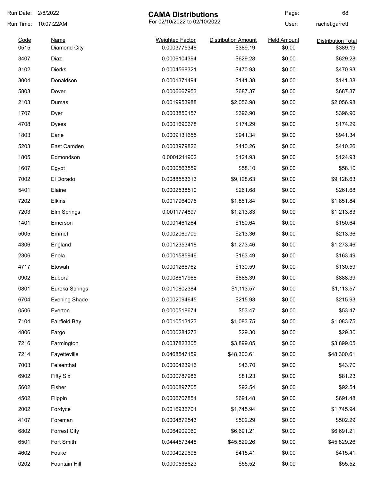| Run Date:    | 2/8/2022                    | <b>CAMA Distributions</b>              |                                        | Page:                        | 68                                    |
|--------------|-----------------------------|----------------------------------------|----------------------------------------|------------------------------|---------------------------------------|
| Run Time:    | 10:07:22AM                  | For 02/10/2022 to 02/10/2022           |                                        | User:                        | rachel.garrett                        |
| Code<br>0515 | <b>Name</b><br>Diamond City | <b>Weighted Factor</b><br>0.0003775348 | <b>Distribution Amount</b><br>\$389.19 | <b>Held Amount</b><br>\$0.00 | <b>Distribution Total</b><br>\$389.19 |
| 3407         | Diaz                        | 0.0006104394                           | \$629.28                               | \$0.00                       | \$629.28                              |
| 3102         | <b>Dierks</b>               | 0.0004568321                           | \$470.93                               | \$0.00                       | \$470.93                              |
| 3004         | Donaldson                   | 0.0001371494                           | \$141.38                               | \$0.00                       | \$141.38                              |
| 5803         | Dover                       | 0.0006667953                           | \$687.37                               | \$0.00                       | \$687.37                              |
| 2103         | Dumas                       | 0.0019953988                           | \$2,056.98                             | \$0.00                       | \$2,056.98                            |
| 1707         | Dyer                        | 0.0003850157                           | \$396.90                               | \$0.00                       | \$396.90                              |
| 4708         | <b>Dyess</b>                | 0.0001690678                           | \$174.29                               | \$0.00                       | \$174.29                              |
| 1803         | Earle                       | 0.0009131655                           | \$941.34                               | \$0.00                       | \$941.34                              |
| 5203         | East Camden                 | 0.0003979826                           | \$410.26                               | \$0.00                       | \$410.26                              |
| 1805         | Edmondson                   | 0.0001211902                           | \$124.93                               | \$0.00                       | \$124.93                              |
| 1607         | Egypt                       | 0.0000563559                           | \$58.10                                | \$0.00                       | \$58.10                               |
| 7002         | El Dorado                   | 0.0088553613                           | \$9,128.63                             | \$0.00                       | \$9,128.63                            |
| 5401         | Elaine                      | 0.0002538510                           | \$261.68                               | \$0.00                       | \$261.68                              |
| 7202         | Elkins                      | 0.0017964075                           | \$1,851.84                             | \$0.00                       | \$1,851.84                            |
| 7203         | Elm Springs                 | 0.0011774897                           | \$1,213.83                             | \$0.00                       | \$1,213.83                            |
| 1401         | Emerson                     | 0.0001461264                           | \$150.64                               | \$0.00                       | \$150.64                              |
| 5005         | Emmet                       | 0.0002069709                           | \$213.36                               | \$0.00                       | \$213.36                              |
| 4306         | England                     | 0.0012353418                           | \$1,273.46                             | \$0.00                       | \$1,273.46                            |
| 2306         | Enola                       | 0.0001585946                           | \$163.49                               | \$0.00                       | \$163.49                              |
| 4717         | Etowah                      | 0.0001266762                           | \$130.59                               | \$0.00                       | \$130.59                              |
| 0902         | Eudora                      | 0.0008617968                           | \$888.39                               | \$0.00                       | \$888.39                              |
| 0801         | Eureka Springs              | 0.0010802384                           | \$1,113.57                             | \$0.00                       | \$1,113.57                            |
| 6704         | <b>Evening Shade</b>        | 0.0002094645                           | \$215.93                               | \$0.00                       | \$215.93                              |
| 0506         | Everton                     | 0.0000518674                           | \$53.47                                | \$0.00                       | \$53.47                               |
| 7104         | Fairfield Bay               | 0.0010513123                           | \$1,083.75                             | \$0.00                       | \$1,083.75                            |
| 4806         | Fargo                       | 0.0000284273                           | \$29.30                                | \$0.00                       | \$29.30                               |
| 7216         | Farmington                  | 0.0037823305                           | \$3,899.05                             | \$0.00                       | \$3,899.05                            |
| 7214         | Fayetteville                | 0.0468547159                           | \$48,300.61                            | \$0.00                       | \$48,300.61                           |
| 7003         | Felsenthal                  | 0.0000423916                           | \$43.70                                | \$0.00                       | \$43.70                               |
| 6902         | <b>Fifty Six</b>            | 0.0000787986                           | \$81.23                                | \$0.00                       | \$81.23                               |
| 5602         | Fisher                      | 0.0000897705                           | \$92.54                                | \$0.00                       | \$92.54                               |
| 4502         | Flippin                     | 0.0006707851                           | \$691.48                               | \$0.00                       | \$691.48                              |
| 2002         | Fordyce                     | 0.0016936701                           | \$1,745.94                             | \$0.00                       | \$1,745.94                            |
| 4107         | Foreman                     | 0.0004872543                           | \$502.29                               | \$0.00                       | \$502.29                              |
| 6802         | <b>Forrest City</b>         | 0.0064909060                           | \$6,691.21                             | \$0.00                       | \$6,691.21                            |
| 6501         | Fort Smith                  | 0.0444573448                           | \$45,829.26                            | \$0.00                       | \$45,829.26                           |
| 4602         | Fouke                       | 0.0004029698                           | \$415.41                               | \$0.00                       | \$415.41                              |
| 0202         | Fountain Hill               | 0.0000538623                           | \$55.52                                | \$0.00                       | \$55.52                               |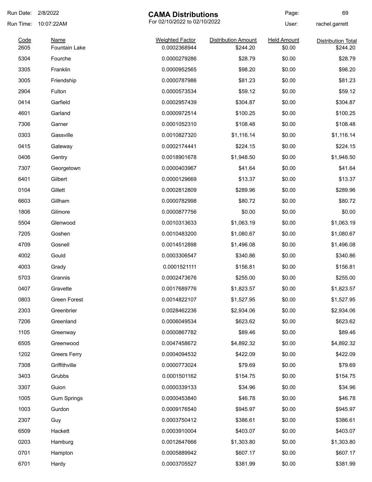| Run Date:    | 2/8/2022                            | <b>CAMA Distributions</b>              |                                        | Page:                        | 69                                    |
|--------------|-------------------------------------|----------------------------------------|----------------------------------------|------------------------------|---------------------------------------|
| Run Time:    | 10:07:22AM                          | For 02/10/2022 to 02/10/2022           |                                        | User:                        | rachel.garrett                        |
| Code<br>2605 | <b>Name</b><br><b>Fountain Lake</b> | <b>Weighted Factor</b><br>0.0002368944 | <b>Distribution Amount</b><br>\$244.20 | <b>Held Amount</b><br>\$0.00 | <b>Distribution Total</b><br>\$244.20 |
| 5304         | Fourche                             | 0.0000279286                           | \$28.79                                | \$0.00                       | \$28.79                               |
| 3305         | Franklin                            | 0.0000952565                           | \$98.20                                | \$0.00                       | \$98.20                               |
| 3005         | Friendship                          | 0.0000787986                           | \$81.23                                | \$0.00                       | \$81.23                               |
| 2904         | Fulton                              | 0.0000573534                           | \$59.12                                | \$0.00                       | \$59.12                               |
| 0414         | Garfield                            | 0.0002957439                           | \$304.87                               | \$0.00                       | \$304.87                              |
| 4601         | Garland                             | 0.0000972514                           | \$100.25                               | \$0.00                       | \$100.25                              |
| 7306         | Garner                              | 0.0001052310                           | \$108.48                               | \$0.00                       | \$108.48                              |
| 0303         | Gassville                           | 0.0010827320                           | \$1,116.14                             | \$0.00                       | \$1,116.14                            |
| 0415         | Gateway                             | 0.0002174441                           | \$224.15                               | \$0.00                       | \$224.15                              |
| 0406         | Gentry                              | 0.0018901678                           | \$1,948.50                             | \$0.00                       | \$1,948.50                            |
| 7307         | Georgetown                          | 0.0000403967                           | \$41.64                                | \$0.00                       | \$41.64                               |
| 6401         | Gilbert                             | 0.0000129669                           | \$13.37                                | \$0.00                       | \$13.37                               |
| 0104         | Gillett                             | 0.0002812809                           | \$289.96                               | \$0.00                       | \$289.96                              |
| 6603         | Gillham                             | 0.0000782998                           | \$80.72                                | \$0.00                       | \$80.72                               |
| 1806         | Gilmore                             | 0.0000877756                           | \$0.00                                 | \$0.00                       | \$0.00                                |
| 5504         | Glenwood                            | 0.0010313633                           | \$1,063.19                             | \$0.00                       | \$1,063.19                            |
| 7205         | Goshen                              | 0.0010483200                           | \$1,080.67                             | \$0.00                       | \$1,080.67                            |
| 4709         | Gosnell                             | 0.0014512898                           | \$1,496.08                             | \$0.00                       | \$1,496.08                            |
| 4002         | Gould                               | 0.0003306547                           | \$340.86                               | \$0.00                       | \$340.86                              |
| 4003         | Grady                               | 0.0001521111                           | \$156.81                               | \$0.00                       | \$156.81                              |
| 5703         | Grannis                             | 0.0002473676                           | \$255.00                               | \$0.00                       | \$255.00                              |
| 0407         | Gravette                            | 0.0017689776                           | \$1,823.57                             | \$0.00                       | \$1,823.57                            |
| 0803         | Green Forest                        | 0.0014822107                           | \$1,527.95                             | \$0.00                       | \$1,527.95                            |
| 2303         | Greenbrier                          | 0.0028462236                           | \$2,934.06                             | \$0.00                       | \$2,934.06                            |
| 7206         | Greenland                           | 0.0006049534                           | \$623.62                               | \$0.00                       | \$623.62                              |
| 1105         | Greenway                            | 0.0000867782                           | \$89.46                                | \$0.00                       | \$89.46                               |
| 6505         | Greenwood                           | 0.0047458672                           | \$4,892.32                             | \$0.00                       | \$4,892.32                            |
| 1202         | <b>Greers Ferry</b>                 | 0.0004094532                           | \$422.09                               | \$0.00                       | \$422.09                              |
| 7308         | Griffithville                       | 0.0000773024                           | \$79.69                                | \$0.00                       | \$79.69                               |
| 3403         | Grubbs                              | 0.0001501162                           | \$154.75                               | \$0.00                       | \$154.75                              |
| 3307         | Guion                               | 0.0000339133                           | \$34.96                                | \$0.00                       | \$34.96                               |
| 1005         | <b>Gum Springs</b>                  | 0.0000453840                           | \$46.78                                | \$0.00                       | \$46.78                               |
| 1003         | Gurdon                              | 0.0009176540                           | \$945.97                               | \$0.00                       | \$945.97                              |
| 2307         | Guy                                 | 0.0003750412                           | \$386.61                               | \$0.00                       | \$386.61                              |
| 6509         | Hackett                             | 0.0003910004                           | \$403.07                               | \$0.00                       | \$403.07                              |
| 0203         | Hamburg                             | 0.0012647666                           | \$1,303.80                             | \$0.00                       | \$1,303.80                            |
| 0701         | Hampton                             | 0.0005889942                           | \$607.17                               | \$0.00                       | \$607.17                              |
| 6701         | Hardy                               | 0.0003705527                           | \$381.99                               | \$0.00                       | \$381.99                              |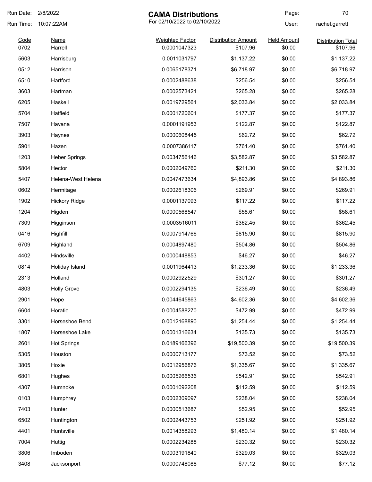| Run Date:<br>2/8/2022<br><b>CAMA Distributions</b> |                        |                                        | Page:                                  | 70                           |                                       |
|----------------------------------------------------|------------------------|----------------------------------------|----------------------------------------|------------------------------|---------------------------------------|
| Run Time:                                          | 10:07:22AM             |                                        | For 02/10/2022 to 02/10/2022           |                              | rachel.garrett                        |
| Code<br>0702                                       | <b>Name</b><br>Harrell | <b>Weighted Factor</b><br>0.0001047323 | <b>Distribution Amount</b><br>\$107.96 | <b>Held Amount</b><br>\$0.00 | <b>Distribution Total</b><br>\$107.96 |
| 5603                                               | Harrisburg             | 0.0011031797                           | \$1,137.22                             | \$0.00                       | \$1,137.22                            |
| 0512                                               | Harrison               | 0.0065178371                           | \$6,718.97                             | \$0.00                       | \$6,718.97                            |
| 6510                                               | Hartford               | 0.0002488638                           | \$256.54                               | \$0.00                       | \$256.54                              |
| 3603                                               | Hartman                | 0.0002573421                           | \$265.28                               | \$0.00                       | \$265.28                              |
| 6205                                               | Haskell                | 0.0019729561                           | \$2,033.84                             | \$0.00                       | \$2,033.84                            |
| 5704                                               | Hatfield               | 0.0001720601                           | \$177.37                               | \$0.00                       | \$177.37                              |
| 7507                                               | Havana                 | 0.0001191953                           | \$122.87                               | \$0.00                       | \$122.87                              |
| 3903                                               | Haynes                 | 0.0000608445                           | \$62.72                                | \$0.00                       | \$62.72                               |
| 5901                                               | Hazen                  | 0.0007386117                           | \$761.40                               | \$0.00                       | \$761.40                              |
| 1203                                               | <b>Heber Springs</b>   | 0.0034756146                           | \$3,582.87                             | \$0.00                       | \$3,582.87                            |
| 5804                                               | Hector                 | 0.0002049760                           | \$211.30                               | \$0.00                       | \$211.30                              |
| 5407                                               | Helena-West Helena     | 0.0047473634                           | \$4,893.86                             | \$0.00                       | \$4,893.86                            |
| 0602                                               | Hermitage              | 0.0002618306                           | \$269.91                               | \$0.00                       | \$269.91                              |
| 1902                                               | <b>Hickory Ridge</b>   | 0.0001137093                           | \$117.22                               | \$0.00                       | \$117.22                              |
| 1204                                               | Higden                 | 0.0000568547                           | \$58.61                                | \$0.00                       | \$58.61                               |
| 7309                                               | Higginson              | 0.0003516011                           | \$362.45                               | \$0.00                       | \$362.45                              |
| 0416                                               | Highfill               | 0.0007914766                           | \$815.90                               | \$0.00                       | \$815.90                              |
| 6709                                               | Highland               | 0.0004897480                           | \$504.86                               | \$0.00                       | \$504.86                              |
| 4402                                               | Hindsville             | 0.0000448853                           | \$46.27                                | \$0.00                       | \$46.27                               |
| 0814                                               | Holiday Island         | 0.0011964413                           | \$1,233.36                             | \$0.00                       | \$1,233.36                            |
| 2313                                               | Holland                | 0.0002922529                           | \$301.27                               | \$0.00                       | \$301.27                              |
| 4803                                               | <b>Holly Grove</b>     | 0.0002294135                           | \$236.49                               | \$0.00                       | \$236.49                              |
| 2901                                               | Hope                   | 0.0044645863                           | \$4,602.36                             | \$0.00                       | \$4,602.36                            |
| 6604                                               | Horatio                | 0.0004588270                           | \$472.99                               | \$0.00                       | \$472.99                              |
| 3301                                               | Horseshoe Bend         | 0.0012168890                           | \$1,254.44                             | \$0.00                       | \$1,254.44                            |
| 1807                                               | Horseshoe Lake         | 0.0001316634                           | \$135.73                               | \$0.00                       | \$135.73                              |
| 2601                                               | <b>Hot Springs</b>     | 0.0189166396                           | \$19,500.39                            | \$0.00                       | \$19,500.39                           |
| 5305                                               | Houston                | 0.0000713177                           | \$73.52                                | \$0.00                       | \$73.52                               |
| 3805                                               | Hoxie                  | 0.0012956876                           | \$1,335.67                             | \$0.00                       | \$1,335.67                            |
| 6801                                               | Hughes                 | 0.0005266536                           | \$542.91                               | \$0.00                       | \$542.91                              |
| 4307                                               | Humnoke                | 0.0001092208                           | \$112.59                               | \$0.00                       | \$112.59                              |
| 0103                                               | Humphrey               | 0.0002309097                           | \$238.04                               | \$0.00                       | \$238.04                              |
| 7403                                               | Hunter                 | 0.0000513687                           | \$52.95                                | \$0.00                       | \$52.95                               |
| 6502                                               | Huntington             | 0.0002443753                           | \$251.92                               | \$0.00                       | \$251.92                              |
| 4401                                               | Huntsville             | 0.0014358293                           | \$1,480.14                             | \$0.00                       | \$1,480.14                            |
| 7004                                               | Huttig                 | 0.0002234288                           | \$230.32                               | \$0.00                       | \$230.32                              |
| 3806                                               | Imboden                | 0.0003191840                           | \$329.03                               | \$0.00                       | \$329.03                              |
| 3408                                               | Jacksonport            | 0.0000748088                           | \$77.12                                | \$0.00                       | \$77.12                               |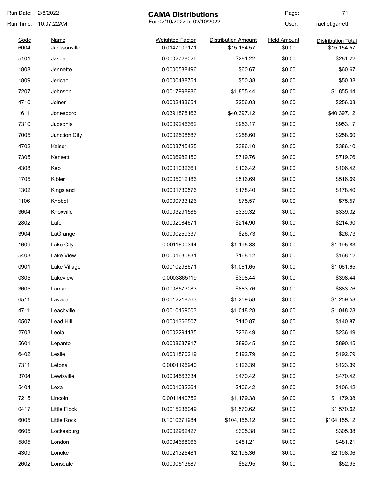| Run Date: 2/8/2022 |                      | <b>CAMA Distributions</b>              |                                           | Page:                        | 71                                       |
|--------------------|----------------------|----------------------------------------|-------------------------------------------|------------------------------|------------------------------------------|
| Run Time:          | 10:07:22AM           | For 02/10/2022 to 02/10/2022           | User:                                     | rachel.garrett               |                                          |
| Code<br>6004       | Name<br>Jacksonville | <b>Weighted Factor</b><br>0.0147009171 | <b>Distribution Amount</b><br>\$15,154.57 | <b>Held Amount</b><br>\$0.00 | <b>Distribution Total</b><br>\$15,154.57 |
| 5101               | Jasper               | 0.0002728026                           | \$281.22                                  | \$0.00                       | \$281.22                                 |
| 1808               | Jennette             | 0.0000588496                           | \$60.67                                   | \$0.00                       | \$60.67                                  |
| 1809               | Jericho              | 0.0000488751                           | \$50.38                                   | \$0.00                       | \$50.38                                  |
| 7207               | Johnson              | 0.0017998986                           | \$1,855.44                                | \$0.00                       | \$1,855.44                               |
| 4710               | Joiner               | 0.0002483651                           | \$256.03                                  | \$0.00                       | \$256.03                                 |
| 1611               | Jonesboro            | 0.0391878163                           | \$40,397.12                               | \$0.00                       | \$40,397.12                              |
| 7310               | Judsonia             | 0.0009246362                           | \$953.17                                  | \$0.00                       | \$953.17                                 |
| 7005               | Junction City        | 0.0002508587                           | \$258.60                                  | \$0.00                       | \$258.60                                 |
| 4702               | Keiser               | 0.0003745425                           | \$386.10                                  | \$0.00                       | \$386.10                                 |
| 7305               | Kensett              | 0.0006982150                           | \$719.76                                  | \$0.00                       | \$719.76                                 |
| 4308               | Keo                  | 0.0001032361                           | \$106.42                                  | \$0.00                       | \$106.42                                 |
| 1705               | Kibler               | 0.0005012186                           | \$516.69                                  | \$0.00                       | \$516.69                                 |
| 1302               | Kingsland            | 0.0001730576                           | \$178.40                                  | \$0.00                       | \$178.40                                 |
| 1106               | Knobel               | 0.0000733126                           | \$75.57                                   | \$0.00                       | \$75.57                                  |
| 3604               | Knoxville            | 0.0003291585                           | \$339.32                                  | \$0.00                       | \$339.32                                 |
| 2802               | Lafe                 | 0.0002084671                           | \$214.90                                  | \$0.00                       | \$214.90                                 |
| 3904               | LaGrange             | 0.0000259337                           | \$26.73                                   | \$0.00                       | \$26.73                                  |
| 1609               | Lake City            | 0.0011600344                           | \$1,195.83                                | \$0.00                       | \$1,195.83                               |
| 5403               | Lake View            | 0.0001630831                           | \$168.12                                  | \$0.00                       | \$168.12                                 |
| 0901               | Lake Village         | 0.0010298671                           | \$1,061.65                                | \$0.00                       | \$1,061.65                               |
| 0305               | Lakeview             | 0.0003865119                           | \$398.44                                  | \$0.00                       | \$398.44                                 |
| 3605               | Lamar                | 0.0008573083                           | \$883.76                                  | \$0.00                       | \$883.76                                 |
| 6511               | Lavaca               | 0.0012218763                           | \$1,259.58                                | \$0.00                       | \$1,259.58                               |
| 4711               | Leachville           | 0.0010169003                           | \$1,048.28                                | \$0.00                       | \$1,048.28                               |
| 0507               | Lead Hill            | 0.0001366507                           | \$140.87                                  | \$0.00                       | \$140.87                                 |
| 2703               | Leola                | 0.0002294135                           | \$236.49                                  | \$0.00                       | \$236.49                                 |
| 5601               | Lepanto              | 0.0008637917                           | \$890.45                                  | \$0.00                       | \$890.45                                 |
| 6402               | Leslie               | 0.0001870219                           | \$192.79                                  | \$0.00                       | \$192.79                                 |
| 7311               | Letona               | 0.0001196940                           | \$123.39                                  | \$0.00                       | \$123.39                                 |
| 3704               | Lewisville           | 0.0004563334                           | \$470.42                                  | \$0.00                       | \$470.42                                 |
| 5404               | Lexa                 | 0.0001032361                           | \$106.42                                  | \$0.00                       | \$106.42                                 |
| 7215               | Lincoln              | 0.0011440752                           | \$1,179.38                                | \$0.00                       | \$1,179.38                               |
| 0417               | Little Flock         | 0.0015236049                           | \$1,570.62                                | \$0.00                       | \$1,570.62                               |
| 6005               | Little Rock          | 0.1010371984                           | \$104,155.12                              | \$0.00                       | \$104,155.12                             |
| 6605               | Lockesburg           | 0.0002962427                           | \$305.38                                  | \$0.00                       | \$305.38                                 |
| 5805               | London               | 0.0004668066                           | \$481.21                                  | \$0.00                       | \$481.21                                 |
| 4309               | Lonoke               | 0.0021325481                           | \$2,198.36                                | \$0.00                       | \$2,198.36                               |
| 2602               | Lonsdale             | 0.0000513687                           | \$52.95                                   | \$0.00                       | \$52.95                                  |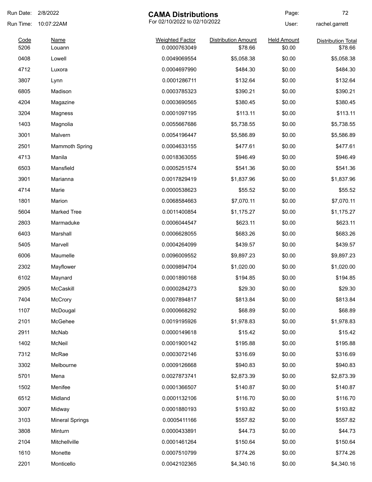| Run Date: | 2/8/2022               | <b>CAMA Distributions</b>    |                            | Page:              | 72                        |
|-----------|------------------------|------------------------------|----------------------------|--------------------|---------------------------|
| Run Time: | 10:07:22AM             | For 02/10/2022 to 02/10/2022 | User:                      | rachel.garrett     |                           |
| Code      | <b>Name</b>            | <b>Weighted Factor</b>       | <b>Distribution Amount</b> | <b>Held Amount</b> | <b>Distribution Total</b> |
| 5206      | Louann                 | 0.0000763049                 | \$78.66                    | \$0.00             | \$78.66                   |
| 0408      | Lowell                 | 0.0049069554                 | \$5,058.38                 | \$0.00             | \$5,058.38                |
| 4712      | Luxora                 | 0.0004697990                 | \$484.30                   | \$0.00             | \$484.30                  |
| 3807      | Lynn                   | 0.0001286711                 | \$132.64                   | \$0.00             | \$132.64                  |
| 6805      | Madison                | 0.0003785323                 | \$390.21                   | \$0.00             | \$390.21                  |
| 4204      | Magazine               | 0.0003690565                 | \$380.45                   | \$0.00             | \$380.45                  |
| 3204      | Magness                | 0.0001097195                 | \$113.11                   | \$0.00             | \$113.11                  |
| 1403      | Magnolia               | 0.0055667686                 | \$5,738.55                 | \$0.00             | \$5,738.55                |
| 3001      | Malvern                | 0.0054196447                 | \$5,586.89                 | \$0.00             | \$5,586.89                |
| 2501      | <b>Mammoth Spring</b>  | 0.0004633155                 | \$477.61                   | \$0.00             | \$477.61                  |
| 4713      | Manila                 | 0.0018363055                 | \$946.49                   | \$0.00             | \$946.49                  |
| 6503      | Mansfield              | 0.0005251574                 | \$541.36                   | \$0.00             | \$541.36                  |
| 3901      | Marianna               | 0.0017829419                 | \$1,837.96                 | \$0.00             | \$1,837.96                |
| 4714      | Marie                  | 0.0000538623                 | \$55.52                    | \$0.00             | \$55.52                   |
| 1801      | Marion                 | 0.0068584663                 | \$7,070.11                 | \$0.00             | \$7,070.11                |
| 5604      | <b>Marked Tree</b>     | 0.0011400854                 | \$1,175.27                 | \$0.00             | \$1,175.27                |
| 2803      | Marmaduke              | 0.0006044547                 | \$623.11                   | \$0.00             | \$623.11                  |
| 6403      | Marshall               | 0.0006628055                 | \$683.26                   | \$0.00             | \$683.26                  |
| 5405      | Marvell                | 0.0004264099                 | \$439.57                   | \$0.00             | \$439.57                  |
| 6006      | Maumelle               | 0.0096009552                 | \$9,897.23                 | \$0.00             | \$9,897.23                |
| 2302      | Mayflower              | 0.0009894704                 | \$1,020.00                 | \$0.00             | \$1,020.00                |
| 6102      | Maynard                | 0.0001890168                 | \$194.85                   | \$0.00             | \$194.85                  |
| 2905      | McCaskill              | 0.0000284273                 | \$29.30                    | \$0.00             | \$29.30                   |
| 7404      | McCrory                | 0.0007894817                 | \$813.84                   | \$0.00             | \$813.84                  |
| 1107      | McDougal               | 0.0000668292                 | \$68.89                    | \$0.00             | \$68.89                   |
| 2101      | McGehee                | 0.0019195926                 | \$1,978.83                 | \$0.00             | \$1,978.83                |
| 2911      | McNab                  | 0.0000149618                 | \$15.42                    | \$0.00             | \$15.42                   |
| 1402      | McNeil                 | 0.0001900142                 | \$195.88                   | \$0.00             | \$195.88                  |
| 7312      | McRae                  | 0.0003072146                 | \$316.69                   | \$0.00             | \$316.69                  |
| 3302      | Melbourne              | 0.0009126668                 | \$940.83                   | \$0.00             | \$940.83                  |
| 5701      | Mena                   | 0.0027873741                 | \$2,873.39                 | \$0.00             | \$2,873.39                |
| 1502      | Menifee                | 0.0001366507                 | \$140.87                   | \$0.00             | \$140.87                  |
|           |                        |                              |                            |                    | \$116.70                  |
| 6512      | Midland                | 0.0001132106                 | \$116.70                   | \$0.00             |                           |
| 3007      | Midway                 | 0.0001880193                 | \$193.82                   | \$0.00             | \$193.82                  |
| 3103      | <b>Mineral Springs</b> | 0.0005411166                 | \$557.82                   | \$0.00             | \$557.82                  |
| 3808      | Minturn                | 0.0000433891                 | \$44.73                    | \$0.00             | \$44.73                   |
| 2104      | Mitchellville          | 0.0001461264                 | \$150.64                   | \$0.00             | \$150.64                  |
| 1610      | Monette                | 0.0007510799                 | \$774.26                   | \$0.00             | \$774.26                  |
| 2201      | Monticello             | 0.0042102365                 | \$4,340.16                 | \$0.00             | \$4,340.16                |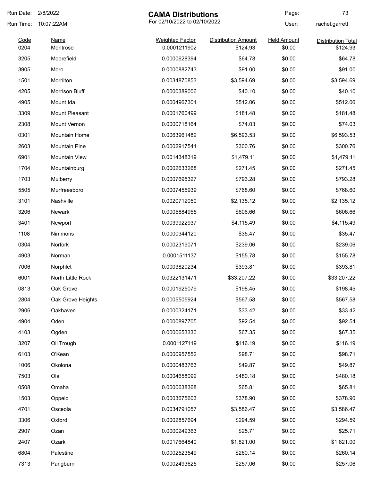| Run Date:    | 2/8/2022                | <b>CAMA Distributions</b>              |                                        | Page:                        | 73                                    |
|--------------|-------------------------|----------------------------------------|----------------------------------------|------------------------------|---------------------------------------|
| Run Time:    | 10:07:22AM              | For 02/10/2022 to 02/10/2022           |                                        | User:                        | rachel.garrett                        |
| Code<br>0204 | <b>Name</b><br>Montrose | <b>Weighted Factor</b><br>0.0001211902 | <b>Distribution Amount</b><br>\$124.93 | <b>Held Amount</b><br>\$0.00 | <b>Distribution Total</b><br>\$124.93 |
| 3205         | Moorefield              | 0.0000628394                           | \$64.78                                | \$0.00                       | \$64.78                               |
| 3905         | Moro                    | 0.0000882743                           | \$91.00                                | \$0.00                       | \$91.00                               |
| 1501         | Morrilton               | 0.0034870853                           | \$3,594.69                             | \$0.00                       | \$3,594.69                            |
| 4205         | <b>Morrison Bluff</b>   | 0.0000389006                           | \$40.10                                | \$0.00                       | \$40.10                               |
| 4905         | Mount Ida               | 0.0004967301                           | \$512.06                               | \$0.00                       | \$512.06                              |
| 3309         | <b>Mount Pleasant</b>   | 0.0001760499                           | \$181.48                               | \$0.00                       | \$181.48                              |
| 2308         | Mount Vernon            | 0.0000718164                           | \$74.03                                | \$0.00                       | \$74.03                               |
| 0301         | Mountain Home           | 0.0063961482                           | \$6,593.53                             | \$0.00                       | \$6,593.53                            |
| 2603         | <b>Mountain Pine</b>    | 0.0002917541                           | \$300.76                               | \$0.00                       | \$300.76                              |
| 6901         | <b>Mountain View</b>    | 0.0014348319                           | \$1,479.11                             | \$0.00                       | \$1,479.11                            |
| 1704         | Mountainburg            | 0.0002633268                           | \$271.45                               | \$0.00                       | \$271.45                              |
| 1703         | Mulberry                | 0.0007695327                           | \$793.28                               | \$0.00                       | \$793.28                              |
| 5505         | Murfreesboro            | 0.0007455939                           | \$768.60                               | \$0.00                       | \$768.60                              |
| 3101         | Nashville               | 0.0020712050                           | \$2,135.12                             | \$0.00                       | \$2,135.12                            |
| 3206         | Newark                  | 0.0005884955                           | \$606.66                               | \$0.00                       | \$606.66                              |
| 3401         | Newport                 | 0.0039922937                           | \$4,115.49                             | \$0.00                       | \$4,115.49                            |
| 1108         | Nimmons                 | 0.0000344120                           | \$35.47                                | \$0.00                       | \$35.47                               |
| 0304         | <b>Norfork</b>          | 0.0002319071                           | \$239.06                               | \$0.00                       | \$239.06                              |
| 4903         | Norman                  | 0.0001511137                           | \$155.78                               | \$0.00                       | \$155.78                              |
| 7006         | Norphlet                | 0.0003820234                           | \$393.81                               | \$0.00                       | \$393.81                              |
| 6001         | North Little Rock       | 0.0322131471                           | \$33,207.22                            | \$0.00                       | \$33,207.22                           |
| 0813         | Oak Grove               | 0.0001925079                           | \$198.45                               | \$0.00                       | \$198.45                              |
| 2804         | Oak Grove Heights       | 0.0005505924                           | \$567.58                               | \$0.00                       | \$567.58                              |
| 2906         | Oakhaven                | 0.0000324171                           | \$33.42                                | \$0.00                       | \$33.42                               |
| 4904         | Oden                    | 0.0000897705                           | \$92.54                                | \$0.00                       | \$92.54                               |
| 4103         | Ogden                   | 0.0000653330                           | \$67.35                                | \$0.00                       | \$67.35                               |
| 3207         | Oil Trough              | 0.0001127119                           | \$116.19                               | \$0.00                       | \$116.19                              |
| 6103         | O'Kean                  | 0.0000957552                           | \$98.71                                | \$0.00                       | \$98.71                               |
| 1006         | Okolona                 | 0.0000483763                           | \$49.87                                | \$0.00                       | \$49.87                               |
| 7503         | Ola                     | 0.0004658092                           | \$480.18                               | \$0.00                       | \$480.18                              |
| 0508         | Omaha                   | 0.0000638368                           | \$65.81                                | \$0.00                       | \$65.81                               |
| 1503         | Oppelo                  | 0.0003675603                           | \$378.90                               | \$0.00                       | \$378.90                              |
| 4701         | Osceola                 | 0.0034791057                           | \$3,586.47                             | \$0.00                       | \$3,586.47                            |
| 3306         | Oxford                  | 0.0002857694                           | \$294.59                               | \$0.00                       | \$294.59                              |
| 2907         | Ozan                    | 0.0000249363                           | \$25.71                                | \$0.00                       | \$25.71                               |
| 2407         | Ozark                   | 0.0017664840                           | \$1,821.00                             | \$0.00                       | \$1,821.00                            |
| 6804         | Palestine               | 0.0002523549                           | \$260.14                               | \$0.00                       | \$260.14                              |
| 7313         | Pangburn                | 0.0002493625                           | \$257.06                               | \$0.00                       | \$257.06                              |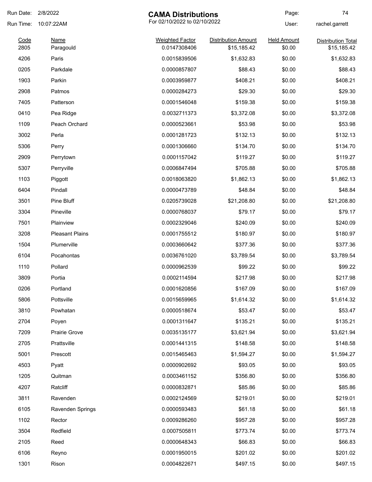| Run Date: | 2/8/2022               | <b>CAMA Distributions</b>    |                            | Page:              | 74                        |
|-----------|------------------------|------------------------------|----------------------------|--------------------|---------------------------|
| Run Time: | 10:07:22AM             | For 02/10/2022 to 02/10/2022 |                            | User:              | rachel.garrett            |
| Code      | <b>Name</b>            | <b>Weighted Factor</b>       | <b>Distribution Amount</b> | <b>Held Amount</b> | <b>Distribution Total</b> |
| 2805      | Paragould              | 0.0147308406                 | \$15,185.42                | \$0.00             | \$15,185.42               |
| 4206      | Paris                  | 0.0015839506                 | \$1,632.83                 | \$0.00             | \$1,632.83                |
| 0205      | Parkdale               | 0.0000857807                 | \$88.43                    | \$0.00             | \$88.43                   |
| 1903      | Parkin                 | 0.0003959877                 | \$408.21                   | \$0.00             | \$408.21                  |
| 2908      | Patmos                 | 0.0000284273                 | \$29.30                    | \$0.00             | \$29.30                   |
| 7405      | Patterson              | 0.0001546048                 | \$159.38                   | \$0.00             | \$159.38                  |
| 0410      | Pea Ridge              | 0.0032711373                 | \$3,372.08                 | \$0.00             | \$3,372.08                |
| 1109      | Peach Orchard          | 0.0000523661                 | \$53.98                    | \$0.00             | \$53.98                   |
| 3002      | Perla                  | 0.0001281723                 | \$132.13                   | \$0.00             | \$132.13                  |
| 5306      | Perry                  | 0.0001306660                 | \$134.70                   | \$0.00             | \$134.70                  |
| 2909      | Perrytown              | 0.0001157042                 | \$119.27                   | \$0.00             | \$119.27                  |
| 5307      | Perryville             | 0.0006847494                 | \$705.88                   | \$0.00             | \$705.88                  |
| 1103      | Piggott                | 0.0018063820                 | \$1,862.13                 | \$0.00             | \$1,862.13                |
| 6404      | Pindall                | 0.0000473789                 | \$48.84                    | \$0.00             | \$48.84                   |
| 3501      | Pine Bluff             | 0.0205739028                 | \$21,208.80                | \$0.00             | \$21,208.80               |
| 3304      | Pineville              | 0.0000768037                 | \$79.17                    | \$0.00             | \$79.17                   |
| 7501      | Plainview              | 0.0002329046                 | \$240.09                   | \$0.00             | \$240.09                  |
| 3208      | <b>Pleasant Plains</b> | 0.0001755512                 | \$180.97                   | \$0.00             | \$180.97                  |
| 1504      | Plumerville            | 0.0003660642                 | \$377.36                   | \$0.00             | \$377.36                  |
| 6104      | Pocahontas             | 0.0036761020                 | \$3,789.54                 | \$0.00             | \$3,789.54                |
| 1110      | Pollard                | 0.0000962539                 | \$99.22                    | \$0.00             | \$99.22                   |
| 3809      | Portia                 | 0.0002114594                 | \$217.98                   | \$0.00             | \$217.98                  |
| 0206      | Portland               | 0.0001620856                 | \$167.09                   | \$0.00             | \$167.09                  |
| 5806      | Pottsville             | 0.0015659965                 | \$1,614.32                 | \$0.00             | \$1,614.32                |
| 3810      | Powhatan               | 0.0000518674                 | \$53.47                    | \$0.00             | \$53.47                   |
| 2704      | Poyen                  | 0.0001311647                 | \$135.21                   | \$0.00             | \$135.21                  |
| 7209      | Prairie Grove          | 0.0035135177                 | \$3,621.94                 | \$0.00             | \$3,621.94                |
| 2705      | Prattsville            | 0.0001441315                 | \$148.58                   | \$0.00             | \$148.58                  |
| 5001      | Prescott               | 0.0015465463                 | \$1,594.27                 | \$0.00             | \$1,594.27                |
| 4503      | Pyatt                  | 0.0000902692                 | \$93.05                    | \$0.00             | \$93.05                   |
| 1205      | Quitman                | 0.0003461152                 | \$356.80                   | \$0.00             | \$356.80                  |
| 4207      | Ratcliff               | 0.0000832871                 | \$85.86                    | \$0.00             | \$85.86                   |
| 3811      | Ravenden               | 0.0002124569                 | \$219.01                   | \$0.00             | \$219.01                  |
| 6105      | Ravenden Springs       | 0.0000593483                 | \$61.18                    | \$0.00             | \$61.18                   |
| 1102      | Rector                 | 0.0009286260                 | \$957.28                   | \$0.00             | \$957.28                  |
| 3504      | Redfield               | 0.0007505811                 | \$773.74                   | \$0.00             | \$773.74                  |
| 2105      | Reed                   | 0.0000648343                 | \$66.83                    | \$0.00             | \$66.83                   |
| 6106      | Reyno                  | 0.0001950015                 | \$201.02                   | \$0.00             | \$201.02                  |
|           |                        | 0.0004822671                 |                            |                    |                           |
| 1301      | Rison                  |                              | \$497.15                   | \$0.00             | \$497.15                  |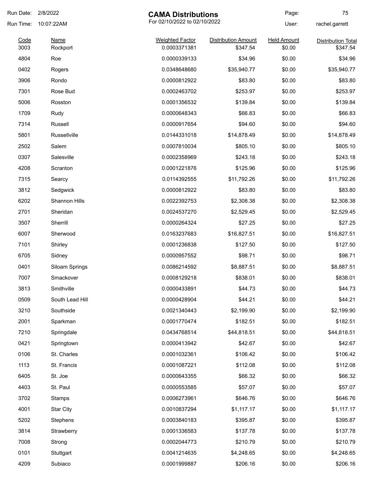| Run Date: | 2/8/2022<br><b>CAMA Distributions</b> |                              | Page:                      | 75                 |                           |
|-----------|---------------------------------------|------------------------------|----------------------------|--------------------|---------------------------|
| Run Time: | 10:07:22AM                            | For 02/10/2022 to 02/10/2022 |                            | User:              | rachel.garrett            |
| Code      | <b>Name</b>                           | <b>Weighted Factor</b>       | <b>Distribution Amount</b> | <b>Held Amount</b> | <b>Distribution Total</b> |
| 3003      | Rockport                              | 0.0003371381                 | \$347.54                   | \$0.00             | \$347.54                  |
| 4804      | Roe                                   | 0.0000339133                 | \$34.96                    | \$0.00             | \$34.96                   |
| 0402      | Rogers                                | 0.0348648680                 | \$35,940.77                | \$0.00             | \$35,940.77               |
| 3906      | Rondo                                 | 0.0000812922                 | \$83.80                    | \$0.00             | \$83.80                   |
| 7301      | Rose Bud                              | 0.0002463702                 | \$253.97                   | \$0.00             | \$253.97                  |
| 5006      | Rosston                               | 0.0001356532                 | \$139.84                   | \$0.00             | \$139.84                  |
| 1709      | Rudy                                  | 0.0000648343                 | \$66.83                    | \$0.00             | \$66.83                   |
| 7314      | Russell                               | 0.0000917654                 | \$94.60                    | \$0.00             | \$94.60                   |
| 5801      | Russellville                          | 0.0144331018                 | \$14,878.49                | \$0.00             | \$14,878.49               |
| 2502      | Salem                                 | 0.0007810034                 | \$805.10                   | \$0.00             | \$805.10                  |
| 0307      | Salesville                            | 0.0002358969                 | \$243.18                   | \$0.00             | \$243.18                  |
| 4208      | Scranton                              | 0.0001221876                 | \$125.96                   | \$0.00             | \$125.96                  |
| 7315      | Searcy                                | 0.0114392555                 | \$11,792.26                | \$0.00             | \$11,792.26               |
| 3812      | Sedgwick                              | 0.0000812922                 | \$83.80                    | \$0.00             | \$83.80                   |
| 6202      | Shannon Hills                         | 0.0022392753                 | \$2,308.38                 | \$0.00             | \$2,308.38                |
| 2701      | Sheridan                              | 0.0024537270                 | \$2,529.45                 | \$0.00             | \$2,529.45                |
| 3507      | Sherrill                              | 0.0000264324                 | \$27.25                    | \$0.00             | \$27.25                   |
| 6007      | Sherwood                              | 0.0163237683                 | \$16,827.51                | \$0.00             | \$16,827.51               |
| 7101      | Shirley                               | 0.0001236838                 | \$127.50                   | \$0.00             | \$127.50                  |
| 6705      | Sidney                                | 0.0000957552                 | \$98.71                    | \$0.00             | \$98.71                   |
| 0401      | Siloam Springs                        | 0.0086214592                 | \$8,887.51                 | \$0.00             | \$8,887.51                |
| 7007      | Smackover                             | 0.0008129218                 | \$838.01                   | \$0.00             | \$838.01                  |
| 3813      | Smithville                            | 0.0000433891                 | \$44.73                    | \$0.00             | \$44.73                   |
| 0509      | South Lead Hill                       | 0.0000428904                 | \$44.21                    | \$0.00             | \$44.21                   |
| 3210      | Southside                             | 0.0021340443                 | \$2,199.90                 | \$0.00             | \$2,199.90                |
| 2001      | Sparkman                              | 0.0001770474                 | \$182.51                   | \$0.00             | \$182.51                  |
| 7210      | Springdale                            | 0.0434768514                 | \$44,818.51                | \$0.00             | \$44,818.51               |
| 0421      | Springtown                            | 0.0000413942                 | \$42.67                    | \$0.00             | \$42.67                   |
| 0106      | St. Charles                           | 0.0001032361                 | \$106.42                   | \$0.00             | \$106.42                  |
| 1113      | St. Francis                           | 0.0001087221                 | \$112.08                   | \$0.00             | \$112.08                  |
| 6405      | St. Joe                               | 0.0000643355                 | \$66.32                    | \$0.00             | \$66.32                   |
| 4403      | St. Paul                              | 0.0000553585                 | \$57.07                    | \$0.00             | \$57.07                   |
| 3702      | <b>Stamps</b>                         | 0.0006273961                 | \$646.76                   | \$0.00             | \$646.76                  |
| 4001      | <b>Star City</b>                      | 0.0010837294                 | \$1,117.17                 | \$0.00             | \$1,117.17                |
| 5202      |                                       | 0.0003840183                 | \$395.87                   | \$0.00             |                           |
|           | Stephens                              |                              |                            |                    | \$395.87                  |
| 3814      | Strawberry                            | 0.0001336583                 | \$137.78                   | \$0.00             | \$137.78                  |
| 7008      | Strong                                | 0.0002044773                 | \$210.79                   | \$0.00             | \$210.79                  |
| 0101      | Stuttgart                             | 0.0041214635                 | \$4,248.65                 | \$0.00             | \$4,248.65                |
| 4209      | Subiaco                               | 0.0001999887                 | \$206.16                   | \$0.00             | \$206.16                  |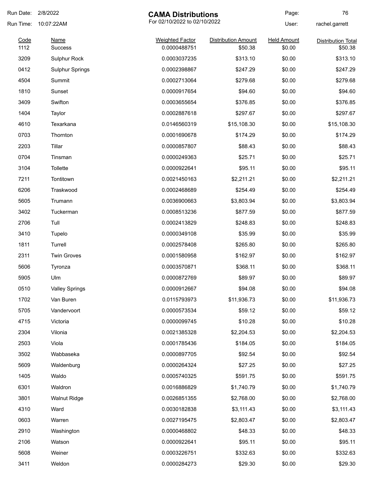| Run Date:    | 2/8/2022<br><b>CAMA Distributions</b> |                                        | Page:                                 | 76                           |                                      |
|--------------|---------------------------------------|----------------------------------------|---------------------------------------|------------------------------|--------------------------------------|
| Run Time:    | 10:07:22AM                            | For 02/10/2022 to 02/10/2022           |                                       | User:                        | rachel.garrett                       |
| Code<br>1112 | Name<br><b>Success</b>                | <b>Weighted Factor</b><br>0.0000488751 | <b>Distribution Amount</b><br>\$50.38 | <b>Held Amount</b><br>\$0.00 | <b>Distribution Total</b><br>\$50.38 |
| 3209         | Sulphur Rock                          | 0.0003037235                           | \$313.10                              | \$0.00                       | \$313.10                             |
| 0412         | <b>Sulphur Springs</b>                | 0.0002398867                           | \$247.29                              | \$0.00                       | \$247.29                             |
| 4504         | Summit                                | 0.0002713064                           | \$279.68                              | \$0.00                       | \$279.68                             |
| 1810         | Sunset                                | 0.0000917654                           | \$94.60                               | \$0.00                       | \$94.60                              |
| 3409         | Swifton                               | 0.0003655654                           | \$376.85                              | \$0.00                       | \$376.85                             |
| 1404         | Taylor                                | 0.0002887618                           | \$297.67                              | \$0.00                       | \$297.67                             |
| 4610         | Texarkana                             | 0.0146560319                           | \$15,108.30                           | \$0.00                       | \$15,108.30                          |
| 0703         | Thornton                              | 0.0001690678                           | \$174.29                              | \$0.00                       | \$174.29                             |
| 2203         | Tillar                                | 0.0000857807                           | \$88.43                               | \$0.00                       | \$88.43                              |
| 0704         | Tinsman                               | 0.0000249363                           | \$25.71                               | \$0.00                       | \$25.71                              |
| 3104         | Tollette                              | 0.0000922641                           | \$95.11                               | \$0.00                       | \$95.11                              |
| 7211         | Tontitown                             | 0.0021450163                           | \$2,211.21                            | \$0.00                       | \$2,211.21                           |
| 6206         | Traskwood                             | 0.0002468689                           | \$254.49                              | \$0.00                       | \$254.49                             |
| 5605         | Trumann                               | 0.0036900663                           | \$3,803.94                            | \$0.00                       | \$3,803.94                           |
| 3402         | Tuckerman                             | 0.0008513236                           | \$877.59                              | \$0.00                       | \$877.59                             |
| 2706         | Tull                                  | 0.0002413829                           | \$248.83                              | \$0.00                       | \$248.83                             |
| 3410         | Tupelo                                | 0.0000349108                           | \$35.99                               | \$0.00                       | \$35.99                              |
| 1811         | Turrell                               | 0.0002578408                           | \$265.80                              | \$0.00                       | \$265.80                             |
| 2311         | <b>Twin Groves</b>                    | 0.0001580958                           | \$162.97                              | \$0.00                       | \$162.97                             |
| 5606         | Tyronza                               | 0.0003570871                           | \$368.11                              | \$0.00                       | \$368.11                             |
| 5905         | Ulm                                   | 0.0000872769                           | \$89.97                               | \$0.00                       | \$89.97                              |
| 0510         | <b>Valley Springs</b>                 | 0.0000912667                           | \$94.08                               | \$0.00                       | \$94.08                              |
| 1702         | Van Buren                             | 0.0115793973                           | \$11,936.73                           | \$0.00                       | \$11,936.73                          |
| 5705         | Vandervoort                           | 0.0000573534                           | \$59.12                               | \$0.00                       | \$59.12                              |
| 4715         | Victoria                              | 0.0000099745                           | \$10.28                               | \$0.00                       | \$10.28                              |
| 2304         | Vilonia                               | 0.0021385328                           | \$2,204.53                            | \$0.00                       | \$2,204.53                           |
| 2503         | Viola                                 | 0.0001785436                           | \$184.05                              | \$0.00                       | \$184.05                             |
| 3502         | Wabbaseka                             | 0.0000897705                           | \$92.54                               | \$0.00                       | \$92.54                              |
| 5609         | Waldenburg                            | 0.0000264324                           | \$27.25                               | \$0.00                       | \$27.25                              |
| 1405         | Waldo                                 | 0.0005740325                           | \$591.75                              | \$0.00                       | \$591.75                             |
| 6301         | Waldron                               | 0.0016886829                           | \$1,740.79                            | \$0.00                       | \$1,740.79                           |
| 3801         | <b>Walnut Ridge</b>                   | 0.0026851355                           | \$2,768.00                            | \$0.00                       | \$2,768.00                           |
| 4310         | Ward                                  | 0.0030182838                           | \$3,111.43                            | \$0.00                       | \$3,111.43                           |
| 0603         | Warren                                | 0.0027195475                           | \$2,803.47                            | \$0.00                       | \$2,803.47                           |
| 2910         | Washington                            | 0.0000468802                           | \$48.33                               | \$0.00                       | \$48.33                              |
| 2106         | Watson                                | 0.0000922641                           | \$95.11                               | \$0.00                       | \$95.11                              |
| 5608         | Weiner                                | 0.0003226751                           | \$332.63                              | \$0.00                       | \$332.63                             |
| 3411         | Weldon                                | 0.0000284273                           | \$29.30                               | \$0.00                       | \$29.30                              |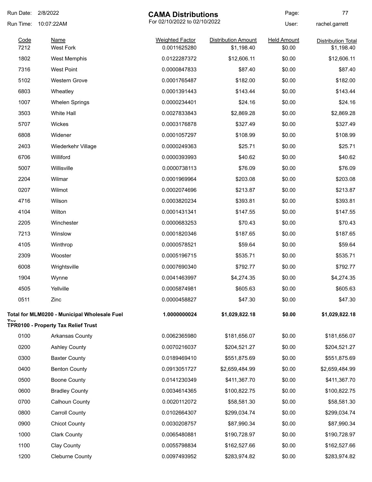| Run Date:    | 2/8/2022<br><b>CAMA Distributions</b>               |                                        |                                          | Page:                        | 77                                      |
|--------------|-----------------------------------------------------|----------------------------------------|------------------------------------------|------------------------------|-----------------------------------------|
| Run Time:    | 10:07:22AM                                          | For 02/10/2022 to 02/10/2022           |                                          | User:                        | rachel.garrett                          |
| Code<br>7212 | <b>Name</b><br><b>West Fork</b>                     | <b>Weighted Factor</b><br>0.0011625280 | <b>Distribution Amount</b><br>\$1,198.40 | <b>Held Amount</b><br>\$0.00 | <b>Distribution Total</b><br>\$1,198.40 |
| 1802         | <b>West Memphis</b>                                 | 0.0122287372                           | \$12,606.11                              | \$0.00                       | \$12,606.11                             |
| 7316         | <b>West Point</b>                                   | 0.0000847833                           | \$87.40                                  | \$0.00                       | \$87.40                                 |
| 5102         | <b>Western Grove</b>                                | 0.0001765487                           | \$182.00                                 | \$0.00                       | \$182.00                                |
| 6803         | Wheatley                                            | 0.0001391443                           | \$143.44                                 | \$0.00                       | \$143.44                                |
| 1007         | <b>Whelen Springs</b>                               | 0.0000234401                           | \$24.16                                  | \$0.00                       | \$24.16                                 |
| 3503         | White Hall                                          | 0.0027833843                           | \$2,869.28                               | \$0.00                       | \$2,869.28                              |
| 5707         | Wickes                                              | 0.0003176878                           | \$327.49                                 | \$0.00                       | \$327.49                                |
| 6808         | Widener                                             | 0.0001057297                           | \$108.99                                 | \$0.00                       | \$108.99                                |
| 2403         | Wiederkehr Village                                  | 0.0000249363                           | \$25.71                                  | \$0.00                       | \$25.71                                 |
| 6706         | Williford                                           | 0.0000393993                           | \$40.62                                  | \$0.00                       | \$40.62                                 |
| 5007         | Willisville                                         | 0.0000738113                           | \$76.09                                  | \$0.00                       | \$76.09                                 |
| 2204         | Wilmar                                              | 0.0001969964                           | \$203.08                                 | \$0.00                       | \$203.08                                |
| 0207         | Wilmot                                              | 0.0002074696                           | \$213.87                                 | \$0.00                       | \$213.87                                |
| 4716         | Wilson                                              | 0.0003820234                           | \$393.81                                 | \$0.00                       | \$393.81                                |
| 4104         | Wilton                                              | 0.0001431341                           | \$147.55                                 | \$0.00                       | \$147.55                                |
| 2205         | Winchester                                          | 0.0000683253                           | \$70.43                                  | \$0.00                       | \$70.43                                 |
| 7213         | Winslow                                             | 0.0001820346                           | \$187.65                                 | \$0.00                       | \$187.65                                |
| 4105         | Winthrop                                            | 0.0000578521                           | \$59.64                                  | \$0.00                       | \$59.64                                 |
| 2309         | Wooster                                             | 0.0005196715                           | \$535.71                                 | \$0.00                       | \$535.71                                |
| 6008         | Wrightsville                                        | 0.0007690340                           | \$792.77                                 | \$0.00                       | \$792.77                                |
| 1904         | Wynne                                               | 0.0041463997                           | \$4,274.35                               | \$0.00                       | \$4,274.35                              |
| 4505         | Yellville                                           | 0.0005874981                           | \$605.63                                 | \$0.00                       | \$605.63                                |
| 0511         | Zinc                                                | 0.0000458827                           | \$47.30                                  | \$0.00                       | \$47.30                                 |
|              | <b>Total for MLM0200 - Municipal Wholesale Fuel</b> | 1.0000000024                           | \$1,029,822.18                           | \$0.00                       | \$1,029,822.18                          |
|              | TPR0100 - Property Tax Relief Trust                 |                                        |                                          |                              |                                         |
| 0100         | <b>Arkansas County</b>                              | 0.0062365980                           | \$181,656.07                             | \$0.00                       | \$181,656.07                            |
| 0200         | <b>Ashley County</b>                                | 0.0070216037                           | \$204,521.27                             | \$0.00                       | \$204,521.27                            |
| 0300         | <b>Baxter County</b>                                | 0.0189469410                           | \$551,875.69                             | \$0.00                       | \$551,875.69                            |
| 0400         | <b>Benton County</b>                                | 0.0913051727                           | \$2,659,484.99                           | \$0.00                       | \$2,659,484.99                          |
| 0500         | <b>Boone County</b>                                 | 0.0141230349                           | \$411,367.70                             | \$0.00                       | \$411,367.70                            |
| 0600         | <b>Bradley County</b>                               | 0.0034614365                           | \$100,822.75                             | \$0.00                       | \$100,822.75                            |
| 0700         | Calhoun County                                      | 0.0020112072                           | \$58,581.30                              | \$0.00                       | \$58,581.30                             |
| 0800         | <b>Carroll County</b>                               | 0.0102664307                           | \$299,034.74                             | \$0.00                       | \$299,034.74                            |
| 0900         | <b>Chicot County</b>                                | 0.0030208757                           | \$87,990.34                              | \$0.00                       | \$87,990.34                             |
| 1000         | <b>Clark County</b>                                 | 0.0065480881                           | \$190,728.97                             | \$0.00                       | \$190,728.97                            |
| 1100         | Clay County                                         | 0.0055798834                           | \$162,527.66                             | \$0.00                       | \$162,527.66                            |
| 1200         | Cleburne County                                     | 0.0097493952                           | \$283,974.82                             | \$0.00                       | \$283,974.82                            |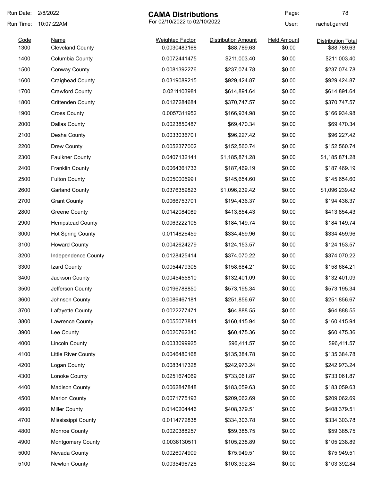| Run Date: | 2/8/2022                   | <b>CAMA Distributions</b>    |                            | Page:              | 78                        |
|-----------|----------------------------|------------------------------|----------------------------|--------------------|---------------------------|
| Run Time: | 10:07:22AM                 | For 02/10/2022 to 02/10/2022 |                            | User:              | rachel.garrett            |
| Code      | <b>Name</b>                | <b>Weighted Factor</b>       | <b>Distribution Amount</b> | <b>Held Amount</b> | <b>Distribution Total</b> |
| 1300      | <b>Cleveland County</b>    | 0.0030483168                 | \$88,789.63                | \$0.00             | \$88,789.63               |
| 1400      | Columbia County            | 0.0072441475                 | \$211,003.40               | \$0.00             | \$211,003.40              |
| 1500      | Conway County              | 0.0081392276                 | \$237,074.78               | \$0.00             | \$237,074.78              |
| 1600      | <b>Craighead County</b>    | 0.0319089215                 | \$929,424.87               | \$0.00             | \$929,424.87              |
| 1700      | <b>Crawford County</b>     | 0.0211103981                 | \$614,891.64               | \$0.00             | \$614,891.64              |
| 1800      | <b>Crittenden County</b>   | 0.0127284684                 | \$370,747.57               | \$0.00             | \$370,747.57              |
| 1900      | <b>Cross County</b>        | 0.0057311952                 | \$166,934.98               | \$0.00             | \$166,934.98              |
| 2000      | <b>Dallas County</b>       | 0.0023850487                 | \$69,470.34                | \$0.00             | \$69,470.34               |
| 2100      | Desha County               | 0.0033036701                 | \$96,227.42                | \$0.00             | \$96,227.42               |
| 2200      | Drew County                | 0.0052377002                 | \$152,560.74               | \$0.00             | \$152,560.74              |
| 2300      | <b>Faulkner County</b>     | 0.0407132141                 | \$1,185,871.28             | \$0.00             | \$1,185,871.28            |
| 2400      | <b>Franklin County</b>     | 0.0064361733                 | \$187,469.19               | \$0.00             | \$187,469.19              |
| 2500      | <b>Fulton County</b>       | 0.0050005991                 | \$145,654.60               | \$0.00             | \$145,654.60              |
| 2600      | <b>Garland County</b>      | 0.0376359823                 | \$1,096,239.42             | \$0.00             | \$1,096,239.42            |
| 2700      | <b>Grant County</b>        | 0.0066753701                 | \$194,436.37               | \$0.00             | \$194,436.37              |
| 2800      | <b>Greene County</b>       | 0.0142084089                 | \$413,854.43               | \$0.00             | \$413,854.43              |
| 2900      | <b>Hempstead County</b>    | 0.0063222105                 | \$184,149.74               | \$0.00             | \$184,149.74              |
| 3000      | <b>Hot Spring County</b>   | 0.0114826459                 | \$334,459.96               | \$0.00             | \$334,459.96              |
| 3100      | <b>Howard County</b>       | 0.0042624279                 | \$124,153.57               | \$0.00             | \$124,153.57              |
| 3200      | Independence County        | 0.0128425414                 | \$374,070.22               | \$0.00             | \$374,070.22              |
| 3300      | Izard County               | 0.0054479305                 | \$158,684.21               | \$0.00             | \$158,684.21              |
| 3400      | Jackson County             | 0.0045455810                 | \$132,401.09               | \$0.00             | \$132,401.09              |
| 3500      | Jefferson County           | 0.0196788850                 | \$573,195.34               | \$0.00             | \$573,195.34              |
| 3600      | Johnson County             | 0.0086467181                 | \$251,856.67               | \$0.00             | \$251,856.67              |
| 3700      | Lafayette County           | 0.0022277471                 | \$64,888.55                | \$0.00             | \$64,888.55               |
| 3800      | Lawrence County            | 0.0055073841                 | \$160,415.94               | \$0.00             | \$160,415.94              |
| 3900      | Lee County                 | 0.0020762340                 | \$60,475.36                | \$0.00             | \$60,475.36               |
| 4000      | <b>Lincoln County</b>      | 0.0033099925                 | \$96,411.57                | \$0.00             | \$96,411.57               |
| 4100      | <b>Little River County</b> | 0.0046480168                 | \$135,384.78               | \$0.00             | \$135,384.78              |
| 4200      | Logan County               | 0.0083417328                 | \$242,973.24               | \$0.00             | \$242,973.24              |
| 4300      | Lonoke County              | 0.0251674069                 | \$733,061.87               | \$0.00             | \$733,061.87              |
| 4400      | <b>Madison County</b>      | 0.0062847848                 | \$183,059.63               | \$0.00             | \$183,059.63              |
| 4500      | <b>Marion County</b>       | 0.0071775193                 | \$209,062.69               | \$0.00             | \$209,062.69              |
| 4600      | <b>Miller County</b>       | 0.0140204446                 | \$408,379.51               | \$0.00             | \$408,379.51              |
| 4700      | Mississippi County         | 0.0114772838                 | \$334,303.78               | \$0.00             | \$334,303.78              |
| 4800      | Monroe County              | 0.0020388257                 | \$59,385.75                | \$0.00             | \$59,385.75               |
| 4900      | Montgomery County          | 0.0036130511                 | \$105,238.89               | \$0.00             | \$105,238.89              |
| 5000      | Nevada County              | 0.0026074909                 | \$75,949.51                | \$0.00             | \$75,949.51               |
| 5100      | Newton County              | 0.0035496726                 | \$103,392.84               | \$0.00             | \$103,392.84              |
|           |                            |                              |                            |                    |                           |